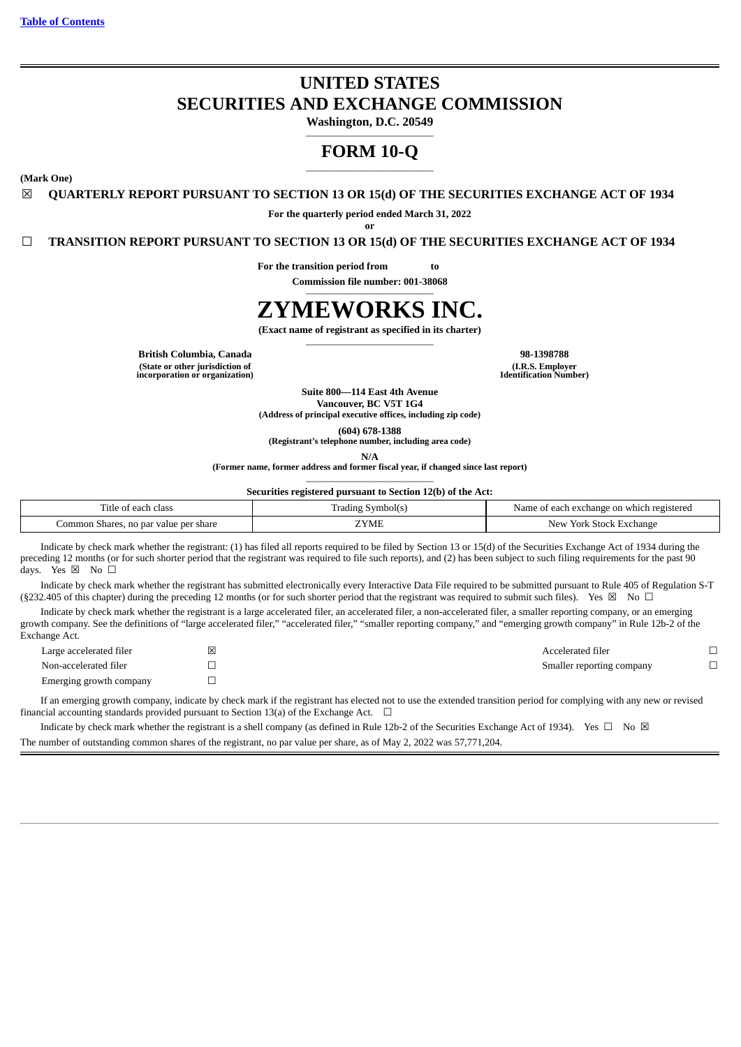# **UNITED STATES SECURITIES AND EXCHANGE COMMISSION**

**Washington, D.C. 20549 \_\_\_\_\_\_\_\_\_\_\_\_\_\_\_\_\_\_\_\_\_\_\_\_\_\_\_\_\_\_\_\_\_\_\_\_\_\_**

## **FORM 10-Q \_\_\_\_\_\_\_\_\_\_\_\_\_\_\_\_\_\_\_\_\_\_\_\_\_\_\_\_\_\_\_\_\_\_\_\_\_\_**

**(Mark One)**

☒ **QUARTERLY REPORT PURSUANT TO SECTION 13 OR 15(d) OF THE SECURITIES EXCHANGE ACT OF 1934**

**For the quarterly period ended March 31, 2022 or**

☐ **TRANSITION REPORT PURSUANT TO SECTION 13 OR 15(d) OF THE SECURITIES EXCHANGE ACT OF 1934**

**For the transition period from to to** 

**Commission file number: 001-38068**

# **\_\_\_\_\_\_\_\_\_\_\_\_\_\_\_\_\_\_\_\_\_\_\_\_\_\_\_\_\_\_\_\_\_\_\_\_\_\_ ZYMEWORKS INC.**

**(Exact name of registrant as specified in its charter) \_\_\_\_\_\_\_\_\_\_\_\_\_\_\_\_\_\_\_\_\_\_\_\_\_\_\_\_\_\_\_\_\_\_\_\_\_\_**

**British Columbia, Canada 98-1398788 (State or other jurisdiction of incorporation or organization)**

**(I.R.S. Employer Identification Number)**

**Suite 800—114 East 4th Avenue Vancouver, BC V5T 1G4**

**(Address of principal executive offices, including zip code)**

**(604) 678-1388**

**(Registrant's telephone number, including area code)**

**N/A**

**(Former name, former address and former fiscal year, if changed since last report) \_\_\_\_\_\_\_\_\_\_\_\_\_\_\_\_\_\_\_\_\_\_\_\_\_\_\_\_\_\_\_\_\_\_\_\_\_\_**

**Securities registered pursuant to Section 12(b) of the Act:**

| ––<br>class<br><b>A</b> ach<br>.1t16<br>nt            | Trading Symbol(s) | i each exchange on which registered.<br>Name |
|-------------------------------------------------------|-------------------|----------------------------------------------|
| .ommo<br>value per share<br>u par vo<br>^hare.<br>___ | <b>7YME</b>       | York<br>Exchange<br>New<br>Stock             |

Indicate by check mark whether the registrant: (1) has filed all reports required to be filed by Section 13 or 15(d) of the Securities Exchange Act of 1934 during the preceding 12 months (or for such shorter period that the registrant was required to file such reports), and (2) has been subject to such filing requirements for the past 90 days. Yes  $\boxtimes$  No  $\Box$ 

Indicate by check mark whether the registrant has submitted electronically every Interactive Data File required to be submitted pursuant to Rule 405 of Regulation S-T (§232.405 of this chapter) during the preceding 12 months (or for such shorter period that the registrant was required to submit such files). Yes  $\boxtimes$  No  $\Box$ 

Indicate by check mark whether the registrant is a large accelerated filer, an accelerated filer, a non-accelerated filer, a smaller reporting company, or an emerging growth company. See the definitions of "large accelerated filer," "accelerated filer," "smaller reporting company," and "emerging growth company" in Rule 12b-2 of the Exchange Act.

| Large accelerated filer | Accelerated filer         |  |
|-------------------------|---------------------------|--|
| Non-accelerated filer   | Smaller reporting company |  |
| Emerging growth company |                           |  |

If an emerging growth company, indicate by check mark if the registrant has elected not to use the extended transition period for complying with any new or revised financial accounting standards provided pursuant to Section 13(a) of the Exchange Act.  $\Box$ 

<span id="page-0-0"></span>Indicate by check mark whether the registrant is a shell company (as defined in Rule 12b-2 of the Securities Exchange Act of 1934). Yes □ No ⊠ The number of outstanding common shares of the registrant, no par value per share, as of May 2, 2022 was 57,771,204.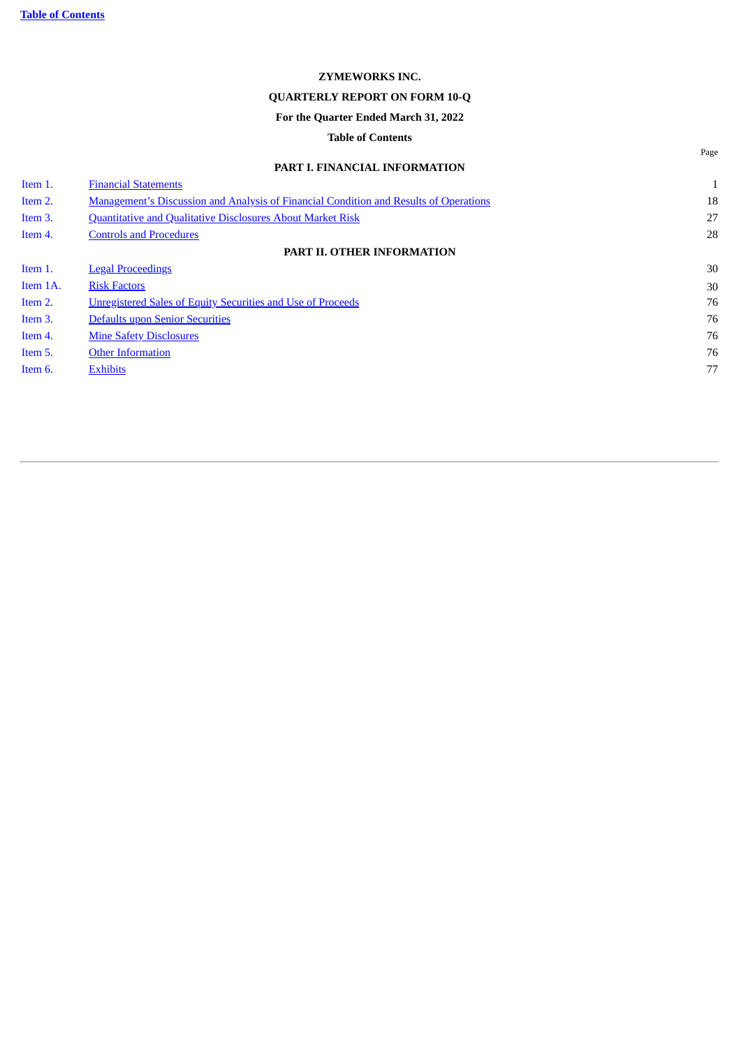## **QUARTERLY REPORT ON FORM 10-Q**

## **For the Quarter Ended March 31, 2022**

## **Table of Contents**

|          |                                                                                              | Page |
|----------|----------------------------------------------------------------------------------------------|------|
|          | PART I. FINANCIAL INFORMATION                                                                |      |
| Item 1.  | <b>Financial Statements</b>                                                                  | 1    |
| Item 2.  | <b>Management's Discussion and Analysis of Financial Condition and Results of Operations</b> | 18   |
| Item 3.  | <b>Quantitative and Qualitative Disclosures About Market Risk</b>                            | 27   |
| Item 4.  | <b>Controls and Procedures</b>                                                               | 28   |
|          | PART II. OTHER INFORMATION                                                                   |      |
| Item 1.  | <b>Legal Proceedings</b>                                                                     | 30   |
| Item 1A. | <b>Risk Factors</b>                                                                          | 30   |
| Item 2.  | <b>Unregistered Sales of Equity Securities and Use of Proceeds</b>                           | 76   |
| Item 3.  | <b>Defaults upon Senior Securities</b>                                                       | 76   |
| Item 4.  | <b>Mine Safety Disclosures</b>                                                               | 76   |
| Item 5.  | <b>Other Information</b>                                                                     | 76   |
| Item 6.  | <b>Exhibits</b>                                                                              | 77   |
|          |                                                                                              |      |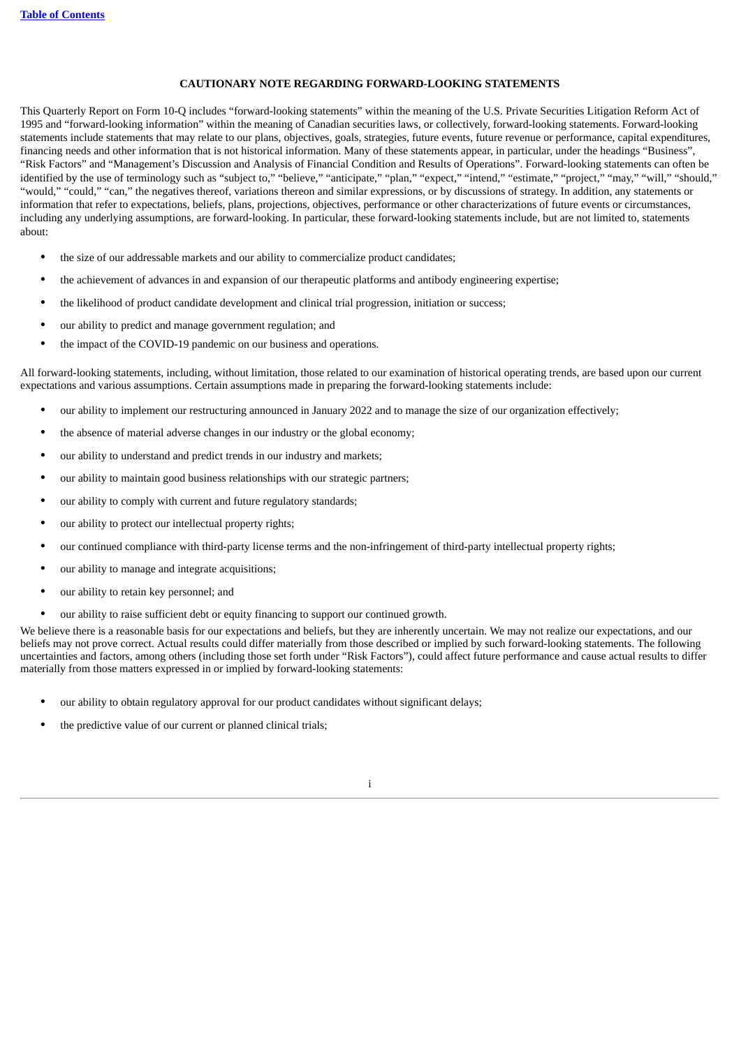## **CAUTIONARY NOTE REGARDING FORWARD-LOOKING STATEMENTS**

This Quarterly Report on Form 10-Q includes "forward-looking statements" within the meaning of the U.S. Private Securities Litigation Reform Act of 1995 and "forward-looking information" within the meaning of Canadian securities laws, or collectively, forward-looking statements. Forward-looking statements include statements that may relate to our plans, objectives, goals, strategies, future events, future revenue or performance, capital expenditures, financing needs and other information that is not historical information. Many of these statements appear, in particular, under the headings "Business", "Risk Factors" and "Management's Discussion and Analysis of Financial Condition and Results of Operations". Forward-looking statements can often be identified by the use of terminology such as "subject to," "believe," "anticipate," "plan," "expect," "intend," "estimate," "project," "may," "will," "should," "would," "could," "can," the negatives thereof, variations thereon and similar expressions, or by discussions of strategy. In addition, any statements or information that refer to expectations, beliefs, plans, projections, objectives, performance or other characterizations of future events or circumstances, including any underlying assumptions, are forward-looking. In particular, these forward-looking statements include, but are not limited to, statements about:

- the size of our addressable markets and our ability to commercialize product candidates;
- the achievement of advances in and expansion of our therapeutic platforms and antibody engineering expertise;
- the likelihood of product candidate development and clinical trial progression, initiation or success;
- our ability to predict and manage government regulation; and
- the impact of the COVID-19 pandemic on our business and operations.

All forward-looking statements, including, without limitation, those related to our examination of historical operating trends, are based upon our current expectations and various assumptions. Certain assumptions made in preparing the forward-looking statements include:

- our ability to implement our restructuring announced in January 2022 and to manage the size of our organization effectively;
- the absence of material adverse changes in our industry or the global economy;
- our ability to understand and predict trends in our industry and markets;
- our ability to maintain good business relationships with our strategic partners;
- our ability to comply with current and future regulatory standards;
- our ability to protect our intellectual property rights;
- our continued compliance with third-party license terms and the non-infringement of third-party intellectual property rights;
- our ability to manage and integrate acquisitions;
- our ability to retain key personnel; and
- our ability to raise sufficient debt or equity financing to support our continued growth.

We believe there is a reasonable basis for our expectations and beliefs, but they are inherently uncertain. We may not realize our expectations, and our beliefs may not prove correct. Actual results could differ materially from those described or implied by such forward-looking statements. The following uncertainties and factors, among others (including those set forth under "Risk Factors"), could affect future performance and cause actual results to differ materially from those matters expressed in or implied by forward-looking statements:

- our ability to obtain regulatory approval for our product candidates without significant delays;
- the predictive value of our current or planned clinical trials;

i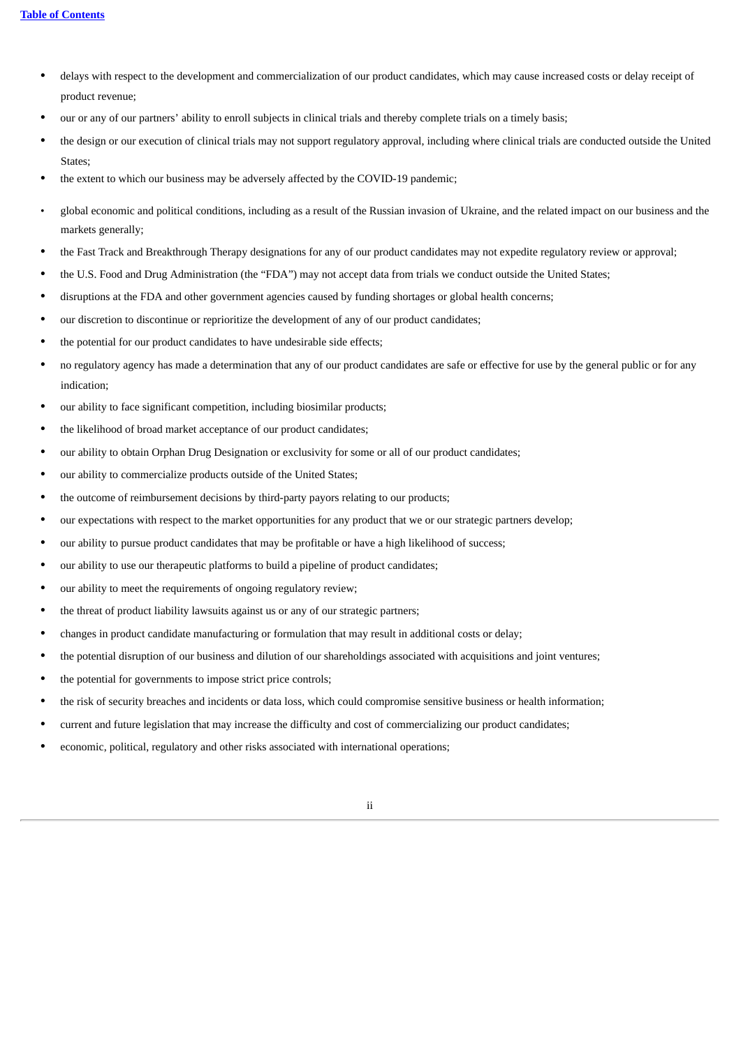- delays with respect to the development and commercialization of our product candidates, which may cause increased costs or delay receipt of product revenue;
- our or any of our partners' ability to enroll subjects in clinical trials and thereby complete trials on a timely basis;
- the design or our execution of clinical trials may not support regulatory approval, including where clinical trials are conducted outside the United States;
- the extent to which our business may be adversely affected by the COVID-19 pandemic;
- global economic and political conditions, including as a result of the Russian invasion of Ukraine, and the related impact on our business and the markets generally;
- the Fast Track and Breakthrough Therapy designations for any of our product candidates may not expedite regulatory review or approval;
- the U.S. Food and Drug Administration (the "FDA") may not accept data from trials we conduct outside the United States;
- disruptions at the FDA and other government agencies caused by funding shortages or global health concerns;
- our discretion to discontinue or reprioritize the development of any of our product candidates;
- the potential for our product candidates to have undesirable side effects;
- no regulatory agency has made a determination that any of our product candidates are safe or effective for use by the general public or for any indication;
- our ability to face significant competition, including biosimilar products;
- the likelihood of broad market acceptance of our product candidates;
- our ability to obtain Orphan Drug Designation or exclusivity for some or all of our product candidates;
- our ability to commercialize products outside of the United States;
- the outcome of reimbursement decisions by third-party payors relating to our products;
- our expectations with respect to the market opportunities for any product that we or our strategic partners develop;
- our ability to pursue product candidates that may be profitable or have a high likelihood of success;
- our ability to use our therapeutic platforms to build a pipeline of product candidates;
- our ability to meet the requirements of ongoing regulatory review;
- the threat of product liability lawsuits against us or any of our strategic partners:
- changes in product candidate manufacturing or formulation that may result in additional costs or delay;
- the potential disruption of our business and dilution of our shareholdings associated with acquisitions and joint ventures;
- the potential for governments to impose strict price controls;
- the risk of security breaches and incidents or data loss, which could compromise sensitive business or health information;
- current and future legislation that may increase the difficulty and cost of commercializing our product candidates;
- economic, political, regulatory and other risks associated with international operations;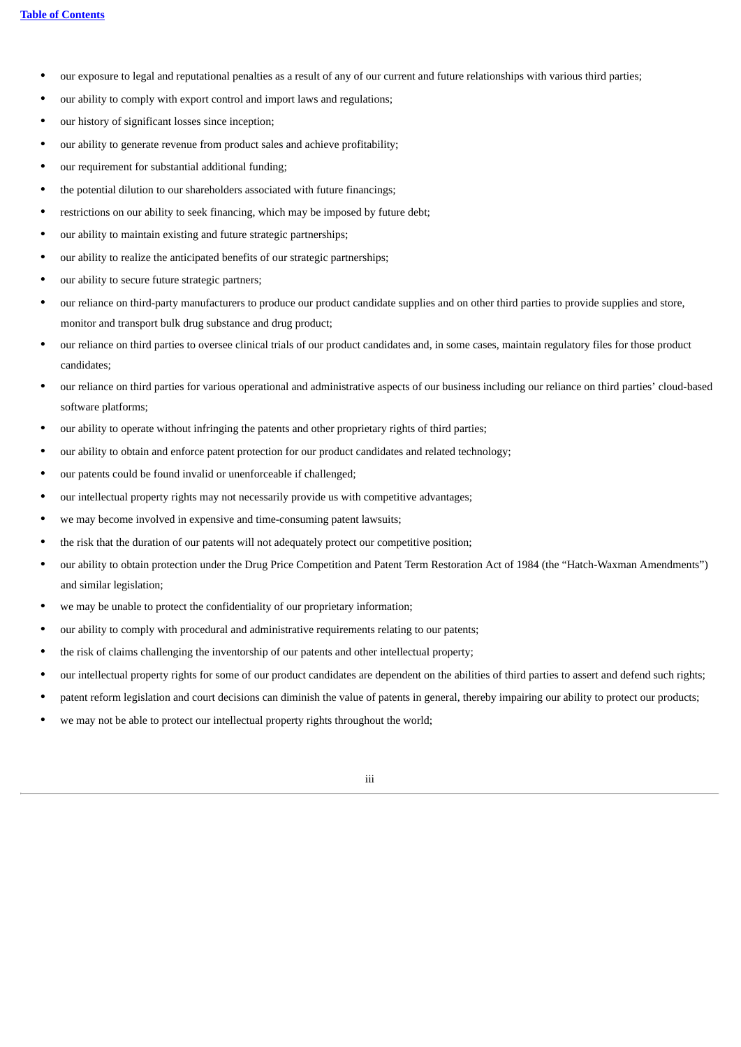- our exposure to legal and reputational penalties as a result of any of our current and future relationships with various third parties;
- our ability to comply with export control and import laws and regulations;
- our history of significant losses since inception;
- our ability to generate revenue from product sales and achieve profitability;
- our requirement for substantial additional funding;
- the potential dilution to our shareholders associated with future financings;
- restrictions on our ability to seek financing, which may be imposed by future debt;
- our ability to maintain existing and future strategic partnerships;
- our ability to realize the anticipated benefits of our strategic partnerships;
- our ability to secure future strategic partners;
- our reliance on third-party manufacturers to produce our product candidate supplies and on other third parties to provide supplies and store, monitor and transport bulk drug substance and drug product;
- our reliance on third parties to oversee clinical trials of our product candidates and, in some cases, maintain regulatory files for those product candidates;
- our reliance on third parties for various operational and administrative aspects of our business including our reliance on third parties' cloud-based software platforms;
- our ability to operate without infringing the patents and other proprietary rights of third parties;
- our ability to obtain and enforce patent protection for our product candidates and related technology;
- our patents could be found invalid or unenforceable if challenged;
- our intellectual property rights may not necessarily provide us with competitive advantages;
- we may become involved in expensive and time-consuming patent lawsuits;
- the risk that the duration of our patents will not adequately protect our competitive position;
- our ability to obtain protection under the Drug Price Competition and Patent Term Restoration Act of 1984 (the "Hatch-Waxman Amendments") and similar legislation;
- we may be unable to protect the confidentiality of our proprietary information;
- our ability to comply with procedural and administrative requirements relating to our patents;
- the risk of claims challenging the inventorship of our patents and other intellectual property;
- our intellectual property rights for some of our product candidates are dependent on the abilities of third parties to assert and defend such rights;
- patent reform legislation and court decisions can diminish the value of patents in general, thereby impairing our ability to protect our products;
- we may not be able to protect our intellectual property rights throughout the world: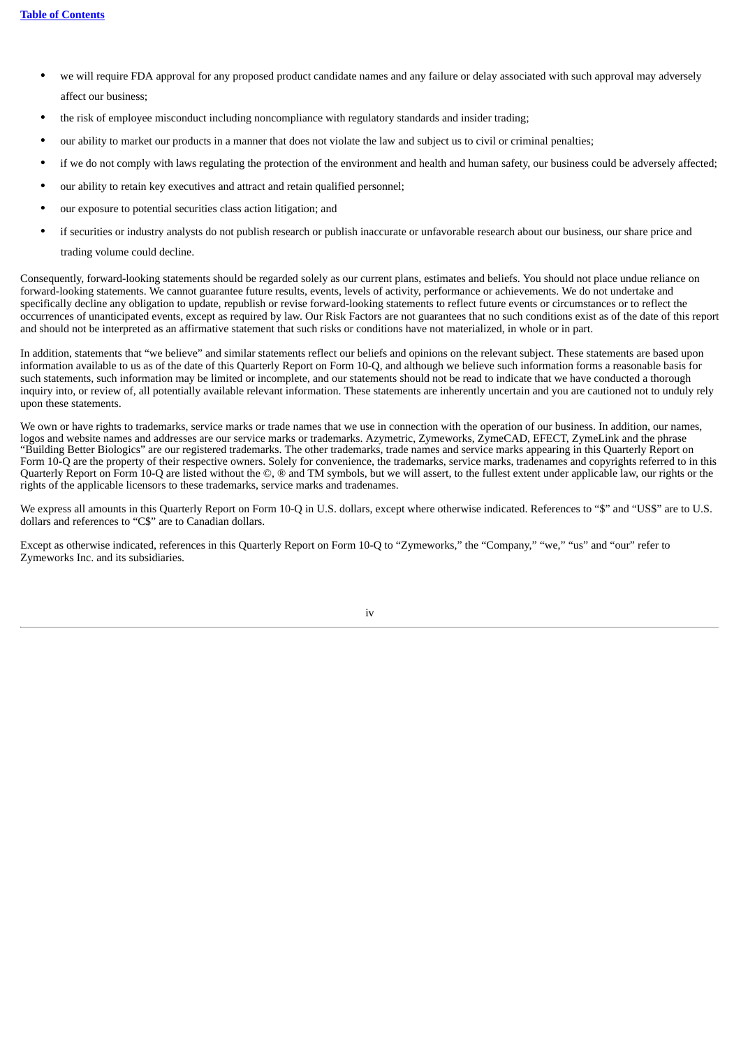- we will require FDA approval for any proposed product candidate names and any failure or delay associated with such approval may adversely affect our business;
- the risk of employee misconduct including noncompliance with regulatory standards and insider trading;
- our ability to market our products in a manner that does not violate the law and subject us to civil or criminal penalties;
- if we do not comply with laws regulating the protection of the environment and health and human safety, our business could be adversely affected;
- our ability to retain key executives and attract and retain qualified personnel;
- our exposure to potential securities class action litigation; and
- if securities or industry analysts do not publish research or publish inaccurate or unfavorable research about our business, our share price and trading volume could decline.

Consequently, forward-looking statements should be regarded solely as our current plans, estimates and beliefs. You should not place undue reliance on forward-looking statements. We cannot guarantee future results, events, levels of activity, performance or achievements. We do not undertake and specifically decline any obligation to update, republish or revise forward-looking statements to reflect future events or circumstances or to reflect the occurrences of unanticipated events, except as required by law. Our Risk Factors are not guarantees that no such conditions exist as of the date of this report and should not be interpreted as an affirmative statement that such risks or conditions have not materialized, in whole or in part.

In addition, statements that "we believe" and similar statements reflect our beliefs and opinions on the relevant subject. These statements are based upon information available to us as of the date of this Quarterly Report on Form 10-Q, and although we believe such information forms a reasonable basis for such statements, such information may be limited or incomplete, and our statements should not be read to indicate that we have conducted a thorough inquiry into, or review of, all potentially available relevant information. These statements are inherently uncertain and you are cautioned not to unduly rely upon these statements.

We own or have rights to trademarks, service marks or trade names that we use in connection with the operation of our business. In addition, our names, logos and website names and addresses are our service marks or trademarks. Azymetric, Zymeworks, ZymeCAD, EFECT, ZymeLink and the phrase "Building Better Biologics" are our registered trademarks. The other trademarks, trade names and service marks appearing in this Quarterly Report on Form 10-Q are the property of their respective owners. Solely for convenience, the trademarks, service marks, tradenames and copyrights referred to in this Quarterly Report on Form 10-Q are listed without the ©, ® and TM symbols, but we will assert, to the fullest extent under applicable law, our rights or the rights of the applicable licensors to these trademarks, service marks and tradenames.

We express all amounts in this Quarterly Report on Form 10-Q in U.S. dollars, except where otherwise indicated. References to "\$" and "US\$" are to U.S. dollars and references to "C\$" are to Canadian dollars.

Except as otherwise indicated, references in this Quarterly Report on Form 10-Q to "Zymeworks," the "Company," "we," "us" and "our" refer to Zymeworks Inc. and its subsidiaries.

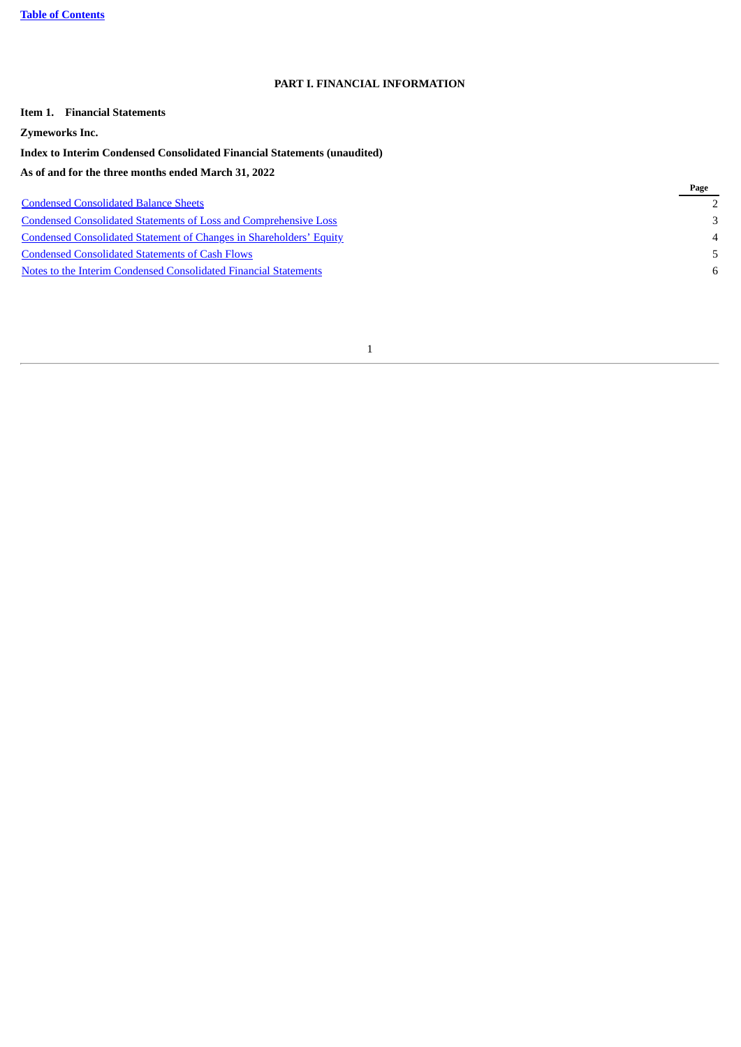## **PART I. FINANCIAL INFORMATION**

<span id="page-6-0"></span>**Item 1. Financial Statements**

**Zymeworks Inc. Index to Interim Condensed Consolidated Financial Statements (unaudited)**

**As of and for the three months ended March 31, 2022**

<span id="page-6-1"></span>

|                                                                     | Page           |
|---------------------------------------------------------------------|----------------|
| <b>Condensed Consolidated Balance Sheets</b>                        | $\mathcal{P}$  |
| Condensed Consolidated Statements of Loss and Comprehensive Loss    | 3              |
| Condensed Consolidated Statement of Changes in Shareholders' Equity | $\overline{4}$ |
| <b>Condensed Consolidated Statements of Cash Flows</b>              | .5.            |
| Notes to the Interim Condensed Consolidated Financial Statements    | 6              |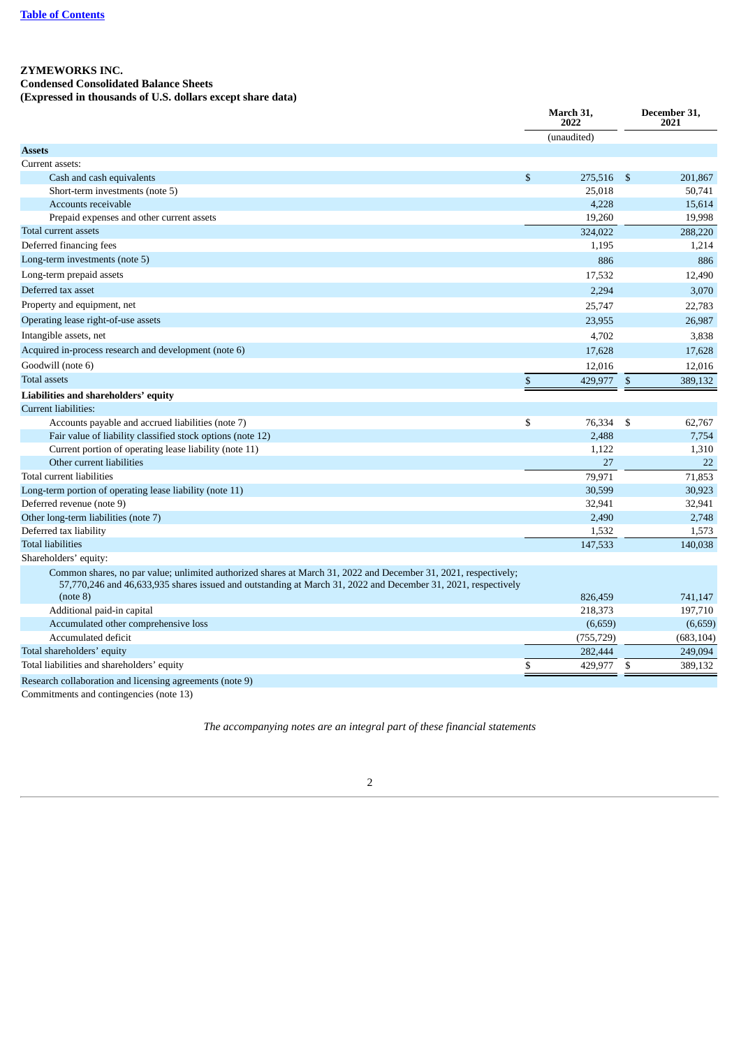## **Condensed Consolidated Balance Sheets**

**(Expressed in thousands of U.S. dollars except share data)**

|                                                                                                                                                                                                                                  |              | March 31,<br>2022 |                | December 31,<br>2021 |
|----------------------------------------------------------------------------------------------------------------------------------------------------------------------------------------------------------------------------------|--------------|-------------------|----------------|----------------------|
|                                                                                                                                                                                                                                  |              | (unaudited)       |                |                      |
| <b>Assets</b>                                                                                                                                                                                                                    |              |                   |                |                      |
| Current assets:                                                                                                                                                                                                                  |              |                   |                |                      |
| Cash and cash equivalents                                                                                                                                                                                                        | $\mathbf{s}$ | 275,516           | \$             | 201,867              |
| Short-term investments (note 5)                                                                                                                                                                                                  |              | 25.018            |                | 50.741               |
| Accounts receivable                                                                                                                                                                                                              |              | 4,228             |                | 15,614               |
| Prepaid expenses and other current assets                                                                                                                                                                                        |              | 19,260            |                | 19,998               |
| Total current assets                                                                                                                                                                                                             |              | 324,022           |                | 288,220              |
| Deferred financing fees                                                                                                                                                                                                          |              | 1,195             |                | 1,214                |
| Long-term investments (note 5)                                                                                                                                                                                                   |              | 886               |                | 886                  |
| Long-term prepaid assets                                                                                                                                                                                                         |              | 17,532            |                | 12,490               |
| Deferred tax asset                                                                                                                                                                                                               |              | 2,294             |                | 3,070                |
| Property and equipment, net                                                                                                                                                                                                      |              | 25,747            |                | 22,783               |
| Operating lease right-of-use assets                                                                                                                                                                                              |              | 23,955            |                | 26,987               |
| Intangible assets, net                                                                                                                                                                                                           |              | 4,702             |                | 3,838                |
| Acquired in-process research and development (note 6)                                                                                                                                                                            |              | 17,628            |                | 17,628               |
| Goodwill (note 6)                                                                                                                                                                                                                |              | 12,016            |                | 12,016               |
| <b>Total assets</b>                                                                                                                                                                                                              | \$           | 429,977           | $\mathfrak{F}$ | 389,132              |
| Liabilities and shareholders' equity                                                                                                                                                                                             |              |                   |                |                      |
| Current liabilities:                                                                                                                                                                                                             |              |                   |                |                      |
| Accounts payable and accrued liabilities (note 7)                                                                                                                                                                                | \$           | 76,334            | \$             | 62,767               |
| Fair value of liability classified stock options (note 12)                                                                                                                                                                       |              | 2,488             |                | 7,754                |
| Current portion of operating lease liability (note 11)                                                                                                                                                                           |              | 1,122             |                | 1,310                |
| Other current liabilities                                                                                                                                                                                                        |              | 27                |                | 22                   |
| Total current liabilities                                                                                                                                                                                                        |              | 79,971            |                | 71,853               |
| Long-term portion of operating lease liability (note 11)                                                                                                                                                                         |              | 30,599            |                | 30,923               |
| Deferred revenue (note 9)                                                                                                                                                                                                        |              | 32,941            |                | 32,941               |
| Other long-term liabilities (note 7)                                                                                                                                                                                             |              | 2,490             |                | 2,748                |
| Deferred tax liability                                                                                                                                                                                                           |              | 1,532             |                | 1,573                |
| <b>Total liabilities</b>                                                                                                                                                                                                         |              | 147,533           |                | 140,038              |
| Shareholders' equity:                                                                                                                                                                                                            |              |                   |                |                      |
| Common shares, no par value; unlimited authorized shares at March 31, 2022 and December 31, 2021, respectively;<br>57,770,246 and 46,633,935 shares issued and outstanding at March 31, 2022 and December 31, 2021, respectively |              |                   |                |                      |
| (note 8)                                                                                                                                                                                                                         |              | 826,459           |                | 741,147              |
| Additional paid-in capital                                                                                                                                                                                                       |              | 218,373           |                | 197,710              |
| Accumulated other comprehensive loss                                                                                                                                                                                             |              | (6,659)           |                | (6,659)              |
| Accumulated deficit                                                                                                                                                                                                              |              | (755, 729)        |                | (683, 104)           |
| Total shareholders' equity                                                                                                                                                                                                       |              | 282,444           |                | 249,094              |
| Total liabilities and shareholders' equity                                                                                                                                                                                       | \$           | 429,977           | \$             | 389,132              |
| Research collaboration and licensing agreements (note 9)                                                                                                                                                                         |              |                   |                |                      |

<span id="page-7-0"></span>Commitments and contingencies (note 13)

*The accompanying notes are an integral part of these financial statements*

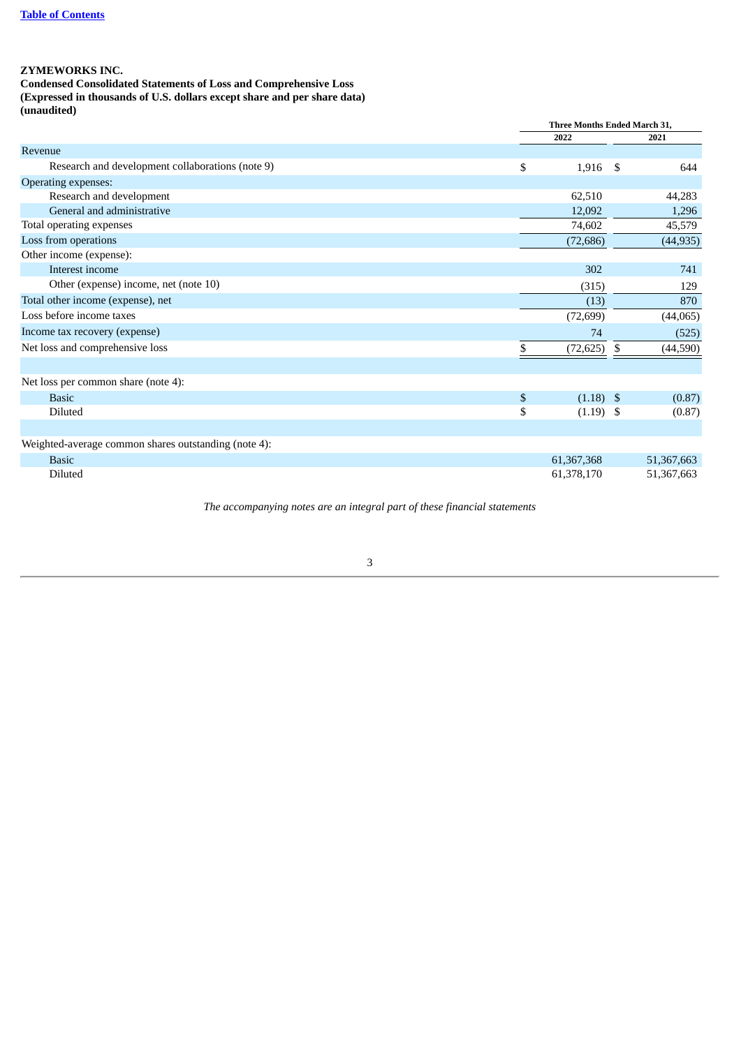**Condensed Consolidated Statements of Loss and Comprehensive Loss (Expressed in thousands of U.S. dollars except share and per share data) (unaudited)**

|                                                      |          | Three Months Ended March 31, |     |            |
|------------------------------------------------------|----------|------------------------------|-----|------------|
|                                                      |          | 2022                         |     | 2021       |
| Revenue                                              |          |                              |     |            |
| Research and development collaborations (note 9)     | \$       | 1,916                        | -\$ | 644        |
| <b>Operating expenses:</b>                           |          |                              |     |            |
| Research and development                             |          | 62,510                       |     | 44,283     |
| General and administrative                           |          | 12,092                       |     | 1,296      |
| Total operating expenses                             |          | 74,602                       |     | 45,579     |
| Loss from operations                                 |          | (72, 686)                    |     | (44, 935)  |
| Other income (expense):                              |          |                              |     |            |
| Interest income                                      |          | 302                          |     | 741        |
| Other (expense) income, net (note 10)                |          | (315)                        |     | 129        |
| Total other income (expense), net                    |          | (13)                         |     | 870        |
| Loss before income taxes                             |          | (72, 699)                    |     | (44,065)   |
| Income tax recovery (expense)                        |          | 74                           |     | (525)      |
| Net loss and comprehensive loss                      | \$       | (72, 625)                    | \$  | (44,590)   |
| Net loss per common share (note 4):                  |          |                              |     |            |
| <b>Basic</b>                                         |          |                              |     |            |
| Diluted                                              | \$<br>\$ | $(1.18)$ \$                  |     | (0.87)     |
|                                                      |          | $(1.19)$ \$                  |     | (0.87)     |
| Weighted-average common shares outstanding (note 4): |          |                              |     |            |
| <b>Basic</b>                                         |          | 61,367,368                   |     | 51,367,663 |
| Diluted                                              |          | 61,378,170                   |     | 51,367,663 |

<span id="page-8-0"></span>*The accompanying notes are an integral part of these financial statements*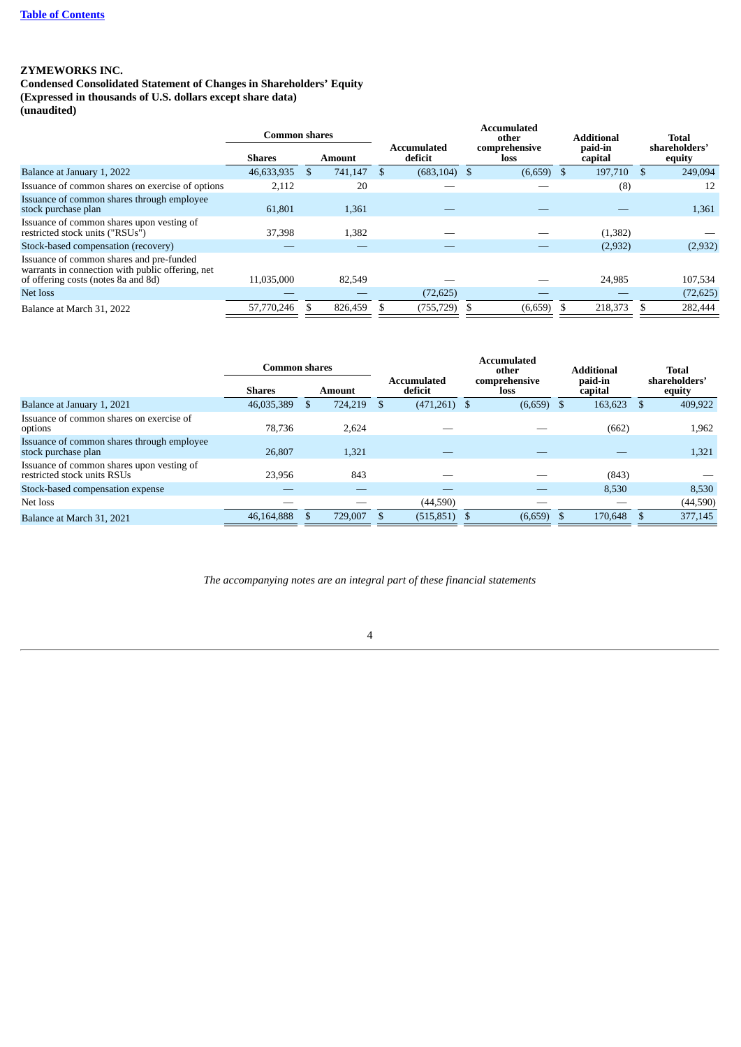**Condensed Consolidated Statement of Changes in Shareholders' Equity**

**(Expressed in thousands of U.S. dollars except share data)**

**(unaudited)**

|                                                                                                                                     | <b>Common shares</b> |         |                        | <b>Accumulated</b><br>other | <b>Additional</b>  | <b>Total</b>            |
|-------------------------------------------------------------------------------------------------------------------------------------|----------------------|---------|------------------------|-----------------------------|--------------------|-------------------------|
|                                                                                                                                     | <b>Shares</b>        | Amount  | Accumulated<br>deficit | comprehensive<br>loss       | paid-in<br>capital | shareholders'<br>equity |
| Balance at January 1, 2022                                                                                                          | 46,633,935           | 741,147 | (683, 104)             | (6,659)                     | 197,710            | 249,094                 |
| Issuance of common shares on exercise of options                                                                                    | 2,112                | 20      |                        |                             | (8)                | 12                      |
| Issuance of common shares through employee<br>stock purchase plan                                                                   | 61.801               | 1,361   |                        |                             |                    | 1,361                   |
| Issuance of common shares upon vesting of<br>restricted stock units ("RSUs")                                                        | 37,398               | 1,382   |                        |                             | (1, 382)           |                         |
| Stock-based compensation (recovery)                                                                                                 |                      |         |                        |                             | (2,932)            | (2,932)                 |
| Issuance of common shares and pre-funded<br>warrants in connection with public offering, net<br>of offering costs (notes 8a and 8d) | 11.035.000           | 82,549  |                        |                             | 24.985             | 107,534                 |
| Net loss                                                                                                                            |                      |         | (72, 625)              |                             |                    | (72, 625)               |
| Balance at March 31, 2022                                                                                                           | 57,770,246           | 826,459 | (755, 729)             | (6,659)                     | 218,373            | 282,444                 |

|                                                                          | Common shares<br><b>Shares</b> | Amount  | Accumulated<br>deficit | <b>Accumulated</b><br>other<br>comprehensive<br>loss |    | <b>Additional</b><br>paid-in<br>capital | <b>Total</b><br>shareholders'<br>equity |
|--------------------------------------------------------------------------|--------------------------------|---------|------------------------|------------------------------------------------------|----|-----------------------------------------|-----------------------------------------|
| Balance at January 1, 2021                                               | 46,035,389                     | 724,219 | $(471,261)$ \$         | (6,659)                                              | -S | 163,623                                 | 409,922                                 |
| Issuance of common shares on exercise of<br>options                      | 78.736                         | 2.624   |                        |                                                      |    | (662)                                   | 1,962                                   |
| Issuance of common shares through employee<br>stock purchase plan        | 26,807                         | 1.321   |                        |                                                      |    |                                         | 1,321                                   |
| Issuance of common shares upon vesting of<br>restricted stock units RSUs | 23.956                         | 843     |                        |                                                      |    | (843)                                   |                                         |
| Stock-based compensation expense                                         |                                |         |                        |                                                      |    | 8.530                                   | 8,530                                   |
| Net loss                                                                 |                                |         | (44,590)               |                                                      |    |                                         | (44,590)                                |
| Balance at March 31, 2021                                                | 46,164,888                     | 729,007 | (515, 851)             | (6,659)                                              |    | 170,648                                 | 377,145                                 |
|                                                                          |                                |         |                        |                                                      |    |                                         |                                         |

<span id="page-9-0"></span>*The accompanying notes are an integral part of these financial statements*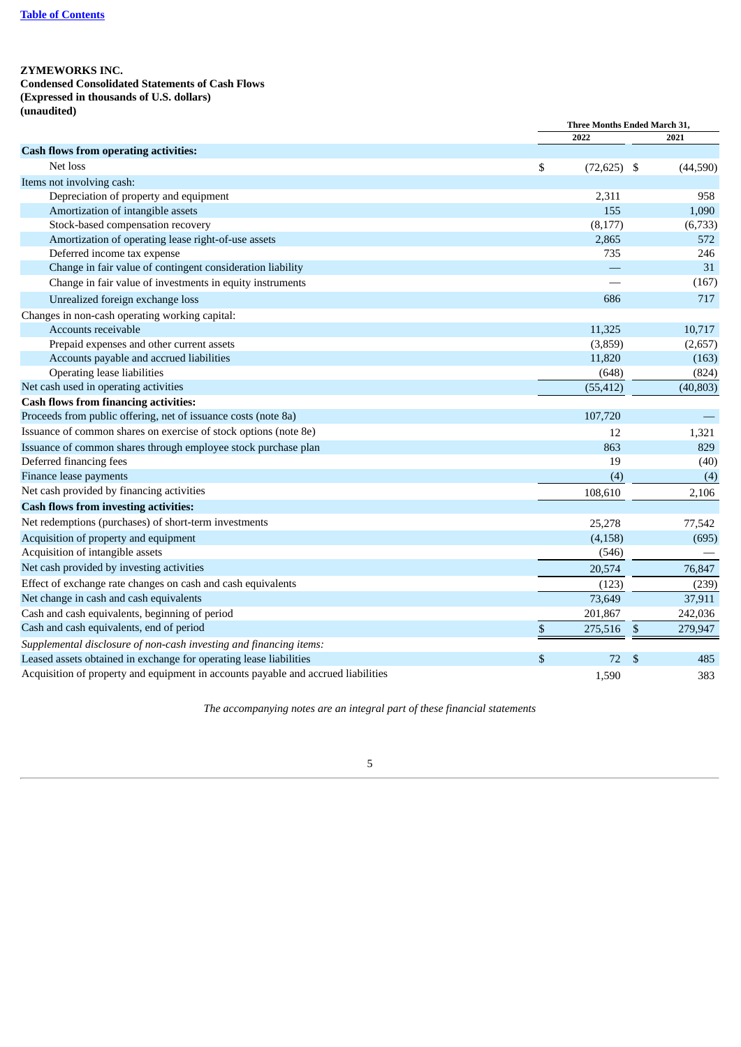## **Condensed Consolidated Statements of Cash Flows**

**(Expressed in thousands of U.S. dollars)**

**(unaudited)**

|                                                                                   | Three Months Ended March 31, |                |           |
|-----------------------------------------------------------------------------------|------------------------------|----------------|-----------|
|                                                                                   | 2022                         |                | 2021      |
| <b>Cash flows from operating activities:</b>                                      |                              |                |           |
| Net loss                                                                          | \$<br>$(72,625)$ \$          |                | (44,590)  |
| Items not involving cash:                                                         |                              |                |           |
| Depreciation of property and equipment                                            | 2,311                        |                | 958       |
| Amortization of intangible assets                                                 | 155                          |                | 1,090     |
| Stock-based compensation recovery                                                 | (8,177)                      |                | (6,733)   |
| Amortization of operating lease right-of-use assets                               | 2,865                        |                | 572       |
| Deferred income tax expense                                                       | 735                          |                | 246       |
| Change in fair value of contingent consideration liability                        |                              |                | 31        |
| Change in fair value of investments in equity instruments                         |                              |                | (167)     |
| Unrealized foreign exchange loss                                                  | 686                          |                | 717       |
| Changes in non-cash operating working capital:                                    |                              |                |           |
| Accounts receivable                                                               | 11,325                       |                | 10,717    |
| Prepaid expenses and other current assets                                         | (3,859)                      |                | (2,657)   |
| Accounts payable and accrued liabilities                                          | 11,820                       |                | (163)     |
| Operating lease liabilities                                                       | (648)                        |                | (824)     |
| Net cash used in operating activities                                             | (55, 412)                    |                | (40, 803) |
| <b>Cash flows from financing activities:</b>                                      |                              |                |           |
| Proceeds from public offering, net of issuance costs (note 8a)                    | 107,720                      |                |           |
| Issuance of common shares on exercise of stock options (note 8e)                  | 12                           |                | 1,321     |
| Issuance of common shares through employee stock purchase plan                    | 863                          |                | 829       |
| Deferred financing fees                                                           | 19                           |                | (40)      |
| Finance lease payments                                                            | (4)                          |                | (4)       |
| Net cash provided by financing activities                                         | 108,610                      |                | 2,106     |
| <b>Cash flows from investing activities:</b>                                      |                              |                |           |
| Net redemptions (purchases) of short-term investments                             | 25,278                       |                | 77,542    |
| Acquisition of property and equipment                                             | (4, 158)                     |                | (695)     |
| Acquisition of intangible assets                                                  | (546)                        |                |           |
| Net cash provided by investing activities                                         | 20,574                       |                | 76,847    |
| Effect of exchange rate changes on cash and cash equivalents                      | (123)                        |                | (239)     |
| Net change in cash and cash equivalents                                           | 73,649                       |                | 37,911    |
| Cash and cash equivalents, beginning of period                                    | 201,867                      |                | 242,036   |
| Cash and cash equivalents, end of period                                          | \$<br>275,516                | $\mathfrak{s}$ | 279,947   |
| Supplemental disclosure of non-cash investing and financing items:                |                              |                |           |
| Leased assets obtained in exchange for operating lease liabilities                | \$<br>72                     | <sup>\$</sup>  | 485       |
| Acquisition of property and equipment in accounts payable and accrued liabilities | 1,590                        |                | 383       |

<span id="page-10-0"></span>*The accompanying notes are an integral part of these financial statements*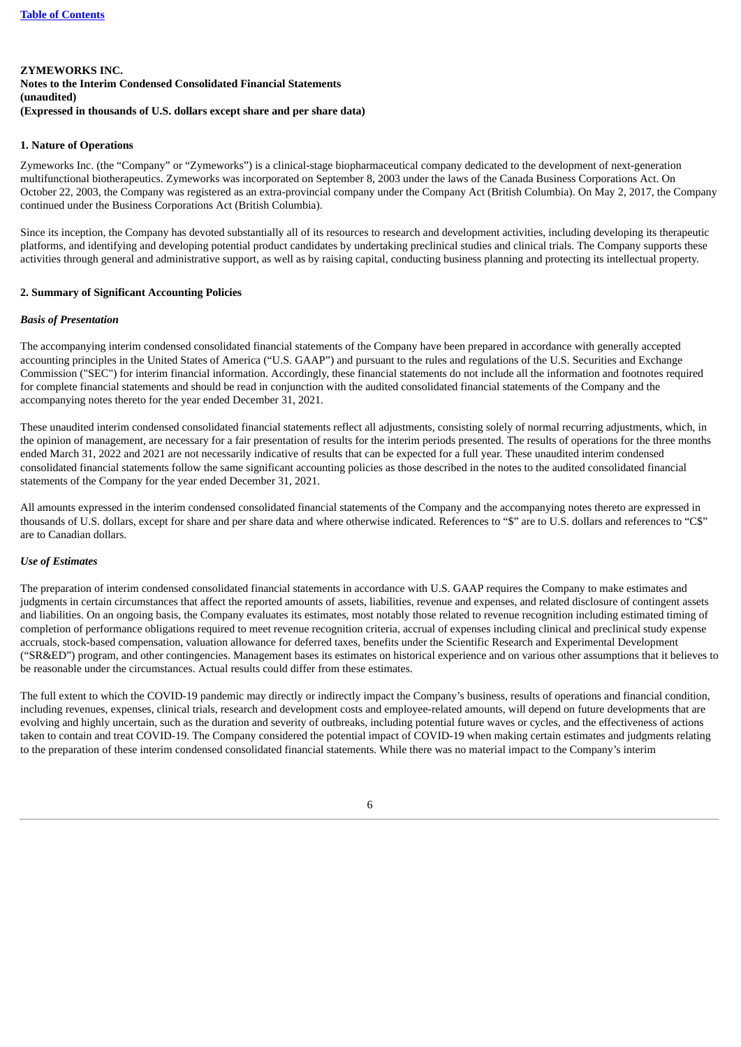## **ZYMEWORKS INC. Notes to the Interim Condensed Consolidated Financial Statements (unaudited) (Expressed in thousands of U.S. dollars except share and per share data)**

## **1. Nature of Operations**

Zymeworks Inc. (the "Company" or "Zymeworks") is a clinical-stage biopharmaceutical company dedicated to the development of next-generation multifunctional biotherapeutics. Zymeworks was incorporated on September 8, 2003 under the laws of the Canada Business Corporations Act. On October 22, 2003, the Company was registered as an extra-provincial company under the Company Act (British Columbia). On May 2, 2017, the Company continued under the Business Corporations Act (British Columbia).

Since its inception, the Company has devoted substantially all of its resources to research and development activities, including developing its therapeutic platforms, and identifying and developing potential product candidates by undertaking preclinical studies and clinical trials. The Company supports these activities through general and administrative support, as well as by raising capital, conducting business planning and protecting its intellectual property.

## **2. Summary of Significant Accounting Policies**

#### *Basis of Presentation*

The accompanying interim condensed consolidated financial statements of the Company have been prepared in accordance with generally accepted accounting principles in the United States of America ("U.S. GAAP") and pursuant to the rules and regulations of the U.S. Securities and Exchange Commission ("SEC") for interim financial information. Accordingly, these financial statements do not include all the information and footnotes required for complete financial statements and should be read in conjunction with the audited consolidated financial statements of the Company and the accompanying notes thereto for the year ended December 31, 2021.

These unaudited interim condensed consolidated financial statements reflect all adjustments, consisting solely of normal recurring adjustments, which, in the opinion of management, are necessary for a fair presentation of results for the interim periods presented. The results of operations for the three months ended March 31, 2022 and 2021 are not necessarily indicative of results that can be expected for a full year. These unaudited interim condensed consolidated financial statements follow the same significant accounting policies as those described in the notes to the audited consolidated financial statements of the Company for the year ended December 31, 2021.

All amounts expressed in the interim condensed consolidated financial statements of the Company and the accompanying notes thereto are expressed in thousands of U.S. dollars, except for share and per share data and where otherwise indicated. References to "\$" are to U.S. dollars and references to "C\$" are to Canadian dollars.

## *Use of Estimates*

The preparation of interim condensed consolidated financial statements in accordance with U.S. GAAP requires the Company to make estimates and judgments in certain circumstances that affect the reported amounts of assets, liabilities, revenue and expenses, and related disclosure of contingent assets and liabilities. On an ongoing basis, the Company evaluates its estimates, most notably those related to revenue recognition including estimated timing of completion of performance obligations required to meet revenue recognition criteria, accrual of expenses including clinical and preclinical study expense accruals, stock-based compensation, valuation allowance for deferred taxes, benefits under the Scientific Research and Experimental Development ("SR&ED") program, and other contingencies. Management bases its estimates on historical experience and on various other assumptions that it believes to be reasonable under the circumstances. Actual results could differ from these estimates.

The full extent to which the COVID-19 pandemic may directly or indirectly impact the Company's business, results of operations and financial condition, including revenues, expenses, clinical trials, research and development costs and employee-related amounts, will depend on future developments that are evolving and highly uncertain, such as the duration and severity of outbreaks, including potential future waves or cycles, and the effectiveness of actions taken to contain and treat COVID-19. The Company considered the potential impact of COVID-19 when making certain estimates and judgments relating to the preparation of these interim condensed consolidated financial statements. While there was no material impact to the Company's interim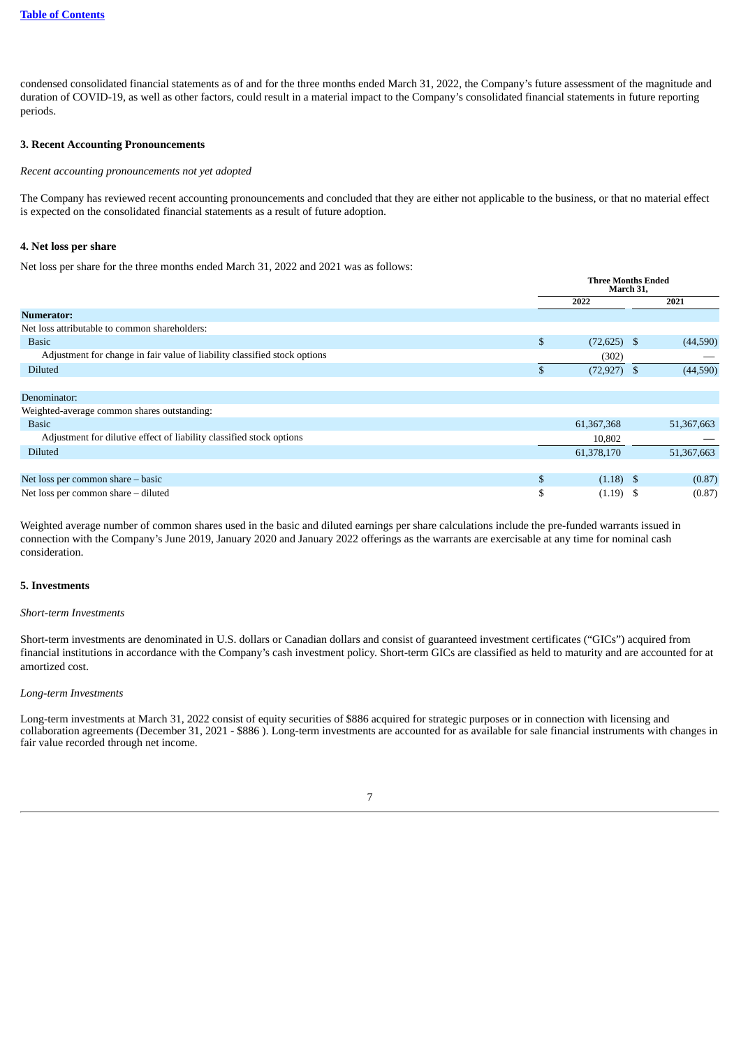condensed consolidated financial statements as of and for the three months ended March 31, 2022, the Company's future assessment of the magnitude and duration of COVID-19, as well as other factors, could result in a material impact to the Company's consolidated financial statements in future reporting periods.

## **3. Recent Accounting Pronouncements**

## *Recent accounting pronouncements not yet adopted*

The Company has reviewed recent accounting pronouncements and concluded that they are either not applicable to the business, or that no material effect is expected on the consolidated financial statements as a result of future adoption.

#### **4. Net loss per share**

Net loss per share for the three months ended March 31, 2022 and 2021 was as follows:

|                                                                           |               | <b>Three Months Ended</b><br>March 31, |  |            |  |
|---------------------------------------------------------------------------|---------------|----------------------------------------|--|------------|--|
|                                                                           |               | 2022                                   |  | 2021       |  |
| Numerator:                                                                |               |                                        |  |            |  |
| Net loss attributable to common shareholders:                             |               |                                        |  |            |  |
| <b>Basic</b>                                                              | \$            | $(72, 625)$ \$                         |  | (44,590)   |  |
| Adjustment for change in fair value of liability classified stock options |               | (302)                                  |  |            |  |
| <b>Diluted</b>                                                            | \$            | $(72, 927)$ \$                         |  | (44,590)   |  |
|                                                                           |               |                                        |  |            |  |
| Denominator:                                                              |               |                                        |  |            |  |
| Weighted-average common shares outstanding:                               |               |                                        |  |            |  |
| <b>Basic</b>                                                              |               | 61,367,368                             |  | 51,367,663 |  |
| Adjustment for dilutive effect of liability classified stock options      |               | 10,802                                 |  |            |  |
| <b>Diluted</b>                                                            |               | 61,378,170                             |  | 51,367,663 |  |
|                                                                           |               |                                        |  |            |  |
| Net loss per common share – basic                                         | \$            | $(1.18)$ \$                            |  | (0.87)     |  |
| Net loss per common share - diluted                                       | <sup>\$</sup> | $(1.19)$ \$                            |  | (0.87)     |  |

Weighted average number of common shares used in the basic and diluted earnings per share calculations include the pre-funded warrants issued in connection with the Company's June 2019, January 2020 and January 2022 offerings as the warrants are exercisable at any time for nominal cash consideration.

#### **5. Investments**

#### *Short-term Investments*

Short-term investments are denominated in U.S. dollars or Canadian dollars and consist of guaranteed investment certificates ("GICs") acquired from financial institutions in accordance with the Company's cash investment policy. Short-term GICs are classified as held to maturity and are accounted for at amortized cost.

#### *Long-term Investments*

Long-term investments at March 31, 2022 consist of equity securities of \$886 acquired for strategic purposes or in connection with licensing and collaboration agreements (December 31, 2021 - \$886 ). Long-term investments are accounted for as available for sale financial instruments with changes in fair value recorded through net income.

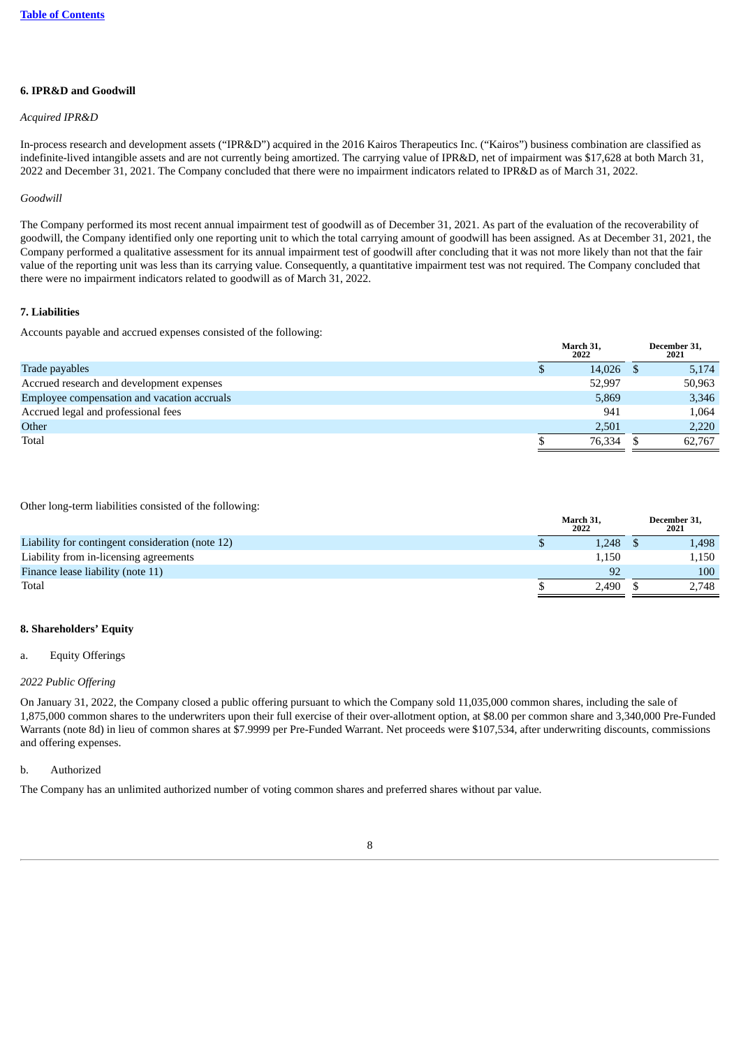## **6. IPR&D and Goodwill**

### *Acquired IPR&D*

In-process research and development assets ("IPR&D") acquired in the 2016 Kairos Therapeutics Inc. ("Kairos") business combination are classified as indefinite-lived intangible assets and are not currently being amortized. The carrying value of IPR&D, net of impairment was \$17,628 at both March 31, 2022 and December 31, 2021. The Company concluded that there were no impairment indicators related to IPR&D as of March 31, 2022.

## *Goodwill*

The Company performed its most recent annual impairment test of goodwill as of December 31, 2021. As part of the evaluation of the recoverability of goodwill, the Company identified only one reporting unit to which the total carrying amount of goodwill has been assigned. As at December 31, 2021, the Company performed a qualitative assessment for its annual impairment test of goodwill after concluding that it was not more likely than not that the fair value of the reporting unit was less than its carrying value. Consequently, a quantitative impairment test was not required. The Company concluded that there were no impairment indicators related to goodwill as of March 31, 2022.

## **7. Liabilities**

Accounts payable and accrued expenses consisted of the following:

|                                             | March 31,<br>2022 | December 31,<br>2021 |
|---------------------------------------------|-------------------|----------------------|
| Trade payables                              | 14,026            | 5,174                |
| Accrued research and development expenses   | 52.997            | 50,963               |
| Employee compensation and vacation accruals | 5,869             | 3,346                |
| Accrued legal and professional fees         | 941               | 1,064                |
| Other                                       | 2,501             | 2.220                |
| Total                                       | 76.334            | 62.767               |

Other long-term liabilities consisted of the following:

|                                                  | waruu 91,<br>2022 |       | Deceniber 51,<br>2021 |  |
|--------------------------------------------------|-------------------|-------|-----------------------|--|
| Liability for contingent consideration (note 12) |                   | 1.248 | 1,498                 |  |
| Liability from in-licensing agreements           |                   | 1,150 | 1,150                 |  |
| Finance lease liability (note 11)                |                   | 92    | 100                   |  |
| Total                                            |                   | 2.490 | 2.748                 |  |

**March 31,**

**December 31,**

## **8. Shareholders' Equity**

#### a. Equity Offerings

#### *2022 Public Offering*

On January 31, 2022, the Company closed a public offering pursuant to which the Company sold 11,035,000 common shares, including the sale of 1,875,000 common shares to the underwriters upon their full exercise of their over-allotment option, at \$8.00 per common share and 3,340,000 Pre-Funded Warrants (note 8d) in lieu of common shares at \$7.9999 per Pre-Funded Warrant. Net proceeds were \$107,534, after underwriting discounts, commissions and offering expenses.

## b. Authorized

The Company has an unlimited authorized number of voting common shares and preferred shares without par value.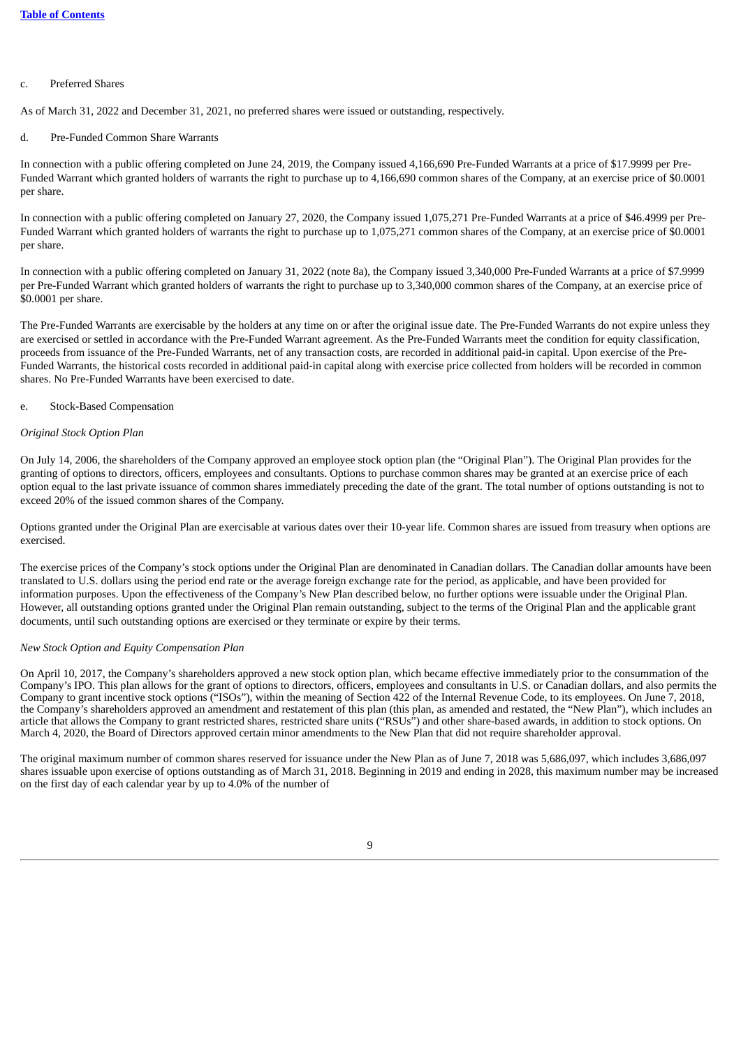## c. Preferred Shares

As of March 31, 2022 and December 31, 2021, no preferred shares were issued or outstanding, respectively.

## d. Pre-Funded Common Share Warrants

In connection with a public offering completed on June 24, 2019, the Company issued 4,166,690 Pre-Funded Warrants at a price of \$17.9999 per Pre-Funded Warrant which granted holders of warrants the right to purchase up to 4,166,690 common shares of the Company, at an exercise price of \$0.0001 per share.

In connection with a public offering completed on January 27, 2020, the Company issued 1,075,271 Pre-Funded Warrants at a price of \$46.4999 per Pre-Funded Warrant which granted holders of warrants the right to purchase up to 1,075,271 common shares of the Company, at an exercise price of \$0.0001 per share.

In connection with a public offering completed on January 31, 2022 (note 8a), the Company issued 3,340,000 Pre-Funded Warrants at a price of \$7.9999 per Pre-Funded Warrant which granted holders of warrants the right to purchase up to 3,340,000 common shares of the Company, at an exercise price of \$0.0001 per share.

The Pre-Funded Warrants are exercisable by the holders at any time on or after the original issue date. The Pre-Funded Warrants do not expire unless they are exercised or settled in accordance with the Pre-Funded Warrant agreement. As the Pre-Funded Warrants meet the condition for equity classification, proceeds from issuance of the Pre-Funded Warrants, net of any transaction costs, are recorded in additional paid-in capital. Upon exercise of the Pre-Funded Warrants, the historical costs recorded in additional paid-in capital along with exercise price collected from holders will be recorded in common shares. No Pre-Funded Warrants have been exercised to date.

## e. Stock-Based Compensation

## *Original Stock Option Plan*

On July 14, 2006, the shareholders of the Company approved an employee stock option plan (the "Original Plan"). The Original Plan provides for the granting of options to directors, officers, employees and consultants. Options to purchase common shares may be granted at an exercise price of each option equal to the last private issuance of common shares immediately preceding the date of the grant. The total number of options outstanding is not to exceed 20% of the issued common shares of the Company.

Options granted under the Original Plan are exercisable at various dates over their 10-year life. Common shares are issued from treasury when options are exercised.

The exercise prices of the Company's stock options under the Original Plan are denominated in Canadian dollars. The Canadian dollar amounts have been translated to U.S. dollars using the period end rate or the average foreign exchange rate for the period, as applicable, and have been provided for information purposes. Upon the effectiveness of the Company's New Plan described below, no further options were issuable under the Original Plan. However, all outstanding options granted under the Original Plan remain outstanding, subject to the terms of the Original Plan and the applicable grant documents, until such outstanding options are exercised or they terminate or expire by their terms.

#### *New Stock Option and Equity Compensation Plan*

On April 10, 2017, the Company's shareholders approved a new stock option plan, which became effective immediately prior to the consummation of the Company's IPO. This plan allows for the grant of options to directors, officers, employees and consultants in U.S. or Canadian dollars, and also permits the Company to grant incentive stock options ("ISOs"), within the meaning of Section 422 of the Internal Revenue Code, to its employees. On June 7, 2018, the Company's shareholders approved an amendment and restatement of this plan (this plan, as amended and restated, the "New Plan"), which includes an article that allows the Company to grant restricted shares, restricted share units ("RSUs") and other share-based awards, in addition to stock options. On March 4, 2020, the Board of Directors approved certain minor amendments to the New Plan that did not require shareholder approval.

The original maximum number of common shares reserved for issuance under the New Plan as of June 7, 2018 was 5,686,097, which includes 3,686,097 shares issuable upon exercise of options outstanding as of March 31, 2018. Beginning in 2019 and ending in 2028, this maximum number may be increased on the first day of each calendar year by up to 4.0% of the number of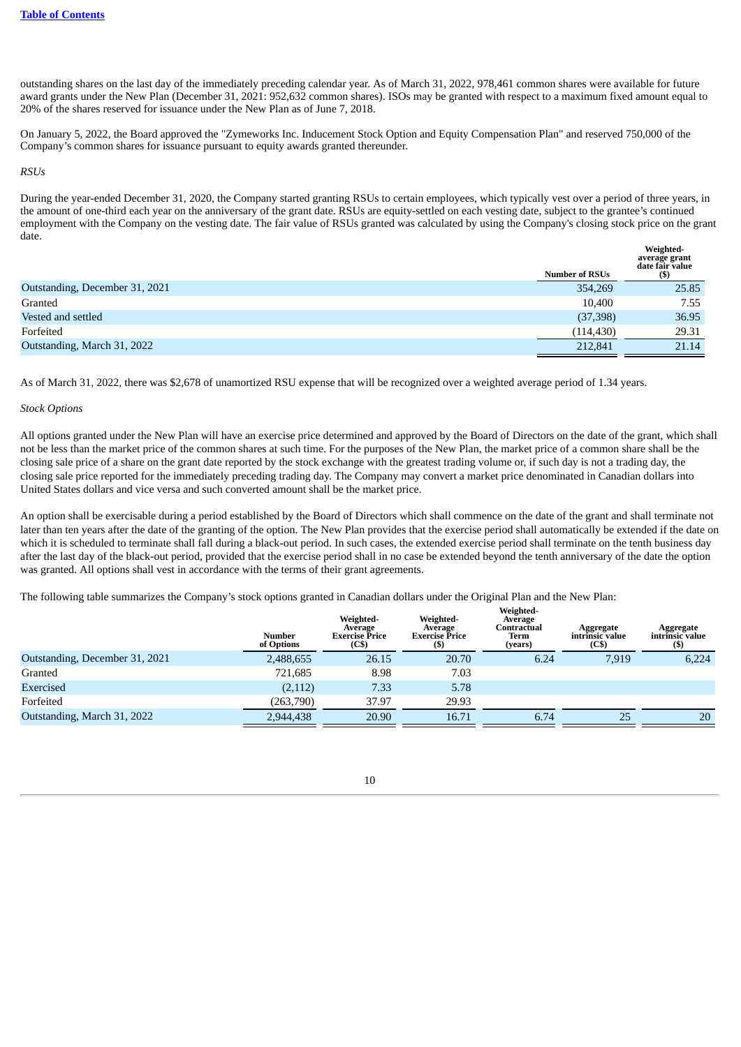outstanding shares on the last day of the immediately preceding calendar year. As of March 31, 2022, 978,461 common shares were available for future award grants under the New Plan (December 31, 2021: 952,632 common shares). ISOs may be granted with respect to a maximum fixed amount equal to 20% of the shares reserved for issuance under the New Plan as of June 7, 2018.

On January 5, 2022, the Board approved the "Zymeworks Inc. Inducement Stock Option and Equity Compensation Plan" and reserved 750,000 of the Company's common shares for issuance pursuant to equity awards granted thereunder.

*RSUs*

During the year-ended December 31, 2020, the Company started granting RSUs to certain employees, which typically vest over a period of three years, in the amount of one-third each year on the anniversary of the grant date. RSUs are equity-settled on each vesting date, subject to the grantee's continued employment with the Company on the vesting date. The fair value of RSUs granted was calculated by using the Company's closing stock price on the grant date.

**Weighted-**

|                                | <b>Number of RSUs</b> | weighteu-<br>average grant<br>date fair value<br>(5) |
|--------------------------------|-----------------------|------------------------------------------------------|
| Outstanding, December 31, 2021 | 354,269               | 25.85                                                |
| Granted                        | 10.400                | 7.55                                                 |
| Vested and settled             | (37,398)              | 36.95                                                |
| Forfeited                      | (114, 430)            | 29.31                                                |
| Outstanding, March 31, 2022    | 212,841               | 21.14                                                |

As of March 31, 2022, there was \$2,678 of unamortized RSU expense that will be recognized over a weighted average period of 1.34 years.

#### *Stock Options*

All options granted under the New Plan will have an exercise price determined and approved by the Board of Directors on the date of the grant, which shall not be less than the market price of the common shares at such time. For the purposes of the New Plan, the market price of a common share shall be the closing sale price of a share on the grant date reported by the stock exchange with the greatest trading volume or, if such day is not a trading day, the closing sale price reported for the immediately preceding trading day. The Company may convert a market price denominated in Canadian dollars into United States dollars and vice versa and such converted amount shall be the market price.

An option shall be exercisable during a period established by the Board of Directors which shall commence on the date of the grant and shall terminate not later than ten years after the date of the granting of the option. The New Plan provides that the exercise period shall automatically be extended if the date on which it is scheduled to terminate shall fall during a black-out period. In such cases, the extended exercise period shall terminate on the tenth business day after the last day of the black-out period, provided that the exercise period shall in no case be extended beyond the tenth anniversary of the date the option was granted. All options shall vest in accordance with the terms of their grant agreements.

The following table summarizes the Company's stock options granted in Canadian dollars under the Original Plan and the New Plan:

|                                | Number<br>of Options | Weighted-<br>Average<br><b>Exercise Price</b><br>(C\$) | Weighted-<br>Average<br><b>Exercise Price</b><br>(5) | Weighted-<br>Average<br>C <b>ontractual</b><br>Term<br>(years) | Aggregate<br>intrinsic value<br>(C <sub>s</sub> ) | Aggregate<br>intrinsic value<br>(\$) |
|--------------------------------|----------------------|--------------------------------------------------------|------------------------------------------------------|----------------------------------------------------------------|---------------------------------------------------|--------------------------------------|
| Outstanding, December 31, 2021 | 2,488,655            | 26.15                                                  | 20.70                                                | 6.24                                                           | 7.919                                             | 6,224                                |
| Granted                        | 721,685              | 8.98                                                   | 7.03                                                 |                                                                |                                                   |                                      |
| Exercised                      | (2, 112)             | 7.33                                                   | 5.78                                                 |                                                                |                                                   |                                      |
| Forfeited                      | (263,790)            | 37.97                                                  | 29.93                                                |                                                                |                                                   |                                      |
| Outstanding, March 31, 2022    | 2,944,438            | 20.90                                                  | 16.71                                                | 6.74                                                           | 25                                                | 20                                   |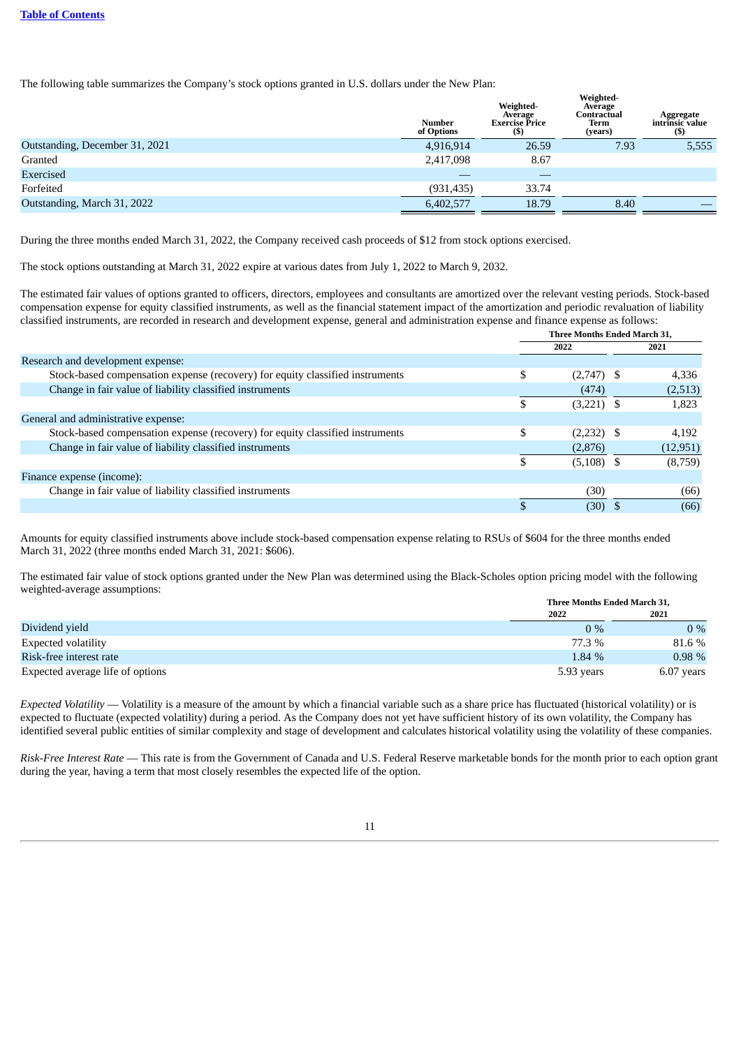The following table summarizes the Company's stock options granted in U.S. dollars under the New Plan:

|                                | <b>Number</b><br>of Options | Weighted-<br>Average<br><b>Exercise Price</b><br>(S) | weignted-<br>Average<br>Contractual<br>Term<br>(years) | Aggregate<br>intrinsic value<br>(S) |
|--------------------------------|-----------------------------|------------------------------------------------------|--------------------------------------------------------|-------------------------------------|
| Outstanding, December 31, 2021 | 4,916,914                   | 26.59                                                | 7.93                                                   | 5,555                               |
| Granted                        | 2,417,098                   | 8.67                                                 |                                                        |                                     |
| Exercised                      |                             | __                                                   |                                                        |                                     |
| Forfeited                      | (931, 435)                  | 33.74                                                |                                                        |                                     |
| Outstanding, March 31, 2022    | 6,402,577                   | 18.79                                                | 8.40                                                   |                                     |
|                                |                             |                                                      |                                                        |                                     |

**Weighted-**

During the three months ended March 31, 2022, the Company received cash proceeds of \$12 from stock options exercised.

The stock options outstanding at March 31, 2022 expire at various dates from July 1, 2022 to March 9, 2032.

The estimated fair values of options granted to officers, directors, employees and consultants are amortized over the relevant vesting periods. Stock-based compensation expense for equity classified instruments, as well as the financial statement impact of the amortization and periodic revaluation of liability classified instruments, are recorded in research and development expense, general and administration expense and finance expense as follows:

|                                                                               | Three Months Ended March 31, |              |  |           |
|-------------------------------------------------------------------------------|------------------------------|--------------|--|-----------|
|                                                                               |                              |              |  |           |
|                                                                               |                              | 2022         |  | 2021      |
| Research and development expense:                                             |                              |              |  |           |
| Stock-based compensation expense (recovery) for equity classified instruments | \$                           | $(2,747)$ \$ |  | 4,336     |
| Change in fair value of liability classified instruments                      |                              | (474)        |  | (2,513)   |
|                                                                               |                              | $(3,221)$ \$ |  | 1,823     |
| General and administrative expense:                                           |                              |              |  |           |
| Stock-based compensation expense (recovery) for equity classified instruments |                              | $(2,232)$ \$ |  | 4,192     |
| Change in fair value of liability classified instruments                      |                              | (2,876)      |  | (12, 951) |
|                                                                               |                              | $(5,108)$ \$ |  | (8,759)   |
| Finance expense (income):                                                     |                              |              |  |           |
| Change in fair value of liability classified instruments                      |                              | (30)         |  | (66)      |
|                                                                               |                              | (30)         |  | (66)      |

Amounts for equity classified instruments above include stock-based compensation expense relating to RSUs of \$604 for the three months ended March 31, 2022 (three months ended March 31, 2021: \$606).

The estimated fair value of stock options granted under the New Plan was determined using the Black-Scholes option pricing model with the following weighted-average assumptions:

|                                  | <b>Three Months Ended March 31.</b> |            |
|----------------------------------|-------------------------------------|------------|
|                                  | 2022                                | 2021       |
| Dividend vield                   | $0\%$                               | $0\%$      |
| <b>Expected volatility</b>       | 77.3 %                              | 81.6 %     |
| Risk-free interest rate          | 1.84%                               | 0.98%      |
| Expected average life of options | 5.93 years                          | 6.07 years |

*Expected Volatility* — Volatility is a measure of the amount by which a financial variable such as a share price has fluctuated (historical volatility) or is expected to fluctuate (expected volatility) during a period. As the Company does not yet have sufficient history of its own volatility, the Company has identified several public entities of similar complexity and stage of development and calculates historical volatility using the volatility of these companies.

*Risk-Free Interest Rate* — This rate is from the Government of Canada and U.S. Federal Reserve marketable bonds for the month prior to each option grant during the year, having a term that most closely resembles the expected life of the option.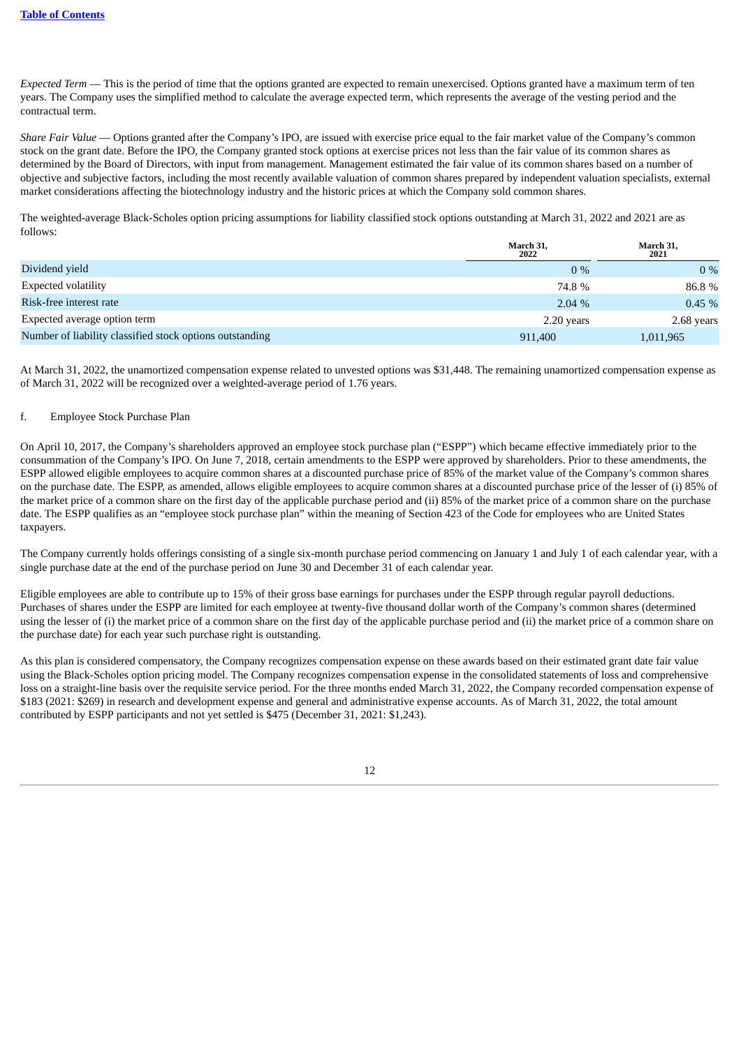*Expected Term* — This is the period of time that the options granted are expected to remain unexercised. Options granted have a maximum term of ten years. The Company uses the simplified method to calculate the average expected term, which represents the average of the vesting period and the contractual term.

*Share Fair Value* — Options granted after the Company's IPO, are issued with exercise price equal to the fair market value of the Company's common stock on the grant date. Before the IPO, the Company granted stock options at exercise prices not less than the fair value of its common shares as determined by the Board of Directors, with input from management. Management estimated the fair value of its common shares based on a number of objective and subjective factors, including the most recently available valuation of common shares prepared by independent valuation specialists, external market considerations affecting the biotechnology industry and the historic prices at which the Company sold common shares.

The weighted-average Black-Scholes option pricing assumptions for liability classified stock options outstanding at March 31, 2022 and 2021 are as follows:

|                                                          | March 31,<br>2022 | March 31,<br>2021 |
|----------------------------------------------------------|-------------------|-------------------|
| Dividend yield                                           | $0\%$             | $0\%$             |
| Expected volatility                                      | 74.8%             | 86.8%             |
| Risk-free interest rate                                  | 2.04%             | 0.45%             |
| Expected average option term                             | 2.20 years        | 2.68 years        |
| Number of liability classified stock options outstanding | 911,400           | 1,011,965         |

At March 31, 2022, the unamortized compensation expense related to unvested options was \$31,448. The remaining unamortized compensation expense as of March 31, 2022 will be recognized over a weighted-average period of 1.76 years.

## f. Employee Stock Purchase Plan

On April 10, 2017, the Company's shareholders approved an employee stock purchase plan ("ESPP") which became effective immediately prior to the consummation of the Company's IPO. On June 7, 2018, certain amendments to the ESPP were approved by shareholders. Prior to these amendments, the ESPP allowed eligible employees to acquire common shares at a discounted purchase price of 85% of the market value of the Company's common shares on the purchase date. The ESPP, as amended, allows eligible employees to acquire common shares at a discounted purchase price of the lesser of (i) 85% of the market price of a common share on the first day of the applicable purchase period and (ii) 85% of the market price of a common share on the purchase date. The ESPP qualifies as an "employee stock purchase plan" within the meaning of Section 423 of the Code for employees who are United States taxpayers.

The Company currently holds offerings consisting of a single six-month purchase period commencing on January 1 and July 1 of each calendar year, with a single purchase date at the end of the purchase period on June 30 and December 31 of each calendar year.

Eligible employees are able to contribute up to 15% of their gross base earnings for purchases under the ESPP through regular payroll deductions. Purchases of shares under the ESPP are limited for each employee at twenty-five thousand dollar worth of the Company's common shares (determined using the lesser of (i) the market price of a common share on the first day of the applicable purchase period and (ii) the market price of a common share on the purchase date) for each year such purchase right is outstanding.

As this plan is considered compensatory, the Company recognizes compensation expense on these awards based on their estimated grant date fair value using the Black-Scholes option pricing model. The Company recognizes compensation expense in the consolidated statements of loss and comprehensive loss on a straight-line basis over the requisite service period. For the three months ended March 31, 2022, the Company recorded compensation expense of \$183 (2021: \$269) in research and development expense and general and administrative expense accounts. As of March 31, 2022, the total amount contributed by ESPP participants and not yet settled is \$475 (December 31, 2021: \$1,243).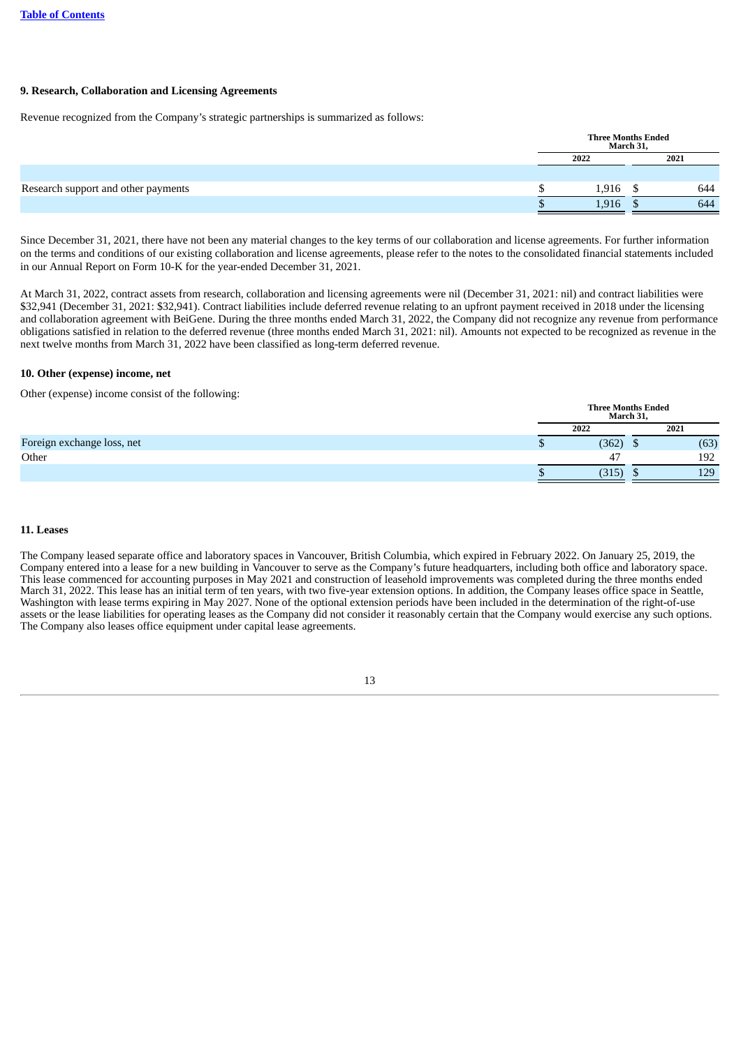## **9. Research, Collaboration and Licensing Agreements**

Revenue recognized from the Company's strategic partnerships is summarized as follows:

|                                     |  | <b>Three Months Ended</b><br>March 31, |  |     |  |  |  |      |  |
|-------------------------------------|--|----------------------------------------|--|-----|--|--|--|------|--|
|                                     |  | 2022                                   |  |     |  |  |  | 2021 |  |
|                                     |  |                                        |  |     |  |  |  |      |  |
| Research support and other payments |  | .916                                   |  | 644 |  |  |  |      |  |
|                                     |  | 1.91f                                  |  | 644 |  |  |  |      |  |

Since December 31, 2021, there have not been any material changes to the key terms of our collaboration and license agreements. For further information on the terms and conditions of our existing collaboration and license agreements, please refer to the notes to the consolidated financial statements included in our Annual Report on Form 10-K for the year-ended December 31, 2021.

At March 31, 2022, contract assets from research, collaboration and licensing agreements were nil (December 31, 2021: nil) and contract liabilities were \$32,941 (December 31, 2021: \$32,941). Contract liabilities include deferred revenue relating to an upfront payment received in 2018 under the licensing and collaboration agreement with BeiGene. During the three months ended March 31, 2022, the Company did not recognize any revenue from performance obligations satisfied in relation to the deferred revenue (three months ended March 31, 2021: nil). Amounts not expected to be recognized as revenue in the next twelve months from March 31, 2022 have been classified as long-term deferred revenue.

#### **10. Other (expense) income, net**

Other (expense) income consist of the following:

|                            |   | <b>Three Months Ended</b><br>March 31, |      |
|----------------------------|---|----------------------------------------|------|
|                            |   | 2022                                   | 2021 |
| Foreign exchange loss, net | Ψ | (362)                                  | (63) |
| Other                      |   | 47                                     | 192  |
|                            |   | (315)                                  | 129  |

#### **11. Leases**

The Company leased separate office and laboratory spaces in Vancouver, British Columbia, which expired in February 2022. On January 25, 2019, the Company entered into a lease for a new building in Vancouver to serve as the Company's future headquarters, including both office and laboratory space. This lease commenced for accounting purposes in May 2021 and construction of leasehold improvements was completed during the three months ended March 31, 2022. This lease has an initial term of ten years, with two five-year extension options. In addition, the Company leases office space in Seattle, Washington with lease terms expiring in May 2027. None of the optional extension periods have been included in the determination of the right-of-use assets or the lease liabilities for operating leases as the Company did not consider it reasonably certain that the Company would exercise any such options. The Company also leases office equipment under capital lease agreements.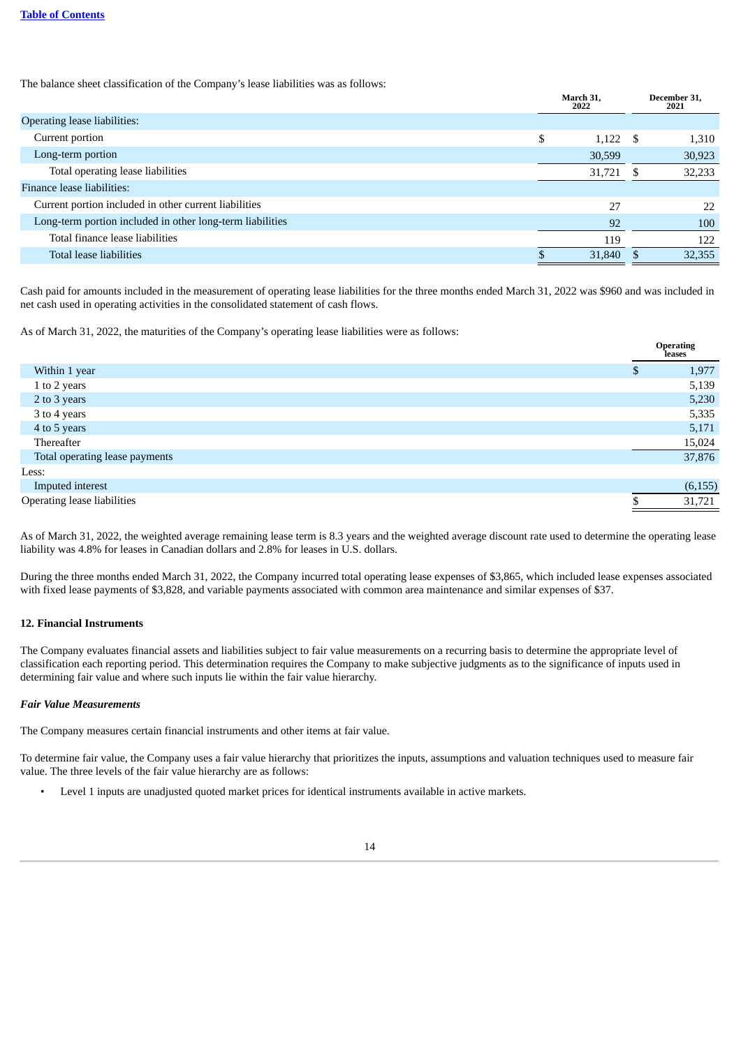The balance sheet classification of the Company's lease liabilities was as follows:

|                                                           | March 31,<br>2022 |            | December 31,<br>2021 |  |
|-----------------------------------------------------------|-------------------|------------|----------------------|--|
| Operating lease liabilities:                              |                   |            |                      |  |
| Current portion                                           | \$                | $1,122$ \$ | 1,310                |  |
| Long-term portion                                         |                   | 30,599     | 30,923               |  |
| Total operating lease liabilities                         |                   | 31,721 \$  | 32,233               |  |
| Finance lease liabilities:                                |                   |            |                      |  |
| Current portion included in other current liabilities     |                   | 27         | 22                   |  |
| Long-term portion included in other long-term liabilities |                   | 92         | 100                  |  |
| Total finance lease liabilities                           |                   | 119        | 122                  |  |
| Total lease liabilities                                   |                   | 31,840     | 32,355               |  |

Cash paid for amounts included in the measurement of operating lease liabilities for the three months ended March 31, 2022 was \$960 and was included in net cash used in operating activities in the consolidated statement of cash flows.

As of March 31, 2022, the maturities of the Company's operating lease liabilities were as follows:

| Within 1 year<br>\$            | 1,977    |
|--------------------------------|----------|
| 1 to 2 years                   | 5,139    |
| 2 to 3 years                   | 5,230    |
| 3 to 4 years                   | 5,335    |
| 4 to 5 years                   | 5,171    |
| Thereafter                     | 15,024   |
| Total operating lease payments | 37,876   |
| Less:                          |          |
| Imputed interest               | (6, 155) |
| Operating lease liabilities    | 31,721   |

As of March 31, 2022, the weighted average remaining lease term is 8.3 years and the weighted average discount rate used to determine the operating lease liability was 4.8% for leases in Canadian dollars and 2.8% for leases in U.S. dollars.

During the three months ended March 31, 2022, the Company incurred total operating lease expenses of \$3,865, which included lease expenses associated with fixed lease payments of \$3,828, and variable payments associated with common area maintenance and similar expenses of \$37.

## **12. Financial Instruments**

The Company evaluates financial assets and liabilities subject to fair value measurements on a recurring basis to determine the appropriate level of classification each reporting period. This determination requires the Company to make subjective judgments as to the significance of inputs used in determining fair value and where such inputs lie within the fair value hierarchy.

## *Fair Value Measurements*

The Company measures certain financial instruments and other items at fair value.

To determine fair value, the Company uses a fair value hierarchy that prioritizes the inputs, assumptions and valuation techniques used to measure fair value. The three levels of the fair value hierarchy are as follows:

• Level 1 inputs are unadjusted quoted market prices for identical instruments available in active markets.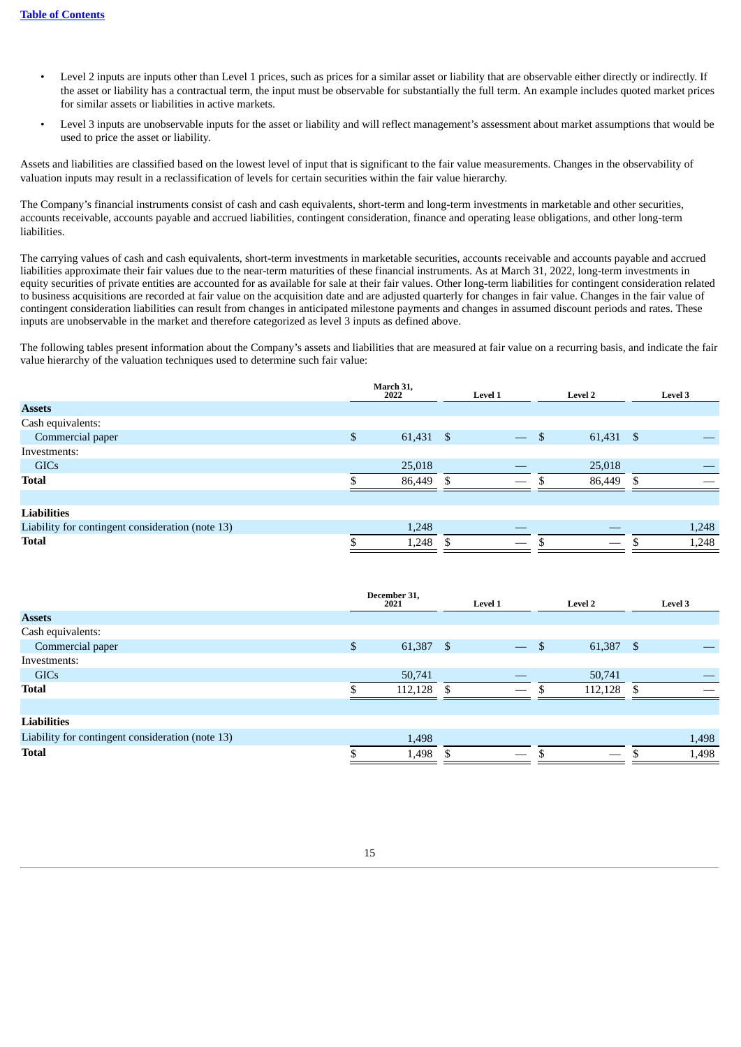- Level 2 inputs are inputs other than Level 1 prices, such as prices for a similar asset or liability that are observable either directly or indirectly. If the asset or liability has a contractual term, the input must be observable for substantially the full term. An example includes quoted market prices for similar assets or liabilities in active markets.
- Level 3 inputs are unobservable inputs for the asset or liability and will reflect management's assessment about market assumptions that would be used to price the asset or liability.

Assets and liabilities are classified based on the lowest level of input that is significant to the fair value measurements. Changes in the observability of valuation inputs may result in a reclassification of levels for certain securities within the fair value hierarchy.

The Company's financial instruments consist of cash and cash equivalents, short-term and long-term investments in marketable and other securities, accounts receivable, accounts payable and accrued liabilities, contingent consideration, finance and operating lease obligations, and other long-term liabilities.

The carrying values of cash and cash equivalents, short-term investments in marketable securities, accounts receivable and accounts payable and accrued liabilities approximate their fair values due to the near-term maturities of these financial instruments. As at March 31, 2022, long-term investments in equity securities of private entities are accounted for as available for sale at their fair values. Other long-term liabilities for contingent consideration related to business acquisitions are recorded at fair value on the acquisition date and are adjusted quarterly for changes in fair value. Changes in the fair value of contingent consideration liabilities can result from changes in anticipated milestone payments and changes in assumed discount periods and rates. These inputs are unobservable in the market and therefore categorized as level 3 inputs as defined above.

The following tables present information about the Company's assets and liabilities that are measured at fair value on a recurring basis, and indicate the fair value hierarchy of the valuation techniques used to determine such fair value:

|                                                  |                | March 31,<br>2022 |      | Level 1 | <b>Level 2</b> |      | Level 3 |
|--------------------------------------------------|----------------|-------------------|------|---------|----------------|------|---------|
| <b>Assets</b>                                    |                |                   |      |         |                |      |         |
| Cash equivalents:                                |                |                   |      |         |                |      |         |
| Commercial paper                                 | $\mathfrak{s}$ | 61,431 \$         |      | $-$ \$  | 61,431 \$      |      |         |
| Investments:                                     |                |                   |      |         |                |      |         |
| <b>GICs</b>                                      |                | 25,018            |      |         | 25,018         |      |         |
| <b>Total</b>                                     |                | 86,449            | - \$ |         | 86,449         | - \$ |         |
|                                                  |                |                   |      |         |                |      |         |
| <b>Liabilities</b>                               |                |                   |      |         |                |      |         |
| Liability for contingent consideration (note 13) |                | 1,248             |      | __      |                |      | 1,248   |
| <b>Total</b>                                     |                | 1,248             |      |         |                |      | 1,248   |
|                                                  |                |                   |      |         |                |      |         |

|                                                  | December 31,<br>2021 | <b>Level 1</b> |                               | <b>Level 2</b> |           |      |       |  | Level 3 |
|--------------------------------------------------|----------------------|----------------|-------------------------------|----------------|-----------|------|-------|--|---------|
| <b>Assets</b>                                    |                      |                |                               |                |           |      |       |  |         |
| Cash equivalents:                                |                      |                |                               |                |           |      |       |  |         |
| Commercial paper                                 | \$<br>61,387 \$      |                | $\overline{\phantom{a}}$      | \$             | 61,387 \$ |      |       |  |         |
| Investments:                                     |                      |                |                               |                |           |      |       |  |         |
| <b>GICs</b>                                      | 50,741               |                |                               |                | 50,741    |      |       |  |         |
| <b>Total</b>                                     | 112,128              | -S             | $\overbrace{\phantom{12333}}$ |                | 112,128   | - \$ |       |  |         |
|                                                  |                      |                |                               |                |           |      |       |  |         |
| <b>Liabilities</b>                               |                      |                |                               |                |           |      |       |  |         |
| Liability for contingent consideration (note 13) | 1,498                |                |                               |                |           |      | 1,498 |  |         |
| <b>Total</b>                                     | 1,498                |                |                               | -C             |           |      | 1,498 |  |         |
|                                                  |                      |                |                               |                |           |      |       |  |         |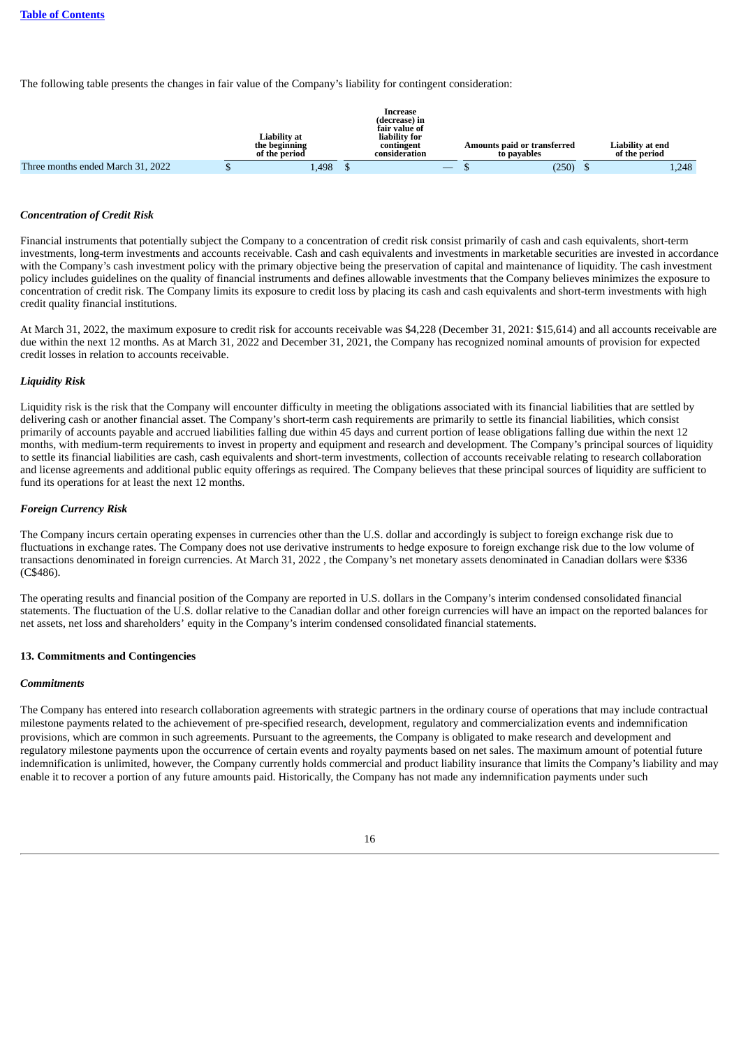The following table presents the changes in fair value of the Company's liability for contingent consideration:

|                                   | Liabilitv at<br>the beginning<br>of the period | Increase<br>(decrease) in<br>fair value of<br>liability for<br>contingent<br>consideration | Amounts paid or transferred<br>to pavables | Liabilitv at end<br>of the period |
|-----------------------------------|------------------------------------------------|--------------------------------------------------------------------------------------------|--------------------------------------------|-----------------------------------|
| Three months ended March 31, 2022 | 1,498                                          |                                                                                            | (250)                                      | 1,248                             |

#### *Concentration of Credit Risk*

Financial instruments that potentially subject the Company to a concentration of credit risk consist primarily of cash and cash equivalents, short-term investments, long-term investments and accounts receivable. Cash and cash equivalents and investments in marketable securities are invested in accordance with the Company's cash investment policy with the primary objective being the preservation of capital and maintenance of liquidity. The cash investment policy includes guidelines on the quality of financial instruments and defines allowable investments that the Company believes minimizes the exposure to concentration of credit risk. The Company limits its exposure to credit loss by placing its cash and cash equivalents and short-term investments with high credit quality financial institutions.

At March 31, 2022, the maximum exposure to credit risk for accounts receivable was \$4,228 (December 31, 2021: \$15,614) and all accounts receivable are due within the next 12 months. As at March 31, 2022 and December 31, 2021, the Company has recognized nominal amounts of provision for expected credit losses in relation to accounts receivable.

## *Liquidity Risk*

Liquidity risk is the risk that the Company will encounter difficulty in meeting the obligations associated with its financial liabilities that are settled by delivering cash or another financial asset. The Company's short-term cash requirements are primarily to settle its financial liabilities, which consist primarily of accounts payable and accrued liabilities falling due within 45 days and current portion of lease obligations falling due within the next 12 months, with medium-term requirements to invest in property and equipment and research and development. The Company's principal sources of liquidity to settle its financial liabilities are cash, cash equivalents and short-term investments, collection of accounts receivable relating to research collaboration and license agreements and additional public equity offerings as required. The Company believes that these principal sources of liquidity are sufficient to fund its operations for at least the next 12 months.

## *Foreign Currency Risk*

The Company incurs certain operating expenses in currencies other than the U.S. dollar and accordingly is subject to foreign exchange risk due to fluctuations in exchange rates. The Company does not use derivative instruments to hedge exposure to foreign exchange risk due to the low volume of transactions denominated in foreign currencies. At March 31, 2022 , the Company's net monetary assets denominated in Canadian dollars were \$336 (C\$486).

The operating results and financial position of the Company are reported in U.S. dollars in the Company's interim condensed consolidated financial statements. The fluctuation of the U.S. dollar relative to the Canadian dollar and other foreign currencies will have an impact on the reported balances for net assets, net loss and shareholders' equity in the Company's interim condensed consolidated financial statements.

#### **13. Commitments and Contingencies**

#### *Commitments*

The Company has entered into research collaboration agreements with strategic partners in the ordinary course of operations that may include contractual milestone payments related to the achievement of pre-specified research, development, regulatory and commercialization events and indemnification provisions, which are common in such agreements. Pursuant to the agreements, the Company is obligated to make research and development and regulatory milestone payments upon the occurrence of certain events and royalty payments based on net sales. The maximum amount of potential future indemnification is unlimited, however, the Company currently holds commercial and product liability insurance that limits the Company's liability and may enable it to recover a portion of any future amounts paid. Historically, the Company has not made any indemnification payments under such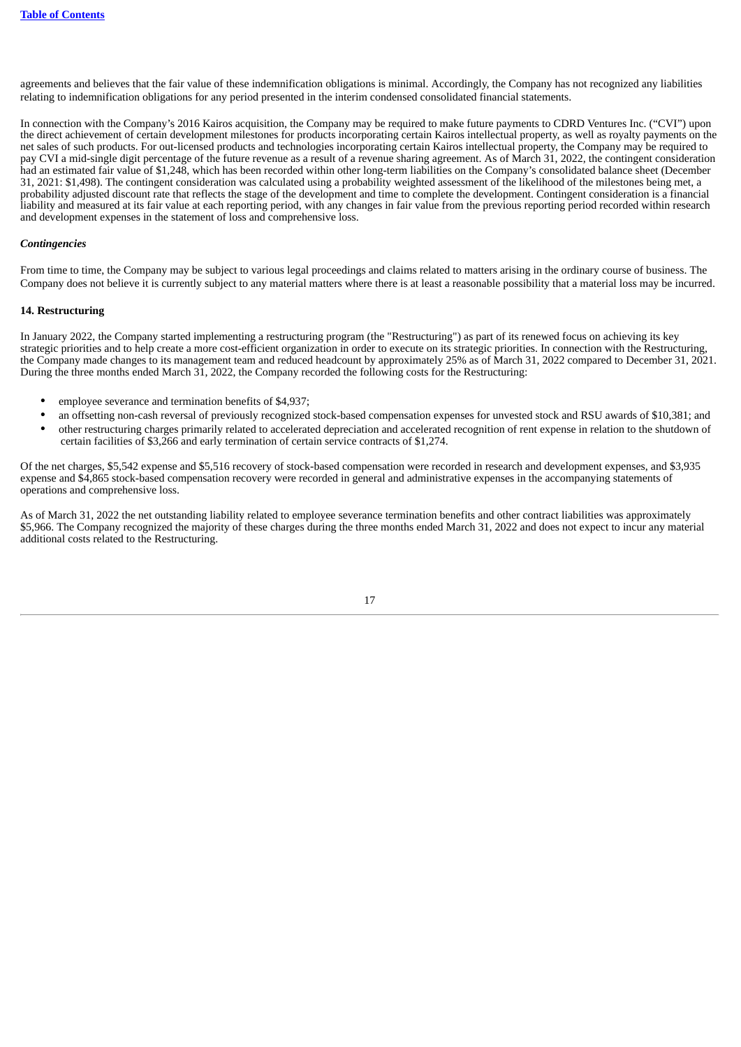agreements and believes that the fair value of these indemnification obligations is minimal. Accordingly, the Company has not recognized any liabilities relating to indemnification obligations for any period presented in the interim condensed consolidated financial statements.

In connection with the Company's 2016 Kairos acquisition, the Company may be required to make future payments to CDRD Ventures Inc. ("CVI") upon the direct achievement of certain development milestones for products incorporating certain Kairos intellectual property, as well as royalty payments on the net sales of such products. For out-licensed products and technologies incorporating certain Kairos intellectual property, the Company may be required to pay CVI a mid-single digit percentage of the future revenue as a result of a revenue sharing agreement. As of March 31, 2022, the contingent consideration had an estimated fair value of \$1,248, which has been recorded within other long-term liabilities on the Company's consolidated balance sheet (December 31, 2021: \$1,498). The contingent consideration was calculated using a probability weighted assessment of the likelihood of the milestones being met, a probability adjusted discount rate that reflects the stage of the development and time to complete the development. Contingent consideration is a financial liability and measured at its fair value at each reporting period, with any changes in fair value from the previous reporting period recorded within research and development expenses in the statement of loss and comprehensive loss.

#### *Contingencies*

From time to time, the Company may be subject to various legal proceedings and claims related to matters arising in the ordinary course of business. The Company does not believe it is currently subject to any material matters where there is at least a reasonable possibility that a material loss may be incurred.

#### **14. Restructuring**

In January 2022, the Company started implementing a restructuring program (the "Restructuring") as part of its renewed focus on achieving its key strategic priorities and to help create a more cost-efficient organization in order to execute on its strategic priorities. In connection with the Restructuring, the Company made changes to its management team and reduced headcount by approximately 25% as of March 31, 2022 compared to December 31, 2021. During the three months ended March 31, 2022, the Company recorded the following costs for the Restructuring:

- employee severance and termination benefits of \$4,937;
- an offsetting non-cash reversal of previously recognized stock-based compensation expenses for unvested stock and RSU awards of \$10,381; and
- other restructuring charges primarily related to accelerated depreciation and accelerated recognition of rent expense in relation to the shutdown of certain facilities of \$3,266 and early termination of certain service contracts of \$1,274.

Of the net charges, \$5,542 expense and \$5,516 recovery of stock-based compensation were recorded in research and development expenses, and \$3,935 expense and \$4,865 stock-based compensation recovery were recorded in general and administrative expenses in the accompanying statements of operations and comprehensive loss.

<span id="page-22-0"></span>As of March 31, 2022 the net outstanding liability related to employee severance termination benefits and other contract liabilities was approximately \$5,966. The Company recognized the majority of these charges during the three months ended March 31, 2022 and does not expect to incur any material additional costs related to the Restructuring.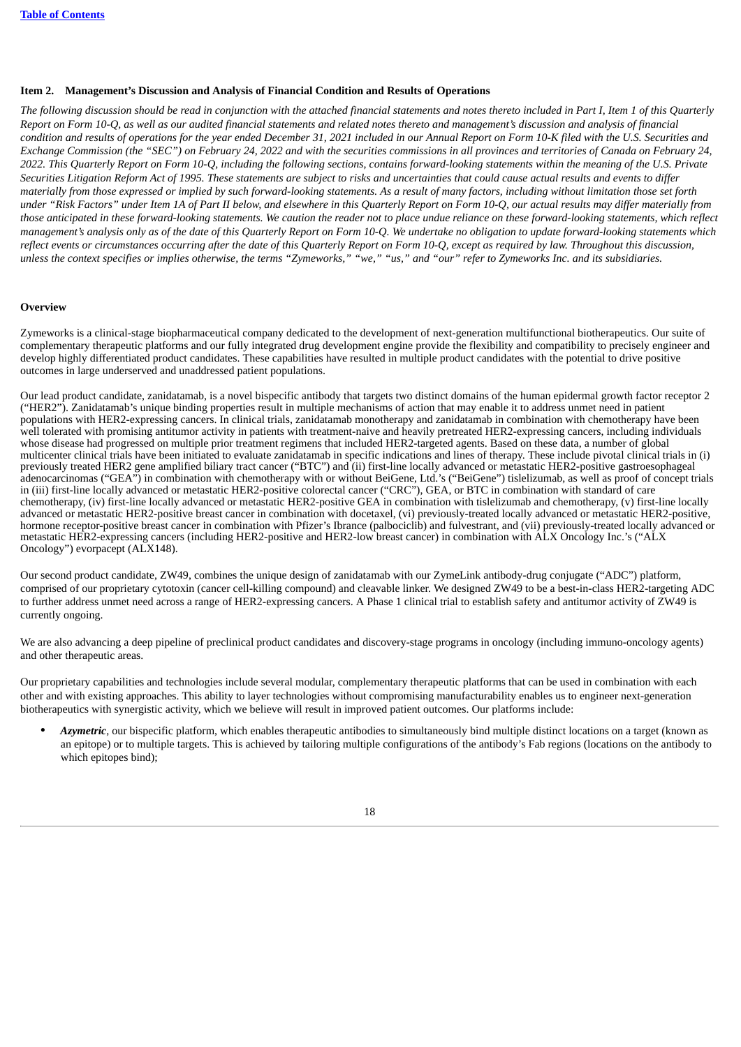## **Item 2. Management's Discussion and Analysis of Financial Condition and Results of Operations**

The following discussion should be read in conjunction with the attached financial statements and notes thereto included in Part I, Item 1 of this Quarterly Report on Form 10-Q, as well as our audited financial statements and related notes thereto and management's discussion and analysis of financial condition and results of operations for the year ended December 31, 2021 included in our Annual Report on Form 10-K filed with the U.S. Securities and Exchange Commission (the "SEC") on February 24, 2022 and with the securities commissions in all provinces and territories of Canada on February 24, 2022. This Quarterly Report on Form 10-O, including the following sections, contains forward-looking statements within the megning of the U.S. Private Securities Litigation Reform Act of 1995. These statements are subject to risks and uncertainties that could cause actual results and events to differ materially from those expressed or implied by such forward-looking statements. As a result of many factors, including without limitation those set forth under "Risk Factors" under Item 1A of Part II below, and elsewhere in this Quarterly Report on Form 10-Q, our actual results may differ materially from those anticipated in these forward-looking statements. We caution the reader not to place undue reliance on these forward-looking statements, which reflect management's analysis only as of the date of this Ouarterly Report on Form 10-O. We undertake no obligation to update forward-looking statements which reflect events or circumstances occurring after the date of this Quarterly Report on Form 10-Q, except as required by law. Throughout this discussion, unless the context specifies or implies otherwise, the terms "Zymeworks," "we," "us," and "our" refer to Zymeworks Inc. and its subsidiaries.

## **Overview**

Zymeworks is a clinical-stage biopharmaceutical company dedicated to the development of next-generation multifunctional biotherapeutics. Our suite of complementary therapeutic platforms and our fully integrated drug development engine provide the flexibility and compatibility to precisely engineer and develop highly differentiated product candidates. These capabilities have resulted in multiple product candidates with the potential to drive positive outcomes in large underserved and unaddressed patient populations.

Our lead product candidate, zanidatamab, is a novel bispecific antibody that targets two distinct domains of the human epidermal growth factor receptor 2 ("HER2"). Zanidatamab's unique binding properties result in multiple mechanisms of action that may enable it to address unmet need in patient populations with HER2-expressing cancers. In clinical trials, zanidatamab monotherapy and zanidatamab in combination with chemotherapy have been well tolerated with promising antitumor activity in patients with treatment-naive and heavily pretreated HER2-expressing cancers, including individuals whose disease had progressed on multiple prior treatment regimens that included HER2-targeted agents. Based on these data, a number of global multicenter clinical trials have been initiated to evaluate zanidatamab in specific indications and lines of therapy. These include pivotal clinical trials in (i) previously treated HER2 gene amplified biliary tract cancer ("BTC") and (ii) first-line locally advanced or metastatic HER2-positive gastroesophageal adenocarcinomas ("GEA") in combination with chemotherapy with or without BeiGene, Ltd.'s ("BeiGene") tislelizumab, as well as proof of concept trials in (iii) first-line locally advanced or metastatic HER2-positive colorectal cancer ("CRC"), GEA, or BTC in combination with standard of care chemotherapy, (iv) first-line locally advanced or metastatic HER2-positive GEA in combination with tislelizumab and chemotherapy, (v) first-line locally advanced or metastatic HER2-positive breast cancer in combination with docetaxel, (vi) previously-treated locally advanced or metastatic HER2-positive, hormone receptor-positive breast cancer in combination with Pfizer's Ibrance (palbociclib) and fulvestrant, and (vii) previously-treated locally advanced or metastatic HER2-expressing cancers (including HER2-positive and HER2-low breast cancer) in combination with ALX Oncology Inc.'s ("ALX Oncology") evorpacept (ALX148).

Our second product candidate, ZW49, combines the unique design of zanidatamab with our ZymeLink antibody-drug conjugate ("ADC") platform, comprised of our proprietary cytotoxin (cancer cell-killing compound) and cleavable linker. We designed ZW49 to be a best-in-class HER2-targeting ADC to further address unmet need across a range of HER2-expressing cancers. A Phase 1 clinical trial to establish safety and antitumor activity of ZW49 is currently ongoing.

We are also advancing a deep pipeline of preclinical product candidates and discovery-stage programs in oncology (including immuno-oncology agents) and other therapeutic areas.

Our proprietary capabilities and technologies include several modular, complementary therapeutic platforms that can be used in combination with each other and with existing approaches. This ability to layer technologies without compromising manufacturability enables us to engineer next-generation biotherapeutics with synergistic activity, which we believe will result in improved patient outcomes. Our platforms include:

• *Azymetric*, our bispecific platform, which enables therapeutic antibodies to simultaneously bind multiple distinct locations on a target (known as an epitope) or to multiple targets. This is achieved by tailoring multiple configurations of the antibody's Fab regions (locations on the antibody to which epitopes bind);

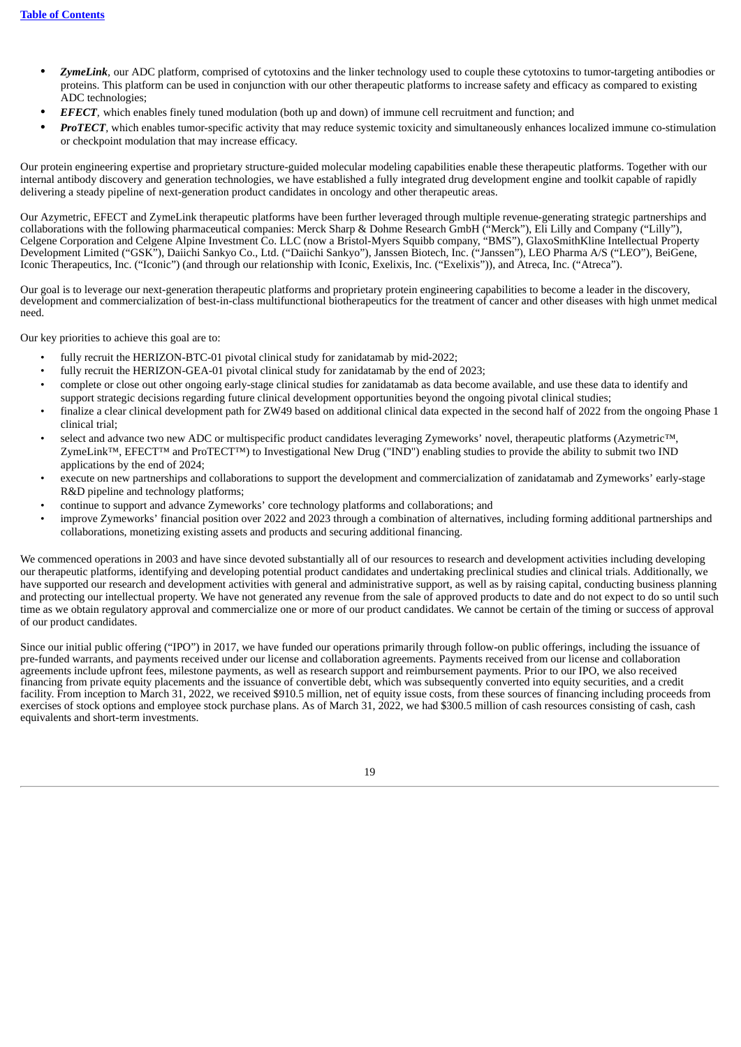- *ZymeLink,* our ADC platform, comprised of cytotoxins and the linker technology used to couple these cytotoxins to tumor-targeting antibodies or proteins. This platform can be used in conjunction with our other therapeutic platforms to increase safety and efficacy as compared to existing ADC technologies;
- *EFECT,* which enables finely tuned modulation (both up and down) of immune cell recruitment and function; and
- **ProTECT**, which enables tumor-specific activity that may reduce systemic toxicity and simultaneously enhances localized immune co-stimulation or checkpoint modulation that may increase efficacy.

Our protein engineering expertise and proprietary structure-guided molecular modeling capabilities enable these therapeutic platforms. Together with our internal antibody discovery and generation technologies, we have established a fully integrated drug development engine and toolkit capable of rapidly delivering a steady pipeline of next-generation product candidates in oncology and other therapeutic areas.

Our Azymetric, EFECT and ZymeLink therapeutic platforms have been further leveraged through multiple revenue-generating strategic partnerships and collaborations with the following pharmaceutical companies: Merck Sharp & Dohme Research GmbH ("Merck"), Eli Lilly and Company ("Lilly"), Celgene Corporation and Celgene Alpine Investment Co. LLC (now a Bristol-Myers Squibb company, "BMS"), GlaxoSmithKline Intellectual Property Development Limited ("GSK"), Daiichi Sankyo Co., Ltd. ("Daiichi Sankyo"), Janssen Biotech, Inc. ("Janssen"), LEO Pharma A/S ("LEO"), BeiGene, Iconic Therapeutics, Inc. ("Iconic") (and through our relationship with Iconic, Exelixis, Inc. ("Exelixis")), and Atreca, Inc. ("Atreca").

Our goal is to leverage our next-generation therapeutic platforms and proprietary protein engineering capabilities to become a leader in the discovery, development and commercialization of best-in-class multifunctional biotherapeutics for the treatment of cancer and other diseases with high unmet medical need.

Our key priorities to achieve this goal are to:

- fully recruit the HERIZON-BTC-01 pivotal clinical study for zanidatamab by mid-2022;
- fully recruit the HERIZON-GEA-01 pivotal clinical study for zanidatamab by the end of 2023;
- complete or close out other ongoing early-stage clinical studies for zanidatamab as data become available, and use these data to identify and support strategic decisions regarding future clinical development opportunities beyond the ongoing pivotal clinical studies;
- finalize a clear clinical development path for ZW49 based on additional clinical data expected in the second half of 2022 from the ongoing Phase 1 clinical trial;
- select and advance two new ADC or multispecific product candidates leveraging Zymeworks' novel, therapeutic platforms (Azymetric™, ZymeLink™, EFECT™ and ProTECT™) to Investigational New Drug ("IND") enabling studies to provide the ability to submit two IND applications by the end of 2024;
- execute on new partnerships and collaborations to support the development and commercialization of zanidatamab and Zymeworks' early-stage R&D pipeline and technology platforms;
- continue to support and advance Zymeworks' core technology platforms and collaborations; and
- improve Zymeworks' financial position over 2022 and 2023 through a combination of alternatives, including forming additional partnerships and collaborations, monetizing existing assets and products and securing additional financing.

We commenced operations in 2003 and have since devoted substantially all of our resources to research and development activities including developing our therapeutic platforms, identifying and developing potential product candidates and undertaking preclinical studies and clinical trials. Additionally, we have supported our research and development activities with general and administrative support, as well as by raising capital, conducting business planning and protecting our intellectual property. We have not generated any revenue from the sale of approved products to date and do not expect to do so until such time as we obtain regulatory approval and commercialize one or more of our product candidates. We cannot be certain of the timing or success of approval of our product candidates.

Since our initial public offering ("IPO") in 2017, we have funded our operations primarily through follow-on public offerings, including the issuance of pre-funded warrants, and payments received under our license and collaboration agreements. Payments received from our license and collaboration agreements include upfront fees, milestone payments, as well as research support and reimbursement payments. Prior to our IPO, we also received financing from private equity placements and the issuance of convertible debt, which was subsequently converted into equity securities, and a credit facility. From inception to March 31, 2022, we received \$910.5 million, net of equity issue costs, from these sources of financing including proceeds from exercises of stock options and employee stock purchase plans. As of March 31, 2022, we had \$300.5 million of cash resources consisting of cash, cash equivalents and short-term investments.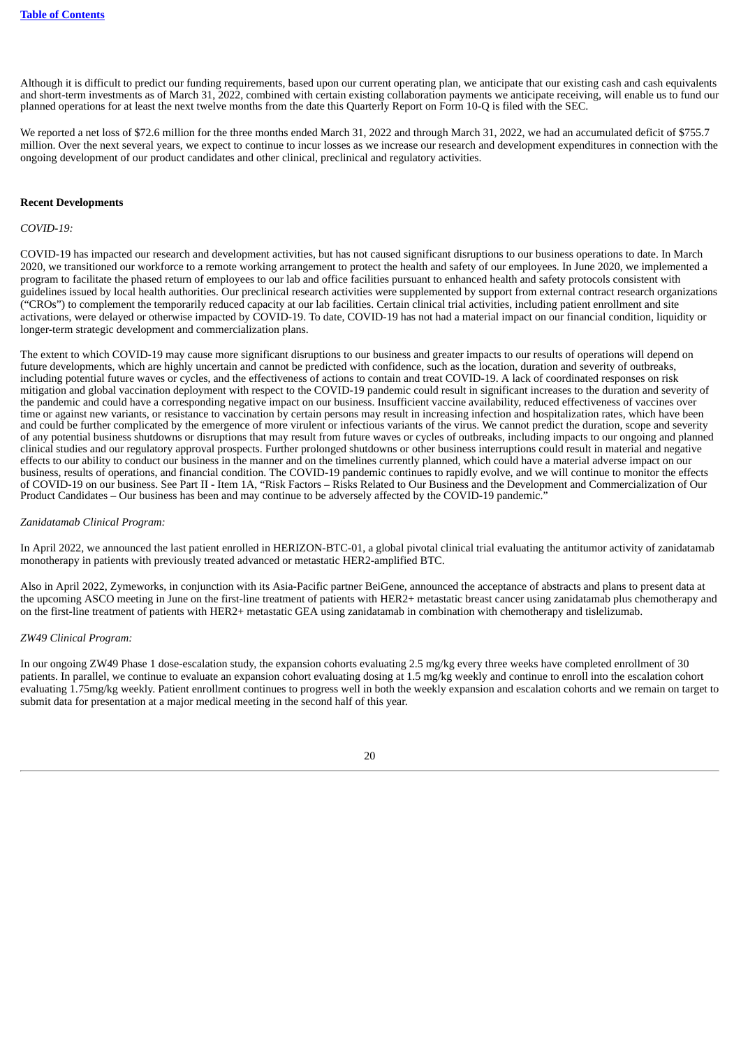Although it is difficult to predict our funding requirements, based upon our current operating plan, we anticipate that our existing cash and cash equivalents and short-term investments as of March 31, 2022, combined with certain existing collaboration payments we anticipate receiving, will enable us to fund our planned operations for at least the next twelve months from the date this Quarterly Report on Form 10-Q is filed with the SEC.

We reported a net loss of \$72.6 million for the three months ended March 31, 2022 and through March 31, 2022, we had an accumulated deficit of \$755.7 million. Over the next several years, we expect to continue to incur losses as we increase our research and development expenditures in connection with the ongoing development of our product candidates and other clinical, preclinical and regulatory activities.

#### **Recent Developments**

#### *COVID-19:*

COVID-19 has impacted our research and development activities, but has not caused significant disruptions to our business operations to date. In March 2020, we transitioned our workforce to a remote working arrangement to protect the health and safety of our employees. In June 2020, we implemented a program to facilitate the phased return of employees to our lab and office facilities pursuant to enhanced health and safety protocols consistent with guidelines issued by local health authorities. Our preclinical research activities were supplemented by support from external contract research organizations ("CROs") to complement the temporarily reduced capacity at our lab facilities. Certain clinical trial activities, including patient enrollment and site activations, were delayed or otherwise impacted by COVID-19. To date, COVID-19 has not had a material impact on our financial condition, liquidity or longer-term strategic development and commercialization plans.

The extent to which COVID-19 may cause more significant disruptions to our business and greater impacts to our results of operations will depend on future developments, which are highly uncertain and cannot be predicted with confidence, such as the location, duration and severity of outbreaks, including potential future waves or cycles, and the effectiveness of actions to contain and treat COVID-19. A lack of coordinated responses on risk mitigation and global vaccination deployment with respect to the COVID-19 pandemic could result in significant increases to the duration and severity of the pandemic and could have a corresponding negative impact on our business. Insufficient vaccine availability, reduced effectiveness of vaccines over time or against new variants, or resistance to vaccination by certain persons may result in increasing infection and hospitalization rates, which have been and could be further complicated by the emergence of more virulent or infectious variants of the virus. We cannot predict the duration, scope and severity of any potential business shutdowns or disruptions that may result from future waves or cycles of outbreaks, including impacts to our ongoing and planned clinical studies and our regulatory approval prospects. Further prolonged shutdowns or other business interruptions could result in material and negative effects to our ability to conduct our business in the manner and on the timelines currently planned, which could have a material adverse impact on our business, results of operations, and financial condition. The COVID-19 pandemic continues to rapidly evolve, and we will continue to monitor the effects of COVID-19 on our business. See Part II - Item 1A, "Risk Factors – Risks Related to Our Business and the Development and Commercialization of Our Product Candidates – Our business has been and may continue to be adversely affected by the COVID-19 pandemic."

#### *Zanidatamab Clinical Program:*

In April 2022, we announced the last patient enrolled in HERIZON-BTC-01, a global pivotal clinical trial evaluating the antitumor activity of zanidatamab monotherapy in patients with previously treated advanced or metastatic HER2-amplified BTC.

Also in April 2022, Zymeworks, in conjunction with its Asia-Pacific partner BeiGene, announced the acceptance of abstracts and plans to present data at the upcoming ASCO meeting in June on the first-line treatment of patients with HER2+ metastatic breast cancer using zanidatamab plus chemotherapy and on the first-line treatment of patients with HER2+ metastatic GEA using zanidatamab in combination with chemotherapy and tislelizumab.

### *ZW49 Clinical Program:*

In our ongoing ZW49 Phase 1 dose-escalation study, the expansion cohorts evaluating 2.5 mg/kg every three weeks have completed enrollment of 30 patients. In parallel, we continue to evaluate an expansion cohort evaluating dosing at 1.5 mg/kg weekly and continue to enroll into the escalation cohort evaluating 1.75mg/kg weekly. Patient enrollment continues to progress well in both the weekly expansion and escalation cohorts and we remain on target to submit data for presentation at a major medical meeting in the second half of this year.

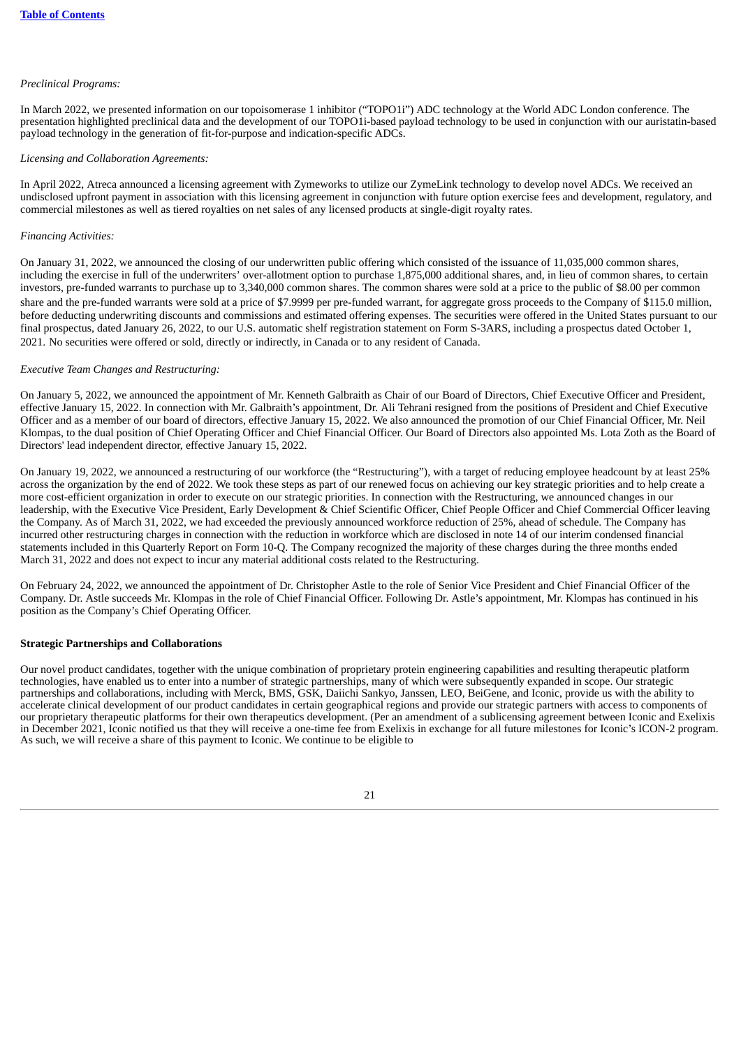#### *Preclinical Programs:*

In March 2022, we presented information on our topoisomerase 1 inhibitor ("TOPO1i") ADC technology at the World ADC London conference. The presentation highlighted preclinical data and the development of our TOPO1i-based payload technology to be used in conjunction with our auristatin-based payload technology in the generation of fit-for-purpose and indication-specific ADCs.

## *Licensing and Collaboration Agreements:*

In April 2022, Atreca announced a licensing agreement with Zymeworks to utilize our ZymeLink technology to develop novel ADCs. We received an undisclosed upfront payment in association with this licensing agreement in conjunction with future option exercise fees and development, regulatory, and commercial milestones as well as tiered royalties on net sales of any licensed products at single-digit royalty rates.

## *Financing Activities:*

On January 31, 2022, we announced the closing of our underwritten public offering which consisted of the issuance of 11,035,000 common shares, including the exercise in full of the underwriters' over-allotment option to purchase 1,875,000 additional shares, and, in lieu of common shares, to certain investors, pre-funded warrants to purchase up to 3,340,000 common shares. The common shares were sold at a price to the public of \$8.00 per common share and the pre-funded warrants were sold at a price of \$7.9999 per pre-funded warrant, for aggregate gross proceeds to the Company of \$115.0 million, before deducting underwriting discounts and commissions and estimated offering expenses. The securities were offered in the United States pursuant to our final prospectus, dated January 26, 2022, to our U.S. automatic shelf registration statement on Form S-3ARS, including a prospectus dated October 1, 2021. No securities were offered or sold, directly or indirectly, in Canada or to any resident of Canada.

## *Executive Team Changes and Restructuring:*

On January 5, 2022, we announced the appointment of Mr. Kenneth Galbraith as Chair of our Board of Directors, Chief Executive Officer and President, effective January 15, 2022. In connection with Mr. Galbraith's appointment, Dr. Ali Tehrani resigned from the positions of President and Chief Executive Officer and as a member of our board of directors, effective January 15, 2022. We also announced the promotion of our Chief Financial Officer, Mr. Neil Klompas, to the dual position of Chief Operating Officer and Chief Financial Officer. Our Board of Directors also appointed Ms. Lota Zoth as the Board of Directors' lead independent director, effective January 15, 2022.

On January 19, 2022, we announced a restructuring of our workforce (the "Restructuring"), with a target of reducing employee headcount by at least 25% across the organization by the end of 2022. We took these steps as part of our renewed focus on achieving our key strategic priorities and to help create a more cost-efficient organization in order to execute on our strategic priorities. In connection with the Restructuring, we announced changes in our leadership, with the Executive Vice President, Early Development & Chief Scientific Officer, Chief People Officer and Chief Commercial Officer leaving the Company. As of March 31, 2022, we had exceeded the previously announced workforce reduction of 25%, ahead of schedule. The Company has incurred other restructuring charges in connection with the reduction in workforce which are disclosed in note 14 of our interim condensed financial statements included in this Quarterly Report on Form 10-Q. The Company recognized the majority of these charges during the three months ended March 31, 2022 and does not expect to incur any material additional costs related to the Restructuring.

On February 24, 2022, we announced the appointment of Dr. Christopher Astle to the role of Senior Vice President and Chief Financial Officer of the Company. Dr. Astle succeeds Mr. Klompas in the role of Chief Financial Officer. Following Dr. Astle's appointment, Mr. Klompas has continued in his position as the Company's Chief Operating Officer.

#### **Strategic Partnerships and Collaborations**

Our novel product candidates, together with the unique combination of proprietary protein engineering capabilities and resulting therapeutic platform technologies, have enabled us to enter into a number of strategic partnerships, many of which were subsequently expanded in scope. Our strategic partnerships and collaborations, including with Merck, BMS, GSK, Daiichi Sankyo, Janssen, LEO, BeiGene, and Iconic, provide us with the ability to accelerate clinical development of our product candidates in certain geographical regions and provide our strategic partners with access to components of our proprietary therapeutic platforms for their own therapeutics development. (Per an amendment of a sublicensing agreement between Iconic and Exelixis in December 2021, Iconic notified us that they will receive a one-time fee from Exelixis in exchange for all future milestones for Iconic's ICON-2 program. As such, we will receive a share of this payment to Iconic. We continue to be eligible to

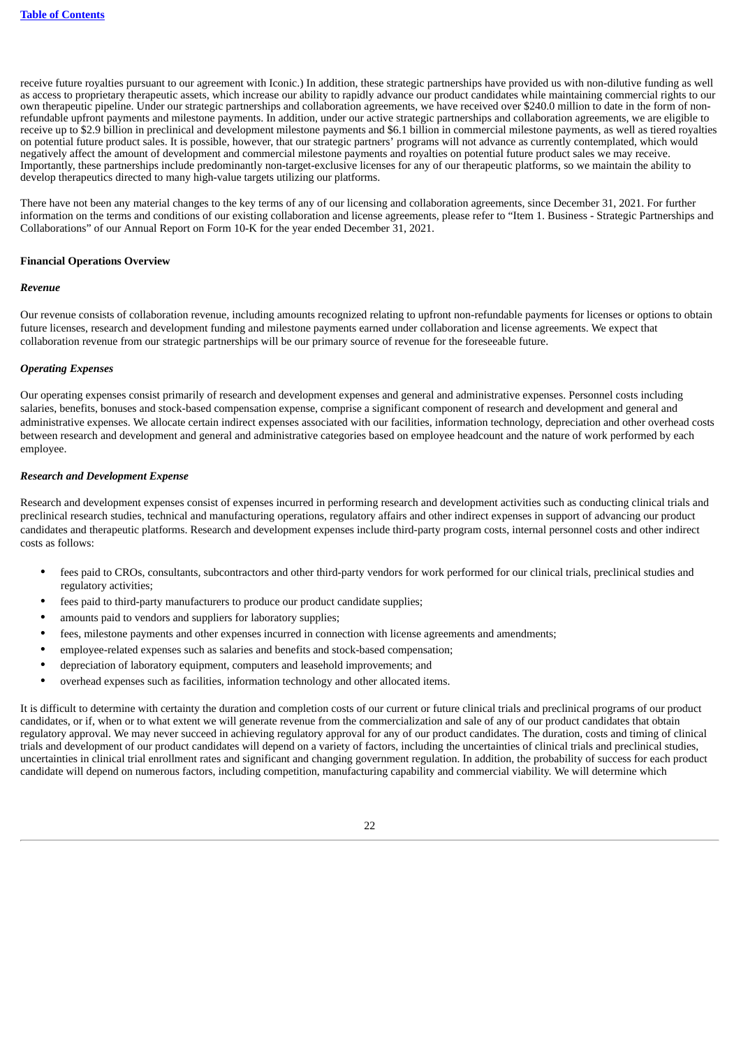receive future royalties pursuant to our agreement with Iconic.) In addition, these strategic partnerships have provided us with non-dilutive funding as well as access to proprietary therapeutic assets, which increase our ability to rapidly advance our product candidates while maintaining commercial rights to our own therapeutic pipeline. Under our strategic partnerships and collaboration agreements, we have received over \$240.0 million to date in the form of nonrefundable upfront payments and milestone payments. In addition, under our active strategic partnerships and collaboration agreements, we are eligible to receive up to \$2.9 billion in preclinical and development milestone payments and \$6.1 billion in commercial milestone payments, as well as tiered royalties on potential future product sales. It is possible, however, that our strategic partners' programs will not advance as currently contemplated, which would negatively affect the amount of development and commercial milestone payments and royalties on potential future product sales we may receive. Importantly, these partnerships include predominantly non-target-exclusive licenses for any of our therapeutic platforms, so we maintain the ability to develop therapeutics directed to many high-value targets utilizing our platforms.

There have not been any material changes to the key terms of any of our licensing and collaboration agreements, since December 31, 2021. For further information on the terms and conditions of our existing collaboration and license agreements, please refer to "Item 1. Business - Strategic Partnerships and Collaborations" of our Annual Report on Form 10-K for the year ended December 31, 2021.

#### **Financial Operations Overview**

#### *Revenue*

Our revenue consists of collaboration revenue, including amounts recognized relating to upfront non-refundable payments for licenses or options to obtain future licenses, research and development funding and milestone payments earned under collaboration and license agreements. We expect that collaboration revenue from our strategic partnerships will be our primary source of revenue for the foreseeable future.

#### *Operating Expenses*

Our operating expenses consist primarily of research and development expenses and general and administrative expenses. Personnel costs including salaries, benefits, bonuses and stock-based compensation expense, comprise a significant component of research and development and general and administrative expenses. We allocate certain indirect expenses associated with our facilities, information technology, depreciation and other overhead costs between research and development and general and administrative categories based on employee headcount and the nature of work performed by each employee.

### *Research and Development Expense*

Research and development expenses consist of expenses incurred in performing research and development activities such as conducting clinical trials and preclinical research studies, technical and manufacturing operations, regulatory affairs and other indirect expenses in support of advancing our product candidates and therapeutic platforms. Research and development expenses include third-party program costs, internal personnel costs and other indirect costs as follows:

- fees paid to CROs, consultants, subcontractors and other third-party vendors for work performed for our clinical trials, preclinical studies and regulatory activities;
- fees paid to third-party manufacturers to produce our product candidate supplies;
- amounts paid to vendors and suppliers for laboratory supplies;
- fees, milestone payments and other expenses incurred in connection with license agreements and amendments;
- employee-related expenses such as salaries and benefits and stock-based compensation;
- depreciation of laboratory equipment, computers and leasehold improvements; and
- overhead expenses such as facilities, information technology and other allocated items.

It is difficult to determine with certainty the duration and completion costs of our current or future clinical trials and preclinical programs of our product candidates, or if, when or to what extent we will generate revenue from the commercialization and sale of any of our product candidates that obtain regulatory approval. We may never succeed in achieving regulatory approval for any of our product candidates. The duration, costs and timing of clinical trials and development of our product candidates will depend on a variety of factors, including the uncertainties of clinical trials and preclinical studies, uncertainties in clinical trial enrollment rates and significant and changing government regulation. In addition, the probability of success for each product candidate will depend on numerous factors, including competition, manufacturing capability and commercial viability. We will determine which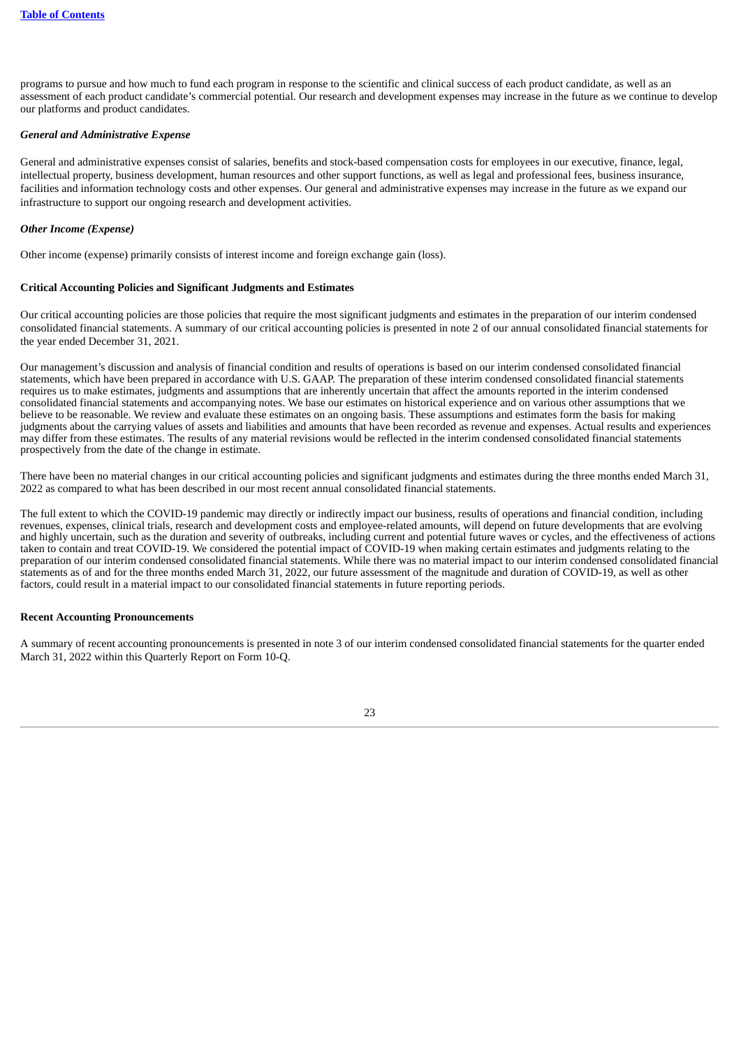programs to pursue and how much to fund each program in response to the scientific and clinical success of each product candidate, as well as an assessment of each product candidate's commercial potential. Our research and development expenses may increase in the future as we continue to develop our platforms and product candidates.

#### *General and Administrative Expense*

General and administrative expenses consist of salaries, benefits and stock-based compensation costs for employees in our executive, finance, legal, intellectual property, business development, human resources and other support functions, as well as legal and professional fees, business insurance, facilities and information technology costs and other expenses. Our general and administrative expenses may increase in the future as we expand our infrastructure to support our ongoing research and development activities.

#### *Other Income (Expense)*

Other income (expense) primarily consists of interest income and foreign exchange gain (loss).

#### **Critical Accounting Policies and Significant Judgments and Estimates**

Our critical accounting policies are those policies that require the most significant judgments and estimates in the preparation of our interim condensed consolidated financial statements. A summary of our critical accounting policies is presented in note 2 of our annual consolidated financial statements for the year ended December 31, 2021.

Our management's discussion and analysis of financial condition and results of operations is based on our interim condensed consolidated financial statements, which have been prepared in accordance with U.S. GAAP. The preparation of these interim condensed consolidated financial statements requires us to make estimates, judgments and assumptions that are inherently uncertain that affect the amounts reported in the interim condensed consolidated financial statements and accompanying notes. We base our estimates on historical experience and on various other assumptions that we believe to be reasonable. We review and evaluate these estimates on an ongoing basis. These assumptions and estimates form the basis for making judgments about the carrying values of assets and liabilities and amounts that have been recorded as revenue and expenses. Actual results and experiences may differ from these estimates. The results of any material revisions would be reflected in the interim condensed consolidated financial statements prospectively from the date of the change in estimate.

There have been no material changes in our critical accounting policies and significant judgments and estimates during the three months ended March 31, 2022 as compared to what has been described in our most recent annual consolidated financial statements.

The full extent to which the COVID-19 pandemic may directly or indirectly impact our business, results of operations and financial condition, including revenues, expenses, clinical trials, research and development costs and employee-related amounts, will depend on future developments that are evolving and highly uncertain, such as the duration and severity of outbreaks, including current and potential future waves or cycles, and the effectiveness of actions taken to contain and treat COVID-19. We considered the potential impact of COVID-19 when making certain estimates and judgments relating to the preparation of our interim condensed consolidated financial statements. While there was no material impact to our interim condensed consolidated financial statements as of and for the three months ended March 31, 2022, our future assessment of the magnitude and duration of COVID-19, as well as other factors, could result in a material impact to our consolidated financial statements in future reporting periods.

#### **Recent Accounting Pronouncements**

A summary of recent accounting pronouncements is presented in note 3 of our interim condensed consolidated financial statements for the quarter ended March 31, 2022 within this Quarterly Report on Form 10-Q.

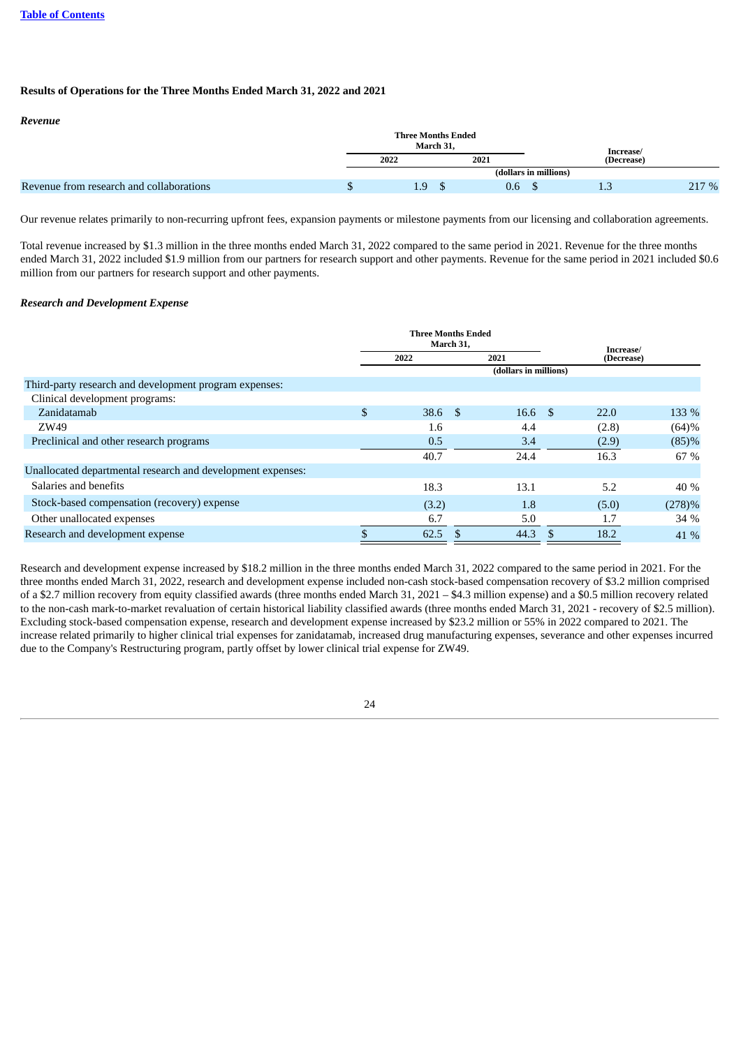## **Results of Operations for the Three Months Ended March 31, 2022 and 2021**

| Revenue                                  |                                        |     |  |                       |  |            |       |  |
|------------------------------------------|----------------------------------------|-----|--|-----------------------|--|------------|-------|--|
|                                          | <b>Three Months Ended</b><br>March 31, |     |  |                       |  | Increase/  |       |  |
|                                          | 2022                                   |     |  | 2021                  |  | (Decrease) |       |  |
|                                          |                                        |     |  | (dollars in millions) |  |            |       |  |
| Revenue from research and collaborations |                                        | 1.9 |  | 0.6                   |  | 1.3        | 217 % |  |

Our revenue relates primarily to non-recurring upfront fees, expansion payments or milestone payments from our licensing and collaboration agreements.

Total revenue increased by \$1.3 million in the three months ended March 31, 2022 compared to the same period in 2021. Revenue for the three months ended March 31, 2022 included \$1.9 million from our partners for research support and other payments. Revenue for the same period in 2021 included \$0.6 million from our partners for research support and other payments.

#### *Research and Development Expense*

|                                                             |      | <b>Three Months Ended</b> | March 31, |                       |            | Increase/ |        |
|-------------------------------------------------------------|------|---------------------------|-----------|-----------------------|------------|-----------|--------|
|                                                             | 2022 |                           |           | 2021                  | (Decrease) |           |        |
|                                                             |      |                           |           | (dollars in millions) |            |           |        |
| Third-party research and development program expenses:      |      |                           |           |                       |            |           |        |
| Clinical development programs:                              |      |                           |           |                       |            |           |        |
| Zanidatamab                                                 | \$   | $38.6$ \$                 |           | 16.6 <sup>5</sup>     |            | 22.0      | 133 %  |
| ZW49                                                        |      | 1.6                       |           | 4.4                   |            | (2.8)     | (64)%  |
| Preclinical and other research programs                     |      | 0.5                       |           | 3.4                   |            | (2.9)     | (85)%  |
|                                                             |      | 40.7                      |           | 24.4                  |            | 16.3      | 67 %   |
| Unallocated departmental research and development expenses: |      |                           |           |                       |            |           |        |
| Salaries and benefits                                       |      | 18.3                      |           | 13.1                  |            | 5.2       | 40 %   |
| Stock-based compensation (recovery) expense                 |      | (3.2)                     |           | 1.8                   |            | (5.0)     | (278)% |
| Other unallocated expenses                                  |      | 6.7                       |           | 5.0                   |            | 1.7       | 34 %   |
| Research and development expense                            |      | 62.5                      |           | 44.3                  |            | 18.2      | 41 %   |

Research and development expense increased by \$18.2 million in the three months ended March 31, 2022 compared to the same period in 2021. For the three months ended March 31, 2022, research and development expense included non-cash stock-based compensation recovery of \$3.2 million comprised of a \$2.7 million recovery from equity classified awards (three months ended March 31, 2021 – \$4.3 million expense) and a \$0.5 million recovery related to the non-cash mark-to-market revaluation of certain historical liability classified awards (three months ended March 31, 2021 - recovery of \$2.5 million). Excluding stock-based compensation expense, research and development expense increased by \$23.2 million or 55% in 2022 compared to 2021. The increase related primarily to higher clinical trial expenses for zanidatamab, increased drug manufacturing expenses, severance and other expenses incurred due to the Company's Restructuring program, partly offset by lower clinical trial expense for ZW49.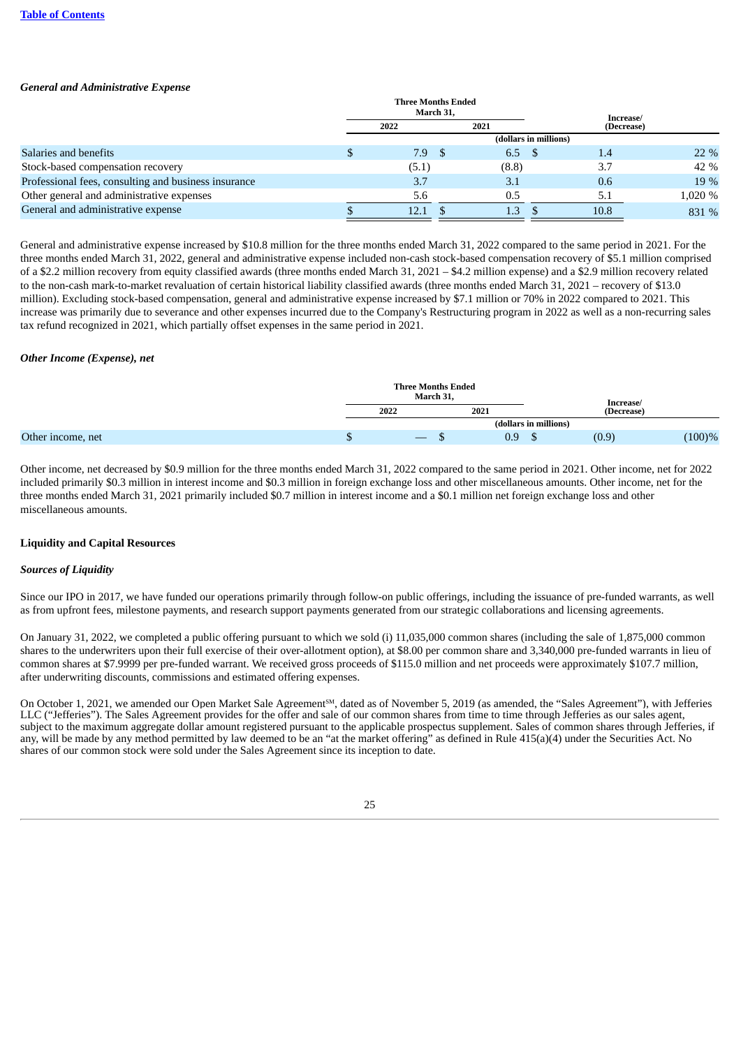## *General and Administrative Expense*

|                                                      | <b>Three Months Ended</b> | March 31, |                       | Increase/  |         |  |
|------------------------------------------------------|---------------------------|-----------|-----------------------|------------|---------|--|
|                                                      | 2022                      |           | 2021                  | (Decrease) |         |  |
|                                                      |                           |           | (dollars in millions) |            |         |  |
| Salaries and benefits                                | 7.9 <sup>5</sup>          |           | 6.5 <sup>5</sup>      | 1.4        | 22 %    |  |
| Stock-based compensation recovery                    | (5.1)                     |           | (8.8)                 | 3.7        | 42 %    |  |
| Professional fees, consulting and business insurance | 3.7                       |           | 3.1                   | 0.6        | 19 %    |  |
| Other general and administrative expenses            | 5.6                       |           | 0.5                   | 5.1        | 1,020 % |  |
| General and administrative expense                   | 12.1                      |           | 1.3                   | 10.8       | 831 %   |  |

General and administrative expense increased by \$10.8 million for the three months ended March 31, 2022 compared to the same period in 2021. For the three months ended March 31, 2022, general and administrative expense included non-cash stock-based compensation recovery of \$5.1 million comprised of a \$2.2 million recovery from equity classified awards (three months ended March 31, 2021 – \$4.2 million expense) and a \$2.9 million recovery related to the non-cash mark-to-market revaluation of certain historical liability classified awards (three months ended March 31, 2021 – recovery of \$13.0 million). Excluding stock-based compensation, general and administrative expense increased by \$7.1 million or 70% in 2022 compared to 2021. This increase was primarily due to severance and other expenses incurred due to the Company's Restructuring program in 2022 as well as a non-recurring sales tax refund recognized in 2021, which partially offset expenses in the same period in 2021.

## *Other Income (Expense), net*

|                   |  |                   | Three Months Ended<br>March 31, |      | Increase/  |           |
|-------------------|--|-------------------|---------------------------------|------|------------|-----------|
|                   |  | 2022              |                                 | 2021 | (Decrease) |           |
|                   |  |                   | (dollars in millions)           |      |            |           |
| Other income, net |  | $\qquad \qquad -$ |                                 | 0.9  | (0.9)      | $(100)\%$ |

Other income, net decreased by \$0.9 million for the three months ended March 31, 2022 compared to the same period in 2021. Other income, net for 2022 included primarily \$0.3 million in interest income and \$0.3 million in foreign exchange loss and other miscellaneous amounts. Other income, net for the three months ended March 31, 2021 primarily included \$0.7 million in interest income and a \$0.1 million net foreign exchange loss and other miscellaneous amounts.

## **Liquidity and Capital Resources**

## *Sources of Liquidity*

Since our IPO in 2017, we have funded our operations primarily through follow-on public offerings, including the issuance of pre-funded warrants, as well as from upfront fees, milestone payments, and research support payments generated from our strategic collaborations and licensing agreements.

On January 31, 2022, we completed a public offering pursuant to which we sold (i) 11,035,000 common shares (including the sale of 1,875,000 common shares to the underwriters upon their full exercise of their over-allotment option), at \$8.00 per common share and 3,340,000 pre-funded warrants in lieu of common shares at \$7.9999 per pre-funded warrant. We received gross proceeds of \$115.0 million and net proceeds were approximately \$107.7 million, after underwriting discounts, commissions and estimated offering expenses.

On October 1, 2021, we amended our Open Market Sale Agreement<sup>SM</sup>, dated as of November 5, 2019 (as amended, the "Sales Agreement"), with Jefferies LLC ("Jefferies"). The Sales Agreement provides for the offer and sale of our common shares from time to time through Jefferies as our sales agent, subject to the maximum aggregate dollar amount registered pursuant to the applicable prospectus supplement. Sales of common shares through Jefferies, if any, will be made by any method permitted by law deemed to be an "at the market offering" as defined in Rule 415(a)(4) under the Securities Act. No shares of our common stock were sold under the Sales Agreement since its inception to date.

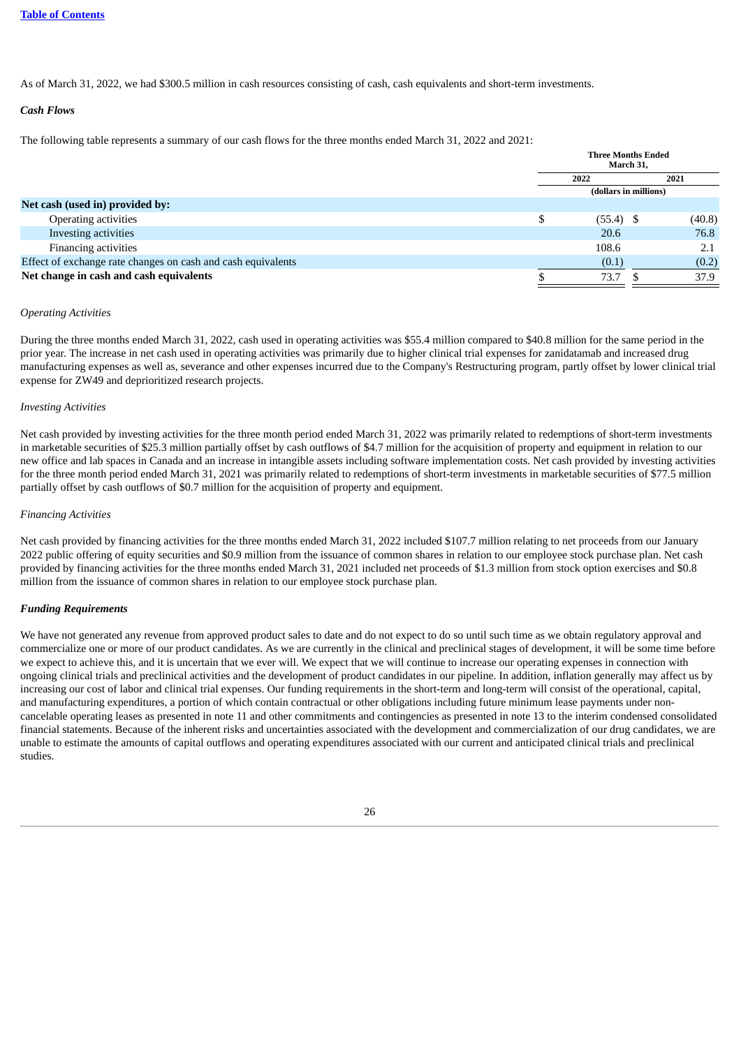As of March 31, 2022, we had \$300.5 million in cash resources consisting of cash, cash equivalents and short-term investments.

#### *Cash Flows*

The following table represents a summary of our cash flows for the three months ended March 31, 2022 and 2021:

|                                                              |      | <b>Three Months Ended</b><br>March 31, |        |  |
|--------------------------------------------------------------|------|----------------------------------------|--------|--|
|                                                              | 2022 | 2021                                   |        |  |
|                                                              |      | (dollars in millions)                  |        |  |
| Net cash (used in) provided by:                              |      |                                        |        |  |
| Operating activities                                         | J    | $(55.4)$ \$                            | (40.8) |  |
| Investing activities                                         |      | 20.6                                   | 76.8   |  |
| Financing activities                                         |      | 108.6                                  | 2.1    |  |
| Effect of exchange rate changes on cash and cash equivalents |      | (0.1)                                  | (0.2)  |  |
| Net change in cash and cash equivalents                      |      | 73.7                                   | 37.9   |  |
|                                                              |      |                                        |        |  |

#### *Operating Activities*

During the three months ended March 31, 2022, cash used in operating activities was \$55.4 million compared to \$40.8 million for the same period in the prior year. The increase in net cash used in operating activities was primarily due to higher clinical trial expenses for zanidatamab and increased drug manufacturing expenses as well as, severance and other expenses incurred due to the Company's Restructuring program, partly offset by lower clinical trial expense for ZW49 and deprioritized research projects.

#### *Investing Activities*

Net cash provided by investing activities for the three month period ended March 31, 2022 was primarily related to redemptions of short-term investments in marketable securities of \$25.3 million partially offset by cash outflows of \$4.7 million for the acquisition of property and equipment in relation to our new office and lab spaces in Canada and an increase in intangible assets including software implementation costs. Net cash provided by investing activities for the three month period ended March 31, 2021 was primarily related to redemptions of short-term investments in marketable securities of \$77.5 million partially offset by cash outflows of \$0.7 million for the acquisition of property and equipment.

#### *Financing Activities*

Net cash provided by financing activities for the three months ended March 31, 2022 included \$107.7 million relating to net proceeds from our January 2022 public offering of equity securities and \$0.9 million from the issuance of common shares in relation to our employee stock purchase plan. Net cash provided by financing activities for the three months ended March 31, 2021 included net proceeds of \$1.3 million from stock option exercises and \$0.8 million from the issuance of common shares in relation to our employee stock purchase plan.

#### *Funding Requirements*

We have not generated any revenue from approved product sales to date and do not expect to do so until such time as we obtain regulatory approval and commercialize one or more of our product candidates. As we are currently in the clinical and preclinical stages of development, it will be some time before we expect to achieve this, and it is uncertain that we ever will. We expect that we will continue to increase our operating expenses in connection with ongoing clinical trials and preclinical activities and the development of product candidates in our pipeline. In addition, inflation generally may affect us by increasing our cost of labor and clinical trial expenses. Our funding requirements in the short-term and long-term will consist of the operational, capital, and manufacturing expenditures, a portion of which contain contractual or other obligations including future minimum lease payments under noncancelable operating leases as presented in note 11 and other commitments and contingencies as presented in note 13 to the interim condensed consolidated financial statements. Because of the inherent risks and uncertainties associated with the development and commercialization of our drug candidates, we are unable to estimate the amounts of capital outflows and operating expenditures associated with our current and anticipated clinical trials and preclinical studies.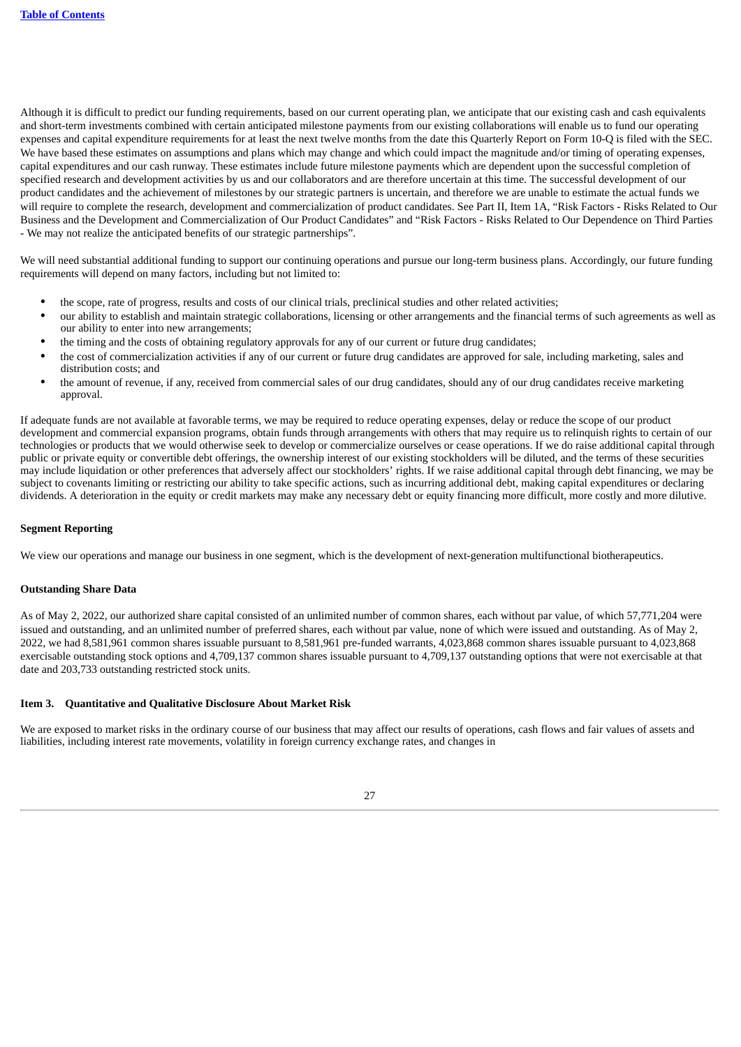Although it is difficult to predict our funding requirements, based on our current operating plan, we anticipate that our existing cash and cash equivalents and short-term investments combined with certain anticipated milestone payments from our existing collaborations will enable us to fund our operating expenses and capital expenditure requirements for at least the next twelve months from the date this Quarterly Report on Form 10-Q is filed with the SEC. We have based these estimates on assumptions and plans which may change and which could impact the magnitude and/or timing of operating expenses, capital expenditures and our cash runway. These estimates include future milestone payments which are dependent upon the successful completion of specified research and development activities by us and our collaborators and are therefore uncertain at this time. The successful development of our product candidates and the achievement of milestones by our strategic partners is uncertain, and therefore we are unable to estimate the actual funds we will require to complete the research, development and commercialization of product candidates. See Part II, Item 1A, "Risk Factors - Risks Related to Our Business and the Development and Commercialization of Our Product Candidates" and "Risk Factors - Risks Related to Our Dependence on Third Parties - We may not realize the anticipated benefits of our strategic partnerships".

We will need substantial additional funding to support our continuing operations and pursue our long-term business plans. Accordingly, our future funding requirements will depend on many factors, including but not limited to:

- the scope, rate of progress, results and costs of our clinical trials, preclinical studies and other related activities;
- our ability to establish and maintain strategic collaborations, licensing or other arrangements and the financial terms of such agreements as well as our ability to enter into new arrangements;
- the timing and the costs of obtaining regulatory approvals for any of our current or future drug candidates;
- the cost of commercialization activities if any of our current or future drug candidates are approved for sale, including marketing, sales and distribution costs; and
- the amount of revenue, if any, received from commercial sales of our drug candidates, should any of our drug candidates receive marketing approval.

If adequate funds are not available at favorable terms, we may be required to reduce operating expenses, delay or reduce the scope of our product development and commercial expansion programs, obtain funds through arrangements with others that may require us to relinquish rights to certain of our technologies or products that we would otherwise seek to develop or commercialize ourselves or cease operations. If we do raise additional capital through public or private equity or convertible debt offerings, the ownership interest of our existing stockholders will be diluted, and the terms of these securities may include liquidation or other preferences that adversely affect our stockholders' rights. If we raise additional capital through debt financing, we may be subject to covenants limiting or restricting our ability to take specific actions, such as incurring additional debt, making capital expenditures or declaring dividends. A deterioration in the equity or credit markets may make any necessary debt or equity financing more difficult, more costly and more dilutive.

#### **Segment Reporting**

We view our operations and manage our business in one segment, which is the development of next-generation multifunctional biotherapeutics.

#### **Outstanding Share Data**

As of May 2, 2022, our authorized share capital consisted of an unlimited number of common shares, each without par value, of which 57,771,204 were issued and outstanding, and an unlimited number of preferred shares, each without par value, none of which were issued and outstanding. As of May 2, 2022, we had 8,581,961 common shares issuable pursuant to 8,581,961 pre-funded warrants, 4,023,868 common shares issuable pursuant to 4,023,868 exercisable outstanding stock options and 4,709,137 common shares issuable pursuant to 4,709,137 outstanding options that were not exercisable at that date and 203,733 outstanding restricted stock units.

#### <span id="page-32-0"></span>**Item 3. Quantitative and Qualitative Disclosure About Market Risk**

We are exposed to market risks in the ordinary course of our business that may affect our results of operations, cash flows and fair values of assets and liabilities, including interest rate movements, volatility in foreign currency exchange rates, and changes in

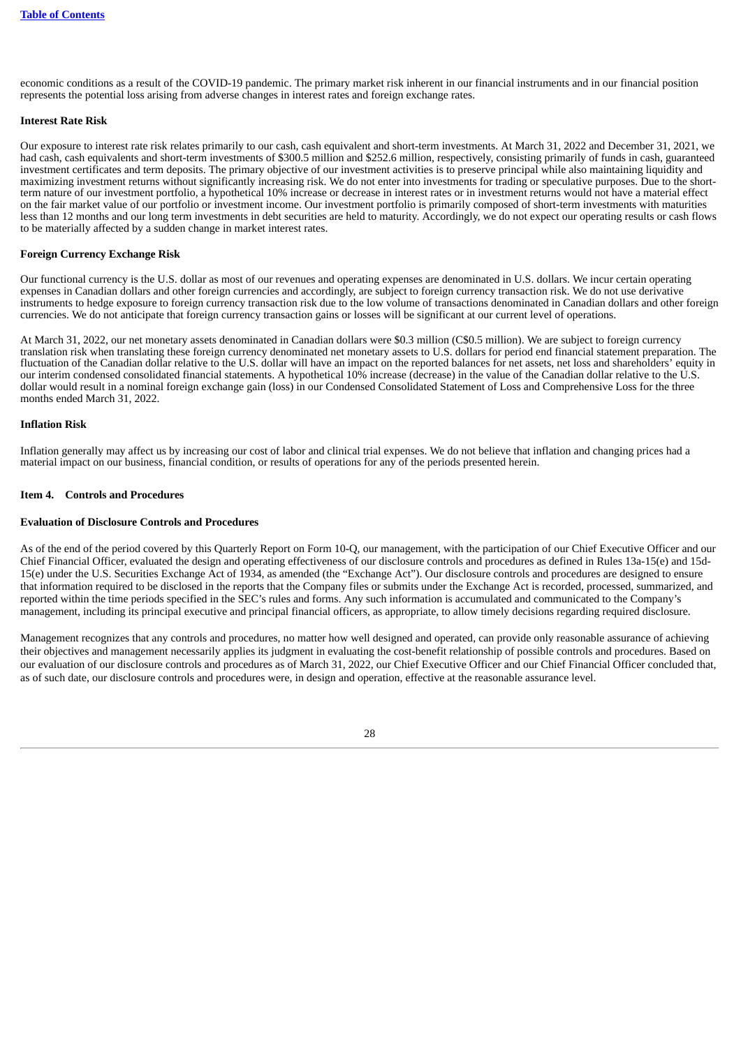economic conditions as a result of the COVID-19 pandemic. The primary market risk inherent in our financial instruments and in our financial position represents the potential loss arising from adverse changes in interest rates and foreign exchange rates.

#### **Interest Rate Risk**

Our exposure to interest rate risk relates primarily to our cash, cash equivalent and short-term investments. At March 31, 2022 and December 31, 2021, we had cash, cash equivalents and short-term investments of \$300.5 million and \$252.6 million, respectively, consisting primarily of funds in cash, guaranteed investment certificates and term deposits. The primary objective of our investment activities is to preserve principal while also maintaining liquidity and maximizing investment returns without significantly increasing risk. We do not enter into investments for trading or speculative purposes. Due to the shortterm nature of our investment portfolio, a hypothetical 10% increase or decrease in interest rates or in investment returns would not have a material effect on the fair market value of our portfolio or investment income. Our investment portfolio is primarily composed of short-term investments with maturities less than 12 months and our long term investments in debt securities are held to maturity. Accordingly, we do not expect our operating results or cash flows to be materially affected by a sudden change in market interest rates.

## **Foreign Currency Exchange Risk**

Our functional currency is the U.S. dollar as most of our revenues and operating expenses are denominated in U.S. dollars. We incur certain operating expenses in Canadian dollars and other foreign currencies and accordingly, are subject to foreign currency transaction risk. We do not use derivative instruments to hedge exposure to foreign currency transaction risk due to the low volume of transactions denominated in Canadian dollars and other foreign currencies. We do not anticipate that foreign currency transaction gains or losses will be significant at our current level of operations.

At March 31, 2022, our net monetary assets denominated in Canadian dollars were \$0.3 million (C\$0.5 million). We are subject to foreign currency translation risk when translating these foreign currency denominated net monetary assets to U.S. dollars for period end financial statement preparation. The fluctuation of the Canadian dollar relative to the U.S. dollar will have an impact on the reported balances for net assets, net loss and shareholders' equity in our interim condensed consolidated financial statements. A hypothetical 10% increase (decrease) in the value of the Canadian dollar relative to the U.S. dollar would result in a nominal foreign exchange gain (loss) in our Condensed Consolidated Statement of Loss and Comprehensive Loss for the three months ended March 31, 2022.

## **Inflation Risk**

Inflation generally may affect us by increasing our cost of labor and clinical trial expenses. We do not believe that inflation and changing prices had a material impact on our business, financial condition, or results of operations for any of the periods presented herein.

## <span id="page-33-0"></span>**Item 4. Controls and Procedures**

## **Evaluation of Disclosure Controls and Procedures**

As of the end of the period covered by this Quarterly Report on Form 10-Q, our management, with the participation of our Chief Executive Officer and our Chief Financial Officer, evaluated the design and operating effectiveness of our disclosure controls and procedures as defined in Rules 13a-15(e) and 15d-15(e) under the U.S. Securities Exchange Act of 1934, as amended (the "Exchange Act"). Our disclosure controls and procedures are designed to ensure that information required to be disclosed in the reports that the Company files or submits under the Exchange Act is recorded, processed, summarized, and reported within the time periods specified in the SEC's rules and forms. Any such information is accumulated and communicated to the Company's management, including its principal executive and principal financial officers, as appropriate, to allow timely decisions regarding required disclosure.

Management recognizes that any controls and procedures, no matter how well designed and operated, can provide only reasonable assurance of achieving their objectives and management necessarily applies its judgment in evaluating the cost-benefit relationship of possible controls and procedures. Based on our evaluation of our disclosure controls and procedures as of March 31, 2022, our Chief Executive Officer and our Chief Financial Officer concluded that, as of such date, our disclosure controls and procedures were, in design and operation, effective at the reasonable assurance level.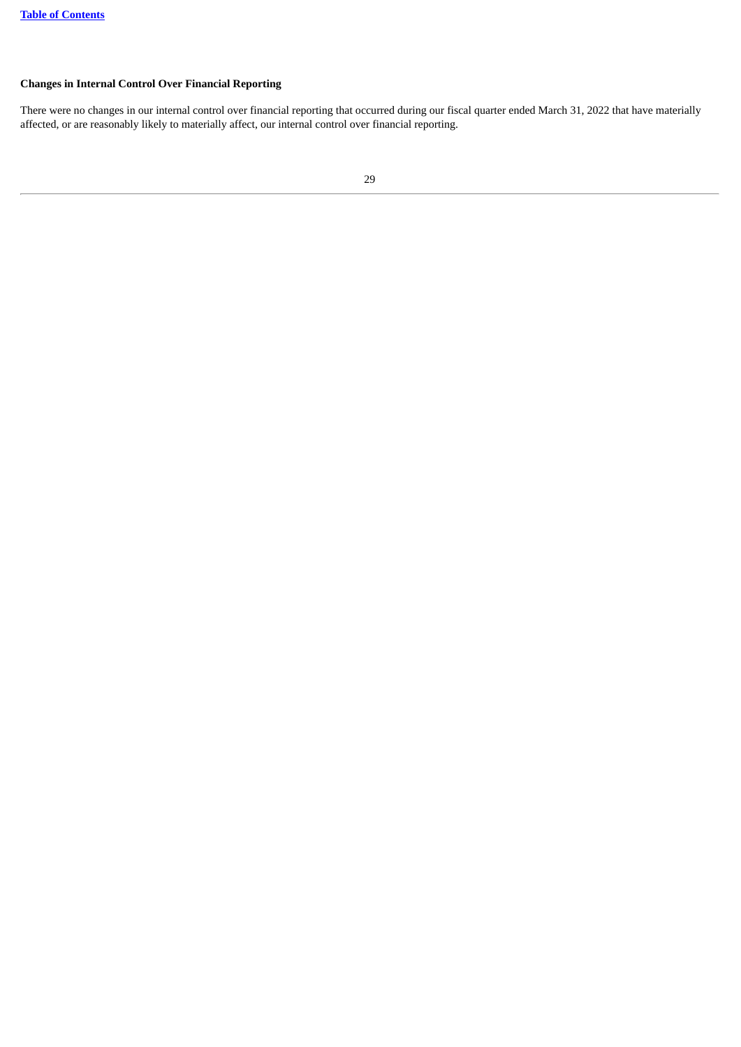## **Changes in Internal Control Over Financial Reporting**

<span id="page-34-0"></span>There were no changes in our internal control over financial reporting that occurred during our fiscal quarter ended March 31, 2022 that have materially affected, or are reasonably likely to materially affect, our internal control over financial reporting.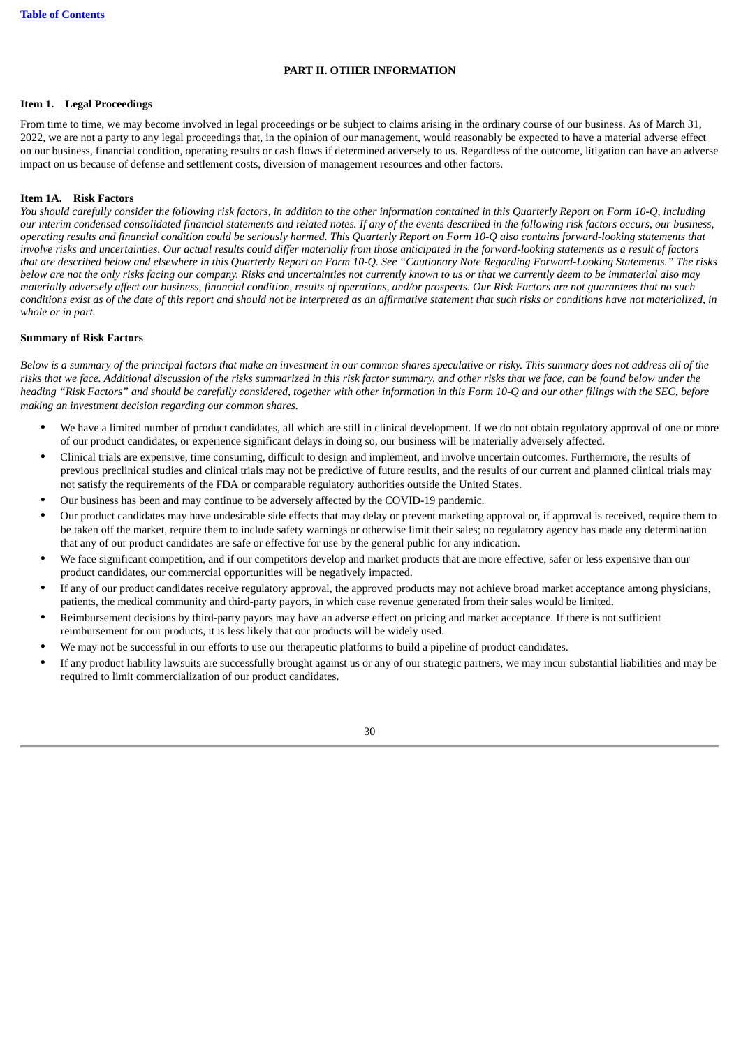## **PART II. OTHER INFORMATION**

## <span id="page-35-0"></span>**Item 1. Legal Proceedings**

From time to time, we may become involved in legal proceedings or be subject to claims arising in the ordinary course of our business. As of March 31, 2022, we are not a party to any legal proceedings that, in the opinion of our management, would reasonably be expected to have a material adverse effect on our business, financial condition, operating results or cash flows if determined adversely to us. Regardless of the outcome, litigation can have an adverse impact on us because of defense and settlement costs, diversion of management resources and other factors.

## <span id="page-35-1"></span>**Item 1A. Risk Factors**

You should carefully consider the following risk factors, in addition to the other information contained in this Quarterly Report on Form 10-Q, including our interim condensed consolidated financial statements and related notes. If any of the events described in the following risk factors occurs, our business, operating results and financial condition could be seriously harmed. This Quarterly Report on Form 10-Q also contains forward-looking statements that involve risks and uncertainties. Our actual results could differ materially from those anticipated in the forward-looking statements as a result of factors that are described below and elsewhere in this Quarterly Report on Form 10-Q. See "Cautionary Note Regarding Forward-Looking Statements." The risks below are not the only risks facing our company. Risks and uncertainties not currently known to us or that we currently deem to be immaterial also may materially adversely affect our business, financial condition, results of operations, and/or prospects. Our Risk Factors are not guarantees that no such conditions exist as of the date of this report and should not be interpreted as an affirmative statement that such risks or conditions have not materialized, in *whole or in part.*

## **Summary of Risk Factors**

Below is a summary of the principal factors that make an investment in our common shares speculative or risky. This summary does not address all of the risks that we face. Additional discussion of the risks summarized in this risk factor summary, and other risks that we face, can be found below under the headina "Risk Factors" and should be carefully considered, toaether with other information in this Form 10-O and our other filings with the SEC, before *making an investment decision regarding our common shares.*

- We have a limited number of product candidates, all which are still in clinical development. If we do not obtain regulatory approval of one or more of our product candidates, or experience significant delays in doing so, our business will be materially adversely affected.
- Clinical trials are expensive, time consuming, difficult to design and implement, and involve uncertain outcomes. Furthermore, the results of previous preclinical studies and clinical trials may not be predictive of future results, and the results of our current and planned clinical trials may not satisfy the requirements of the FDA or comparable regulatory authorities outside the United States.
- Our business has been and may continue to be adversely affected by the COVID-19 pandemic.
- Our product candidates may have undesirable side effects that may delay or prevent marketing approval or, if approval is received, require them to be taken off the market, require them to include safety warnings or otherwise limit their sales; no regulatory agency has made any determination that any of our product candidates are safe or effective for use by the general public for any indication.
- We face significant competition, and if our competitors develop and market products that are more effective, safer or less expensive than our product candidates, our commercial opportunities will be negatively impacted.
- If any of our product candidates receive regulatory approval, the approved products may not achieve broad market acceptance among physicians, patients, the medical community and third-party payors, in which case revenue generated from their sales would be limited.
- Reimbursement decisions by third-party payors may have an adverse effect on pricing and market acceptance. If there is not sufficient reimbursement for our products, it is less likely that our products will be widely used.
- We may not be successful in our efforts to use our therapeutic platforms to build a pipeline of product candidates.
- If any product liability lawsuits are successfully brought against us or any of our strategic partners, we may incur substantial liabilities and may be required to limit commercialization of our product candidates.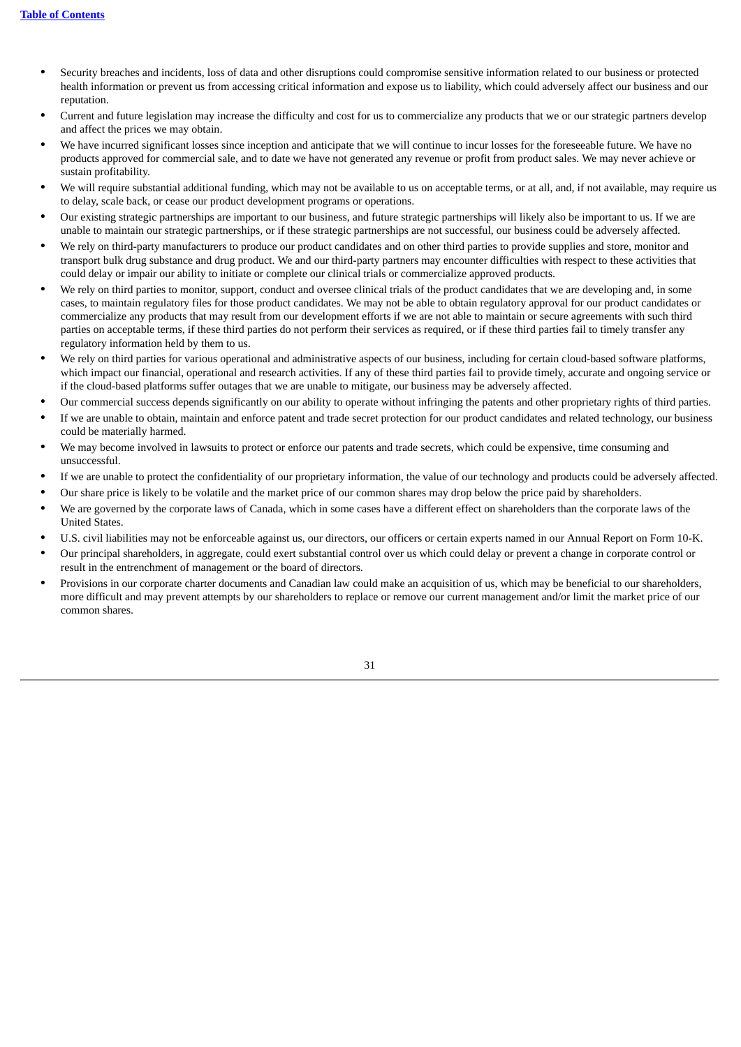- Security breaches and incidents, loss of data and other disruptions could compromise sensitive information related to our business or protected health information or prevent us from accessing critical information and expose us to liability, which could adversely affect our business and our reputation.
- Current and future legislation may increase the difficulty and cost for us to commercialize any products that we or our strategic partners develop and affect the prices we may obtain.
- We have incurred significant losses since inception and anticipate that we will continue to incur losses for the foreseeable future. We have no products approved for commercial sale, and to date we have not generated any revenue or profit from product sales. We may never achieve or sustain profitability.
- We will require substantial additional funding, which may not be available to us on acceptable terms, or at all, and, if not available, may require us to delay, scale back, or cease our product development programs or operations.
- Our existing strategic partnerships are important to our business, and future strategic partnerships will likely also be important to us. If we are unable to maintain our strategic partnerships, or if these strategic partnerships are not successful, our business could be adversely affected.
- We rely on third-party manufacturers to produce our product candidates and on other third parties to provide supplies and store, monitor and transport bulk drug substance and drug product. We and our third-party partners may encounter difficulties with respect to these activities that could delay or impair our ability to initiate or complete our clinical trials or commercialize approved products.
- We rely on third parties to monitor, support, conduct and oversee clinical trials of the product candidates that we are developing and, in some cases, to maintain regulatory files for those product candidates. We may not be able to obtain regulatory approval for our product candidates or commercialize any products that may result from our development efforts if we are not able to maintain or secure agreements with such third parties on acceptable terms, if these third parties do not perform their services as required, or if these third parties fail to timely transfer any regulatory information held by them to us.
- We rely on third parties for various operational and administrative aspects of our business, including for certain cloud-based software platforms, which impact our financial, operational and research activities. If any of these third parties fail to provide timely, accurate and ongoing service or if the cloud-based platforms suffer outages that we are unable to mitigate, our business may be adversely affected.
- Our commercial success depends significantly on our ability to operate without infringing the patents and other proprietary rights of third parties.
- If we are unable to obtain, maintain and enforce patent and trade secret protection for our product candidates and related technology, our business could be materially harmed.
- We may become involved in lawsuits to protect or enforce our patents and trade secrets, which could be expensive, time consuming and unsuccessful.
- If we are unable to protect the confidentiality of our proprietary information, the value of our technology and products could be adversely affected.
- Our share price is likely to be volatile and the market price of our common shares may drop below the price paid by shareholders.
- We are governed by the corporate laws of Canada, which in some cases have a different effect on shareholders than the corporate laws of the United States.
- U.S. civil liabilities may not be enforceable against us, our directors, our officers or certain experts named in our Annual Report on Form 10-K.
- Our principal shareholders, in aggregate, could exert substantial control over us which could delay or prevent a change in corporate control or result in the entrenchment of management or the board of directors.
- Provisions in our corporate charter documents and Canadian law could make an acquisition of us, which may be beneficial to our shareholders, more difficult and may prevent attempts by our shareholders to replace or remove our current management and/or limit the market price of our common shares.

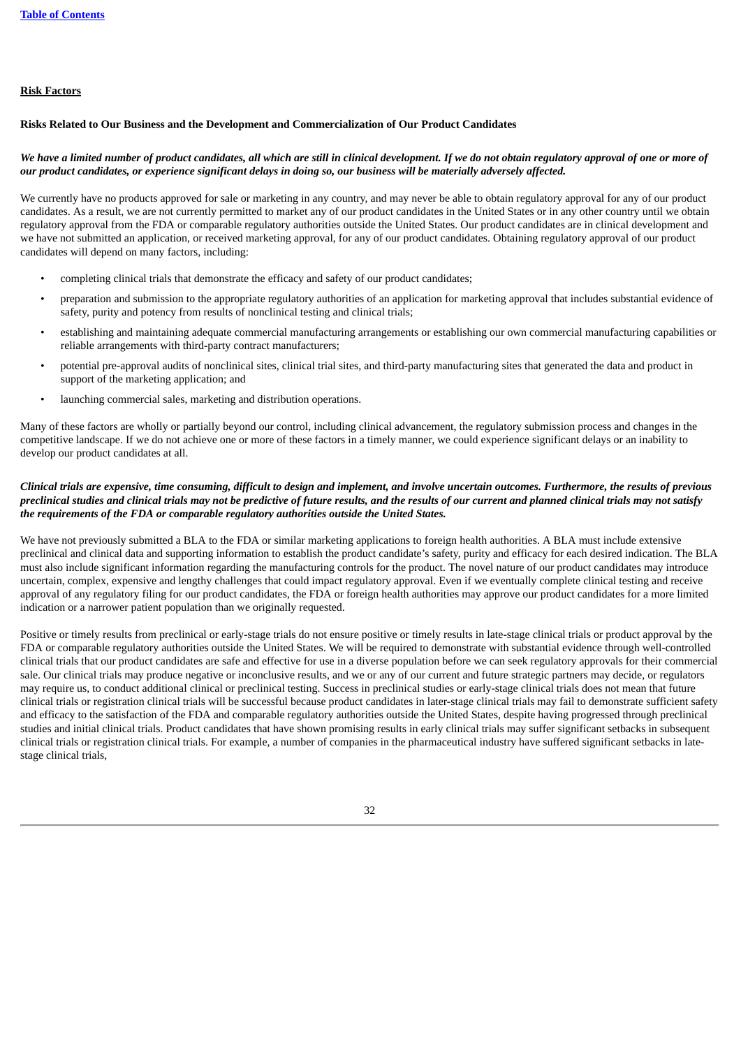# **Risk Factors**

### **Risks Related to Our Business and the Development and Commercialization of Our Product Candidates**

# We have a limited number of product candidates, all which are still in clinical development. If we do not obtain regulatory approval of one or more of our product candidates, or experience significant delays in doing so, our business will be materially adversely affected.

We currently have no products approved for sale or marketing in any country, and may never be able to obtain regulatory approval for any of our product candidates. As a result, we are not currently permitted to market any of our product candidates in the United States or in any other country until we obtain regulatory approval from the FDA or comparable regulatory authorities outside the United States. Our product candidates are in clinical development and we have not submitted an application, or received marketing approval, for any of our product candidates. Obtaining regulatory approval of our product candidates will depend on many factors, including:

- completing clinical trials that demonstrate the efficacy and safety of our product candidates;
- preparation and submission to the appropriate regulatory authorities of an application for marketing approval that includes substantial evidence of safety, purity and potency from results of nonclinical testing and clinical trials;
- establishing and maintaining adequate commercial manufacturing arrangements or establishing our own commercial manufacturing capabilities or reliable arrangements with third-party contract manufacturers;
- potential pre-approval audits of nonclinical sites, clinical trial sites, and third-party manufacturing sites that generated the data and product in support of the marketing application; and
- launching commercial sales, marketing and distribution operations.

Many of these factors are wholly or partially beyond our control, including clinical advancement, the regulatory submission process and changes in the competitive landscape. If we do not achieve one or more of these factors in a timely manner, we could experience significant delays or an inability to develop our product candidates at all.

# Clinical trials are expensive, time consuming, difficult to design and implement, and involve uncertain outcomes. Furthermore, the results of previous preclinical studies and clinical trials may not be predictive of future results, and the results of our current and planned clinical trials may not satisfy *the requirements of the FDA or comparable regulatory authorities outside the United States.*

We have not previously submitted a BLA to the FDA or similar marketing applications to foreign health authorities. A BLA must include extensive preclinical and clinical data and supporting information to establish the product candidate's safety, purity and efficacy for each desired indication. The BLA must also include significant information regarding the manufacturing controls for the product. The novel nature of our product candidates may introduce uncertain, complex, expensive and lengthy challenges that could impact regulatory approval. Even if we eventually complete clinical testing and receive approval of any regulatory filing for our product candidates, the FDA or foreign health authorities may approve our product candidates for a more limited indication or a narrower patient population than we originally requested.

Positive or timely results from preclinical or early-stage trials do not ensure positive or timely results in late-stage clinical trials or product approval by the FDA or comparable regulatory authorities outside the United States. We will be required to demonstrate with substantial evidence through well-controlled clinical trials that our product candidates are safe and effective for use in a diverse population before we can seek regulatory approvals for their commercial sale. Our clinical trials may produce negative or inconclusive results, and we or any of our current and future strategic partners may decide, or regulators may require us, to conduct additional clinical or preclinical testing. Success in preclinical studies or early-stage clinical trials does not mean that future clinical trials or registration clinical trials will be successful because product candidates in later-stage clinical trials may fail to demonstrate sufficient safety and efficacy to the satisfaction of the FDA and comparable regulatory authorities outside the United States, despite having progressed through preclinical studies and initial clinical trials. Product candidates that have shown promising results in early clinical trials may suffer significant setbacks in subsequent clinical trials or registration clinical trials. For example, a number of companies in the pharmaceutical industry have suffered significant setbacks in latestage clinical trials,

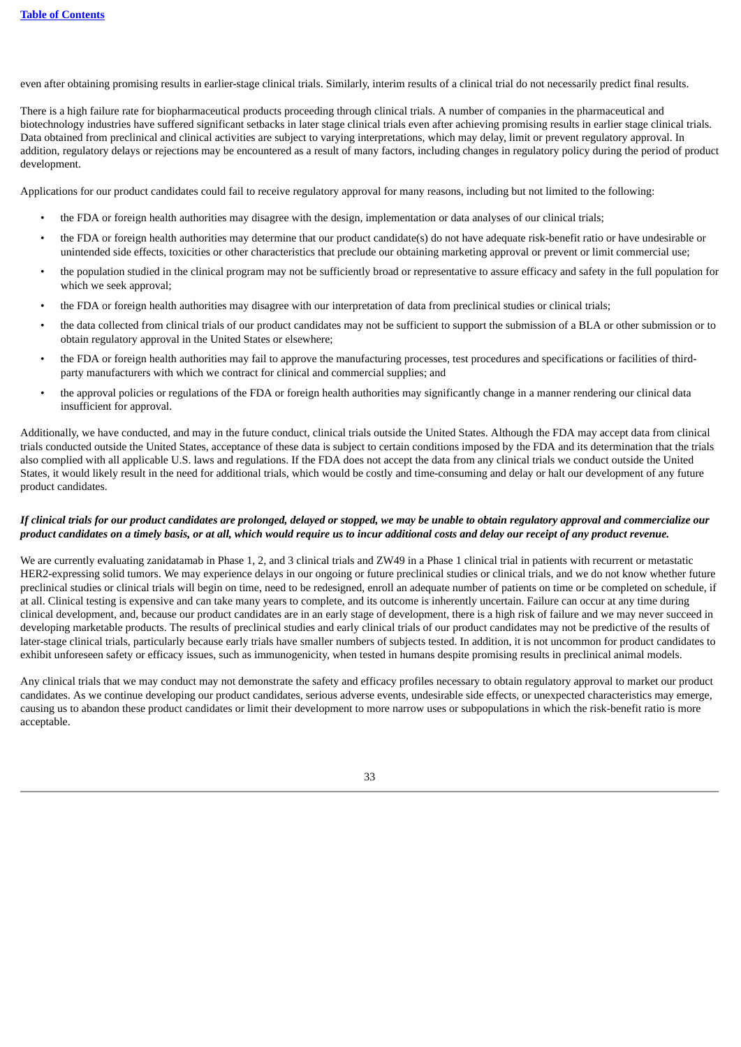even after obtaining promising results in earlier-stage clinical trials. Similarly, interim results of a clinical trial do not necessarily predict final results.

There is a high failure rate for biopharmaceutical products proceeding through clinical trials. A number of companies in the pharmaceutical and biotechnology industries have suffered significant setbacks in later stage clinical trials even after achieving promising results in earlier stage clinical trials. Data obtained from preclinical and clinical activities are subject to varying interpretations, which may delay, limit or prevent regulatory approval. In addition, regulatory delays or rejections may be encountered as a result of many factors, including changes in regulatory policy during the period of product development.

Applications for our product candidates could fail to receive regulatory approval for many reasons, including but not limited to the following:

- the FDA or foreign health authorities may disagree with the design, implementation or data analyses of our clinical trials;
- the FDA or foreign health authorities may determine that our product candidate(s) do not have adequate risk-benefit ratio or have undesirable or unintended side effects, toxicities or other characteristics that preclude our obtaining marketing approval or prevent or limit commercial use;
- the population studied in the clinical program may not be sufficiently broad or representative to assure efficacy and safety in the full population for which we seek approval;
- the FDA or foreign health authorities may disagree with our interpretation of data from preclinical studies or clinical trials;
- the data collected from clinical trials of our product candidates may not be sufficient to support the submission of a BLA or other submission or to obtain regulatory approval in the United States or elsewhere;
- the FDA or foreign health authorities may fail to approve the manufacturing processes, test procedures and specifications or facilities of thirdparty manufacturers with which we contract for clinical and commercial supplies; and
- the approval policies or regulations of the FDA or foreign health authorities may significantly change in a manner rendering our clinical data insufficient for approval.

Additionally, we have conducted, and may in the future conduct, clinical trials outside the United States. Although the FDA may accept data from clinical trials conducted outside the United States, acceptance of these data is subject to certain conditions imposed by the FDA and its determination that the trials also complied with all applicable U.S. laws and regulations. If the FDA does not accept the data from any clinical trials we conduct outside the United States, it would likely result in the need for additional trials, which would be costly and time-consuming and delay or halt our development of any future product candidates.

# If clinical trials for our product candidates are prolonged, delayed or stopped, we may be unable to obtain regulatory approval and commercialize our product candidates on a timely basis, or at all, which would require us to incur additional costs and delay our receipt of any product revenue.

We are currently evaluating zanidatamab in Phase 1, 2, and 3 clinical trials and ZW49 in a Phase 1 clinical trial in patients with recurrent or metastatic HER2-expressing solid tumors. We may experience delays in our ongoing or future preclinical studies or clinical trials, and we do not know whether future preclinical studies or clinical trials will begin on time, need to be redesigned, enroll an adequate number of patients on time or be completed on schedule, if at all. Clinical testing is expensive and can take many years to complete, and its outcome is inherently uncertain. Failure can occur at any time during clinical development, and, because our product candidates are in an early stage of development, there is a high risk of failure and we may never succeed in developing marketable products. The results of preclinical studies and early clinical trials of our product candidates may not be predictive of the results of later-stage clinical trials, particularly because early trials have smaller numbers of subjects tested. In addition, it is not uncommon for product candidates to exhibit unforeseen safety or efficacy issues, such as immunogenicity, when tested in humans despite promising results in preclinical animal models.

Any clinical trials that we may conduct may not demonstrate the safety and efficacy profiles necessary to obtain regulatory approval to market our product candidates. As we continue developing our product candidates, serious adverse events, undesirable side effects, or unexpected characteristics may emerge, causing us to abandon these product candidates or limit their development to more narrow uses or subpopulations in which the risk-benefit ratio is more acceptable.

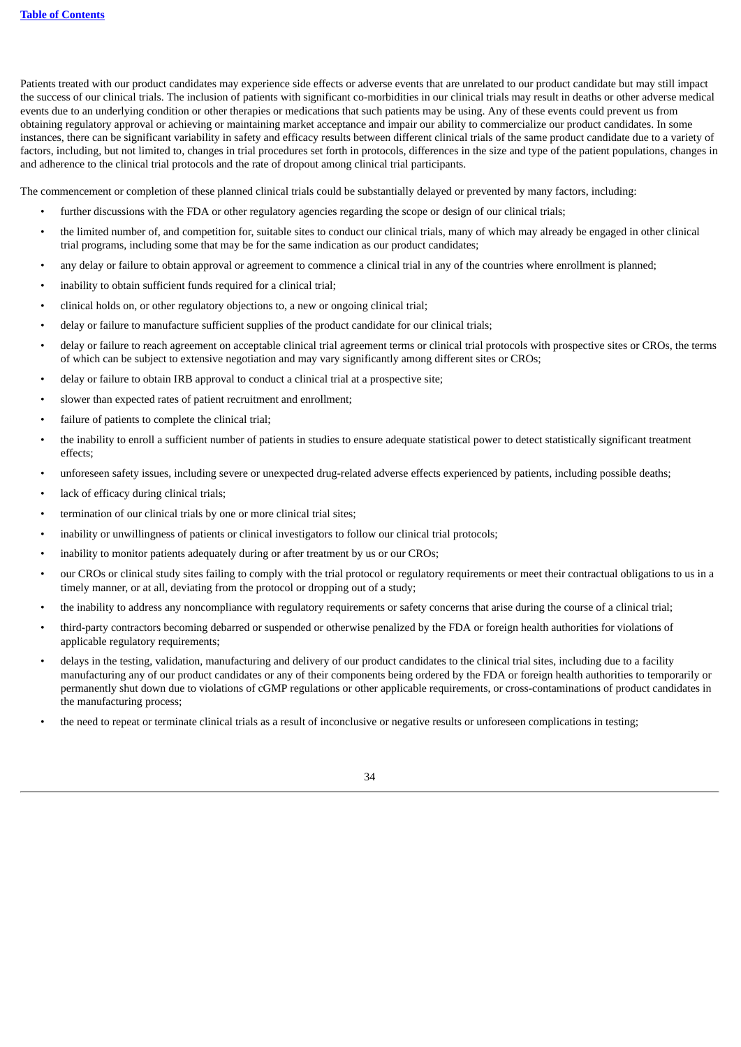Patients treated with our product candidates may experience side effects or adverse events that are unrelated to our product candidate but may still impact the success of our clinical trials. The inclusion of patients with significant co-morbidities in our clinical trials may result in deaths or other adverse medical events due to an underlying condition or other therapies or medications that such patients may be using. Any of these events could prevent us from obtaining regulatory approval or achieving or maintaining market acceptance and impair our ability to commercialize our product candidates. In some instances, there can be significant variability in safety and efficacy results between different clinical trials of the same product candidate due to a variety of factors, including, but not limited to, changes in trial procedures set forth in protocols, differences in the size and type of the patient populations, changes in and adherence to the clinical trial protocols and the rate of dropout among clinical trial participants.

The commencement or completion of these planned clinical trials could be substantially delayed or prevented by many factors, including:

- further discussions with the FDA or other regulatory agencies regarding the scope or design of our clinical trials;
- the limited number of, and competition for, suitable sites to conduct our clinical trials, many of which may already be engaged in other clinical trial programs, including some that may be for the same indication as our product candidates;
- any delay or failure to obtain approval or agreement to commence a clinical trial in any of the countries where enrollment is planned;
- inability to obtain sufficient funds required for a clinical trial;
- clinical holds on, or other regulatory objections to, a new or ongoing clinical trial;
- delay or failure to manufacture sufficient supplies of the product candidate for our clinical trials;
- delay or failure to reach agreement on acceptable clinical trial agreement terms or clinical trial protocols with prospective sites or CROs, the terms of which can be subject to extensive negotiation and may vary significantly among different sites or CROs;
- delay or failure to obtain IRB approval to conduct a clinical trial at a prospective site;
- slower than expected rates of patient recruitment and enrollment;
- failure of patients to complete the clinical trial;
- the inability to enroll a sufficient number of patients in studies to ensure adequate statistical power to detect statistically significant treatment effects;
- unforeseen safety issues, including severe or unexpected drug-related adverse effects experienced by patients, including possible deaths;
- lack of efficacy during clinical trials;
- termination of our clinical trials by one or more clinical trial sites;
- inability or unwillingness of patients or clinical investigators to follow our clinical trial protocols;
- inability to monitor patients adequately during or after treatment by us or our CROs;
- our CROs or clinical study sites failing to comply with the trial protocol or regulatory requirements or meet their contractual obligations to us in a timely manner, or at all, deviating from the protocol or dropping out of a study;
- the inability to address any noncompliance with regulatory requirements or safety concerns that arise during the course of a clinical trial;
- third-party contractors becoming debarred or suspended or otherwise penalized by the FDA or foreign health authorities for violations of applicable regulatory requirements;
- delays in the testing, validation, manufacturing and delivery of our product candidates to the clinical trial sites, including due to a facility manufacturing any of our product candidates or any of their components being ordered by the FDA or foreign health authorities to temporarily or permanently shut down due to violations of cGMP regulations or other applicable requirements, or cross-contaminations of product candidates in the manufacturing process;
- the need to repeat or terminate clinical trials as a result of inconclusive or negative results or unforeseen complications in testing;

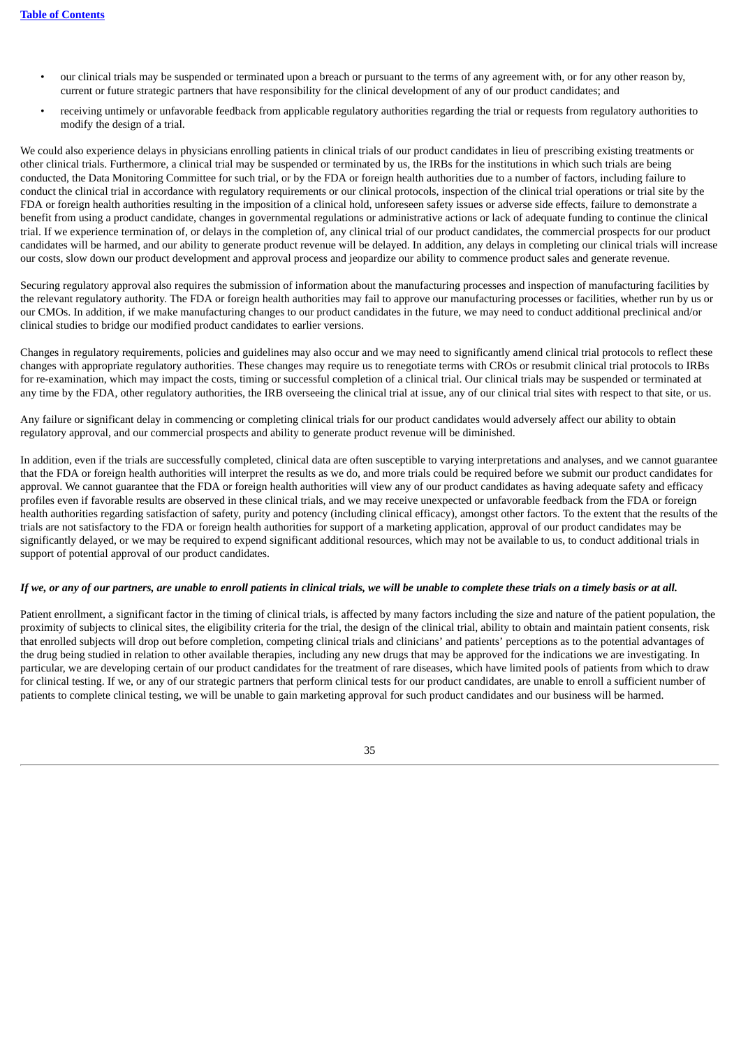- our clinical trials may be suspended or terminated upon a breach or pursuant to the terms of any agreement with, or for any other reason by, current or future strategic partners that have responsibility for the clinical development of any of our product candidates; and
- receiving untimely or unfavorable feedback from applicable regulatory authorities regarding the trial or requests from regulatory authorities to modify the design of a trial.

We could also experience delays in physicians enrolling patients in clinical trials of our product candidates in lieu of prescribing existing treatments or other clinical trials. Furthermore, a clinical trial may be suspended or terminated by us, the IRBs for the institutions in which such trials are being conducted, the Data Monitoring Committee for such trial, or by the FDA or foreign health authorities due to a number of factors, including failure to conduct the clinical trial in accordance with regulatory requirements or our clinical protocols, inspection of the clinical trial operations or trial site by the FDA or foreign health authorities resulting in the imposition of a clinical hold, unforeseen safety issues or adverse side effects, failure to demonstrate a benefit from using a product candidate, changes in governmental regulations or administrative actions or lack of adequate funding to continue the clinical trial. If we experience termination of, or delays in the completion of, any clinical trial of our product candidates, the commercial prospects for our product candidates will be harmed, and our ability to generate product revenue will be delayed. In addition, any delays in completing our clinical trials will increase our costs, slow down our product development and approval process and jeopardize our ability to commence product sales and generate revenue.

Securing regulatory approval also requires the submission of information about the manufacturing processes and inspection of manufacturing facilities by the relevant regulatory authority. The FDA or foreign health authorities may fail to approve our manufacturing processes or facilities, whether run by us or our CMOs. In addition, if we make manufacturing changes to our product candidates in the future, we may need to conduct additional preclinical and/or clinical studies to bridge our modified product candidates to earlier versions.

Changes in regulatory requirements, policies and guidelines may also occur and we may need to significantly amend clinical trial protocols to reflect these changes with appropriate regulatory authorities. These changes may require us to renegotiate terms with CROs or resubmit clinical trial protocols to IRBs for re-examination, which may impact the costs, timing or successful completion of a clinical trial. Our clinical trials may be suspended or terminated at any time by the FDA, other regulatory authorities, the IRB overseeing the clinical trial at issue, any of our clinical trial sites with respect to that site, or us.

Any failure or significant delay in commencing or completing clinical trials for our product candidates would adversely affect our ability to obtain regulatory approval, and our commercial prospects and ability to generate product revenue will be diminished.

In addition, even if the trials are successfully completed, clinical data are often susceptible to varying interpretations and analyses, and we cannot guarantee that the FDA or foreign health authorities will interpret the results as we do, and more trials could be required before we submit our product candidates for approval. We cannot guarantee that the FDA or foreign health authorities will view any of our product candidates as having adequate safety and efficacy profiles even if favorable results are observed in these clinical trials, and we may receive unexpected or unfavorable feedback from the FDA or foreign health authorities regarding satisfaction of safety, purity and potency (including clinical efficacy), amongst other factors. To the extent that the results of the trials are not satisfactory to the FDA or foreign health authorities for support of a marketing application, approval of our product candidates may be significantly delayed, or we may be required to expend significant additional resources, which may not be available to us, to conduct additional trials in support of potential approval of our product candidates.

## If we, or any of our partners, are unable to enroll patients in clinical trials, we will be unable to complete these trials on a timely basis or at all.

Patient enrollment, a significant factor in the timing of clinical trials, is affected by many factors including the size and nature of the patient population, the proximity of subjects to clinical sites, the eligibility criteria for the trial, the design of the clinical trial, ability to obtain and maintain patient consents, risk that enrolled subjects will drop out before completion, competing clinical trials and clinicians' and patients' perceptions as to the potential advantages of the drug being studied in relation to other available therapies, including any new drugs that may be approved for the indications we are investigating. In particular, we are developing certain of our product candidates for the treatment of rare diseases, which have limited pools of patients from which to draw for clinical testing. If we, or any of our strategic partners that perform clinical tests for our product candidates, are unable to enroll a sufficient number of patients to complete clinical testing, we will be unable to gain marketing approval for such product candidates and our business will be harmed.

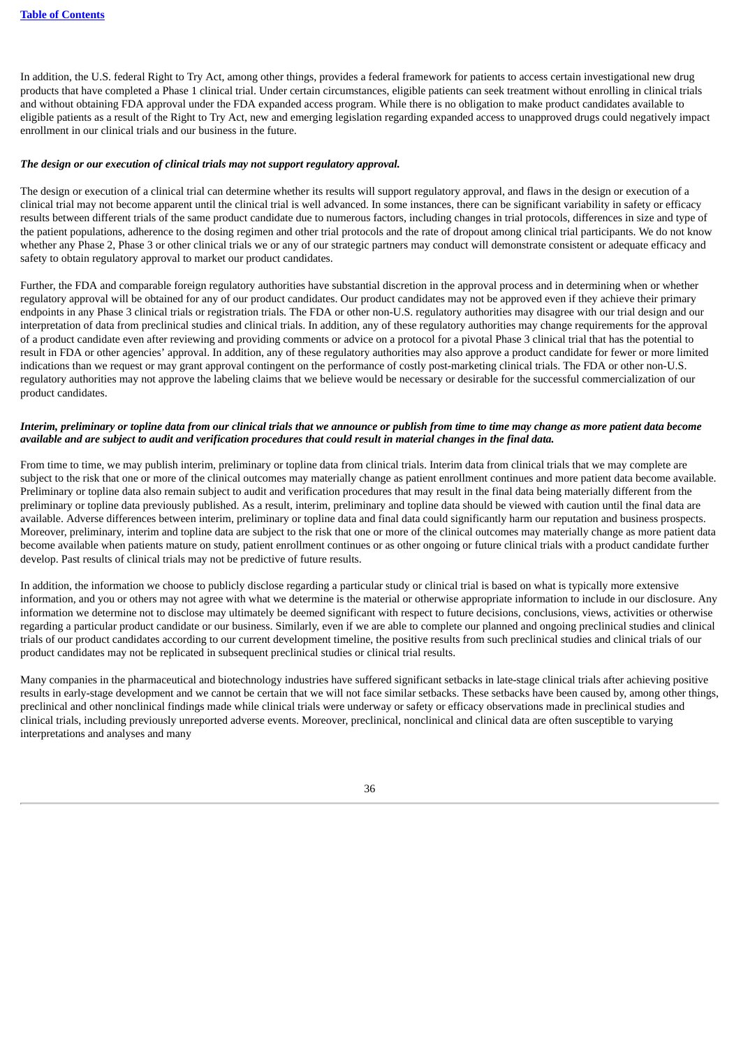In addition, the U.S. federal Right to Try Act, among other things, provides a federal framework for patients to access certain investigational new drug products that have completed a Phase 1 clinical trial. Under certain circumstances, eligible patients can seek treatment without enrolling in clinical trials and without obtaining FDA approval under the FDA expanded access program. While there is no obligation to make product candidates available to eligible patients as a result of the Right to Try Act, new and emerging legislation regarding expanded access to unapproved drugs could negatively impact enrollment in our clinical trials and our business in the future.

#### *The design or our execution of clinical trials may not support regulatory approval.*

The design or execution of a clinical trial can determine whether its results will support regulatory approval, and flaws in the design or execution of a clinical trial may not become apparent until the clinical trial is well advanced. In some instances, there can be significant variability in safety or efficacy results between different trials of the same product candidate due to numerous factors, including changes in trial protocols, differences in size and type of the patient populations, adherence to the dosing regimen and other trial protocols and the rate of dropout among clinical trial participants. We do not know whether any Phase 2, Phase 3 or other clinical trials we or any of our strategic partners may conduct will demonstrate consistent or adequate efficacy and safety to obtain regulatory approval to market our product candidates.

Further, the FDA and comparable foreign regulatory authorities have substantial discretion in the approval process and in determining when or whether regulatory approval will be obtained for any of our product candidates. Our product candidates may not be approved even if they achieve their primary endpoints in any Phase 3 clinical trials or registration trials. The FDA or other non-U.S. regulatory authorities may disagree with our trial design and our interpretation of data from preclinical studies and clinical trials. In addition, any of these regulatory authorities may change requirements for the approval of a product candidate even after reviewing and providing comments or advice on a protocol for a pivotal Phase 3 clinical trial that has the potential to result in FDA or other agencies' approval. In addition, any of these regulatory authorities may also approve a product candidate for fewer or more limited indications than we request or may grant approval contingent on the performance of costly post-marketing clinical trials. The FDA or other non-U.S. regulatory authorities may not approve the labeling claims that we believe would be necessary or desirable for the successful commercialization of our product candidates.

### Interim, preliminary or topline data from our clinical trials that we announce or publish from time to time may change as more patient data become available and are subject to audit and verification procedures that could result in material changes in the final data.

From time to time, we may publish interim, preliminary or topline data from clinical trials. Interim data from clinical trials that we may complete are subject to the risk that one or more of the clinical outcomes may materially change as patient enrollment continues and more patient data become available. Preliminary or topline data also remain subject to audit and verification procedures that may result in the final data being materially different from the preliminary or topline data previously published. As a result, interim, preliminary and topline data should be viewed with caution until the final data are available. Adverse differences between interim, preliminary or topline data and final data could significantly harm our reputation and business prospects. Moreover, preliminary, interim and topline data are subject to the risk that one or more of the clinical outcomes may materially change as more patient data become available when patients mature on study, patient enrollment continues or as other ongoing or future clinical trials with a product candidate further develop. Past results of clinical trials may not be predictive of future results.

In addition, the information we choose to publicly disclose regarding a particular study or clinical trial is based on what is typically more extensive information, and you or others may not agree with what we determine is the material or otherwise appropriate information to include in our disclosure. Any information we determine not to disclose may ultimately be deemed significant with respect to future decisions, conclusions, views, activities or otherwise regarding a particular product candidate or our business. Similarly, even if we are able to complete our planned and ongoing preclinical studies and clinical trials of our product candidates according to our current development timeline, the positive results from such preclinical studies and clinical trials of our product candidates may not be replicated in subsequent preclinical studies or clinical trial results.

Many companies in the pharmaceutical and biotechnology industries have suffered significant setbacks in late-stage clinical trials after achieving positive results in early-stage development and we cannot be certain that we will not face similar setbacks. These setbacks have been caused by, among other things, preclinical and other nonclinical findings made while clinical trials were underway or safety or efficacy observations made in preclinical studies and clinical trials, including previously unreported adverse events. Moreover, preclinical, nonclinical and clinical data are often susceptible to varying interpretations and analyses and many

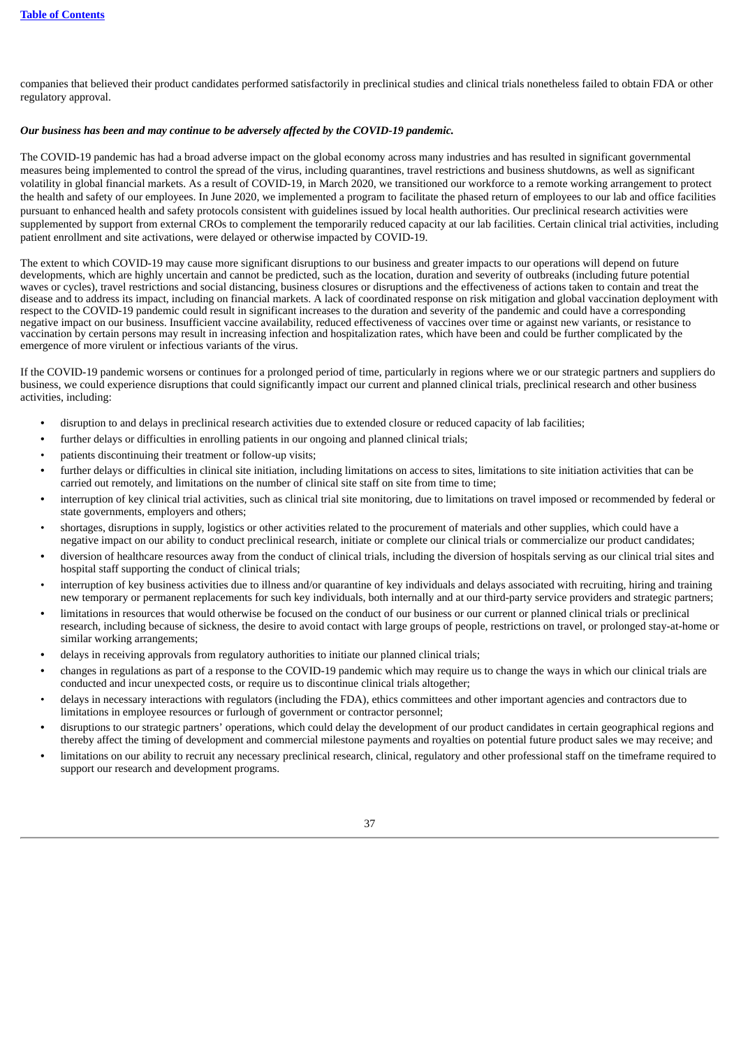companies that believed their product candidates performed satisfactorily in preclinical studies and clinical trials nonetheless failed to obtain FDA or other regulatory approval.

# *Our business has been and may continue to be adversely affected by the COVID-19 pandemic.*

The COVID-19 pandemic has had a broad adverse impact on the global economy across many industries and has resulted in significant governmental measures being implemented to control the spread of the virus, including quarantines, travel restrictions and business shutdowns, as well as significant volatility in global financial markets. As a result of COVID-19, in March 2020, we transitioned our workforce to a remote working arrangement to protect the health and safety of our employees. In June 2020, we implemented a program to facilitate the phased return of employees to our lab and office facilities pursuant to enhanced health and safety protocols consistent with guidelines issued by local health authorities. Our preclinical research activities were supplemented by support from external CROs to complement the temporarily reduced capacity at our lab facilities. Certain clinical trial activities, including patient enrollment and site activations, were delayed or otherwise impacted by COVID-19.

The extent to which COVID-19 may cause more significant disruptions to our business and greater impacts to our operations will depend on future developments, which are highly uncertain and cannot be predicted, such as the location, duration and severity of outbreaks (including future potential waves or cycles), travel restrictions and social distancing, business closures or disruptions and the effectiveness of actions taken to contain and treat the disease and to address its impact, including on financial markets. A lack of coordinated response on risk mitigation and global vaccination deployment with respect to the COVID-19 pandemic could result in significant increases to the duration and severity of the pandemic and could have a corresponding negative impact on our business. Insufficient vaccine availability, reduced effectiveness of vaccines over time or against new variants, or resistance to vaccination by certain persons may result in increasing infection and hospitalization rates, which have been and could be further complicated by the emergence of more virulent or infectious variants of the virus.

If the COVID-19 pandemic worsens or continues for a prolonged period of time, particularly in regions where we or our strategic partners and suppliers do business, we could experience disruptions that could significantly impact our current and planned clinical trials, preclinical research and other business activities, including:

- disruption to and delays in preclinical research activities due to extended closure or reduced capacity of lab facilities;
- further delays or difficulties in enrolling patients in our ongoing and planned clinical trials;
- patients discontinuing their treatment or follow-up visits;
- further delays or difficulties in clinical site initiation, including limitations on access to sites, limitations to site initiation activities that can be carried out remotely, and limitations on the number of clinical site staff on site from time to time;
- interruption of key clinical trial activities, such as clinical trial site monitoring, due to limitations on travel imposed or recommended by federal or state governments, employers and others;
- shortages, disruptions in supply, logistics or other activities related to the procurement of materials and other supplies, which could have a negative impact on our ability to conduct preclinical research, initiate or complete our clinical trials or commercialize our product candidates;
- diversion of healthcare resources away from the conduct of clinical trials, including the diversion of hospitals serving as our clinical trial sites and hospital staff supporting the conduct of clinical trials:
- interruption of key business activities due to illness and/or quarantine of key individuals and delays associated with recruiting, hiring and training new temporary or permanent replacements for such key individuals, both internally and at our third-party service providers and strategic partners;
- limitations in resources that would otherwise be focused on the conduct of our business or our current or planned clinical trials or preclinical research, including because of sickness, the desire to avoid contact with large groups of people, restrictions on travel, or prolonged stay-at-home or similar working arrangements;
- delays in receiving approvals from regulatory authorities to initiate our planned clinical trials;
- changes in regulations as part of a response to the COVID-19 pandemic which may require us to change the ways in which our clinical trials are conducted and incur unexpected costs, or require us to discontinue clinical trials altogether;
- delays in necessary interactions with regulators (including the FDA), ethics committees and other important agencies and contractors due to limitations in employee resources or furlough of government or contractor personnel;
- disruptions to our strategic partners' operations, which could delay the development of our product candidates in certain geographical regions and thereby affect the timing of development and commercial milestone payments and royalties on potential future product sales we may receive; and
- limitations on our ability to recruit any necessary preclinical research, clinical, regulatory and other professional staff on the timeframe required to support our research and development programs.

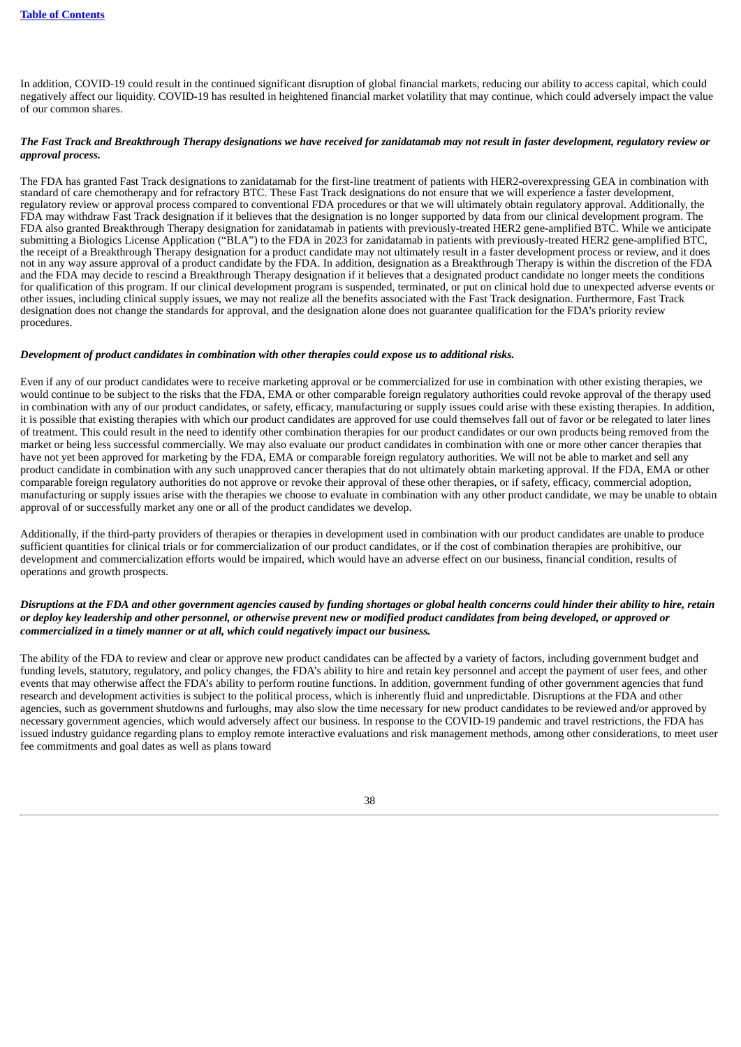In addition, COVID-19 could result in the continued significant disruption of global financial markets, reducing our ability to access capital, which could negatively affect our liquidity. COVID-19 has resulted in heightened financial market volatility that may continue, which could adversely impact the value of our common shares.

# The Fast Track and Breakthrough Therapy designations we have received for zanidatamab may not result in faster development, regulatory review or *approval process.*

The FDA has granted Fast Track designations to zanidatamab for the first-line treatment of patients with HER2-overexpressing GEA in combination with standard of care chemotherapy and for refractory BTC. These Fast Track designations do not ensure that we will experience a faster development, regulatory review or approval process compared to conventional FDA procedures or that we will ultimately obtain regulatory approval. Additionally, the FDA may withdraw Fast Track designation if it believes that the designation is no longer supported by data from our clinical development program. The FDA also granted Breakthrough Therapy designation for zanidatamab in patients with previously-treated HER2 gene-amplified BTC. While we anticipate submitting a Biologics License Application ("BLA") to the FDA in 2023 for zanidatamab in patients with previously-treated HER2 gene-amplified BTC, the receipt of a Breakthrough Therapy designation for a product candidate may not ultimately result in a faster development process or review, and it does not in any way assure approval of a product candidate by the FDA. In addition, designation as a Breakthrough Therapy is within the discretion of the FDA and the FDA may decide to rescind a Breakthrough Therapy designation if it believes that a designated product candidate no longer meets the conditions for qualification of this program. If our clinical development program is suspended, terminated, or put on clinical hold due to unexpected adverse events or other issues, including clinical supply issues, we may not realize all the benefits associated with the Fast Track designation. Furthermore, Fast Track designation does not change the standards for approval, and the designation alone does not guarantee qualification for the FDA's priority review procedures.

#### *Development of product candidates in combination with other therapies could expose us to additional risks.*

Even if any of our product candidates were to receive marketing approval or be commercialized for use in combination with other existing therapies, we would continue to be subject to the risks that the FDA, EMA or other comparable foreign regulatory authorities could revoke approval of the therapy used in combination with any of our product candidates, or safety, efficacy, manufacturing or supply issues could arise with these existing therapies. In addition, it is possible that existing therapies with which our product candidates are approved for use could themselves fall out of favor or be relegated to later lines of treatment. This could result in the need to identify other combination therapies for our product candidates or our own products being removed from the market or being less successful commercially. We may also evaluate our product candidates in combination with one or more other cancer therapies that have not yet been approved for marketing by the FDA, EMA or comparable foreign regulatory authorities. We will not be able to market and sell any product candidate in combination with any such unapproved cancer therapies that do not ultimately obtain marketing approval. If the FDA, EMA or other comparable foreign regulatory authorities do not approve or revoke their approval of these other therapies, or if safety, efficacy, commercial adoption, manufacturing or supply issues arise with the therapies we choose to evaluate in combination with any other product candidate, we may be unable to obtain approval of or successfully market any one or all of the product candidates we develop.

Additionally, if the third-party providers of therapies or therapies in development used in combination with our product candidates are unable to produce sufficient quantities for clinical trials or for commercialization of our product candidates, or if the cost of combination therapies are prohibitive, our development and commercialization efforts would be impaired, which would have an adverse effect on our business, financial condition, results of operations and growth prospects.

### Disruptions at the FDA and other government agencies caused by funding shortages or global health concerns could hinder their ability to hire, retain or deploy key leadership and other personnel, or otherwise prevent new or modified product candidates from being developed, or approved or *commercialized in a timely manner or at all, which could negatively impact our business.*

The ability of the FDA to review and clear or approve new product candidates can be affected by a variety of factors, including government budget and funding levels, statutory, regulatory, and policy changes, the FDA's ability to hire and retain key personnel and accept the payment of user fees, and other events that may otherwise affect the FDA's ability to perform routine functions. In addition, government funding of other government agencies that fund research and development activities is subject to the political process, which is inherently fluid and unpredictable. Disruptions at the FDA and other agencies, such as government shutdowns and furloughs, may also slow the time necessary for new product candidates to be reviewed and/or approved by necessary government agencies, which would adversely affect our business. In response to the COVID-19 pandemic and travel restrictions, the FDA has issued industry guidance regarding plans to employ remote interactive evaluations and risk management methods, among other considerations, to meet user fee commitments and goal dates as well as plans toward

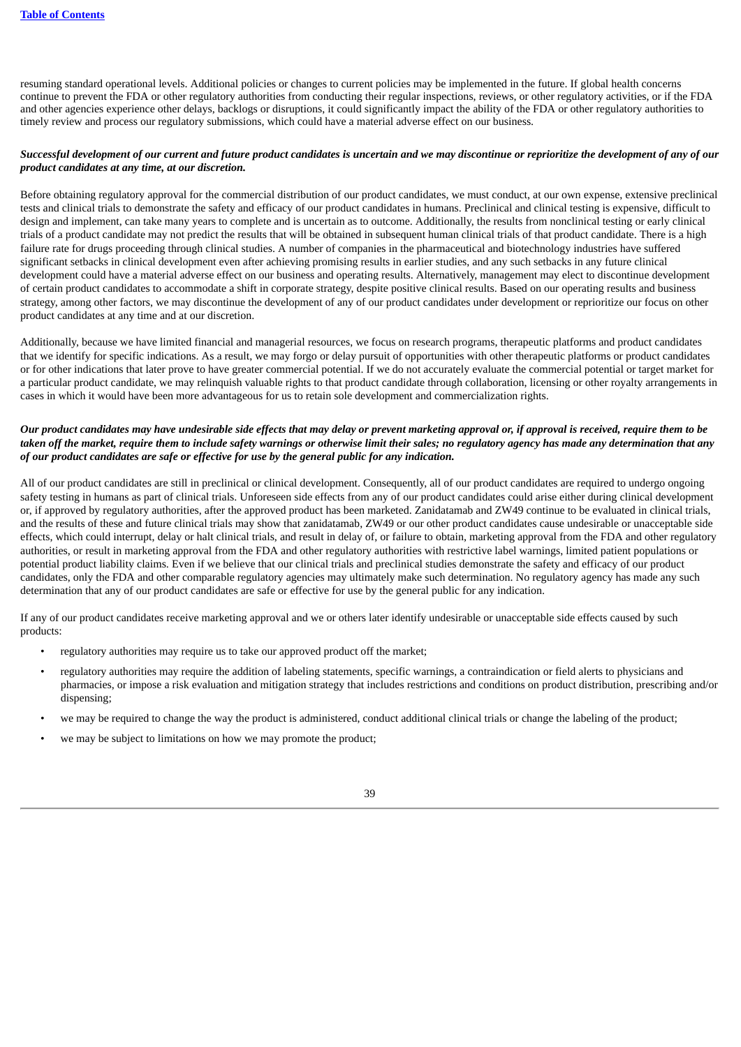resuming standard operational levels. Additional policies or changes to current policies may be implemented in the future. If global health concerns continue to prevent the FDA or other regulatory authorities from conducting their regular inspections, reviews, or other regulatory activities, or if the FDA and other agencies experience other delays, backlogs or disruptions, it could significantly impact the ability of the FDA or other regulatory authorities to timely review and process our regulatory submissions, which could have a material adverse effect on our business.

### Successful development of our current and future product candidates is uncertain and we may discontinue or reprioritize the development of any of our *product candidates at any time, at our discretion.*

Before obtaining regulatory approval for the commercial distribution of our product candidates, we must conduct, at our own expense, extensive preclinical tests and clinical trials to demonstrate the safety and efficacy of our product candidates in humans. Preclinical and clinical testing is expensive, difficult to design and implement, can take many years to complete and is uncertain as to outcome. Additionally, the results from nonclinical testing or early clinical trials of a product candidate may not predict the results that will be obtained in subsequent human clinical trials of that product candidate. There is a high failure rate for drugs proceeding through clinical studies. A number of companies in the pharmaceutical and biotechnology industries have suffered significant setbacks in clinical development even after achieving promising results in earlier studies, and any such setbacks in any future clinical development could have a material adverse effect on our business and operating results. Alternatively, management may elect to discontinue development of certain product candidates to accommodate a shift in corporate strategy, despite positive clinical results. Based on our operating results and business strategy, among other factors, we may discontinue the development of any of our product candidates under development or reprioritize our focus on other product candidates at any time and at our discretion.

Additionally, because we have limited financial and managerial resources, we focus on research programs, therapeutic platforms and product candidates that we identify for specific indications. As a result, we may forgo or delay pursuit of opportunities with other therapeutic platforms or product candidates or for other indications that later prove to have greater commercial potential. If we do not accurately evaluate the commercial potential or target market for a particular product candidate, we may relinquish valuable rights to that product candidate through collaboration, licensing or other royalty arrangements in cases in which it would have been more advantageous for us to retain sole development and commercialization rights.

# Our product candidates may have undesirable side effects that may delay or prevent marketing approval or, if approval is received, require them to be taken off the market, require them to include safety warnings or otherwise limit their sales; no requlatory agency has made any determination that any *of our product candidates are safe or effective for use by the general public for any indication.*

All of our product candidates are still in preclinical or clinical development. Consequently, all of our product candidates are required to undergo ongoing safety testing in humans as part of clinical trials. Unforeseen side effects from any of our product candidates could arise either during clinical development or, if approved by regulatory authorities, after the approved product has been marketed. Zanidatamab and ZW49 continue to be evaluated in clinical trials, and the results of these and future clinical trials may show that zanidatamab, ZW49 or our other product candidates cause undesirable or unacceptable side effects, which could interrupt, delay or halt clinical trials, and result in delay of, or failure to obtain, marketing approval from the FDA and other regulatory authorities, or result in marketing approval from the FDA and other regulatory authorities with restrictive label warnings, limited patient populations or potential product liability claims. Even if we believe that our clinical trials and preclinical studies demonstrate the safety and efficacy of our product candidates, only the FDA and other comparable regulatory agencies may ultimately make such determination. No regulatory agency has made any such determination that any of our product candidates are safe or effective for use by the general public for any indication.

If any of our product candidates receive marketing approval and we or others later identify undesirable or unacceptable side effects caused by such products:

- regulatory authorities may require us to take our approved product off the market;
- regulatory authorities may require the addition of labeling statements, specific warnings, a contraindication or field alerts to physicians and pharmacies, or impose a risk evaluation and mitigation strategy that includes restrictions and conditions on product distribution, prescribing and/or dispensing;
- we may be required to change the way the product is administered, conduct additional clinical trials or change the labeling of the product;
- we may be subject to limitations on how we may promote the product;

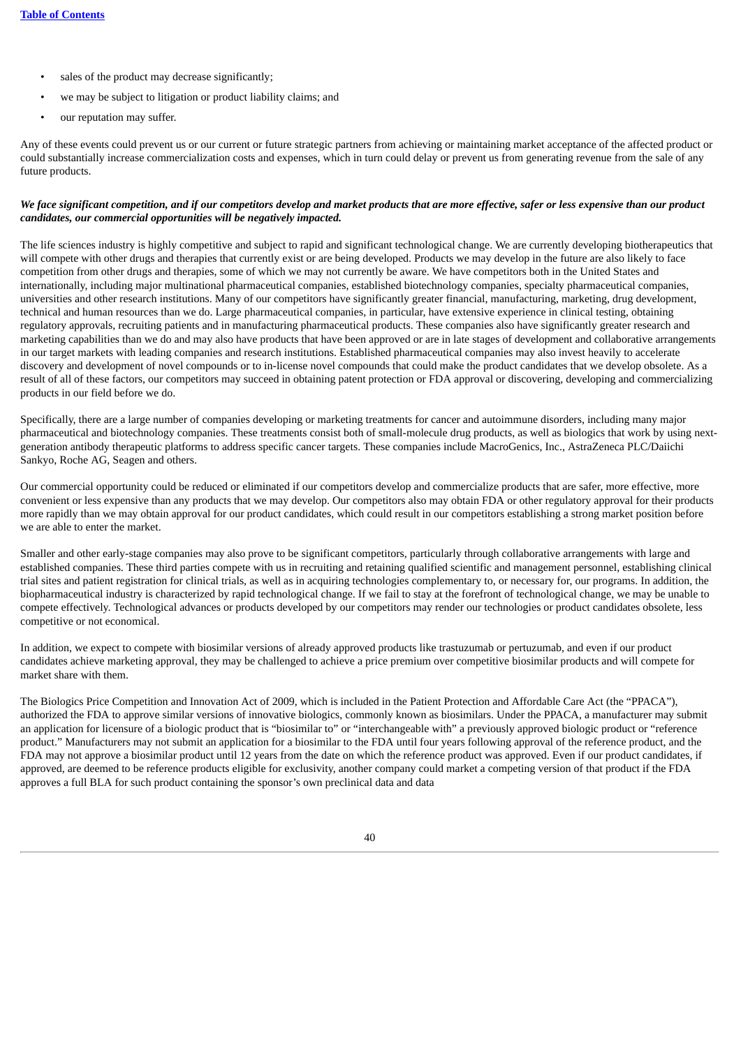- sales of the product may decrease significantly;
- we may be subject to litigation or product liability claims; and
- our reputation may suffer.

Any of these events could prevent us or our current or future strategic partners from achieving or maintaining market acceptance of the affected product or could substantially increase commercialization costs and expenses, which in turn could delay or prevent us from generating revenue from the sale of any future products.

### We face significant competition, and if our competitors develop and market products that are more effective, safer or less expensive than our product *candidates, our commercial opportunities will be negatively impacted.*

The life sciences industry is highly competitive and subject to rapid and significant technological change. We are currently developing biotherapeutics that will compete with other drugs and therapies that currently exist or are being developed. Products we may develop in the future are also likely to face competition from other drugs and therapies, some of which we may not currently be aware. We have competitors both in the United States and internationally, including major multinational pharmaceutical companies, established biotechnology companies, specialty pharmaceutical companies, universities and other research institutions. Many of our competitors have significantly greater financial, manufacturing, marketing, drug development, technical and human resources than we do. Large pharmaceutical companies, in particular, have extensive experience in clinical testing, obtaining regulatory approvals, recruiting patients and in manufacturing pharmaceutical products. These companies also have significantly greater research and marketing capabilities than we do and may also have products that have been approved or are in late stages of development and collaborative arrangements in our target markets with leading companies and research institutions. Established pharmaceutical companies may also invest heavily to accelerate discovery and development of novel compounds or to in-license novel compounds that could make the product candidates that we develop obsolete. As a result of all of these factors, our competitors may succeed in obtaining patent protection or FDA approval or discovering, developing and commercializing products in our field before we do.

Specifically, there are a large number of companies developing or marketing treatments for cancer and autoimmune disorders, including many major pharmaceutical and biotechnology companies. These treatments consist both of small-molecule drug products, as well as biologics that work by using nextgeneration antibody therapeutic platforms to address specific cancer targets. These companies include MacroGenics, Inc., AstraZeneca PLC/Daiichi Sankyo, Roche AG, Seagen and others.

Our commercial opportunity could be reduced or eliminated if our competitors develop and commercialize products that are safer, more effective, more convenient or less expensive than any products that we may develop. Our competitors also may obtain FDA or other regulatory approval for their products more rapidly than we may obtain approval for our product candidates, which could result in our competitors establishing a strong market position before we are able to enter the market.

Smaller and other early-stage companies may also prove to be significant competitors, particularly through collaborative arrangements with large and established companies. These third parties compete with us in recruiting and retaining qualified scientific and management personnel, establishing clinical trial sites and patient registration for clinical trials, as well as in acquiring technologies complementary to, or necessary for, our programs. In addition, the biopharmaceutical industry is characterized by rapid technological change. If we fail to stay at the forefront of technological change, we may be unable to compete effectively. Technological advances or products developed by our competitors may render our technologies or product candidates obsolete, less competitive or not economical.

In addition, we expect to compete with biosimilar versions of already approved products like trastuzumab or pertuzumab, and even if our product candidates achieve marketing approval, they may be challenged to achieve a price premium over competitive biosimilar products and will compete for market share with them.

The Biologics Price Competition and Innovation Act of 2009, which is included in the Patient Protection and Affordable Care Act (the "PPACA"), authorized the FDA to approve similar versions of innovative biologics, commonly known as biosimilars. Under the PPACA, a manufacturer may submit an application for licensure of a biologic product that is "biosimilar to" or "interchangeable with" a previously approved biologic product or "reference product." Manufacturers may not submit an application for a biosimilar to the FDA until four years following approval of the reference product, and the FDA may not approve a biosimilar product until 12 years from the date on which the reference product was approved. Even if our product candidates, if approved, are deemed to be reference products eligible for exclusivity, another company could market a competing version of that product if the FDA approves a full BLA for such product containing the sponsor's own preclinical data and data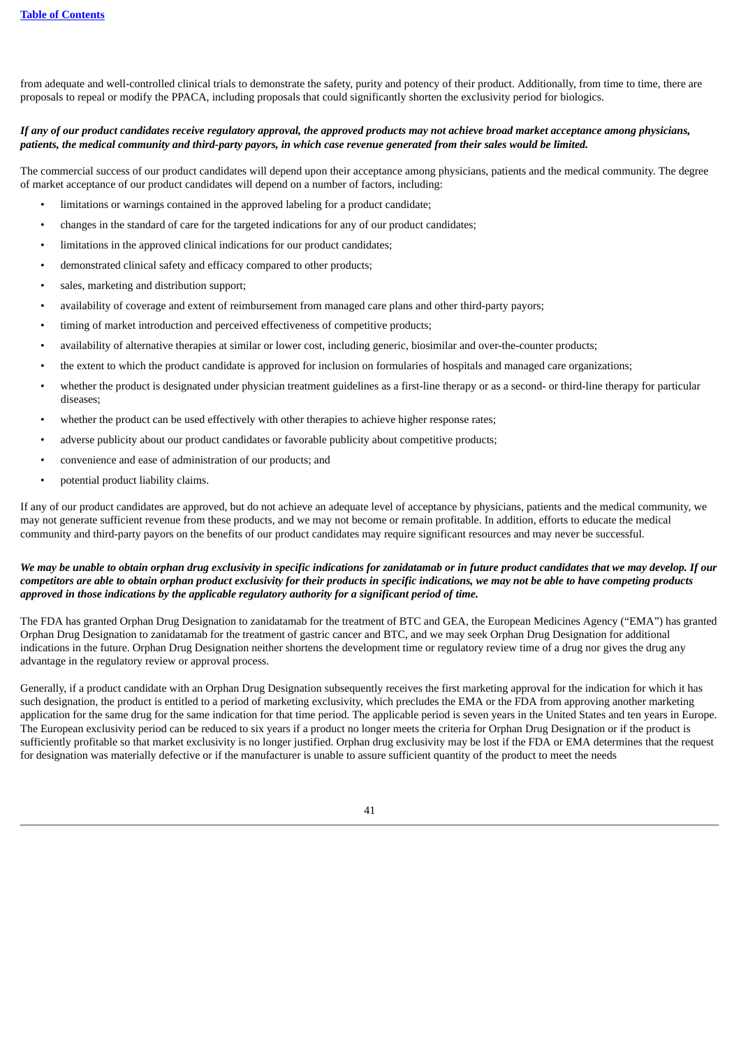from adequate and well-controlled clinical trials to demonstrate the safety, purity and potency of their product. Additionally, from time to time, there are proposals to repeal or modify the PPACA, including proposals that could significantly shorten the exclusivity period for biologics.

# If any of our product candidates receive regulatory approval, the approved products may not achieve broad market acceptance among physicians, patients, the medical community and third-party payors, in which case revenue generated from their sales would be limited.

The commercial success of our product candidates will depend upon their acceptance among physicians, patients and the medical community. The degree of market acceptance of our product candidates will depend on a number of factors, including:

- limitations or warnings contained in the approved labeling for a product candidate;
- changes in the standard of care for the targeted indications for any of our product candidates;
- limitations in the approved clinical indications for our product candidates;
- demonstrated clinical safety and efficacy compared to other products;
- sales, marketing and distribution support;
- availability of coverage and extent of reimbursement from managed care plans and other third-party payors;
- timing of market introduction and perceived effectiveness of competitive products;
- availability of alternative therapies at similar or lower cost, including generic, biosimilar and over-the-counter products;
- the extent to which the product candidate is approved for inclusion on formularies of hospitals and managed care organizations;
- whether the product is designated under physician treatment guidelines as a first-line therapy or as a second- or third-line therapy for particular diseases;
- whether the product can be used effectively with other therapies to achieve higher response rates;
- adverse publicity about our product candidates or favorable publicity about competitive products;
- convenience and ease of administration of our products; and
- potential product liability claims.

If any of our product candidates are approved, but do not achieve an adequate level of acceptance by physicians, patients and the medical community, we may not generate sufficient revenue from these products, and we may not become or remain profitable. In addition, efforts to educate the medical community and third-party payors on the benefits of our product candidates may require significant resources and may never be successful.

# We may be unable to obtain orphan drug exclusivity in specific indications for zanidatamab or in future product candidates that we may develop. If our competitors are able to obtain orphan product exclusivity for their products in specific indications, we may not be able to have competing products *approved in those indications by the applicable regulatory authority for a significant period of time.*

The FDA has granted Orphan Drug Designation to zanidatamab for the treatment of BTC and GEA, the European Medicines Agency ("EMA") has granted Orphan Drug Designation to zanidatamab for the treatment of gastric cancer and BTC, and we may seek Orphan Drug Designation for additional indications in the future. Orphan Drug Designation neither shortens the development time or regulatory review time of a drug nor gives the drug any advantage in the regulatory review or approval process.

Generally, if a product candidate with an Orphan Drug Designation subsequently receives the first marketing approval for the indication for which it has such designation, the product is entitled to a period of marketing exclusivity, which precludes the EMA or the FDA from approving another marketing application for the same drug for the same indication for that time period. The applicable period is seven years in the United States and ten years in Europe. The European exclusivity period can be reduced to six years if a product no longer meets the criteria for Orphan Drug Designation or if the product is sufficiently profitable so that market exclusivity is no longer justified. Orphan drug exclusivity may be lost if the FDA or EMA determines that the request for designation was materially defective or if the manufacturer is unable to assure sufficient quantity of the product to meet the needs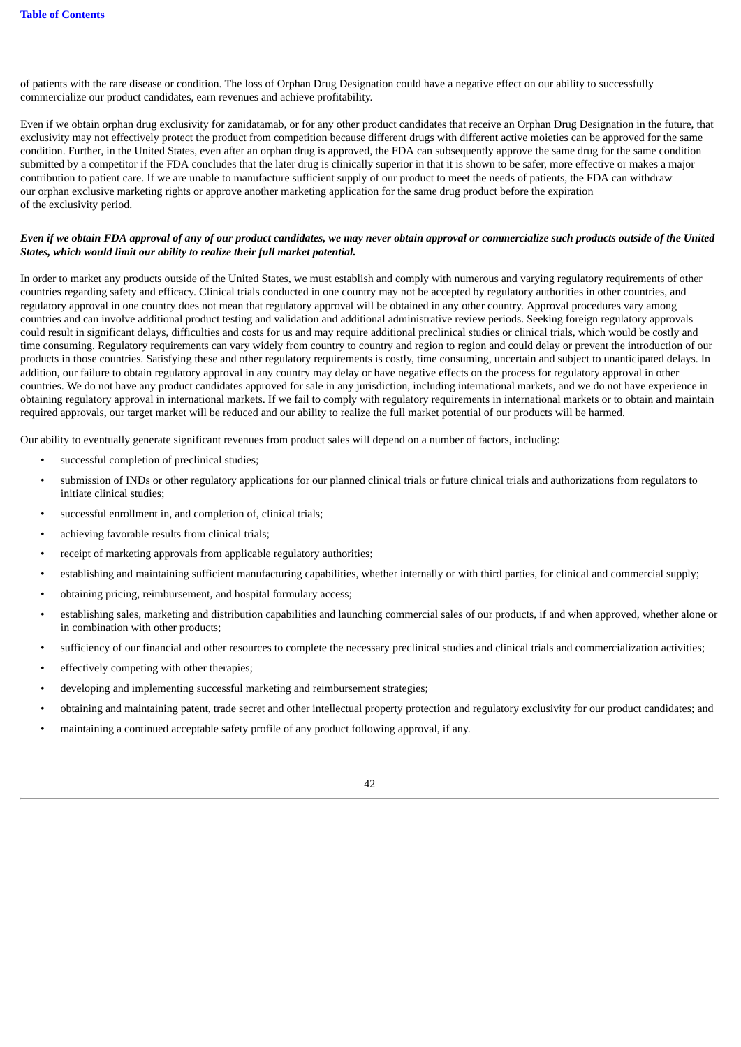of patients with the rare disease or condition. The loss of Orphan Drug Designation could have a negative effect on our ability to successfully commercialize our product candidates, earn revenues and achieve profitability.

Even if we obtain orphan drug exclusivity for zanidatamab, or for any other product candidates that receive an Orphan Drug Designation in the future, that exclusivity may not effectively protect the product from competition because different drugs with different active moieties can be approved for the same condition. Further, in the United States, even after an orphan drug is approved, the FDA can subsequently approve the same drug for the same condition submitted by a competitor if the FDA concludes that the later drug is clinically superior in that it is shown to be safer, more effective or makes a major contribution to patient care. If we are unable to manufacture sufficient supply of our product to meet the needs of patients, the FDA can withdraw our orphan exclusive marketing rights or approve another marketing application for the same drug product before the expiration of the exclusivity period.

### Even if we obtain FDA approval of any of our product candidates, we may never obtain approval or commercialize such products outside of the United *States, which would limit our ability to realize their full market potential.*

In order to market any products outside of the United States, we must establish and comply with numerous and varying regulatory requirements of other countries regarding safety and efficacy. Clinical trials conducted in one country may not be accepted by regulatory authorities in other countries, and regulatory approval in one country does not mean that regulatory approval will be obtained in any other country. Approval procedures vary among countries and can involve additional product testing and validation and additional administrative review periods. Seeking foreign regulatory approvals could result in significant delays, difficulties and costs for us and may require additional preclinical studies or clinical trials, which would be costly and time consuming. Regulatory requirements can vary widely from country to country and region to region and could delay or prevent the introduction of our products in those countries. Satisfying these and other regulatory requirements is costly, time consuming, uncertain and subject to unanticipated delays. In addition, our failure to obtain regulatory approval in any country may delay or have negative effects on the process for regulatory approval in other countries. We do not have any product candidates approved for sale in any jurisdiction, including international markets, and we do not have experience in obtaining regulatory approval in international markets. If we fail to comply with regulatory requirements in international markets or to obtain and maintain required approvals, our target market will be reduced and our ability to realize the full market potential of our products will be harmed.

Our ability to eventually generate significant revenues from product sales will depend on a number of factors, including:

- successful completion of preclinical studies:
- submission of INDs or other regulatory applications for our planned clinical trials or future clinical trials and authorizations from regulators to initiate clinical studies;
- successful enrollment in, and completion of, clinical trials;
- achieving favorable results from clinical trials;
- receipt of marketing approvals from applicable regulatory authorities;
- establishing and maintaining sufficient manufacturing capabilities, whether internally or with third parties, for clinical and commercial supply;
- obtaining pricing, reimbursement, and hospital formulary access;
- establishing sales, marketing and distribution capabilities and launching commercial sales of our products, if and when approved, whether alone or in combination with other products;
- sufficiency of our financial and other resources to complete the necessary preclinical studies and clinical trials and commercialization activities;
- effectively competing with other therapies;
- developing and implementing successful marketing and reimbursement strategies;
- obtaining and maintaining patent, trade secret and other intellectual property protection and regulatory exclusivity for our product candidates; and
- maintaining a continued acceptable safety profile of any product following approval, if any.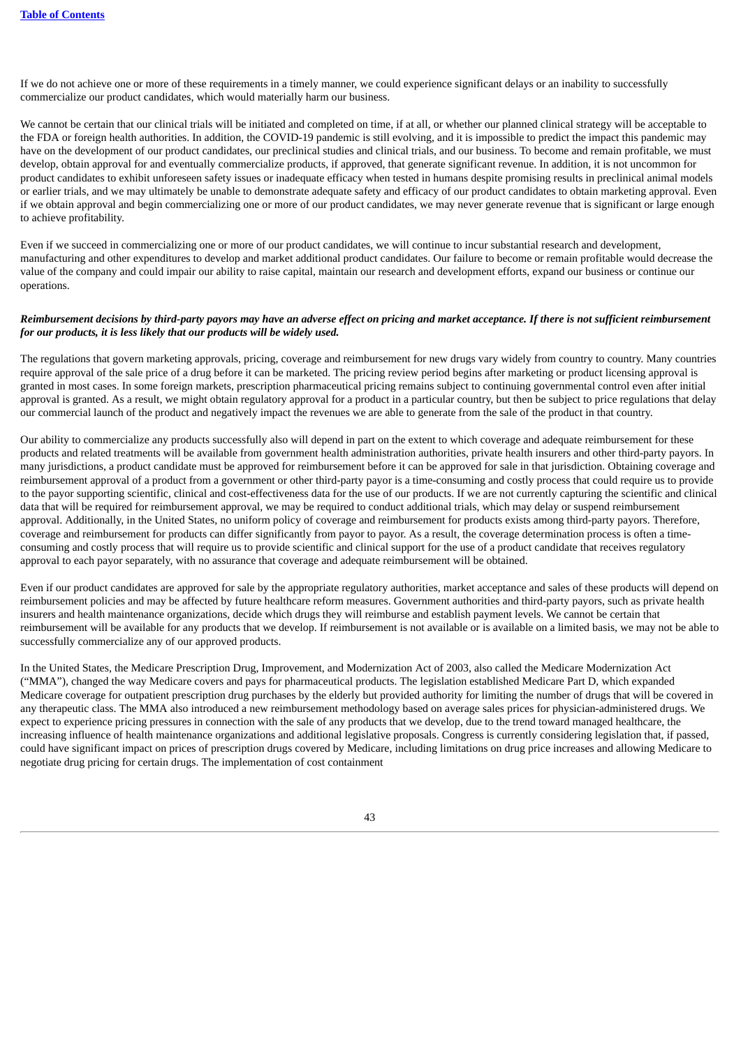If we do not achieve one or more of these requirements in a timely manner, we could experience significant delays or an inability to successfully commercialize our product candidates, which would materially harm our business.

We cannot be certain that our clinical trials will be initiated and completed on time, if at all, or whether our planned clinical strategy will be acceptable to the FDA or foreign health authorities. In addition, the COVID-19 pandemic is still evolving, and it is impossible to predict the impact this pandemic may have on the development of our product candidates, our preclinical studies and clinical trials, and our business. To become and remain profitable, we must develop, obtain approval for and eventually commercialize products, if approved, that generate significant revenue. In addition, it is not uncommon for product candidates to exhibit unforeseen safety issues or inadequate efficacy when tested in humans despite promising results in preclinical animal models or earlier trials, and we may ultimately be unable to demonstrate adequate safety and efficacy of our product candidates to obtain marketing approval. Even if we obtain approval and begin commercializing one or more of our product candidates, we may never generate revenue that is significant or large enough to achieve profitability.

Even if we succeed in commercializing one or more of our product candidates, we will continue to incur substantial research and development, manufacturing and other expenditures to develop and market additional product candidates. Our failure to become or remain profitable would decrease the value of the company and could impair our ability to raise capital, maintain our research and development efforts, expand our business or continue our operations.

# Reimbursement decisions by third-party payors may have an adverse effect on pricing and market acceptance. If there is not sufficient reimbursement *for our products, it is less likely that our products will be widely used.*

The regulations that govern marketing approvals, pricing, coverage and reimbursement for new drugs vary widely from country to country. Many countries require approval of the sale price of a drug before it can be marketed. The pricing review period begins after marketing or product licensing approval is granted in most cases. In some foreign markets, prescription pharmaceutical pricing remains subject to continuing governmental control even after initial approval is granted. As a result, we might obtain regulatory approval for a product in a particular country, but then be subject to price regulations that delay our commercial launch of the product and negatively impact the revenues we are able to generate from the sale of the product in that country.

Our ability to commercialize any products successfully also will depend in part on the extent to which coverage and adequate reimbursement for these products and related treatments will be available from government health administration authorities, private health insurers and other third-party payors. In many jurisdictions, a product candidate must be approved for reimbursement before it can be approved for sale in that jurisdiction. Obtaining coverage and reimbursement approval of a product from a government or other third-party payor is a time-consuming and costly process that could require us to provide to the payor supporting scientific, clinical and cost-effectiveness data for the use of our products. If we are not currently capturing the scientific and clinical data that will be required for reimbursement approval, we may be required to conduct additional trials, which may delay or suspend reimbursement approval. Additionally, in the United States, no uniform policy of coverage and reimbursement for products exists among third-party payors. Therefore, coverage and reimbursement for products can differ significantly from payor to payor. As a result, the coverage determination process is often a timeconsuming and costly process that will require us to provide scientific and clinical support for the use of a product candidate that receives regulatory approval to each payor separately, with no assurance that coverage and adequate reimbursement will be obtained.

Even if our product candidates are approved for sale by the appropriate regulatory authorities, market acceptance and sales of these products will depend on reimbursement policies and may be affected by future healthcare reform measures. Government authorities and third-party payors, such as private health insurers and health maintenance organizations, decide which drugs they will reimburse and establish payment levels. We cannot be certain that reimbursement will be available for any products that we develop. If reimbursement is not available or is available on a limited basis, we may not be able to successfully commercialize any of our approved products.

In the United States, the Medicare Prescription Drug, Improvement, and Modernization Act of 2003, also called the Medicare Modernization Act ("MMA"), changed the way Medicare covers and pays for pharmaceutical products. The legislation established Medicare Part D, which expanded Medicare coverage for outpatient prescription drug purchases by the elderly but provided authority for limiting the number of drugs that will be covered in any therapeutic class. The MMA also introduced a new reimbursement methodology based on average sales prices for physician-administered drugs. We expect to experience pricing pressures in connection with the sale of any products that we develop, due to the trend toward managed healthcare, the increasing influence of health maintenance organizations and additional legislative proposals. Congress is currently considering legislation that, if passed, could have significant impact on prices of prescription drugs covered by Medicare, including limitations on drug price increases and allowing Medicare to negotiate drug pricing for certain drugs. The implementation of cost containment

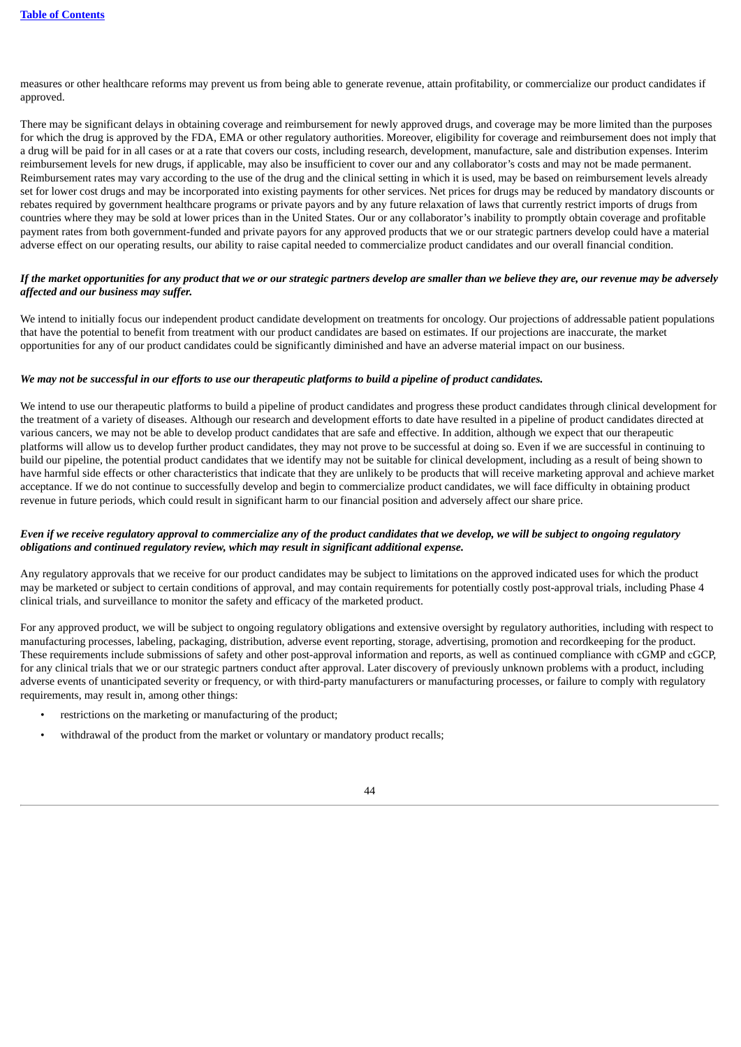measures or other healthcare reforms may prevent us from being able to generate revenue, attain profitability, or commercialize our product candidates if approved.

There may be significant delays in obtaining coverage and reimbursement for newly approved drugs, and coverage may be more limited than the purposes for which the drug is approved by the FDA, EMA or other regulatory authorities. Moreover, eligibility for coverage and reimbursement does not imply that a drug will be paid for in all cases or at a rate that covers our costs, including research, development, manufacture, sale and distribution expenses. Interim reimbursement levels for new drugs, if applicable, may also be insufficient to cover our and any collaborator's costs and may not be made permanent. Reimbursement rates may vary according to the use of the drug and the clinical setting in which it is used, may be based on reimbursement levels already set for lower cost drugs and may be incorporated into existing payments for other services. Net prices for drugs may be reduced by mandatory discounts or rebates required by government healthcare programs or private payors and by any future relaxation of laws that currently restrict imports of drugs from countries where they may be sold at lower prices than in the United States. Our or any collaborator's inability to promptly obtain coverage and profitable payment rates from both government-funded and private payors for any approved products that we or our strategic partners develop could have a material adverse effect on our operating results, our ability to raise capital needed to commercialize product candidates and our overall financial condition.

### If the market opportunities for any product that we or our strategic partners develop are smaller than we believe they are, our revenue may be adversely *affected and our business may suffer.*

We intend to initially focus our independent product candidate development on treatments for oncology. Our projections of addressable patient populations that have the potential to benefit from treatment with our product candidates are based on estimates. If our projections are inaccurate, the market opportunities for any of our product candidates could be significantly diminished and have an adverse material impact on our business.

#### We may not be successful in our efforts to use our therapeutic platforms to build a pipeline of product candidates.

We intend to use our therapeutic platforms to build a pipeline of product candidates and progress these product candidates through clinical development for the treatment of a variety of diseases. Although our research and development efforts to date have resulted in a pipeline of product candidates directed at various cancers, we may not be able to develop product candidates that are safe and effective. In addition, although we expect that our therapeutic platforms will allow us to develop further product candidates, they may not prove to be successful at doing so. Even if we are successful in continuing to build our pipeline, the potential product candidates that we identify may not be suitable for clinical development, including as a result of being shown to have harmful side effects or other characteristics that indicate that they are unlikely to be products that will receive marketing approval and achieve market acceptance. If we do not continue to successfully develop and begin to commercialize product candidates, we will face difficulty in obtaining product revenue in future periods, which could result in significant harm to our financial position and adversely affect our share price.

### Even if we receive regulatory approval to commercialize any of the product candidates that we develop, we will be subject to ongoing regulatory *obligations and continued regulatory review, which may result in significant additional expense.*

Any regulatory approvals that we receive for our product candidates may be subject to limitations on the approved indicated uses for which the product may be marketed or subject to certain conditions of approval, and may contain requirements for potentially costly post-approval trials, including Phase 4 clinical trials, and surveillance to monitor the safety and efficacy of the marketed product.

For any approved product, we will be subject to ongoing regulatory obligations and extensive oversight by regulatory authorities, including with respect to manufacturing processes, labeling, packaging, distribution, adverse event reporting, storage, advertising, promotion and recordkeeping for the product. These requirements include submissions of safety and other post-approval information and reports, as well as continued compliance with cGMP and cGCP, for any clinical trials that we or our strategic partners conduct after approval. Later discovery of previously unknown problems with a product, including adverse events of unanticipated severity or frequency, or with third-party manufacturers or manufacturing processes, or failure to comply with regulatory requirements, may result in, among other things:

- restrictions on the marketing or manufacturing of the product;
- withdrawal of the product from the market or voluntary or mandatory product recalls;

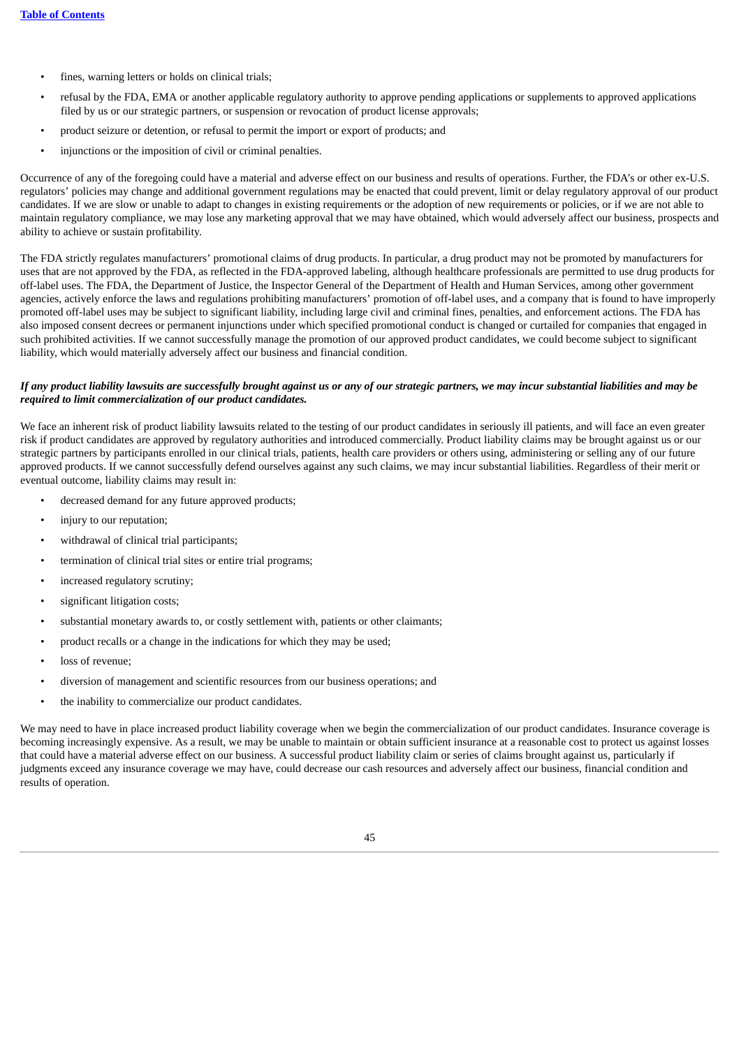- fines, warning letters or holds on clinical trials:
- refusal by the FDA, EMA or another applicable regulatory authority to approve pending applications or supplements to approved applications filed by us or our strategic partners, or suspension or revocation of product license approvals;
- product seizure or detention, or refusal to permit the import or export of products; and
- injunctions or the imposition of civil or criminal penalties.

Occurrence of any of the foregoing could have a material and adverse effect on our business and results of operations. Further, the FDA's or other ex-U.S. regulators' policies may change and additional government regulations may be enacted that could prevent, limit or delay regulatory approval of our product candidates. If we are slow or unable to adapt to changes in existing requirements or the adoption of new requirements or policies, or if we are not able to maintain regulatory compliance, we may lose any marketing approval that we may have obtained, which would adversely affect our business, prospects and ability to achieve or sustain profitability.

The FDA strictly regulates manufacturers' promotional claims of drug products. In particular, a drug product may not be promoted by manufacturers for uses that are not approved by the FDA, as reflected in the FDA-approved labeling, although healthcare professionals are permitted to use drug products for off-label uses. The FDA, the Department of Justice, the Inspector General of the Department of Health and Human Services, among other government agencies, actively enforce the laws and regulations prohibiting manufacturers' promotion of off-label uses, and a company that is found to have improperly promoted off-label uses may be subject to significant liability, including large civil and criminal fines, penalties, and enforcement actions. The FDA has also imposed consent decrees or permanent injunctions under which specified promotional conduct is changed or curtailed for companies that engaged in such prohibited activities. If we cannot successfully manage the promotion of our approved product candidates, we could become subject to significant liability, which would materially adversely affect our business and financial condition.

# If any product liability lawsuits are successfully brought against us or any of our strategic partners, we may incur substantial liabilities and may be *required to limit commercialization of our product candidates.*

We face an inherent risk of product liability lawsuits related to the testing of our product candidates in seriously ill patients, and will face an even greater risk if product candidates are approved by regulatory authorities and introduced commercially. Product liability claims may be brought against us or our strategic partners by participants enrolled in our clinical trials, patients, health care providers or others using, administering or selling any of our future approved products. If we cannot successfully defend ourselves against any such claims, we may incur substantial liabilities. Regardless of their merit or eventual outcome, liability claims may result in:

- decreased demand for any future approved products;
- injury to our reputation;
- withdrawal of clinical trial participants;
- termination of clinical trial sites or entire trial programs;
- increased regulatory scrutiny;
- significant litigation costs;
- substantial monetary awards to, or costly settlement with, patients or other claimants;
- product recalls or a change in the indications for which they may be used;
- loss of revenue:
- diversion of management and scientific resources from our business operations; and
- the inability to commercialize our product candidates.

We may need to have in place increased product liability coverage when we begin the commercialization of our product candidates. Insurance coverage is becoming increasingly expensive. As a result, we may be unable to maintain or obtain sufficient insurance at a reasonable cost to protect us against losses that could have a material adverse effect on our business. A successful product liability claim or series of claims brought against us, particularly if judgments exceed any insurance coverage we may have, could decrease our cash resources and adversely affect our business, financial condition and results of operation.

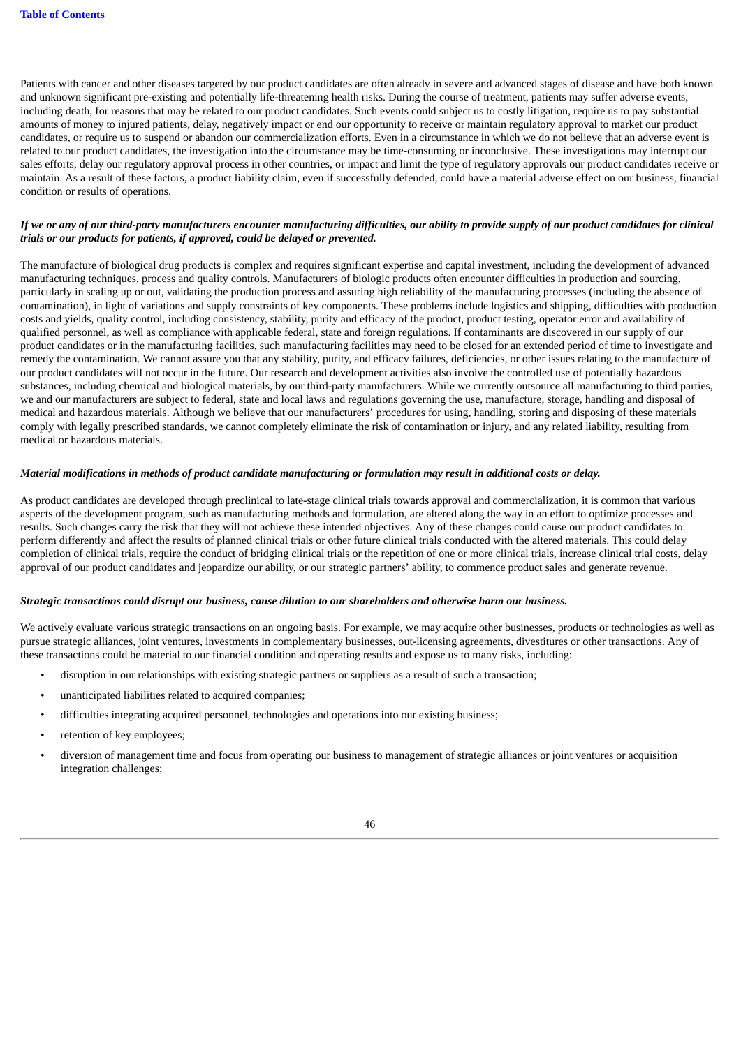Patients with cancer and other diseases targeted by our product candidates are often already in severe and advanced stages of disease and have both known and unknown significant pre-existing and potentially life-threatening health risks. During the course of treatment, patients may suffer adverse events, including death, for reasons that may be related to our product candidates. Such events could subject us to costly litigation, require us to pay substantial amounts of money to injured patients, delay, negatively impact or end our opportunity to receive or maintain regulatory approval to market our product candidates, or require us to suspend or abandon our commercialization efforts. Even in a circumstance in which we do not believe that an adverse event is related to our product candidates, the investigation into the circumstance may be time-consuming or inconclusive. These investigations may interrupt our sales efforts, delay our regulatory approval process in other countries, or impact and limit the type of regulatory approvals our product candidates receive or maintain. As a result of these factors, a product liability claim, even if successfully defended, could have a material adverse effect on our business, financial condition or results of operations.

# If we or any of our third-party manufacturers encounter manufacturing difficulties, our ability to provide supply of our product candidates for clinical *trials or our products for patients, if approved, could be delayed or prevented.*

The manufacture of biological drug products is complex and requires significant expertise and capital investment, including the development of advanced manufacturing techniques, process and quality controls. Manufacturers of biologic products often encounter difficulties in production and sourcing, particularly in scaling up or out, validating the production process and assuring high reliability of the manufacturing processes (including the absence of contamination), in light of variations and supply constraints of key components. These problems include logistics and shipping, difficulties with production costs and yields, quality control, including consistency, stability, purity and efficacy of the product, product testing, operator error and availability of qualified personnel, as well as compliance with applicable federal, state and foreign regulations. If contaminants are discovered in our supply of our product candidates or in the manufacturing facilities, such manufacturing facilities may need to be closed for an extended period of time to investigate and remedy the contamination. We cannot assure you that any stability, purity, and efficacy failures, deficiencies, or other issues relating to the manufacture of our product candidates will not occur in the future. Our research and development activities also involve the controlled use of potentially hazardous substances, including chemical and biological materials, by our third-party manufacturers. While we currently outsource all manufacturing to third parties, we and our manufacturers are subject to federal, state and local laws and regulations governing the use, manufacture, storage, handling and disposal of medical and hazardous materials. Although we believe that our manufacturers' procedures for using, handling, storing and disposing of these materials comply with legally prescribed standards, we cannot completely eliminate the risk of contamination or injury, and any related liability, resulting from medical or hazardous materials.

#### Material modifications in methods of product candidate manufacturing or formulation may result in additional costs or delay.

As product candidates are developed through preclinical to late-stage clinical trials towards approval and commercialization, it is common that various aspects of the development program, such as manufacturing methods and formulation, are altered along the way in an effort to optimize processes and results. Such changes carry the risk that they will not achieve these intended objectives. Any of these changes could cause our product candidates to perform differently and affect the results of planned clinical trials or other future clinical trials conducted with the altered materials. This could delay completion of clinical trials, require the conduct of bridging clinical trials or the repetition of one or more clinical trials, increase clinical trial costs, delay approval of our product candidates and jeopardize our ability, or our strategic partners' ability, to commence product sales and generate revenue.

#### Strategic transactions could disrupt our business, cause dilution to our shareholders and otherwise harm our business.

We actively evaluate various strategic transactions on an ongoing basis. For example, we may acquire other businesses, products or technologies as well as pursue strategic alliances, joint ventures, investments in complementary businesses, out-licensing agreements, divestitures or other transactions. Any of these transactions could be material to our financial condition and operating results and expose us to many risks, including:

- disruption in our relationships with existing strategic partners or suppliers as a result of such a transaction;
- unanticipated liabilities related to acquired companies;
- difficulties integrating acquired personnel, technologies and operations into our existing business;
- retention of key employees;
- diversion of management time and focus from operating our business to management of strategic alliances or joint ventures or acquisition integration challenges;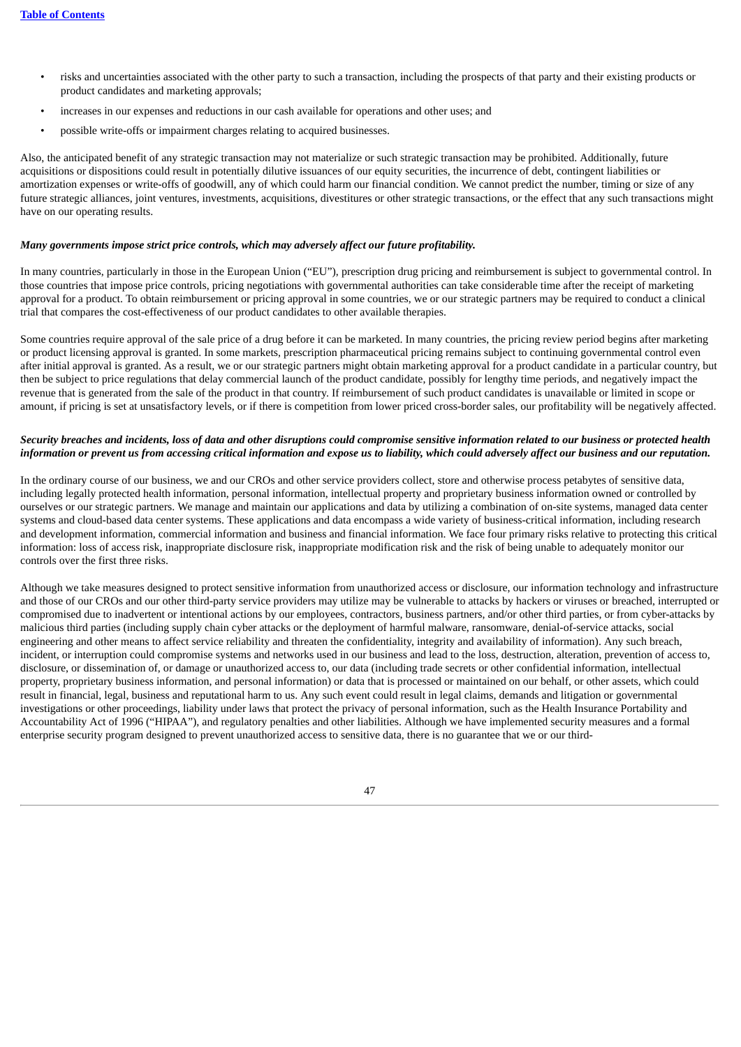- risks and uncertainties associated with the other party to such a transaction, including the prospects of that party and their existing products or product candidates and marketing approvals;
- increases in our expenses and reductions in our cash available for operations and other uses; and
- possible write-offs or impairment charges relating to acquired businesses.

Also, the anticipated benefit of any strategic transaction may not materialize or such strategic transaction may be prohibited. Additionally, future acquisitions or dispositions could result in potentially dilutive issuances of our equity securities, the incurrence of debt, contingent liabilities or amortization expenses or write-offs of goodwill, any of which could harm our financial condition. We cannot predict the number, timing or size of any future strategic alliances, joint ventures, investments, acquisitions, divestitures or other strategic transactions, or the effect that any such transactions might have on our operating results.

#### *Many governments impose strict price controls, which may adversely affect our future profitability.*

In many countries, particularly in those in the European Union ("EU"), prescription drug pricing and reimbursement is subject to governmental control. In those countries that impose price controls, pricing negotiations with governmental authorities can take considerable time after the receipt of marketing approval for a product. To obtain reimbursement or pricing approval in some countries, we or our strategic partners may be required to conduct a clinical trial that compares the cost-effectiveness of our product candidates to other available therapies.

Some countries require approval of the sale price of a drug before it can be marketed. In many countries, the pricing review period begins after marketing or product licensing approval is granted. In some markets, prescription pharmaceutical pricing remains subject to continuing governmental control even after initial approval is granted. As a result, we or our strategic partners might obtain marketing approval for a product candidate in a particular country, but then be subject to price regulations that delay commercial launch of the product candidate, possibly for lengthy time periods, and negatively impact the revenue that is generated from the sale of the product in that country. If reimbursement of such product candidates is unavailable or limited in scope or amount, if pricing is set at unsatisfactory levels, or if there is competition from lower priced cross-border sales, our profitability will be negatively affected.

## Security breaches and incidents, loss of data and other disruptions could compromise sensitive information related to our business or protected health information or prevent us from accessing critical information and expose us to liability, which could adversely affect our business and our reputation.

In the ordinary course of our business, we and our CROs and other service providers collect, store and otherwise process petabytes of sensitive data, including legally protected health information, personal information, intellectual property and proprietary business information owned or controlled by ourselves or our strategic partners. We manage and maintain our applications and data by utilizing a combination of on-site systems, managed data center systems and cloud-based data center systems. These applications and data encompass a wide variety of business-critical information, including research and development information, commercial information and business and financial information. We face four primary risks relative to protecting this critical information: loss of access risk, inappropriate disclosure risk, inappropriate modification risk and the risk of being unable to adequately monitor our controls over the first three risks.

Although we take measures designed to protect sensitive information from unauthorized access or disclosure, our information technology and infrastructure and those of our CROs and our other third-party service providers may utilize may be vulnerable to attacks by hackers or viruses or breached, interrupted or compromised due to inadvertent or intentional actions by our employees, contractors, business partners, and/or other third parties, or from cyber-attacks by malicious third parties (including supply chain cyber attacks or the deployment of harmful malware, ransomware, denial-of-service attacks, social engineering and other means to affect service reliability and threaten the confidentiality, integrity and availability of information). Any such breach, incident, or interruption could compromise systems and networks used in our business and lead to the loss, destruction, alteration, prevention of access to, disclosure, or dissemination of, or damage or unauthorized access to, our data (including trade secrets or other confidential information, intellectual property, proprietary business information, and personal information) or data that is processed or maintained on our behalf, or other assets, which could result in financial, legal, business and reputational harm to us. Any such event could result in legal claims, demands and litigation or governmental investigations or other proceedings, liability under laws that protect the privacy of personal information, such as the Health Insurance Portability and Accountability Act of 1996 ("HIPAA"), and regulatory penalties and other liabilities. Although we have implemented security measures and a formal enterprise security program designed to prevent unauthorized access to sensitive data, there is no guarantee that we or our third-

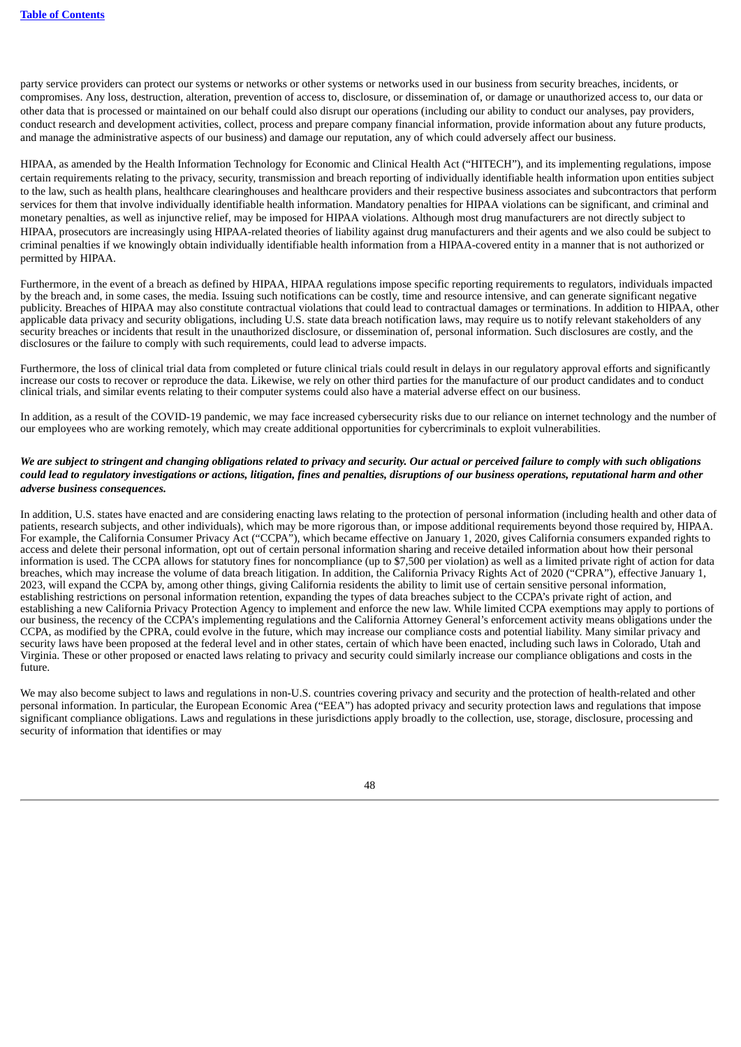party service providers can protect our systems or networks or other systems or networks used in our business from security breaches, incidents, or compromises. Any loss, destruction, alteration, prevention of access to, disclosure, or dissemination of, or damage or unauthorized access to, our data or other data that is processed or maintained on our behalf could also disrupt our operations (including our ability to conduct our analyses, pay providers, conduct research and development activities, collect, process and prepare company financial information, provide information about any future products, and manage the administrative aspects of our business) and damage our reputation, any of which could adversely affect our business.

HIPAA, as amended by the Health Information Technology for Economic and Clinical Health Act ("HITECH"), and its implementing regulations, impose certain requirements relating to the privacy, security, transmission and breach reporting of individually identifiable health information upon entities subject to the law, such as health plans, healthcare clearinghouses and healthcare providers and their respective business associates and subcontractors that perform services for them that involve individually identifiable health information. Mandatory penalties for HIPAA violations can be significant, and criminal and monetary penalties, as well as injunctive relief, may be imposed for HIPAA violations. Although most drug manufacturers are not directly subject to HIPAA, prosecutors are increasingly using HIPAA-related theories of liability against drug manufacturers and their agents and we also could be subject to criminal penalties if we knowingly obtain individually identifiable health information from a HIPAA-covered entity in a manner that is not authorized or permitted by HIPAA.

Furthermore, in the event of a breach as defined by HIPAA, HIPAA regulations impose specific reporting requirements to regulators, individuals impacted by the breach and, in some cases, the media. Issuing such notifications can be costly, time and resource intensive, and can generate significant negative publicity. Breaches of HIPAA may also constitute contractual violations that could lead to contractual damages or terminations. In addition to HIPAA, other applicable data privacy and security obligations, including U.S. state data breach notification laws, may require us to notify relevant stakeholders of any security breaches or incidents that result in the unauthorized disclosure, or dissemination of, personal information. Such disclosures are costly, and the disclosures or the failure to comply with such requirements, could lead to adverse impacts.

Furthermore, the loss of clinical trial data from completed or future clinical trials could result in delays in our regulatory approval efforts and significantly increase our costs to recover or reproduce the data. Likewise, we rely on other third parties for the manufacture of our product candidates and to conduct clinical trials, and similar events relating to their computer systems could also have a material adverse effect on our business.

In addition, as a result of the COVID-19 pandemic, we may face increased cybersecurity risks due to our reliance on internet technology and the number of our employees who are working remotely, which may create additional opportunities for cybercriminals to exploit vulnerabilities.

# We are subject to stringent and changing obligations related to privacy and security. Our actual or perceived failure to comply with such obligations could lead to regulatory investigations or actions, litigation, fines and penalties, disruptions of our business operations, reputational harm and other *adverse business consequences.*

In addition, U.S. states have enacted and are considering enacting laws relating to the protection of personal information (including health and other data of patients, research subjects, and other individuals), which may be more rigorous than, or impose additional requirements beyond those required by, HIPAA. For example, the California Consumer Privacy Act ("CCPA"), which became effective on January 1, 2020, gives California consumers expanded rights to access and delete their personal information, opt out of certain personal information sharing and receive detailed information about how their personal information is used. The CCPA allows for statutory fines for noncompliance (up to \$7,500 per violation) as well as a limited private right of action for data breaches, which may increase the volume of data breach litigation. In addition, the California Privacy Rights Act of 2020 ("CPRA"), effective January 1, 2023, will expand the CCPA by, among other things, giving California residents the ability to limit use of certain sensitive personal information, establishing restrictions on personal information retention, expanding the types of data breaches subject to the CCPA's private right of action, and establishing a new California Privacy Protection Agency to implement and enforce the new law. While limited CCPA exemptions may apply to portions of our business, the recency of the CCPA's implementing regulations and the California Attorney General's enforcement activity means obligations under the CCPA, as modified by the CPRA, could evolve in the future, which may increase our compliance costs and potential liability. Many similar privacy and security laws have been proposed at the federal level and in other states, certain of which have been enacted, including such laws in Colorado, Utah and Virginia. These or other proposed or enacted laws relating to privacy and security could similarly increase our compliance obligations and costs in the future.

We may also become subject to laws and regulations in non-U.S. countries covering privacy and security and the protection of health-related and other personal information. In particular, the European Economic Area ("EEA") has adopted privacy and security protection laws and regulations that impose significant compliance obligations. Laws and regulations in these jurisdictions apply broadly to the collection, use, storage, disclosure, processing and security of information that identifies or may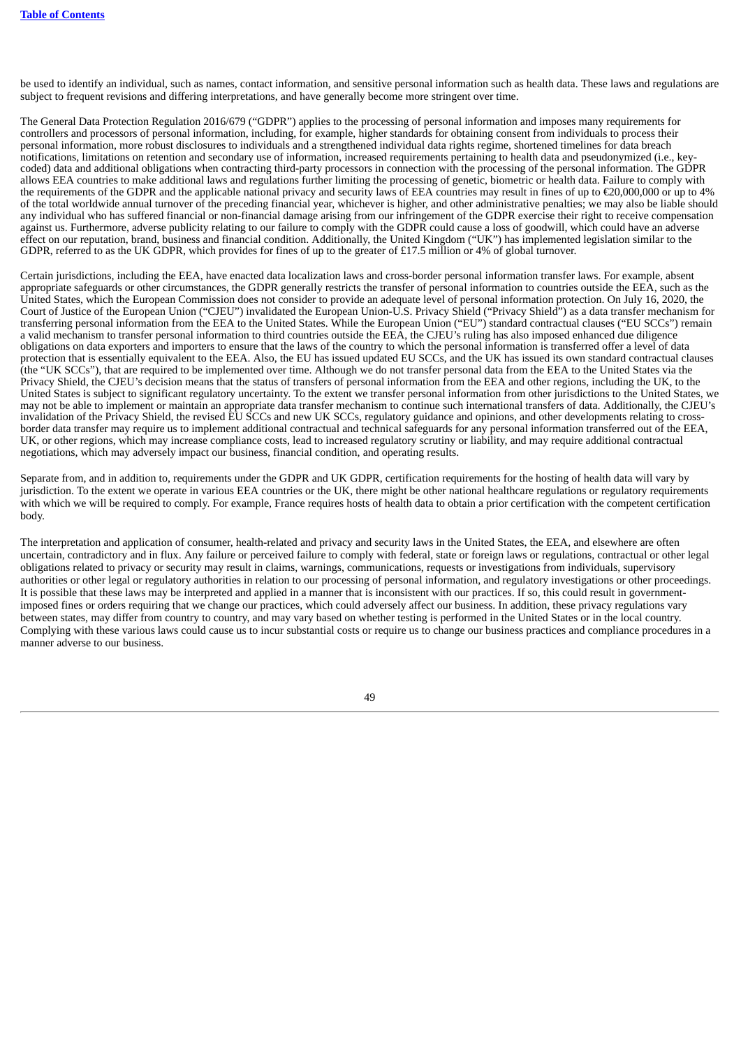be used to identify an individual, such as names, contact information, and sensitive personal information such as health data. These laws and regulations are subject to frequent revisions and differing interpretations, and have generally become more stringent over time.

The General Data Protection Regulation 2016/679 ("GDPR") applies to the processing of personal information and imposes many requirements for controllers and processors of personal information, including, for example, higher standards for obtaining consent from individuals to process their personal information, more robust disclosures to individuals and a strengthened individual data rights regime, shortened timelines for data breach notifications, limitations on retention and secondary use of information, increased requirements pertaining to health data and pseudonymized (i.e., keycoded) data and additional obligations when contracting third-party processors in connection with the processing of the personal information. The GDPR allows EEA countries to make additional laws and regulations further limiting the processing of genetic, biometric or health data. Failure to comply with the requirements of the GDPR and the applicable national privacy and security laws of EEA countries may result in fines of up to €20,000,000 or up to 4% of the total worldwide annual turnover of the preceding financial year, whichever is higher, and other administrative penalties; we may also be liable should any individual who has suffered financial or non-financial damage arising from our infringement of the GDPR exercise their right to receive compensation against us. Furthermore, adverse publicity relating to our failure to comply with the GDPR could cause a loss of goodwill, which could have an adverse effect on our reputation, brand, business and financial condition. Additionally, the United Kingdom ("UK") has implemented legislation similar to the GDPR, referred to as the UK GDPR, which provides for fines of up to the greater of £17.5 million or 4% of global turnover.

Certain jurisdictions, including the EEA, have enacted data localization laws and cross-border personal information transfer laws. For example, absent appropriate safeguards or other circumstances, the GDPR generally restricts the transfer of personal information to countries outside the EEA, such as the United States, which the European Commission does not consider to provide an adequate level of personal information protection. On July 16, 2020, the Court of Justice of the European Union ("CJEU") invalidated the European Union-U.S. Privacy Shield ("Privacy Shield") as a data transfer mechanism for transferring personal information from the EEA to the United States. While the European Union ("EU") standard contractual clauses ("EU SCCs") remain a valid mechanism to transfer personal information to third countries outside the EEA, the CJEU's ruling has also imposed enhanced due diligence obligations on data exporters and importers to ensure that the laws of the country to which the personal information is transferred offer a level of data protection that is essentially equivalent to the EEA. Also, the EU has issued updated EU SCCs, and the UK has issued its own standard contractual clauses (the "UK SCCs"), that are required to be implemented over time. Although we do not transfer personal data from the EEA to the United States via the Privacy Shield, the CJEU's decision means that the status of transfers of personal information from the EEA and other regions, including the UK, to the United States is subject to significant regulatory uncertainty. To the extent we transfer personal information from other jurisdictions to the United States, we may not be able to implement or maintain an appropriate data transfer mechanism to continue such international transfers of data. Additionally, the CJEU's invalidation of the Privacy Shield, the revised EU SCCs and new UK SCCs, regulatory guidance and opinions, and other developments relating to crossborder data transfer may require us to implement additional contractual and technical safeguards for any personal information transferred out of the EEA, UK, or other regions, which may increase compliance costs, lead to increased regulatory scrutiny or liability, and may require additional contractual negotiations, which may adversely impact our business, financial condition, and operating results.

Separate from, and in addition to, requirements under the GDPR and UK GDPR, certification requirements for the hosting of health data will vary by jurisdiction. To the extent we operate in various EEA countries or the UK, there might be other national healthcare regulations or regulatory requirements with which we will be required to comply. For example, France requires hosts of health data to obtain a prior certification with the competent certification body.

The interpretation and application of consumer, health-related and privacy and security laws in the United States, the EEA, and elsewhere are often uncertain, contradictory and in flux. Any failure or perceived failure to comply with federal, state or foreign laws or regulations, contractual or other legal obligations related to privacy or security may result in claims, warnings, communications, requests or investigations from individuals, supervisory authorities or other legal or regulatory authorities in relation to our processing of personal information, and regulatory investigations or other proceedings. It is possible that these laws may be interpreted and applied in a manner that is inconsistent with our practices. If so, this could result in governmentimposed fines or orders requiring that we change our practices, which could adversely affect our business. In addition, these privacy regulations vary between states, may differ from country to country, and may vary based on whether testing is performed in the United States or in the local country. Complying with these various laws could cause us to incur substantial costs or require us to change our business practices and compliance procedures in a manner adverse to our business.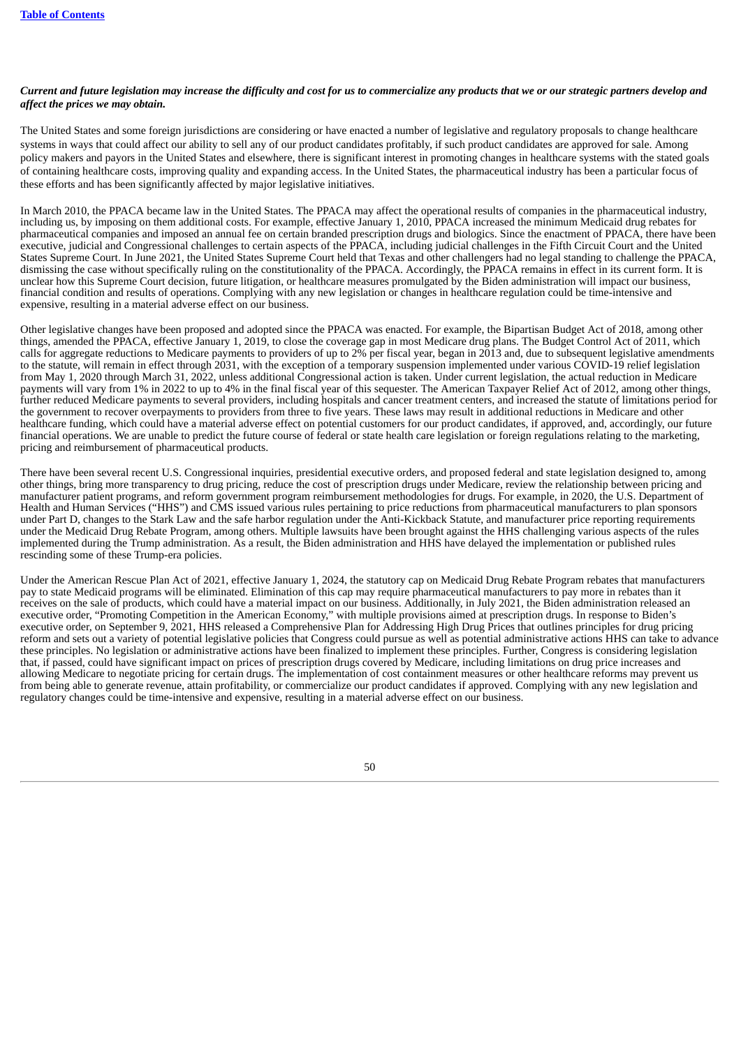# Current and future legislation may increase the difficulty and cost for us to commercialize any products that we or our strategic partners develop and *affect the prices we may obtain.*

The United States and some foreign jurisdictions are considering or have enacted a number of legislative and regulatory proposals to change healthcare systems in ways that could affect our ability to sell any of our product candidates profitably, if such product candidates are approved for sale. Among policy makers and payors in the United States and elsewhere, there is significant interest in promoting changes in healthcare systems with the stated goals of containing healthcare costs, improving quality and expanding access. In the United States, the pharmaceutical industry has been a particular focus of these efforts and has been significantly affected by major legislative initiatives.

In March 2010, the PPACA became law in the United States. The PPACA may affect the operational results of companies in the pharmaceutical industry, including us, by imposing on them additional costs. For example, effective January 1, 2010, PPACA increased the minimum Medicaid drug rebates for pharmaceutical companies and imposed an annual fee on certain branded prescription drugs and biologics. Since the enactment of PPACA, there have been executive, judicial and Congressional challenges to certain aspects of the PPACA, including judicial challenges in the Fifth Circuit Court and the United States Supreme Court. In June 2021, the United States Supreme Court held that Texas and other challengers had no legal standing to challenge the PPACA, dismissing the case without specifically ruling on the constitutionality of the PPACA. Accordingly, the PPACA remains in effect in its current form. It is unclear how this Supreme Court decision, future litigation, or healthcare measures promulgated by the Biden administration will impact our business, financial condition and results of operations. Complying with any new legislation or changes in healthcare regulation could be time-intensive and expensive, resulting in a material adverse effect on our business.

Other legislative changes have been proposed and adopted since the PPACA was enacted. For example, the Bipartisan Budget Act of 2018, among other things, amended the PPACA, effective January 1, 2019, to close the coverage gap in most Medicare drug plans. The Budget Control Act of 2011, which calls for aggregate reductions to Medicare payments to providers of up to 2% per fiscal year, began in 2013 and, due to subsequent legislative amendments to the statute, will remain in effect through 2031, with the exception of a temporary suspension implemented under various COVID-19 relief legislation from May 1, 2020 through March 31, 2022, unless additional Congressional action is taken. Under current legislation, the actual reduction in Medicare payments will vary from 1% in 2022 to up to 4% in the final fiscal year of this sequester. The American Taxpayer Relief Act of 2012, among other things, further reduced Medicare payments to several providers, including hospitals and cancer treatment centers, and increased the statute of limitations period for the government to recover overpayments to providers from three to five years. These laws may result in additional reductions in Medicare and other healthcare funding, which could have a material adverse effect on potential customers for our product candidates, if approved, and, accordingly, our future financial operations. We are unable to predict the future course of federal or state health care legislation or foreign regulations relating to the marketing, pricing and reimbursement of pharmaceutical products.

There have been several recent U.S. Congressional inquiries, presidential executive orders, and proposed federal and state legislation designed to, among other things, bring more transparency to drug pricing, reduce the cost of prescription drugs under Medicare, review the relationship between pricing and manufacturer patient programs, and reform government program reimbursement methodologies for drugs. For example, in 2020, the U.S. Department of Health and Human Services ("HHS") and CMS issued various rules pertaining to price reductions from pharmaceutical manufacturers to plan sponsors under Part D, changes to the Stark Law and the safe harbor regulation under the Anti-Kickback Statute, and manufacturer price reporting requirements under the Medicaid Drug Rebate Program, among others. Multiple lawsuits have been brought against the HHS challenging various aspects of the rules implemented during the Trump administration. As a result, the Biden administration and HHS have delayed the implementation or published rules rescinding some of these Trump-era policies.

Under the American Rescue Plan Act of 2021, effective January 1, 2024, the statutory cap on Medicaid Drug Rebate Program rebates that manufacturers pay to state Medicaid programs will be eliminated. Elimination of this cap may require pharmaceutical manufacturers to pay more in rebates than it receives on the sale of products, which could have a material impact on our business. Additionally, in July 2021, the Biden administration released an executive order, "Promoting Competition in the American Economy," with multiple provisions aimed at prescription drugs. In response to Biden's executive order, on September 9, 2021, HHS released a Comprehensive Plan for Addressing High Drug Prices that outlines principles for drug pricing reform and sets out a variety of potential legislative policies that Congress could pursue as well as potential administrative actions HHS can take to advance these principles. No legislation or administrative actions have been finalized to implement these principles. Further, Congress is considering legislation that, if passed, could have significant impact on prices of prescription drugs covered by Medicare, including limitations on drug price increases and allowing Medicare to negotiate pricing for certain drugs. The implementation of cost containment measures or other healthcare reforms may prevent us from being able to generate revenue, attain profitability, or commercialize our product candidates if approved. Complying with any new legislation and regulatory changes could be time-intensive and expensive, resulting in a material adverse effect on our business.

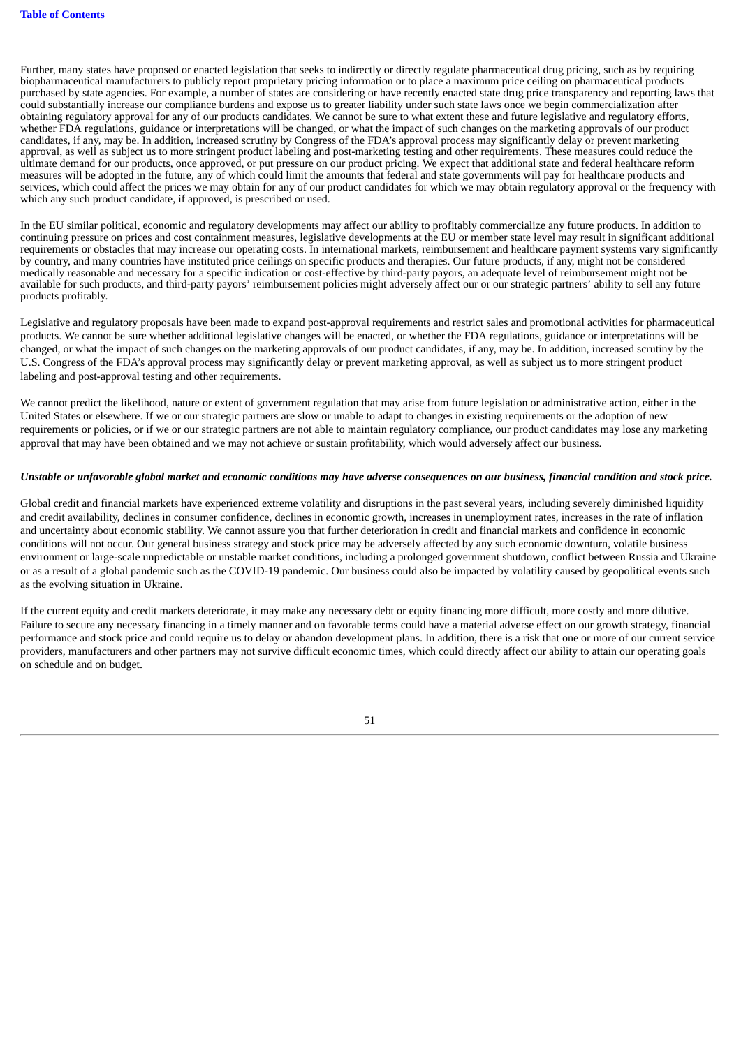Further, many states have proposed or enacted legislation that seeks to indirectly or directly regulate pharmaceutical drug pricing, such as by requiring biopharmaceutical manufacturers to publicly report proprietary pricing information or to place a maximum price ceiling on pharmaceutical products purchased by state agencies. For example, a number of states are considering or have recently enacted state drug price transparency and reporting laws that could substantially increase our compliance burdens and expose us to greater liability under such state laws once we begin commercialization after obtaining regulatory approval for any of our products candidates. We cannot be sure to what extent these and future legislative and regulatory efforts, whether FDA regulations, guidance or interpretations will be changed, or what the impact of such changes on the marketing approvals of our product candidates, if any, may be. In addition, increased scrutiny by Congress of the FDA's approval process may significantly delay or prevent marketing approval, as well as subject us to more stringent product labeling and post-marketing testing and other requirements. These measures could reduce the ultimate demand for our products, once approved, or put pressure on our product pricing. We expect that additional state and federal healthcare reform measures will be adopted in the future, any of which could limit the amounts that federal and state governments will pay for healthcare products and services, which could affect the prices we may obtain for any of our product candidates for which we may obtain regulatory approval or the frequency with which any such product candidate, if approved, is prescribed or used.

In the EU similar political, economic and regulatory developments may affect our ability to profitably commercialize any future products. In addition to continuing pressure on prices and cost containment measures, legislative developments at the EU or member state level may result in significant additional requirements or obstacles that may increase our operating costs. In international markets, reimbursement and healthcare payment systems vary significantly by country, and many countries have instituted price ceilings on specific products and therapies. Our future products, if any, might not be considered medically reasonable and necessary for a specific indication or cost-effective by third-party payors, an adequate level of reimbursement might not be available for such products, and third-party payors' reimbursement policies might adversely affect our or our strategic partners' ability to sell any future products profitably.

Legislative and regulatory proposals have been made to expand post-approval requirements and restrict sales and promotional activities for pharmaceutical products. We cannot be sure whether additional legislative changes will be enacted, or whether the FDA regulations, guidance or interpretations will be changed, or what the impact of such changes on the marketing approvals of our product candidates, if any, may be. In addition, increased scrutiny by the U.S. Congress of the FDA's approval process may significantly delay or prevent marketing approval, as well as subject us to more stringent product labeling and post-approval testing and other requirements.

We cannot predict the likelihood, nature or extent of government regulation that may arise from future legislation or administrative action, either in the United States or elsewhere. If we or our strategic partners are slow or unable to adapt to changes in existing requirements or the adoption of new requirements or policies, or if we or our strategic partners are not able to maintain regulatory compliance, our product candidates may lose any marketing approval that may have been obtained and we may not achieve or sustain profitability, which would adversely affect our business.

### Unstable or unfavorable global market and economic conditions may have adverse consequences on our business, financial condition and stock price.

Global credit and financial markets have experienced extreme volatility and disruptions in the past several years, including severely diminished liquidity and credit availability, declines in consumer confidence, declines in economic growth, increases in unemployment rates, increases in the rate of inflation and uncertainty about economic stability. We cannot assure you that further deterioration in credit and financial markets and confidence in economic conditions will not occur. Our general business strategy and stock price may be adversely affected by any such economic downturn, volatile business environment or large-scale unpredictable or unstable market conditions, including a prolonged government shutdown, conflict between Russia and Ukraine or as a result of a global pandemic such as the COVID-19 pandemic. Our business could also be impacted by volatility caused by geopolitical events such as the evolving situation in Ukraine.

If the current equity and credit markets deteriorate, it may make any necessary debt or equity financing more difficult, more costly and more dilutive. Failure to secure any necessary financing in a timely manner and on favorable terms could have a material adverse effect on our growth strategy, financial performance and stock price and could require us to delay or abandon development plans. In addition, there is a risk that one or more of our current service providers, manufacturers and other partners may not survive difficult economic times, which could directly affect our ability to attain our operating goals on schedule and on budget.

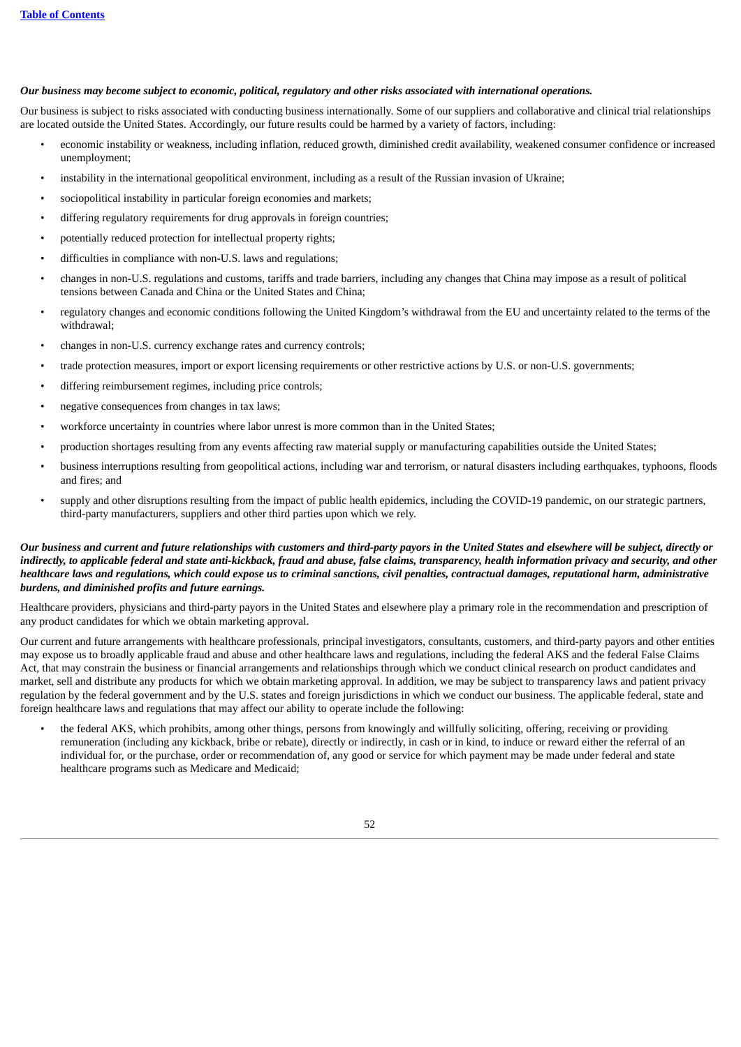#### Our business may become subject to economic, political, regulatory and other risks associated with international operations.

Our business is subject to risks associated with conducting business internationally. Some of our suppliers and collaborative and clinical trial relationships are located outside the United States. Accordingly, our future results could be harmed by a variety of factors, including:

- economic instability or weakness, including inflation, reduced growth, diminished credit availability, weakened consumer confidence or increased unemployment;
- instability in the international geopolitical environment, including as a result of the Russian invasion of Ukraine;
- sociopolitical instability in particular foreign economies and markets;
- differing regulatory requirements for drug approvals in foreign countries;
- potentially reduced protection for intellectual property rights;
- difficulties in compliance with non-U.S. laws and regulations;
- changes in non-U.S. regulations and customs, tariffs and trade barriers, including any changes that China may impose as a result of political tensions between Canada and China or the United States and China;
- regulatory changes and economic conditions following the United Kingdom's withdrawal from the EU and uncertainty related to the terms of the withdrawal;
- changes in non-U.S. currency exchange rates and currency controls;
- trade protection measures, import or export licensing requirements or other restrictive actions by U.S. or non-U.S. governments;
- differing reimbursement regimes, including price controls;
- negative consequences from changes in tax laws;
- workforce uncertainty in countries where labor unrest is more common than in the United States;
- production shortages resulting from any events affecting raw material supply or manufacturing capabilities outside the United States;
- business interruptions resulting from geopolitical actions, including war and terrorism, or natural disasters including earthquakes, typhoons, floods and fires; and
- supply and other disruptions resulting from the impact of public health epidemics, including the COVID-19 pandemic, on our strategic partners, third-party manufacturers, suppliers and other third parties upon which we rely.

# Our business and current and future relationships with customers and third-party payors in the United States and elsewhere will be subject, directly or indirectly, to applicable federal and state anti-kickback, fraud and abuse, false claims, transparency, health information privacy and security, and other healthcare laws and regulations, which could expose us to criminal sanctions, civil penalties, contractual damages, reputational harm, administrative *burdens, and diminished profits and future earnings.*

Healthcare providers, physicians and third-party payors in the United States and elsewhere play a primary role in the recommendation and prescription of any product candidates for which we obtain marketing approval.

Our current and future arrangements with healthcare professionals, principal investigators, consultants, customers, and third-party payors and other entities may expose us to broadly applicable fraud and abuse and other healthcare laws and regulations, including the federal AKS and the federal False Claims Act, that may constrain the business or financial arrangements and relationships through which we conduct clinical research on product candidates and market, sell and distribute any products for which we obtain marketing approval. In addition, we may be subject to transparency laws and patient privacy regulation by the federal government and by the U.S. states and foreign jurisdictions in which we conduct our business. The applicable federal, state and foreign healthcare laws and regulations that may affect our ability to operate include the following:

• the federal AKS, which prohibits, among other things, persons from knowingly and willfully soliciting, offering, receiving or providing remuneration (including any kickback, bribe or rebate), directly or indirectly, in cash or in kind, to induce or reward either the referral of an individual for, or the purchase, order or recommendation of, any good or service for which payment may be made under federal and state healthcare programs such as Medicare and Medicaid;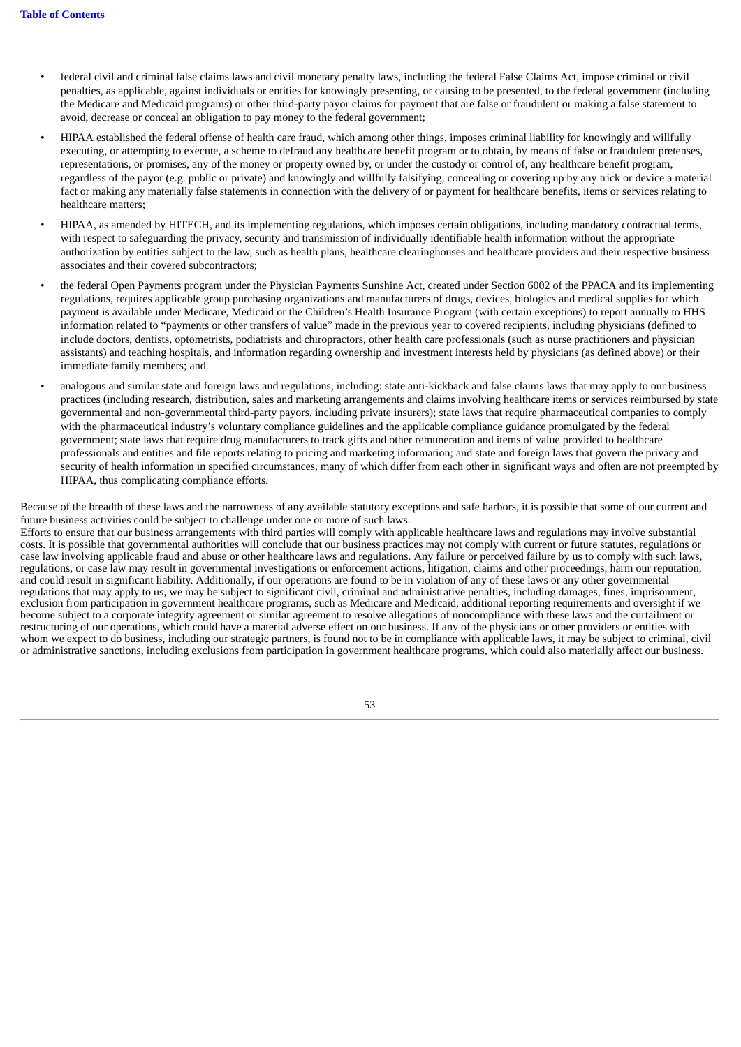- federal civil and criminal false claims laws and civil monetary penalty laws, including the federal False Claims Act, impose criminal or civil penalties, as applicable, against individuals or entities for knowingly presenting, or causing to be presented, to the federal government (including the Medicare and Medicaid programs) or other third-party payor claims for payment that are false or fraudulent or making a false statement to avoid, decrease or conceal an obligation to pay money to the federal government;
- HIPAA established the federal offense of health care fraud, which among other things, imposes criminal liability for knowingly and willfully executing, or attempting to execute, a scheme to defraud any healthcare benefit program or to obtain, by means of false or fraudulent pretenses, representations, or promises, any of the money or property owned by, or under the custody or control of, any healthcare benefit program, regardless of the payor (e.g. public or private) and knowingly and willfully falsifying, concealing or covering up by any trick or device a material fact or making any materially false statements in connection with the delivery of or payment for healthcare benefits, items or services relating to healthcare matters;
- HIPAA, as amended by HITECH, and its implementing regulations, which imposes certain obligations, including mandatory contractual terms, with respect to safeguarding the privacy, security and transmission of individually identifiable health information without the appropriate authorization by entities subject to the law, such as health plans, healthcare clearinghouses and healthcare providers and their respective business associates and their covered subcontractors;
- the federal Open Payments program under the Physician Payments Sunshine Act, created under Section 6002 of the PPACA and its implementing regulations, requires applicable group purchasing organizations and manufacturers of drugs, devices, biologics and medical supplies for which payment is available under Medicare, Medicaid or the Children's Health Insurance Program (with certain exceptions) to report annually to HHS information related to "payments or other transfers of value" made in the previous year to covered recipients, including physicians (defined to include doctors, dentists, optometrists, podiatrists and chiropractors, other health care professionals (such as nurse practitioners and physician assistants) and teaching hospitals, and information regarding ownership and investment interests held by physicians (as defined above) or their immediate family members; and
- analogous and similar state and foreign laws and regulations, including: state anti-kickback and false claims laws that may apply to our business practices (including research, distribution, sales and marketing arrangements and claims involving healthcare items or services reimbursed by state governmental and non-governmental third-party payors, including private insurers); state laws that require pharmaceutical companies to comply with the pharmaceutical industry's voluntary compliance guidelines and the applicable compliance guidance promulgated by the federal government; state laws that require drug manufacturers to track gifts and other remuneration and items of value provided to healthcare professionals and entities and file reports relating to pricing and marketing information; and state and foreign laws that govern the privacy and security of health information in specified circumstances, many of which differ from each other in significant ways and often are not preempted by HIPAA, thus complicating compliance efforts.

Because of the breadth of these laws and the narrowness of any available statutory exceptions and safe harbors, it is possible that some of our current and future business activities could be subject to challenge under one or more of such laws.

Efforts to ensure that our business arrangements with third parties will comply with applicable healthcare laws and regulations may involve substantial costs. It is possible that governmental authorities will conclude that our business practices may not comply with current or future statutes, regulations or case law involving applicable fraud and abuse or other healthcare laws and regulations. Any failure or perceived failure by us to comply with such laws, regulations, or case law may result in governmental investigations or enforcement actions, litigation, claims and other proceedings, harm our reputation, and could result in significant liability. Additionally, if our operations are found to be in violation of any of these laws or any other governmental regulations that may apply to us, we may be subject to significant civil, criminal and administrative penalties, including damages, fines, imprisonment, exclusion from participation in government healthcare programs, such as Medicare and Medicaid, additional reporting requirements and oversight if we become subject to a corporate integrity agreement or similar agreement to resolve allegations of noncompliance with these laws and the curtailment or restructuring of our operations, which could have a material adverse effect on our business. If any of the physicians or other providers or entities with whom we expect to do business, including our strategic partners, is found not to be in compliance with applicable laws, it may be subject to criminal, civil or administrative sanctions, including exclusions from participation in government healthcare programs, which could also materially affect our business.

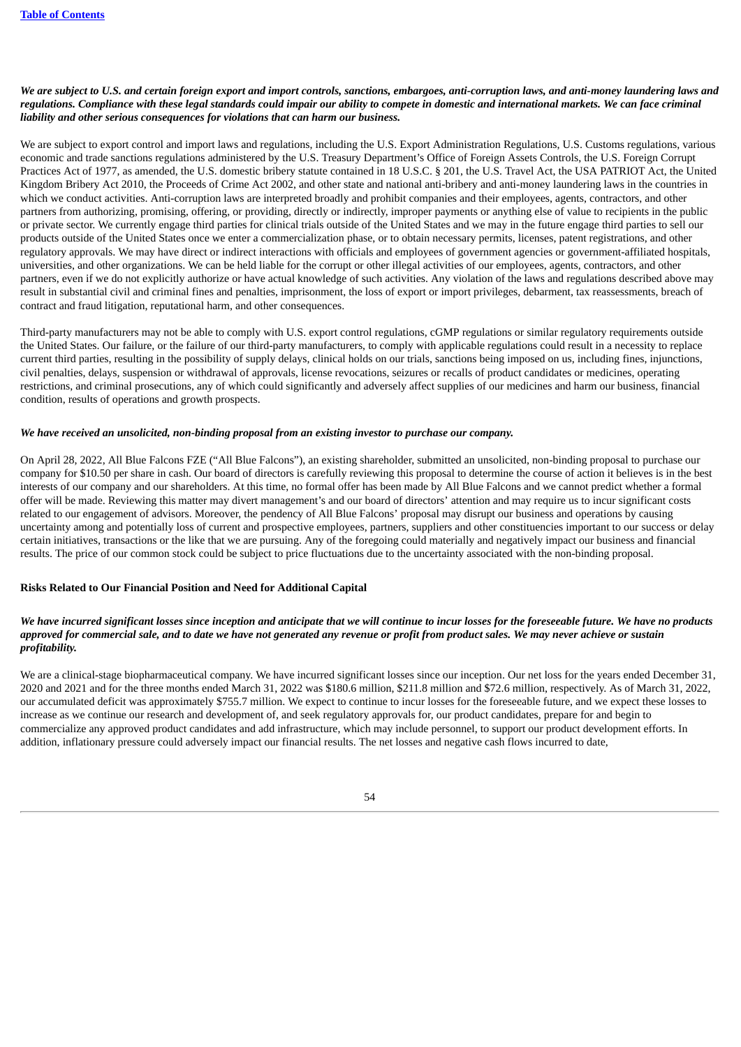# We are subject to U.S. and certain foreign export and import controls, sanctions, embargoes, anti-corruption laws, and anti-money laundering laws and regulations. Compliance with these legal standards could impair our ability to compete in domestic and international markets. We can face criminal *liability and other serious consequences for violations that can harm our business.*

We are subject to export control and import laws and regulations, including the U.S. Export Administration Regulations, U.S. Customs regulations, various economic and trade sanctions regulations administered by the U.S. Treasury Department's Office of Foreign Assets Controls, the U.S. Foreign Corrupt Practices Act of 1977, as amended, the U.S. domestic bribery statute contained in 18 U.S.C. § 201, the U.S. Travel Act, the USA PATRIOT Act, the United Kingdom Bribery Act 2010, the Proceeds of Crime Act 2002, and other state and national anti-bribery and anti-money laundering laws in the countries in which we conduct activities. Anti-corruption laws are interpreted broadly and prohibit companies and their employees, agents, contractors, and other partners from authorizing, promising, offering, or providing, directly or indirectly, improper payments or anything else of value to recipients in the public or private sector. We currently engage third parties for clinical trials outside of the United States and we may in the future engage third parties to sell our products outside of the United States once we enter a commercialization phase, or to obtain necessary permits, licenses, patent registrations, and other regulatory approvals. We may have direct or indirect interactions with officials and employees of government agencies or government-affiliated hospitals, universities, and other organizations. We can be held liable for the corrupt or other illegal activities of our employees, agents, contractors, and other partners, even if we do not explicitly authorize or have actual knowledge of such activities. Any violation of the laws and regulations described above may result in substantial civil and criminal fines and penalties, imprisonment, the loss of export or import privileges, debarment, tax reassessments, breach of contract and fraud litigation, reputational harm, and other consequences.

Third-party manufacturers may not be able to comply with U.S. export control regulations, cGMP regulations or similar regulatory requirements outside the United States. Our failure, or the failure of our third-party manufacturers, to comply with applicable regulations could result in a necessity to replace current third parties, resulting in the possibility of supply delays, clinical holds on our trials, sanctions being imposed on us, including fines, injunctions, civil penalties, delays, suspension or withdrawal of approvals, license revocations, seizures or recalls of product candidates or medicines, operating restrictions, and criminal prosecutions, any of which could significantly and adversely affect supplies of our medicines and harm our business, financial condition, results of operations and growth prospects.

#### *We have received an unsolicited, non-binding proposal from an existing investor to purchase our company.*

On April 28, 2022, All Blue Falcons FZE ("All Blue Falcons"), an existing shareholder, submitted an unsolicited, non-binding proposal to purchase our company for \$10.50 per share in cash. Our board of directors is carefully reviewing this proposal to determine the course of action it believes is in the best interests of our company and our shareholders. At this time, no formal offer has been made by All Blue Falcons and we cannot predict whether a formal offer will be made. Reviewing this matter may divert management's and our board of directors' attention and may require us to incur significant costs related to our engagement of advisors. Moreover, the pendency of All Blue Falcons' proposal may disrupt our business and operations by causing uncertainty among and potentially loss of current and prospective employees, partners, suppliers and other constituencies important to our success or delay certain initiatives, transactions or the like that we are pursuing. Any of the foregoing could materially and negatively impact our business and financial results. The price of our common stock could be subject to price fluctuations due to the uncertainty associated with the non-binding proposal.

#### **Risks Related to Our Financial Position and Need for Additional Capital**

# We have incurred significant losses since inception and anticipate that we will continue to incur losses for the foreseeable future. We have no products approved for commercial sale, and to date we have not generated any revenue or profit from product sales. We may never achieve or sustain *profitability.*

We are a clinical-stage biopharmaceutical company. We have incurred significant losses since our inception. Our net loss for the years ended December 31, 2020 and 2021 and for the three months ended March 31, 2022 was \$180.6 million, \$211.8 million and \$72.6 million, respectively. As of March 31, 2022, our accumulated deficit was approximately \$755.7 million. We expect to continue to incur losses for the foreseeable future, and we expect these losses to increase as we continue our research and development of, and seek regulatory approvals for, our product candidates, prepare for and begin to commercialize any approved product candidates and add infrastructure, which may include personnel, to support our product development efforts. In addition, inflationary pressure could adversely impact our financial results. The net losses and negative cash flows incurred to date,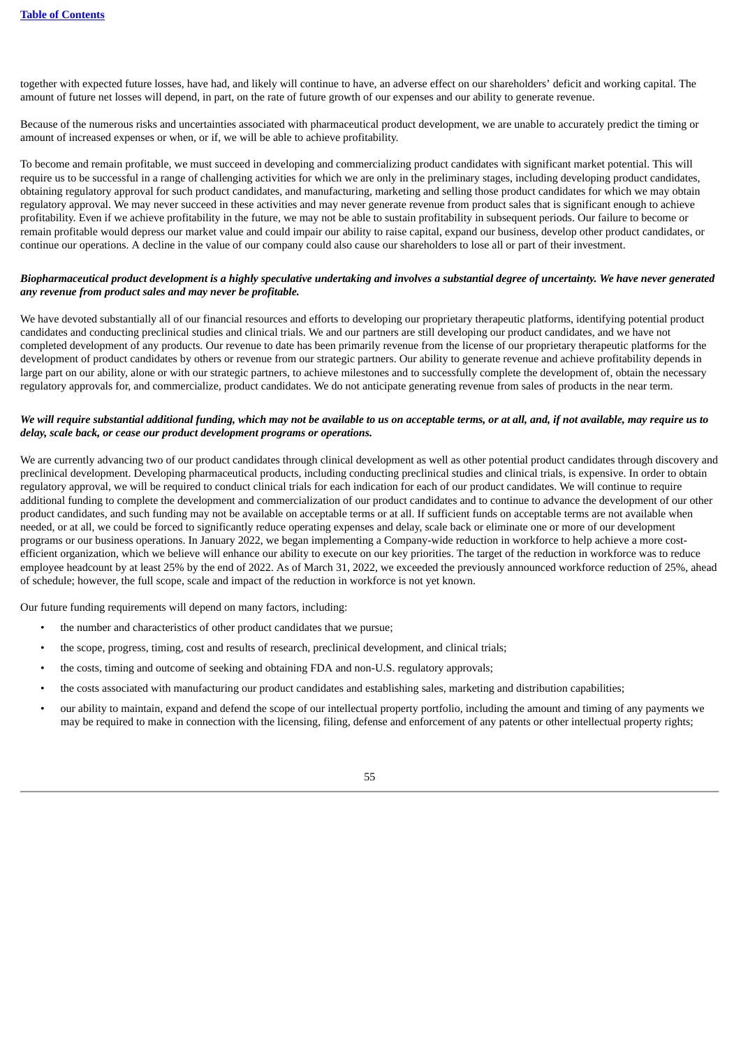together with expected future losses, have had, and likely will continue to have, an adverse effect on our shareholders' deficit and working capital. The amount of future net losses will depend, in part, on the rate of future growth of our expenses and our ability to generate revenue.

Because of the numerous risks and uncertainties associated with pharmaceutical product development, we are unable to accurately predict the timing or amount of increased expenses or when, or if, we will be able to achieve profitability.

To become and remain profitable, we must succeed in developing and commercializing product candidates with significant market potential. This will require us to be successful in a range of challenging activities for which we are only in the preliminary stages, including developing product candidates, obtaining regulatory approval for such product candidates, and manufacturing, marketing and selling those product candidates for which we may obtain regulatory approval. We may never succeed in these activities and may never generate revenue from product sales that is significant enough to achieve profitability. Even if we achieve profitability in the future, we may not be able to sustain profitability in subsequent periods. Our failure to become or remain profitable would depress our market value and could impair our ability to raise capital, expand our business, develop other product candidates, or continue our operations. A decline in the value of our company could also cause our shareholders to lose all or part of their investment.

### Biopharmaceutical product development is a highly speculative undertaking and involves a substantial degree of uncertainty. We have never generated *any revenue from product sales and may never be profitable.*

We have devoted substantially all of our financial resources and efforts to developing our proprietary therapeutic platforms, identifying potential product candidates and conducting preclinical studies and clinical trials. We and our partners are still developing our product candidates, and we have not completed development of any products. Our revenue to date has been primarily revenue from the license of our proprietary therapeutic platforms for the development of product candidates by others or revenue from our strategic partners. Our ability to generate revenue and achieve profitability depends in large part on our ability, alone or with our strategic partners, to achieve milestones and to successfully complete the development of, obtain the necessary regulatory approvals for, and commercialize, product candidates. We do not anticipate generating revenue from sales of products in the near term.

# We will require substantial additional funding, which may not be available to us on acceptable terms, or at all, and, if not available, may require us to *delay, scale back, or cease our product development programs or operations.*

We are currently advancing two of our product candidates through clinical development as well as other potential product candidates through discovery and preclinical development. Developing pharmaceutical products, including conducting preclinical studies and clinical trials, is expensive. In order to obtain regulatory approval, we will be required to conduct clinical trials for each indication for each of our product candidates. We will continue to require additional funding to complete the development and commercialization of our product candidates and to continue to advance the development of our other product candidates, and such funding may not be available on acceptable terms or at all. If sufficient funds on acceptable terms are not available when needed, or at all, we could be forced to significantly reduce operating expenses and delay, scale back or eliminate one or more of our development programs or our business operations. In January 2022, we began implementing a Company-wide reduction in workforce to help achieve a more costefficient organization, which we believe will enhance our ability to execute on our key priorities. The target of the reduction in workforce was to reduce employee headcount by at least 25% by the end of 2022. As of March 31, 2022, we exceeded the previously announced workforce reduction of 25%, ahead of schedule; however, the full scope, scale and impact of the reduction in workforce is not yet known.

Our future funding requirements will depend on many factors, including:

- the number and characteristics of other product candidates that we pursue;
- the scope, progress, timing, cost and results of research, preclinical development, and clinical trials;
- the costs, timing and outcome of seeking and obtaining FDA and non-U.S. regulatory approvals;
- the costs associated with manufacturing our product candidates and establishing sales, marketing and distribution capabilities;
- our ability to maintain, expand and defend the scope of our intellectual property portfolio, including the amount and timing of any payments we may be required to make in connection with the licensing, filing, defense and enforcement of any patents or other intellectual property rights;

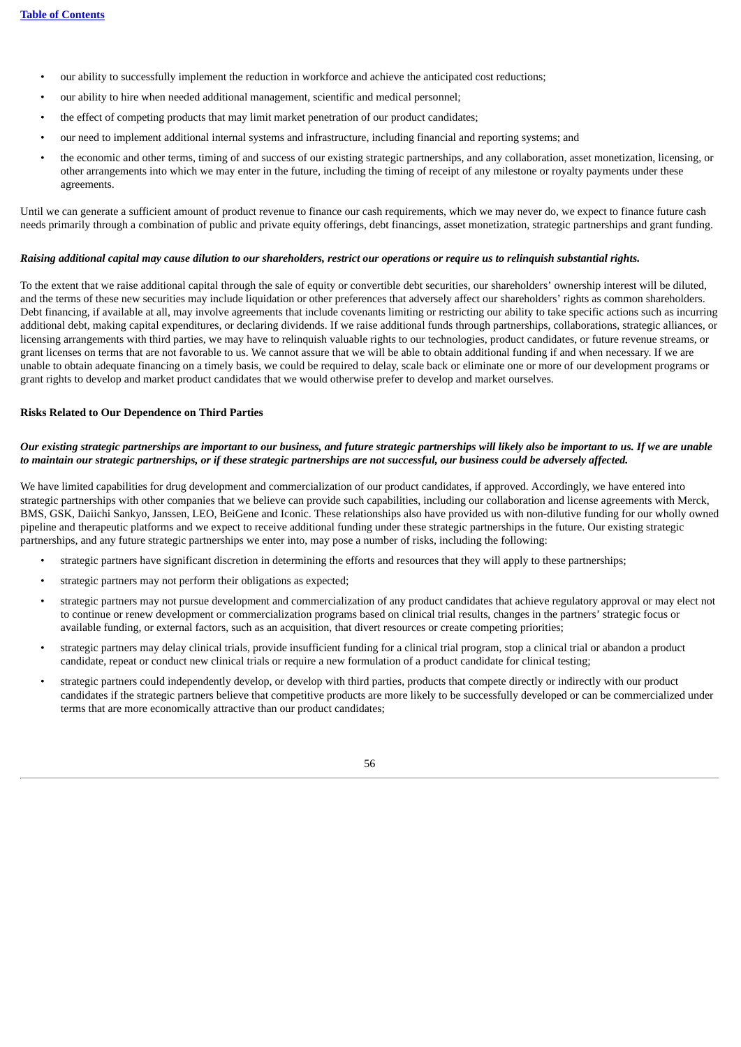- our ability to successfully implement the reduction in workforce and achieve the anticipated cost reductions;
- our ability to hire when needed additional management, scientific and medical personnel;
- the effect of competing products that may limit market penetration of our product candidates;
- our need to implement additional internal systems and infrastructure, including financial and reporting systems; and
- the economic and other terms, timing of and success of our existing strategic partnerships, and any collaboration, asset monetization, licensing, or other arrangements into which we may enter in the future, including the timing of receipt of any milestone or royalty payments under these agreements.

Until we can generate a sufficient amount of product revenue to finance our cash requirements, which we may never do, we expect to finance future cash needs primarily through a combination of public and private equity offerings, debt financings, asset monetization, strategic partnerships and grant funding.

#### Raising additional capital may cause dilution to our shareholders, restrict our operations or require us to relinguish substantial rights.

To the extent that we raise additional capital through the sale of equity or convertible debt securities, our shareholders' ownership interest will be diluted, and the terms of these new securities may include liquidation or other preferences that adversely affect our shareholders' rights as common shareholders. Debt financing, if available at all, may involve agreements that include covenants limiting or restricting our ability to take specific actions such as incurring additional debt, making capital expenditures, or declaring dividends. If we raise additional funds through partnerships, collaborations, strategic alliances, or licensing arrangements with third parties, we may have to relinquish valuable rights to our technologies, product candidates, or future revenue streams, or grant licenses on terms that are not favorable to us. We cannot assure that we will be able to obtain additional funding if and when necessary. If we are unable to obtain adequate financing on a timely basis, we could be required to delay, scale back or eliminate one or more of our development programs or grant rights to develop and market product candidates that we would otherwise prefer to develop and market ourselves.

# **Risks Related to Our Dependence on Third Parties**

### Our existing strategic partnerships are important to our business, and future strategic partnerships will likely also be important to us. If we are unable to maintain our strategic partnerships, or if these strategic partnerships are not successful, our business could be adversely affected.

We have limited capabilities for drug development and commercialization of our product candidates, if approved. Accordingly, we have entered into strategic partnerships with other companies that we believe can provide such capabilities, including our collaboration and license agreements with Merck, BMS, GSK, Daiichi Sankyo, Janssen, LEO, BeiGene and Iconic. These relationships also have provided us with non-dilutive funding for our wholly owned pipeline and therapeutic platforms and we expect to receive additional funding under these strategic partnerships in the future. Our existing strategic partnerships, and any future strategic partnerships we enter into, may pose a number of risks, including the following:

- strategic partners have significant discretion in determining the efforts and resources that they will apply to these partnerships;
- strategic partners may not perform their obligations as expected;
- strategic partners may not pursue development and commercialization of any product candidates that achieve regulatory approval or may elect not to continue or renew development or commercialization programs based on clinical trial results, changes in the partners' strategic focus or available funding, or external factors, such as an acquisition, that divert resources or create competing priorities;
- strategic partners may delay clinical trials, provide insufficient funding for a clinical trial program, stop a clinical trial or abandon a product candidate, repeat or conduct new clinical trials or require a new formulation of a product candidate for clinical testing;
- strategic partners could independently develop, or develop with third parties, products that compete directly or indirectly with our product candidates if the strategic partners believe that competitive products are more likely to be successfully developed or can be commercialized under terms that are more economically attractive than our product candidates;

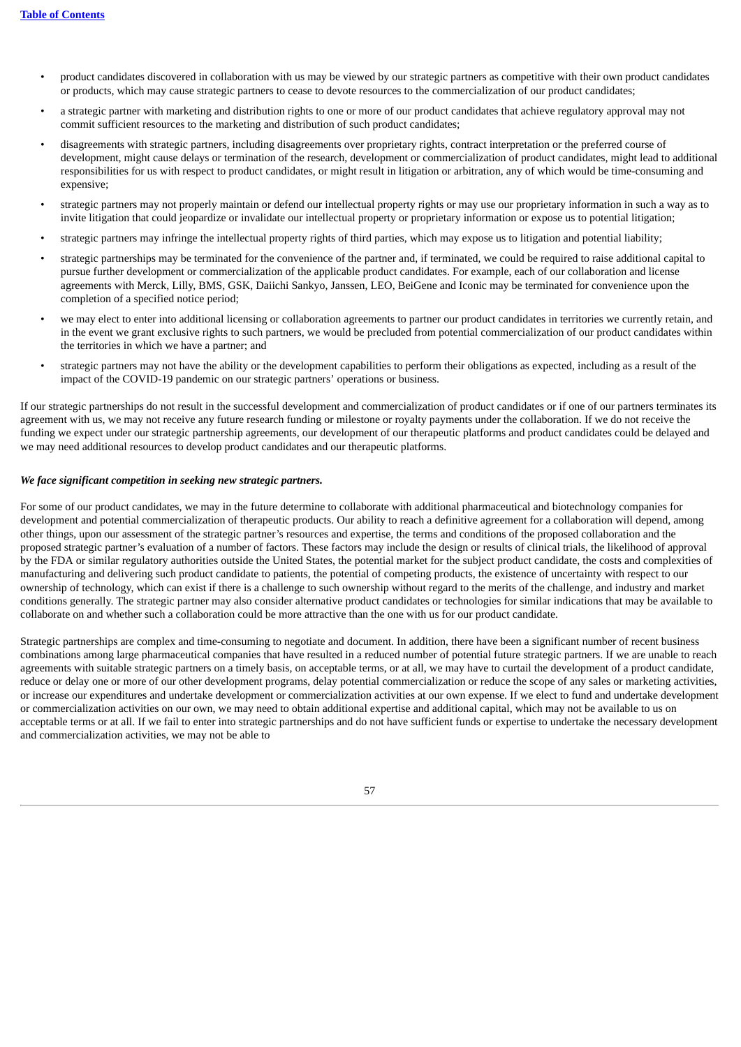- product candidates discovered in collaboration with us may be viewed by our strategic partners as competitive with their own product candidates or products, which may cause strategic partners to cease to devote resources to the commercialization of our product candidates;
- a strategic partner with marketing and distribution rights to one or more of our product candidates that achieve regulatory approval may not commit sufficient resources to the marketing and distribution of such product candidates;
- disagreements with strategic partners, including disagreements over proprietary rights, contract interpretation or the preferred course of development, might cause delays or termination of the research, development or commercialization of product candidates, might lead to additional responsibilities for us with respect to product candidates, or might result in litigation or arbitration, any of which would be time-consuming and expensive;
- strategic partners may not properly maintain or defend our intellectual property rights or may use our proprietary information in such a way as to invite litigation that could jeopardize or invalidate our intellectual property or proprietary information or expose us to potential litigation;
- strategic partners may infringe the intellectual property rights of third parties, which may expose us to litigation and potential liability;
- strategic partnerships may be terminated for the convenience of the partner and, if terminated, we could be required to raise additional capital to pursue further development or commercialization of the applicable product candidates. For example, each of our collaboration and license agreements with Merck, Lilly, BMS, GSK, Daiichi Sankyo, Janssen, LEO, BeiGene and Iconic may be terminated for convenience upon the completion of a specified notice period;
- we may elect to enter into additional licensing or collaboration agreements to partner our product candidates in territories we currently retain, and in the event we grant exclusive rights to such partners, we would be precluded from potential commercialization of our product candidates within the territories in which we have a partner; and
- strategic partners may not have the ability or the development capabilities to perform their obligations as expected, including as a result of the impact of the COVID-19 pandemic on our strategic partners' operations or business.

If our strategic partnerships do not result in the successful development and commercialization of product candidates or if one of our partners terminates its agreement with us, we may not receive any future research funding or milestone or royalty payments under the collaboration. If we do not receive the funding we expect under our strategic partnership agreements, our development of our therapeutic platforms and product candidates could be delayed and we may need additional resources to develop product candidates and our therapeutic platforms.

#### *We face significant competition in seeking new strategic partners.*

For some of our product candidates, we may in the future determine to collaborate with additional pharmaceutical and biotechnology companies for development and potential commercialization of therapeutic products. Our ability to reach a definitive agreement for a collaboration will depend, among other things, upon our assessment of the strategic partner's resources and expertise, the terms and conditions of the proposed collaboration and the proposed strategic partner's evaluation of a number of factors. These factors may include the design or results of clinical trials, the likelihood of approval by the FDA or similar regulatory authorities outside the United States, the potential market for the subject product candidate, the costs and complexities of manufacturing and delivering such product candidate to patients, the potential of competing products, the existence of uncertainty with respect to our ownership of technology, which can exist if there is a challenge to such ownership without regard to the merits of the challenge, and industry and market conditions generally. The strategic partner may also consider alternative product candidates or technologies for similar indications that may be available to collaborate on and whether such a collaboration could be more attractive than the one with us for our product candidate.

Strategic partnerships are complex and time-consuming to negotiate and document. In addition, there have been a significant number of recent business combinations among large pharmaceutical companies that have resulted in a reduced number of potential future strategic partners. If we are unable to reach agreements with suitable strategic partners on a timely basis, on acceptable terms, or at all, we may have to curtail the development of a product candidate, reduce or delay one or more of our other development programs, delay potential commercialization or reduce the scope of any sales or marketing activities, or increase our expenditures and undertake development or commercialization activities at our own expense. If we elect to fund and undertake development or commercialization activities on our own, we may need to obtain additional expertise and additional capital, which may not be available to us on acceptable terms or at all. If we fail to enter into strategic partnerships and do not have sufficient funds or expertise to undertake the necessary development and commercialization activities, we may not be able to

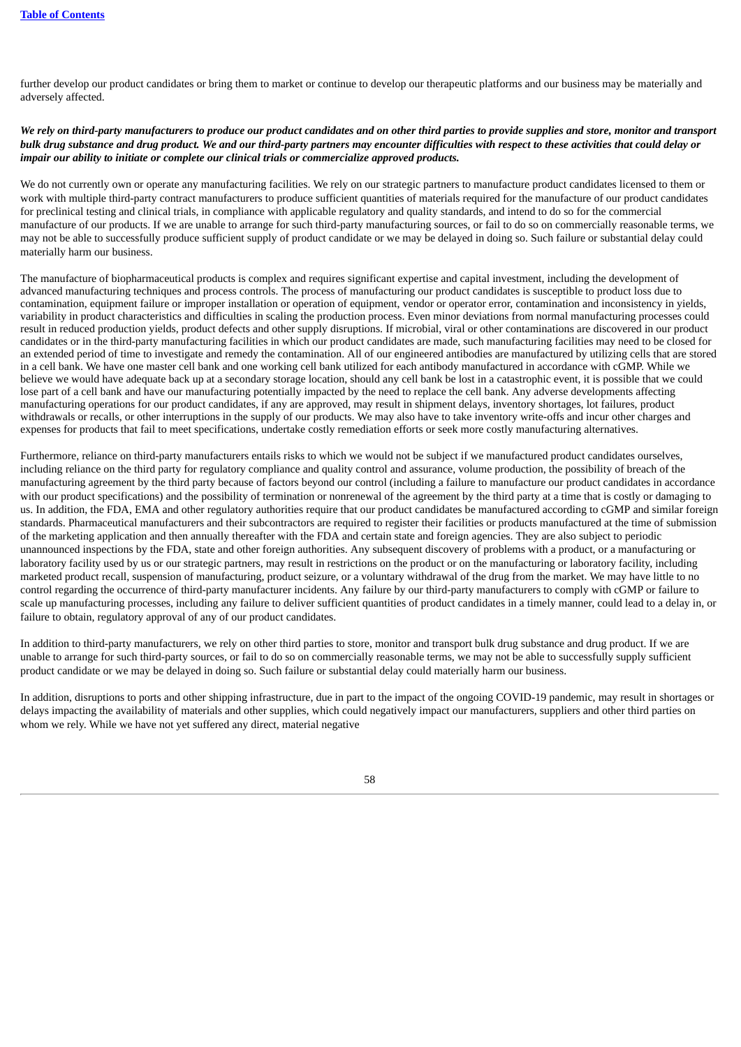further develop our product candidates or bring them to market or continue to develop our therapeutic platforms and our business may be materially and adversely affected.

# We rely on third-party manufacturers to produce our product candidates and on other third parties to provide supplies and store, monitor and transport bulk drug substance and drug product. We and our third-party partners may encounter difficulties with respect to these activities that could delay or *impair our ability to initiate or complete our clinical trials or commercialize approved products.*

We do not currently own or operate any manufacturing facilities. We rely on our strategic partners to manufacture product candidates licensed to them or work with multiple third-party contract manufacturers to produce sufficient quantities of materials required for the manufacture of our product candidates for preclinical testing and clinical trials, in compliance with applicable regulatory and quality standards, and intend to do so for the commercial manufacture of our products. If we are unable to arrange for such third-party manufacturing sources, or fail to do so on commercially reasonable terms, we may not be able to successfully produce sufficient supply of product candidate or we may be delayed in doing so. Such failure or substantial delay could materially harm our business.

The manufacture of biopharmaceutical products is complex and requires significant expertise and capital investment, including the development of advanced manufacturing techniques and process controls. The process of manufacturing our product candidates is susceptible to product loss due to contamination, equipment failure or improper installation or operation of equipment, vendor or operator error, contamination and inconsistency in yields, variability in product characteristics and difficulties in scaling the production process. Even minor deviations from normal manufacturing processes could result in reduced production yields, product defects and other supply disruptions. If microbial, viral or other contaminations are discovered in our product candidates or in the third-party manufacturing facilities in which our product candidates are made, such manufacturing facilities may need to be closed for an extended period of time to investigate and remedy the contamination. All of our engineered antibodies are manufactured by utilizing cells that are stored in a cell bank. We have one master cell bank and one working cell bank utilized for each antibody manufactured in accordance with cGMP. While we believe we would have adequate back up at a secondary storage location, should any cell bank be lost in a catastrophic event, it is possible that we could lose part of a cell bank and have our manufacturing potentially impacted by the need to replace the cell bank. Any adverse developments affecting manufacturing operations for our product candidates, if any are approved, may result in shipment delays, inventory shortages, lot failures, product withdrawals or recalls, or other interruptions in the supply of our products. We may also have to take inventory write-offs and incur other charges and expenses for products that fail to meet specifications, undertake costly remediation efforts or seek more costly manufacturing alternatives.

Furthermore, reliance on third-party manufacturers entails risks to which we would not be subject if we manufactured product candidates ourselves, including reliance on the third party for regulatory compliance and quality control and assurance, volume production, the possibility of breach of the manufacturing agreement by the third party because of factors beyond our control (including a failure to manufacture our product candidates in accordance with our product specifications) and the possibility of termination or nonrenewal of the agreement by the third party at a time that is costly or damaging to us. In addition, the FDA, EMA and other regulatory authorities require that our product candidates be manufactured according to cGMP and similar foreign standards. Pharmaceutical manufacturers and their subcontractors are required to register their facilities or products manufactured at the time of submission of the marketing application and then annually thereafter with the FDA and certain state and foreign agencies. They are also subject to periodic unannounced inspections by the FDA, state and other foreign authorities. Any subsequent discovery of problems with a product, or a manufacturing or laboratory facility used by us or our strategic partners, may result in restrictions on the product or on the manufacturing or laboratory facility, including marketed product recall, suspension of manufacturing, product seizure, or a voluntary withdrawal of the drug from the market. We may have little to no control regarding the occurrence of third-party manufacturer incidents. Any failure by our third-party manufacturers to comply with cGMP or failure to scale up manufacturing processes, including any failure to deliver sufficient quantities of product candidates in a timely manner, could lead to a delay in, or failure to obtain, regulatory approval of any of our product candidates.

In addition to third-party manufacturers, we rely on other third parties to store, monitor and transport bulk drug substance and drug product. If we are unable to arrange for such third-party sources, or fail to do so on commercially reasonable terms, we may not be able to successfully supply sufficient product candidate or we may be delayed in doing so. Such failure or substantial delay could materially harm our business.

In addition, disruptions to ports and other shipping infrastructure, due in part to the impact of the ongoing COVID-19 pandemic, may result in shortages or delays impacting the availability of materials and other supplies, which could negatively impact our manufacturers, suppliers and other third parties on whom we rely. While we have not yet suffered any direct, material negative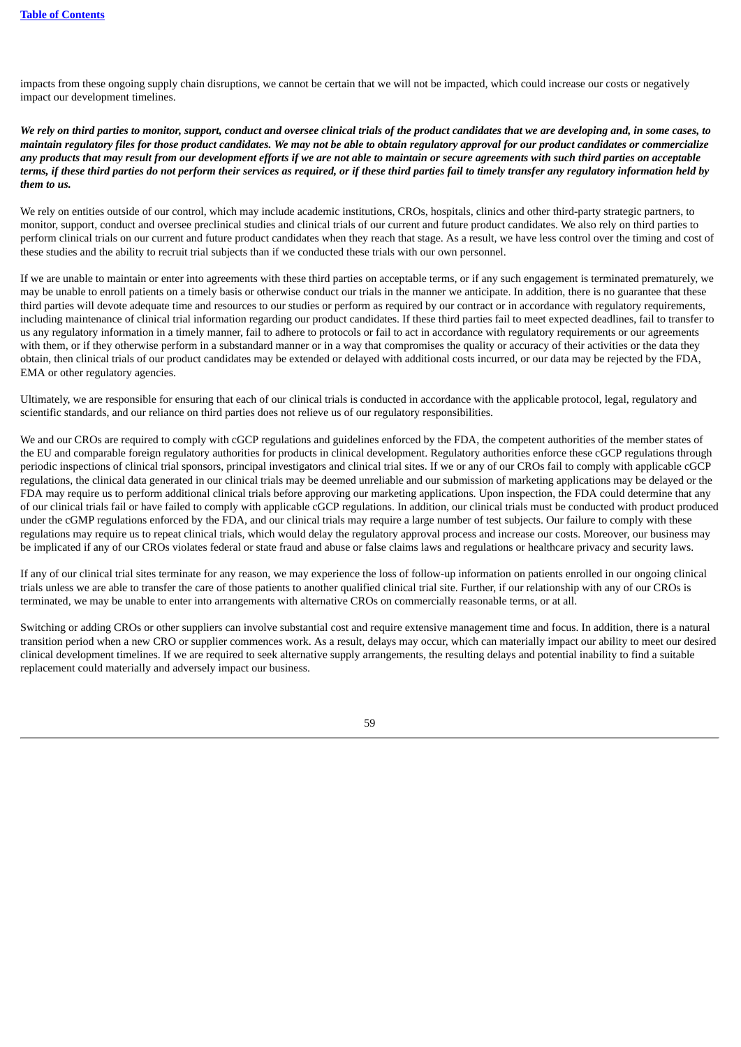impacts from these ongoing supply chain disruptions, we cannot be certain that we will not be impacted, which could increase our costs or negatively impact our development timelines.

We rely on third parties to monitor, support, conduct and oversee clinical trials of the product candidates that we are developing and, in some cases, to maintain requiatory files for those product candidates. We may not be able to obtain requiatory approval for our product candidates or commercialize any products that may result from our development efforts if we are not able to maintain or secure agreements with such third parties on acceptable terms, if these third parties do not perform their services as required, or if these third parties fail to timely transfer any requlatory information held by *them to us.*

We rely on entities outside of our control, which may include academic institutions, CROs, hospitals, clinics and other third-party strategic partners, to monitor, support, conduct and oversee preclinical studies and clinical trials of our current and future product candidates. We also rely on third parties to perform clinical trials on our current and future product candidates when they reach that stage. As a result, we have less control over the timing and cost of these studies and the ability to recruit trial subjects than if we conducted these trials with our own personnel.

If we are unable to maintain or enter into agreements with these third parties on acceptable terms, or if any such engagement is terminated prematurely, we may be unable to enroll patients on a timely basis or otherwise conduct our trials in the manner we anticipate. In addition, there is no guarantee that these third parties will devote adequate time and resources to our studies or perform as required by our contract or in accordance with regulatory requirements, including maintenance of clinical trial information regarding our product candidates. If these third parties fail to meet expected deadlines, fail to transfer to us any regulatory information in a timely manner, fail to adhere to protocols or fail to act in accordance with regulatory requirements or our agreements with them, or if they otherwise perform in a substandard manner or in a way that compromises the quality or accuracy of their activities or the data they obtain, then clinical trials of our product candidates may be extended or delayed with additional costs incurred, or our data may be rejected by the FDA, EMA or other regulatory agencies.

Ultimately, we are responsible for ensuring that each of our clinical trials is conducted in accordance with the applicable protocol, legal, regulatory and scientific standards, and our reliance on third parties does not relieve us of our regulatory responsibilities.

We and our CROs are required to comply with cGCP regulations and guidelines enforced by the FDA, the competent authorities of the member states of the EU and comparable foreign regulatory authorities for products in clinical development. Regulatory authorities enforce these cGCP regulations through periodic inspections of clinical trial sponsors, principal investigators and clinical trial sites. If we or any of our CROs fail to comply with applicable cGCP regulations, the clinical data generated in our clinical trials may be deemed unreliable and our submission of marketing applications may be delayed or the FDA may require us to perform additional clinical trials before approving our marketing applications. Upon inspection, the FDA could determine that any of our clinical trials fail or have failed to comply with applicable cGCP regulations. In addition, our clinical trials must be conducted with product produced under the cGMP regulations enforced by the FDA, and our clinical trials may require a large number of test subjects. Our failure to comply with these regulations may require us to repeat clinical trials, which would delay the regulatory approval process and increase our costs. Moreover, our business may be implicated if any of our CROs violates federal or state fraud and abuse or false claims laws and regulations or healthcare privacy and security laws.

If any of our clinical trial sites terminate for any reason, we may experience the loss of follow-up information on patients enrolled in our ongoing clinical trials unless we are able to transfer the care of those patients to another qualified clinical trial site. Further, if our relationship with any of our CROs is terminated, we may be unable to enter into arrangements with alternative CROs on commercially reasonable terms, or at all.

Switching or adding CROs or other suppliers can involve substantial cost and require extensive management time and focus. In addition, there is a natural transition period when a new CRO or supplier commences work. As a result, delays may occur, which can materially impact our ability to meet our desired clinical development timelines. If we are required to seek alternative supply arrangements, the resulting delays and potential inability to find a suitable replacement could materially and adversely impact our business.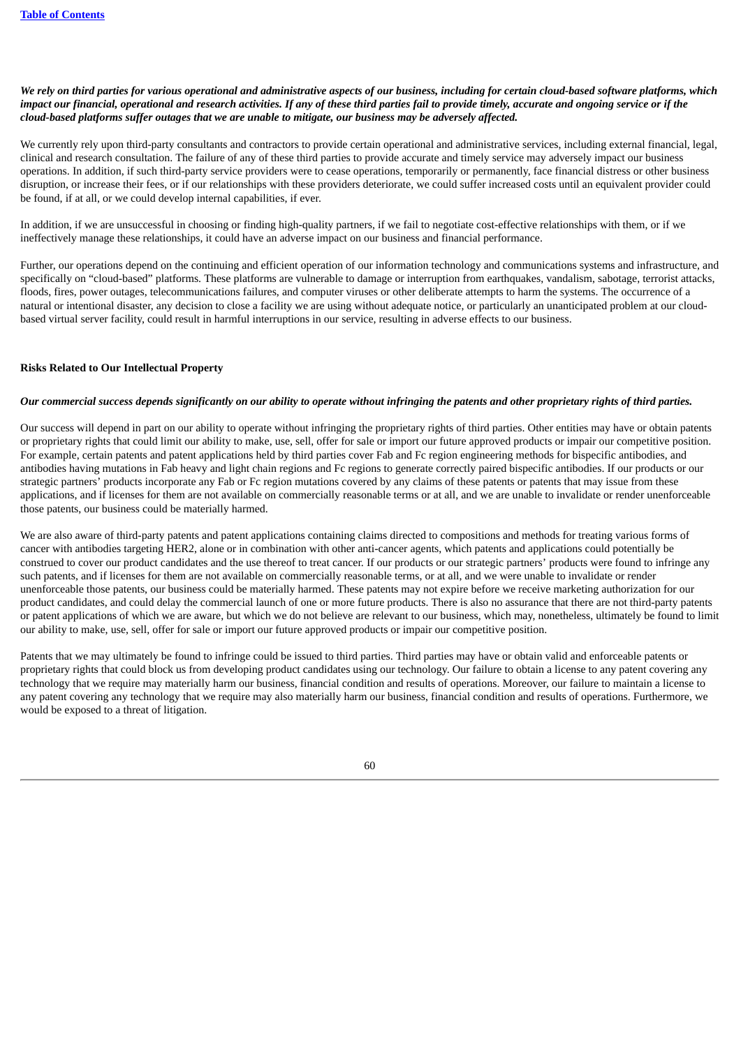# We rely on third parties for various operational and administrative aspects of our business, including for certain cloud-based software platforms, which impact our financial, operational and research activities. If any of these third parties fail to provide timely, accurate and ongoing service or if the *cloud-based platforms suffer outages that we are unable to mitigate, our business may be adversely affected.*

We currently rely upon third-party consultants and contractors to provide certain operational and administrative services, including external financial, legal, clinical and research consultation. The failure of any of these third parties to provide accurate and timely service may adversely impact our business operations. In addition, if such third-party service providers were to cease operations, temporarily or permanently, face financial distress or other business disruption, or increase their fees, or if our relationships with these providers deteriorate, we could suffer increased costs until an equivalent provider could be found, if at all, or we could develop internal capabilities, if ever.

In addition, if we are unsuccessful in choosing or finding high-quality partners, if we fail to negotiate cost-effective relationships with them, or if we ineffectively manage these relationships, it could have an adverse impact on our business and financial performance.

Further, our operations depend on the continuing and efficient operation of our information technology and communications systems and infrastructure, and specifically on "cloud-based" platforms. These platforms are vulnerable to damage or interruption from earthquakes, vandalism, sabotage, terrorist attacks, floods, fires, power outages, telecommunications failures, and computer viruses or other deliberate attempts to harm the systems. The occurrence of a natural or intentional disaster, any decision to close a facility we are using without adequate notice, or particularly an unanticipated problem at our cloudbased virtual server facility, could result in harmful interruptions in our service, resulting in adverse effects to our business.

#### **Risks Related to Our Intellectual Property**

### Our commercial success depends significantly on our ability to operate without infringing the patents and other proprietary rights of third parties.

Our success will depend in part on our ability to operate without infringing the proprietary rights of third parties. Other entities may have or obtain patents or proprietary rights that could limit our ability to make, use, sell, offer for sale or import our future approved products or impair our competitive position. For example, certain patents and patent applications held by third parties cover Fab and Fc region engineering methods for bispecific antibodies, and antibodies having mutations in Fab heavy and light chain regions and Fc regions to generate correctly paired bispecific antibodies. If our products or our strategic partners' products incorporate any Fab or Fc region mutations covered by any claims of these patents or patents that may issue from these applications, and if licenses for them are not available on commercially reasonable terms or at all, and we are unable to invalidate or render unenforceable those patents, our business could be materially harmed.

We are also aware of third-party patents and patent applications containing claims directed to compositions and methods for treating various forms of cancer with antibodies targeting HER2, alone or in combination with other anti-cancer agents, which patents and applications could potentially be construed to cover our product candidates and the use thereof to treat cancer. If our products or our strategic partners' products were found to infringe any such patents, and if licenses for them are not available on commercially reasonable terms, or at all, and we were unable to invalidate or render unenforceable those patents, our business could be materially harmed. These patents may not expire before we receive marketing authorization for our product candidates, and could delay the commercial launch of one or more future products. There is also no assurance that there are not third-party patents or patent applications of which we are aware, but which we do not believe are relevant to our business, which may, nonetheless, ultimately be found to limit our ability to make, use, sell, offer for sale or import our future approved products or impair our competitive position.

Patents that we may ultimately be found to infringe could be issued to third parties. Third parties may have or obtain valid and enforceable patents or proprietary rights that could block us from developing product candidates using our technology. Our failure to obtain a license to any patent covering any technology that we require may materially harm our business, financial condition and results of operations. Moreover, our failure to maintain a license to any patent covering any technology that we require may also materially harm our business, financial condition and results of operations. Furthermore, we would be exposed to a threat of litigation.

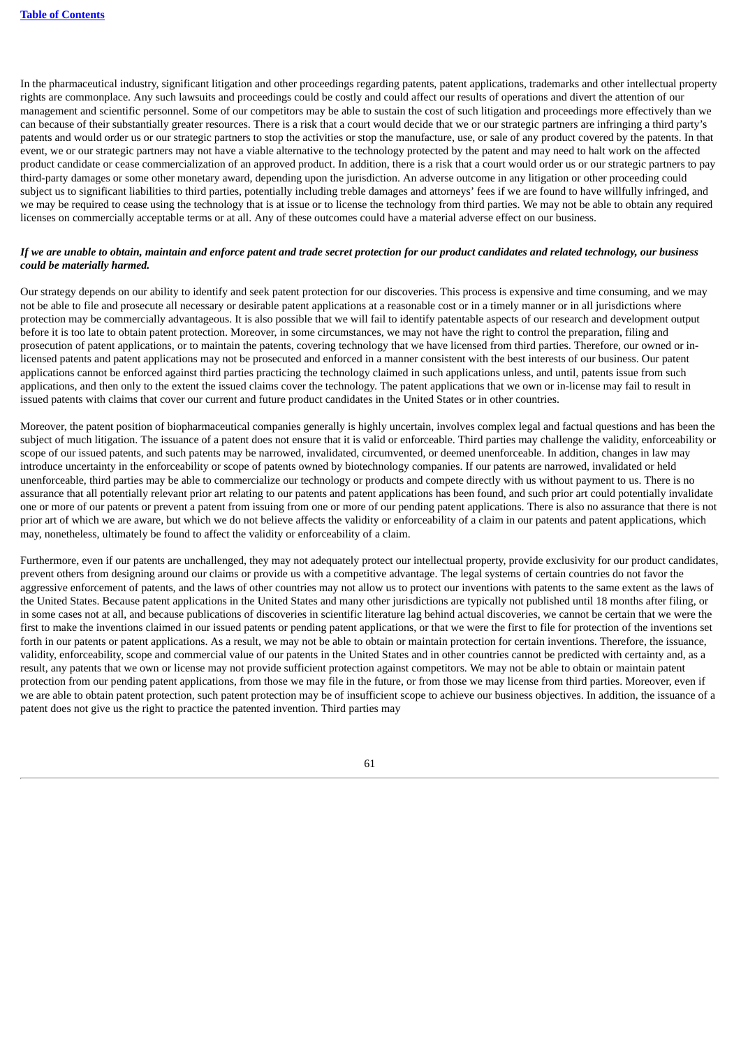In the pharmaceutical industry, significant litigation and other proceedings regarding patents, patent applications, trademarks and other intellectual property rights are commonplace. Any such lawsuits and proceedings could be costly and could affect our results of operations and divert the attention of our management and scientific personnel. Some of our competitors may be able to sustain the cost of such litigation and proceedings more effectively than we can because of their substantially greater resources. There is a risk that a court would decide that we or our strategic partners are infringing a third party's patents and would order us or our strategic partners to stop the activities or stop the manufacture, use, or sale of any product covered by the patents. In that event, we or our strategic partners may not have a viable alternative to the technology protected by the patent and may need to halt work on the affected product candidate or cease commercialization of an approved product. In addition, there is a risk that a court would order us or our strategic partners to pay third-party damages or some other monetary award, depending upon the jurisdiction. An adverse outcome in any litigation or other proceeding could subject us to significant liabilities to third parties, potentially including treble damages and attorneys' fees if we are found to have willfully infringed, and we may be required to cease using the technology that is at issue or to license the technology from third parties. We may not be able to obtain any required licenses on commercially acceptable terms or at all. Any of these outcomes could have a material adverse effect on our business.

### If we are unable to obtain, maintain and enforce patent and trade secret protection for our product candidates and related technology, our business *could be materially harmed.*

Our strategy depends on our ability to identify and seek patent protection for our discoveries. This process is expensive and time consuming, and we may not be able to file and prosecute all necessary or desirable patent applications at a reasonable cost or in a timely manner or in all jurisdictions where protection may be commercially advantageous. It is also possible that we will fail to identify patentable aspects of our research and development output before it is too late to obtain patent protection. Moreover, in some circumstances, we may not have the right to control the preparation, filing and prosecution of patent applications, or to maintain the patents, covering technology that we have licensed from third parties. Therefore, our owned or inlicensed patents and patent applications may not be prosecuted and enforced in a manner consistent with the best interests of our business. Our patent applications cannot be enforced against third parties practicing the technology claimed in such applications unless, and until, patents issue from such applications, and then only to the extent the issued claims cover the technology. The patent applications that we own or in-license may fail to result in issued patents with claims that cover our current and future product candidates in the United States or in other countries.

Moreover, the patent position of biopharmaceutical companies generally is highly uncertain, involves complex legal and factual questions and has been the subject of much litigation. The issuance of a patent does not ensure that it is valid or enforceable. Third parties may challenge the validity, enforceability or scope of our issued patents, and such patents may be narrowed, invalidated, circumvented, or deemed unenforceable. In addition, changes in law may introduce uncertainty in the enforceability or scope of patents owned by biotechnology companies. If our patents are narrowed, invalidated or held unenforceable, third parties may be able to commercialize our technology or products and compete directly with us without payment to us. There is no assurance that all potentially relevant prior art relating to our patents and patent applications has been found, and such prior art could potentially invalidate one or more of our patents or prevent a patent from issuing from one or more of our pending patent applications. There is also no assurance that there is not prior art of which we are aware, but which we do not believe affects the validity or enforceability of a claim in our patents and patent applications, which may, nonetheless, ultimately be found to affect the validity or enforceability of a claim.

Furthermore, even if our patents are unchallenged, they may not adequately protect our intellectual property, provide exclusivity for our product candidates, prevent others from designing around our claims or provide us with a competitive advantage. The legal systems of certain countries do not favor the aggressive enforcement of patents, and the laws of other countries may not allow us to protect our inventions with patents to the same extent as the laws of the United States. Because patent applications in the United States and many other jurisdictions are typically not published until 18 months after filing, or in some cases not at all, and because publications of discoveries in scientific literature lag behind actual discoveries, we cannot be certain that we were the first to make the inventions claimed in our issued patents or pending patent applications, or that we were the first to file for protection of the inventions set forth in our patents or patent applications. As a result, we may not be able to obtain or maintain protection for certain inventions. Therefore, the issuance, validity, enforceability, scope and commercial value of our patents in the United States and in other countries cannot be predicted with certainty and, as a result, any patents that we own or license may not provide sufficient protection against competitors. We may not be able to obtain or maintain patent protection from our pending patent applications, from those we may file in the future, or from those we may license from third parties. Moreover, even if we are able to obtain patent protection, such patent protection may be of insufficient scope to achieve our business objectives. In addition, the issuance of a patent does not give us the right to practice the patented invention. Third parties may

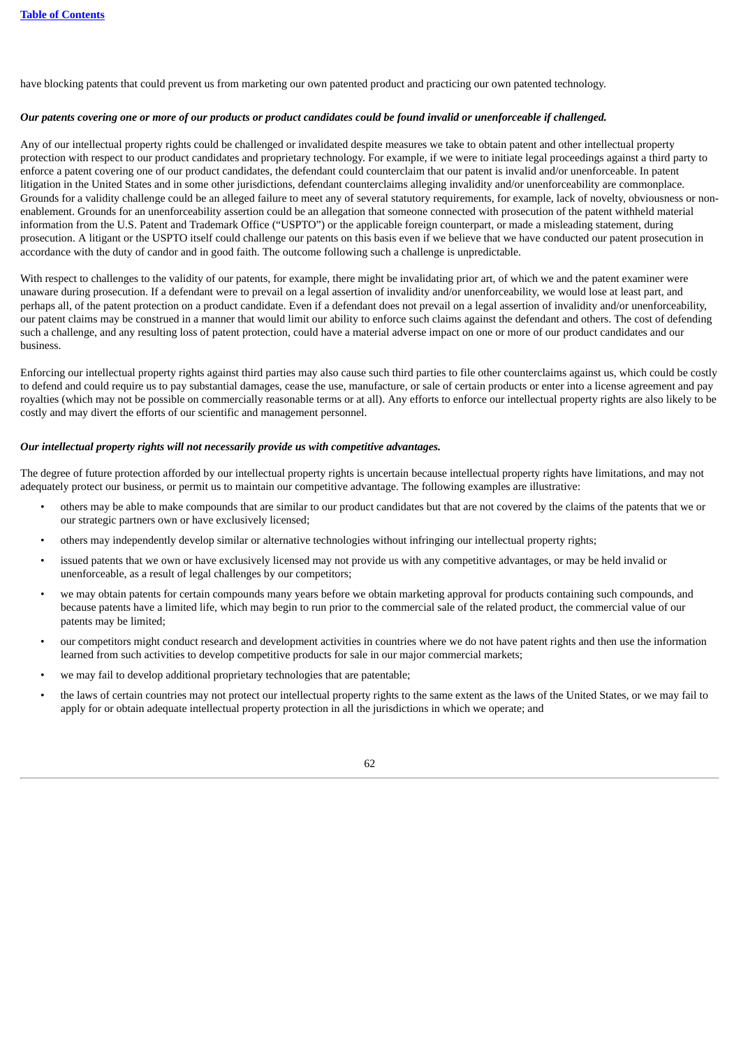have blocking patents that could prevent us from marketing our own patented product and practicing our own patented technology.

#### Our patents covering one or more of our products or product candidates could be found invalid or unenforceable if challenged.

Any of our intellectual property rights could be challenged or invalidated despite measures we take to obtain patent and other intellectual property protection with respect to our product candidates and proprietary technology. For example, if we were to initiate legal proceedings against a third party to enforce a patent covering one of our product candidates, the defendant could counterclaim that our patent is invalid and/or unenforceable. In patent litigation in the United States and in some other jurisdictions, defendant counterclaims alleging invalidity and/or unenforceability are commonplace. Grounds for a validity challenge could be an alleged failure to meet any of several statutory requirements, for example, lack of novelty, obviousness or nonenablement. Grounds for an unenforceability assertion could be an allegation that someone connected with prosecution of the patent withheld material information from the U.S. Patent and Trademark Office ("USPTO") or the applicable foreign counterpart, or made a misleading statement, during prosecution. A litigant or the USPTO itself could challenge our patents on this basis even if we believe that we have conducted our patent prosecution in accordance with the duty of candor and in good faith. The outcome following such a challenge is unpredictable.

With respect to challenges to the validity of our patents, for example, there might be invalidating prior art, of which we and the patent examiner were unaware during prosecution. If a defendant were to prevail on a legal assertion of invalidity and/or unenforceability, we would lose at least part, and perhaps all, of the patent protection on a product candidate. Even if a defendant does not prevail on a legal assertion of invalidity and/or unenforceability, our patent claims may be construed in a manner that would limit our ability to enforce such claims against the defendant and others. The cost of defending such a challenge, and any resulting loss of patent protection, could have a material adverse impact on one or more of our product candidates and our business.

Enforcing our intellectual property rights against third parties may also cause such third parties to file other counterclaims against us, which could be costly to defend and could require us to pay substantial damages, cease the use, manufacture, or sale of certain products or enter into a license agreement and pay royalties (which may not be possible on commercially reasonable terms or at all). Any efforts to enforce our intellectual property rights are also likely to be costly and may divert the efforts of our scientific and management personnel.

#### *Our intellectual property rights will not necessarily provide us with competitive advantages.*

The degree of future protection afforded by our intellectual property rights is uncertain because intellectual property rights have limitations, and may not adequately protect our business, or permit us to maintain our competitive advantage. The following examples are illustrative:

- others may be able to make compounds that are similar to our product candidates but that are not covered by the claims of the patents that we or our strategic partners own or have exclusively licensed;
- others may independently develop similar or alternative technologies without infringing our intellectual property rights;
- issued patents that we own or have exclusively licensed may not provide us with any competitive advantages, or may be held invalid or unenforceable, as a result of legal challenges by our competitors;
- we may obtain patents for certain compounds many years before we obtain marketing approval for products containing such compounds, and because patents have a limited life, which may begin to run prior to the commercial sale of the related product, the commercial value of our patents may be limited;
- our competitors might conduct research and development activities in countries where we do not have patent rights and then use the information learned from such activities to develop competitive products for sale in our major commercial markets;
- we may fail to develop additional proprietary technologies that are patentable;
- the laws of certain countries may not protect our intellectual property rights to the same extent as the laws of the United States, or we may fail to apply for or obtain adequate intellectual property protection in all the jurisdictions in which we operate; and

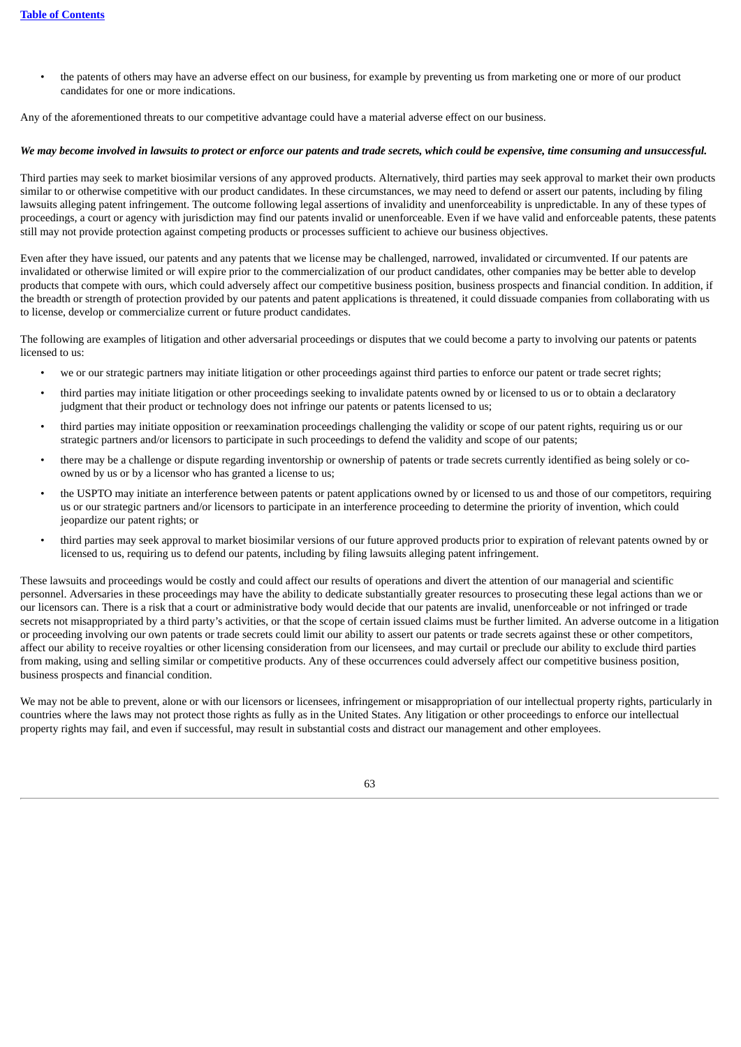• the patents of others may have an adverse effect on our business, for example by preventing us from marketing one or more of our product candidates for one or more indications.

Any of the aforementioned threats to our competitive advantage could have a material adverse effect on our business.

#### We may become involved in lawsuits to protect or enforce our patents and trade secrets, which could be expensive, time consuming and unsuccessful.

Third parties may seek to market biosimilar versions of any approved products. Alternatively, third parties may seek approval to market their own products similar to or otherwise competitive with our product candidates. In these circumstances, we may need to defend or assert our patents, including by filing lawsuits alleging patent infringement. The outcome following legal assertions of invalidity and unenforceability is unpredictable. In any of these types of proceedings, a court or agency with jurisdiction may find our patents invalid or unenforceable. Even if we have valid and enforceable patents, these patents still may not provide protection against competing products or processes sufficient to achieve our business objectives.

Even after they have issued, our patents and any patents that we license may be challenged, narrowed, invalidated or circumvented. If our patents are invalidated or otherwise limited or will expire prior to the commercialization of our product candidates, other companies may be better able to develop products that compete with ours, which could adversely affect our competitive business position, business prospects and financial condition. In addition, if the breadth or strength of protection provided by our patents and patent applications is threatened, it could dissuade companies from collaborating with us to license, develop or commercialize current or future product candidates.

The following are examples of litigation and other adversarial proceedings or disputes that we could become a party to involving our patents or patents licensed to us:

- we or our strategic partners may initiate litigation or other proceedings against third parties to enforce our patent or trade secret rights;
- third parties may initiate litigation or other proceedings seeking to invalidate patents owned by or licensed to us or to obtain a declaratory judgment that their product or technology does not infringe our patents or patents licensed to us;
- third parties may initiate opposition or reexamination proceedings challenging the validity or scope of our patent rights, requiring us or our strategic partners and/or licensors to participate in such proceedings to defend the validity and scope of our patents;
- there may be a challenge or dispute regarding inventorship or ownership of patents or trade secrets currently identified as being solely or coowned by us or by a licensor who has granted a license to us;
- the USPTO may initiate an interference between patents or patent applications owned by or licensed to us and those of our competitors, requiring us or our strategic partners and/or licensors to participate in an interference proceeding to determine the priority of invention, which could jeopardize our patent rights; or
- third parties may seek approval to market biosimilar versions of our future approved products prior to expiration of relevant patents owned by or licensed to us, requiring us to defend our patents, including by filing lawsuits alleging patent infringement.

These lawsuits and proceedings would be costly and could affect our results of operations and divert the attention of our managerial and scientific personnel. Adversaries in these proceedings may have the ability to dedicate substantially greater resources to prosecuting these legal actions than we or our licensors can. There is a risk that a court or administrative body would decide that our patents are invalid, unenforceable or not infringed or trade secrets not misappropriated by a third party's activities, or that the scope of certain issued claims must be further limited. An adverse outcome in a litigation or proceeding involving our own patents or trade secrets could limit our ability to assert our patents or trade secrets against these or other competitors, affect our ability to receive royalties or other licensing consideration from our licensees, and may curtail or preclude our ability to exclude third parties from making, using and selling similar or competitive products. Any of these occurrences could adversely affect our competitive business position, business prospects and financial condition.

We may not be able to prevent, alone or with our licensors or licensees, infringement or misappropriation of our intellectual property rights, particularly in countries where the laws may not protect those rights as fully as in the United States. Any litigation or other proceedings to enforce our intellectual property rights may fail, and even if successful, may result in substantial costs and distract our management and other employees.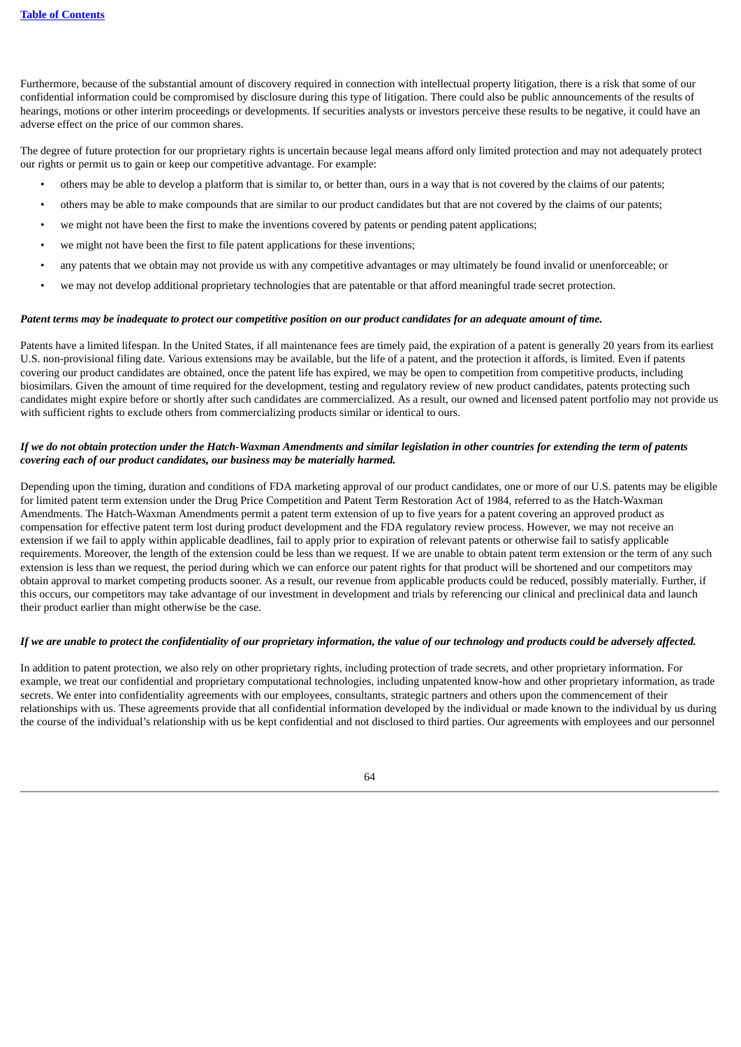Furthermore, because of the substantial amount of discovery required in connection with intellectual property litigation, there is a risk that some of our confidential information could be compromised by disclosure during this type of litigation. There could also be public announcements of the results of hearings, motions or other interim proceedings or developments. If securities analysts or investors perceive these results to be negative, it could have an adverse effect on the price of our common shares.

The degree of future protection for our proprietary rights is uncertain because legal means afford only limited protection and may not adequately protect our rights or permit us to gain or keep our competitive advantage. For example:

- others may be able to develop a platform that is similar to, or better than, ours in a way that is not covered by the claims of our patents;
- others may be able to make compounds that are similar to our product candidates but that are not covered by the claims of our patents;
- we might not have been the first to make the inventions covered by patents or pending patent applications;
- we might not have been the first to file patent applications for these inventions;
- any patents that we obtain may not provide us with any competitive advantages or may ultimately be found invalid or unenforceable; or
- we may not develop additional proprietary technologies that are patentable or that afford meaningful trade secret protection.

### Patent terms may be inadequate to protect our competitive position on our product candidates for an adequate amount of time.

Patents have a limited lifespan. In the United States, if all maintenance fees are timely paid, the expiration of a patent is generally 20 years from its earliest U.S. non-provisional filing date. Various extensions may be available, but the life of a patent, and the protection it affords, is limited. Even if patents covering our product candidates are obtained, once the patent life has expired, we may be open to competition from competitive products, including biosimilars. Given the amount of time required for the development, testing and regulatory review of new product candidates, patents protecting such candidates might expire before or shortly after such candidates are commercialized. As a result, our owned and licensed patent portfolio may not provide us with sufficient rights to exclude others from commercializing products similar or identical to ours.

### If we do not obtain protection under the Hatch-Waxman Amendments and similar legislation in other countries for extending the term of patents *covering each of our product candidates, our business may be materially harmed.*

Depending upon the timing, duration and conditions of FDA marketing approval of our product candidates, one or more of our U.S. patents may be eligible for limited patent term extension under the Drug Price Competition and Patent Term Restoration Act of 1984, referred to as the Hatch-Waxman Amendments. The Hatch-Waxman Amendments permit a patent term extension of up to five years for a patent covering an approved product as compensation for effective patent term lost during product development and the FDA regulatory review process. However, we may not receive an extension if we fail to apply within applicable deadlines, fail to apply prior to expiration of relevant patents or otherwise fail to satisfy applicable requirements. Moreover, the length of the extension could be less than we request. If we are unable to obtain patent term extension or the term of any such extension is less than we request, the period during which we can enforce our patent rights for that product will be shortened and our competitors may obtain approval to market competing products sooner. As a result, our revenue from applicable products could be reduced, possibly materially. Further, if this occurs, our competitors may take advantage of our investment in development and trials by referencing our clinical and preclinical data and launch their product earlier than might otherwise be the case.

#### If we are unable to protect the confidentiality of our proprietary information, the value of our technology and products could be adversely affected.

In addition to patent protection, we also rely on other proprietary rights, including protection of trade secrets, and other proprietary information. For example, we treat our confidential and proprietary computational technologies, including unpatented know-how and other proprietary information, as trade secrets. We enter into confidentiality agreements with our employees, consultants, strategic partners and others upon the commencement of their relationships with us. These agreements provide that all confidential information developed by the individual or made known to the individual by us during the course of the individual's relationship with us be kept confidential and not disclosed to third parties. Our agreements with employees and our personnel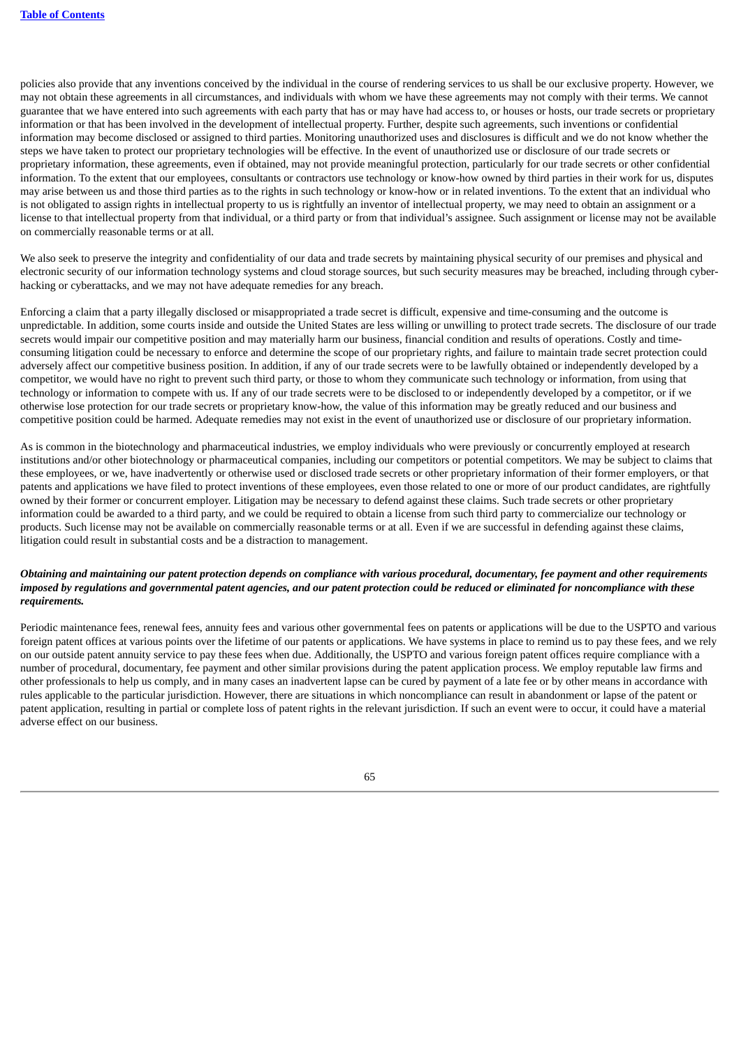policies also provide that any inventions conceived by the individual in the course of rendering services to us shall be our exclusive property. However, we may not obtain these agreements in all circumstances, and individuals with whom we have these agreements may not comply with their terms. We cannot guarantee that we have entered into such agreements with each party that has or may have had access to, or houses or hosts, our trade secrets or proprietary information or that has been involved in the development of intellectual property. Further, despite such agreements, such inventions or confidential information may become disclosed or assigned to third parties. Monitoring unauthorized uses and disclosures is difficult and we do not know whether the steps we have taken to protect our proprietary technologies will be effective. In the event of unauthorized use or disclosure of our trade secrets or proprietary information, these agreements, even if obtained, may not provide meaningful protection, particularly for our trade secrets or other confidential information. To the extent that our employees, consultants or contractors use technology or know-how owned by third parties in their work for us, disputes may arise between us and those third parties as to the rights in such technology or know-how or in related inventions. To the extent that an individual who is not obligated to assign rights in intellectual property to us is rightfully an inventor of intellectual property, we may need to obtain an assignment or a license to that intellectual property from that individual, or a third party or from that individual's assignee. Such assignment or license may not be available on commercially reasonable terms or at all.

We also seek to preserve the integrity and confidentiality of our data and trade secrets by maintaining physical security of our premises and physical and electronic security of our information technology systems and cloud storage sources, but such security measures may be breached, including through cyberhacking or cyberattacks, and we may not have adequate remedies for any breach.

Enforcing a claim that a party illegally disclosed or misappropriated a trade secret is difficult, expensive and time-consuming and the outcome is unpredictable. In addition, some courts inside and outside the United States are less willing or unwilling to protect trade secrets. The disclosure of our trade secrets would impair our competitive position and may materially harm our business, financial condition and results of operations. Costly and timeconsuming litigation could be necessary to enforce and determine the scope of our proprietary rights, and failure to maintain trade secret protection could adversely affect our competitive business position. In addition, if any of our trade secrets were to be lawfully obtained or independently developed by a competitor, we would have no right to prevent such third party, or those to whom they communicate such technology or information, from using that technology or information to compete with us. If any of our trade secrets were to be disclosed to or independently developed by a competitor, or if we otherwise lose protection for our trade secrets or proprietary know-how, the value of this information may be greatly reduced and our business and competitive position could be harmed. Adequate remedies may not exist in the event of unauthorized use or disclosure of our proprietary information.

As is common in the biotechnology and pharmaceutical industries, we employ individuals who were previously or concurrently employed at research institutions and/or other biotechnology or pharmaceutical companies, including our competitors or potential competitors. We may be subject to claims that these employees, or we, have inadvertently or otherwise used or disclosed trade secrets or other proprietary information of their former employers, or that patents and applications we have filed to protect inventions of these employees, even those related to one or more of our product candidates, are rightfully owned by their former or concurrent employer. Litigation may be necessary to defend against these claims. Such trade secrets or other proprietary information could be awarded to a third party, and we could be required to obtain a license from such third party to commercialize our technology or products. Such license may not be available on commercially reasonable terms or at all. Even if we are successful in defending against these claims, litigation could result in substantial costs and be a distraction to management.

# Obtaining and maintaining our patent protection depends on compliance with various procedural, documentary, fee payment and other requirements imposed by regulations and governmental patent agencies, and our patent protection could be reduced or eliminated for noncompliance with these *requirements.*

Periodic maintenance fees, renewal fees, annuity fees and various other governmental fees on patents or applications will be due to the USPTO and various foreign patent offices at various points over the lifetime of our patents or applications. We have systems in place to remind us to pay these fees, and we rely on our outside patent annuity service to pay these fees when due. Additionally, the USPTO and various foreign patent offices require compliance with a number of procedural, documentary, fee payment and other similar provisions during the patent application process. We employ reputable law firms and other professionals to help us comply, and in many cases an inadvertent lapse can be cured by payment of a late fee or by other means in accordance with rules applicable to the particular jurisdiction. However, there are situations in which noncompliance can result in abandonment or lapse of the patent or patent application, resulting in partial or complete loss of patent rights in the relevant jurisdiction. If such an event were to occur, it could have a material adverse effect on our business.

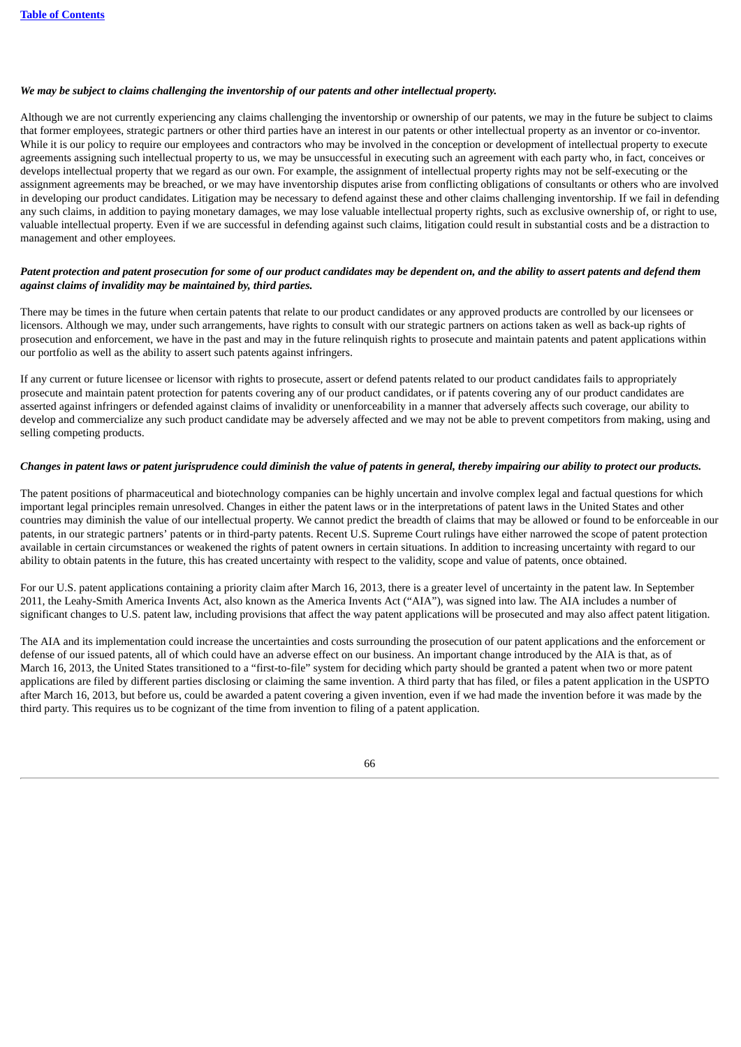### *We may be subject to claims challenging the inventorship of our patents and other intellectual property.*

Although we are not currently experiencing any claims challenging the inventorship or ownership of our patents, we may in the future be subject to claims that former employees, strategic partners or other third parties have an interest in our patents or other intellectual property as an inventor or co-inventor. While it is our policy to require our employees and contractors who may be involved in the conception or development of intellectual property to execute agreements assigning such intellectual property to us, we may be unsuccessful in executing such an agreement with each party who, in fact, conceives or develops intellectual property that we regard as our own. For example, the assignment of intellectual property rights may not be self-executing or the assignment agreements may be breached, or we may have inventorship disputes arise from conflicting obligations of consultants or others who are involved in developing our product candidates. Litigation may be necessary to defend against these and other claims challenging inventorship. If we fail in defending any such claims, in addition to paying monetary damages, we may lose valuable intellectual property rights, such as exclusive ownership of, or right to use, valuable intellectual property. Even if we are successful in defending against such claims, litigation could result in substantial costs and be a distraction to management and other employees.

### Patent protection and patent prosecution for some of our product candidates may be dependent on, and the ability to assert patents and defend them *against claims of invalidity may be maintained by, third parties.*

There may be times in the future when certain patents that relate to our product candidates or any approved products are controlled by our licensees or licensors. Although we may, under such arrangements, have rights to consult with our strategic partners on actions taken as well as back-up rights of prosecution and enforcement, we have in the past and may in the future relinquish rights to prosecute and maintain patents and patent applications within our portfolio as well as the ability to assert such patents against infringers.

If any current or future licensee or licensor with rights to prosecute, assert or defend patents related to our product candidates fails to appropriately prosecute and maintain patent protection for patents covering any of our product candidates, or if patents covering any of our product candidates are asserted against infringers or defended against claims of invalidity or unenforceability in a manner that adversely affects such coverage, our ability to develop and commercialize any such product candidate may be adversely affected and we may not be able to prevent competitors from making, using and selling competing products.

### Changes in patent laws or patent jurisprudence could diminish the value of patents in general, thereby impairing our ability to protect our products.

The patent positions of pharmaceutical and biotechnology companies can be highly uncertain and involve complex legal and factual questions for which important legal principles remain unresolved. Changes in either the patent laws or in the interpretations of patent laws in the United States and other countries may diminish the value of our intellectual property. We cannot predict the breadth of claims that may be allowed or found to be enforceable in our patents, in our strategic partners' patents or in third-party patents. Recent U.S. Supreme Court rulings have either narrowed the scope of patent protection available in certain circumstances or weakened the rights of patent owners in certain situations. In addition to increasing uncertainty with regard to our ability to obtain patents in the future, this has created uncertainty with respect to the validity, scope and value of patents, once obtained.

For our U.S. patent applications containing a priority claim after March 16, 2013, there is a greater level of uncertainty in the patent law. In September 2011, the Leahy-Smith America Invents Act, also known as the America Invents Act ("AIA"), was signed into law. The AIA includes a number of significant changes to U.S. patent law, including provisions that affect the way patent applications will be prosecuted and may also affect patent litigation.

The AIA and its implementation could increase the uncertainties and costs surrounding the prosecution of our patent applications and the enforcement or defense of our issued patents, all of which could have an adverse effect on our business. An important change introduced by the AIA is that, as of March 16, 2013, the United States transitioned to a "first-to-file" system for deciding which party should be granted a patent when two or more patent applications are filed by different parties disclosing or claiming the same invention. A third party that has filed, or files a patent application in the USPTO after March 16, 2013, but before us, could be awarded a patent covering a given invention, even if we had made the invention before it was made by the third party. This requires us to be cognizant of the time from invention to filing of a patent application.

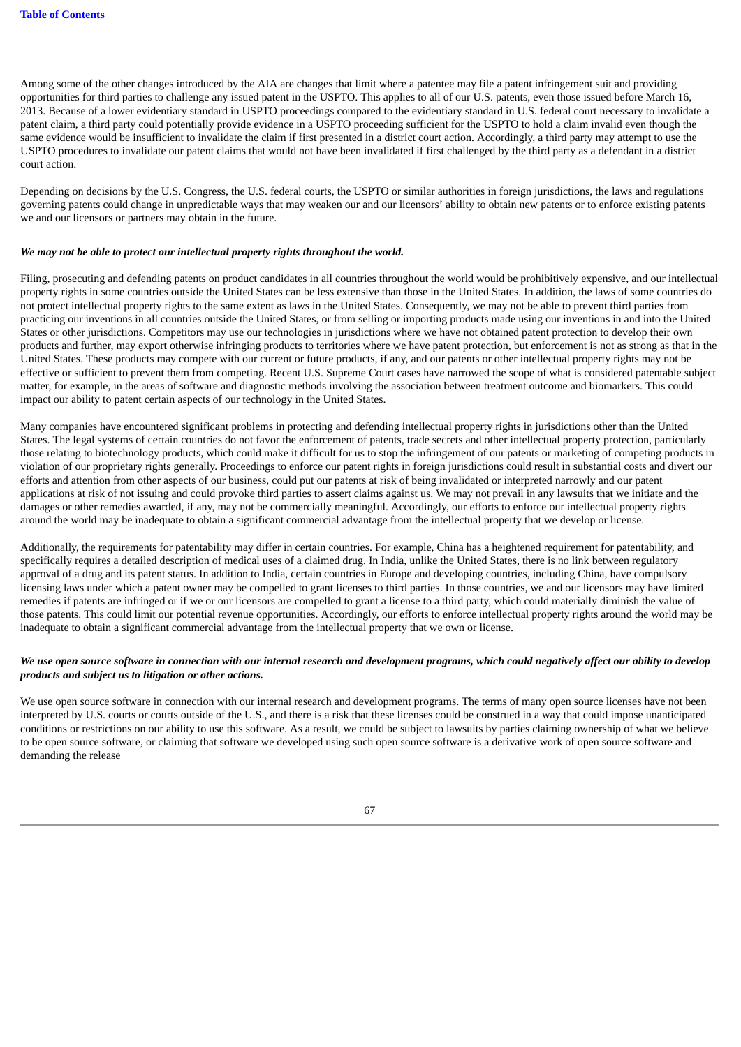Among some of the other changes introduced by the AIA are changes that limit where a patentee may file a patent infringement suit and providing opportunities for third parties to challenge any issued patent in the USPTO. This applies to all of our U.S. patents, even those issued before March 16, 2013. Because of a lower evidentiary standard in USPTO proceedings compared to the evidentiary standard in U.S. federal court necessary to invalidate a patent claim, a third party could potentially provide evidence in a USPTO proceeding sufficient for the USPTO to hold a claim invalid even though the same evidence would be insufficient to invalidate the claim if first presented in a district court action. Accordingly, a third party may attempt to use the USPTO procedures to invalidate our patent claims that would not have been invalidated if first challenged by the third party as a defendant in a district court action.

Depending on decisions by the U.S. Congress, the U.S. federal courts, the USPTO or similar authorities in foreign jurisdictions, the laws and regulations governing patents could change in unpredictable ways that may weaken our and our licensors' ability to obtain new patents or to enforce existing patents we and our licensors or partners may obtain in the future.

#### *We may not be able to protect our intellectual property rights throughout the world.*

Filing, prosecuting and defending patents on product candidates in all countries throughout the world would be prohibitively expensive, and our intellectual property rights in some countries outside the United States can be less extensive than those in the United States. In addition, the laws of some countries do not protect intellectual property rights to the same extent as laws in the United States. Consequently, we may not be able to prevent third parties from practicing our inventions in all countries outside the United States, or from selling or importing products made using our inventions in and into the United States or other jurisdictions. Competitors may use our technologies in jurisdictions where we have not obtained patent protection to develop their own products and further, may export otherwise infringing products to territories where we have patent protection, but enforcement is not as strong as that in the United States. These products may compete with our current or future products, if any, and our patents or other intellectual property rights may not be effective or sufficient to prevent them from competing. Recent U.S. Supreme Court cases have narrowed the scope of what is considered patentable subject matter, for example, in the areas of software and diagnostic methods involving the association between treatment outcome and biomarkers. This could impact our ability to patent certain aspects of our technology in the United States.

Many companies have encountered significant problems in protecting and defending intellectual property rights in jurisdictions other than the United States. The legal systems of certain countries do not favor the enforcement of patents, trade secrets and other intellectual property protection, particularly those relating to biotechnology products, which could make it difficult for us to stop the infringement of our patents or marketing of competing products in violation of our proprietary rights generally. Proceedings to enforce our patent rights in foreign jurisdictions could result in substantial costs and divert our efforts and attention from other aspects of our business, could put our patents at risk of being invalidated or interpreted narrowly and our patent applications at risk of not issuing and could provoke third parties to assert claims against us. We may not prevail in any lawsuits that we initiate and the damages or other remedies awarded, if any, may not be commercially meaningful. Accordingly, our efforts to enforce our intellectual property rights around the world may be inadequate to obtain a significant commercial advantage from the intellectual property that we develop or license.

Additionally, the requirements for patentability may differ in certain countries. For example, China has a heightened requirement for patentability, and specifically requires a detailed description of medical uses of a claimed drug. In India, unlike the United States, there is no link between regulatory approval of a drug and its patent status. In addition to India, certain countries in Europe and developing countries, including China, have compulsory licensing laws under which a patent owner may be compelled to grant licenses to third parties. In those countries, we and our licensors may have limited remedies if patents are infringed or if we or our licensors are compelled to grant a license to a third party, which could materially diminish the value of those patents. This could limit our potential revenue opportunities. Accordingly, our efforts to enforce intellectual property rights around the world may be inadequate to obtain a significant commercial advantage from the intellectual property that we own or license.

## We use open source software in connection with our internal research and development programs, which could negatively affect our ability to develop *products and subject us to litigation or other actions.*

We use open source software in connection with our internal research and development programs. The terms of many open source licenses have not been interpreted by U.S. courts or courts outside of the U.S., and there is a risk that these licenses could be construed in a way that could impose unanticipated conditions or restrictions on our ability to use this software. As a result, we could be subject to lawsuits by parties claiming ownership of what we believe to be open source software, or claiming that software we developed using such open source software is a derivative work of open source software and demanding the release

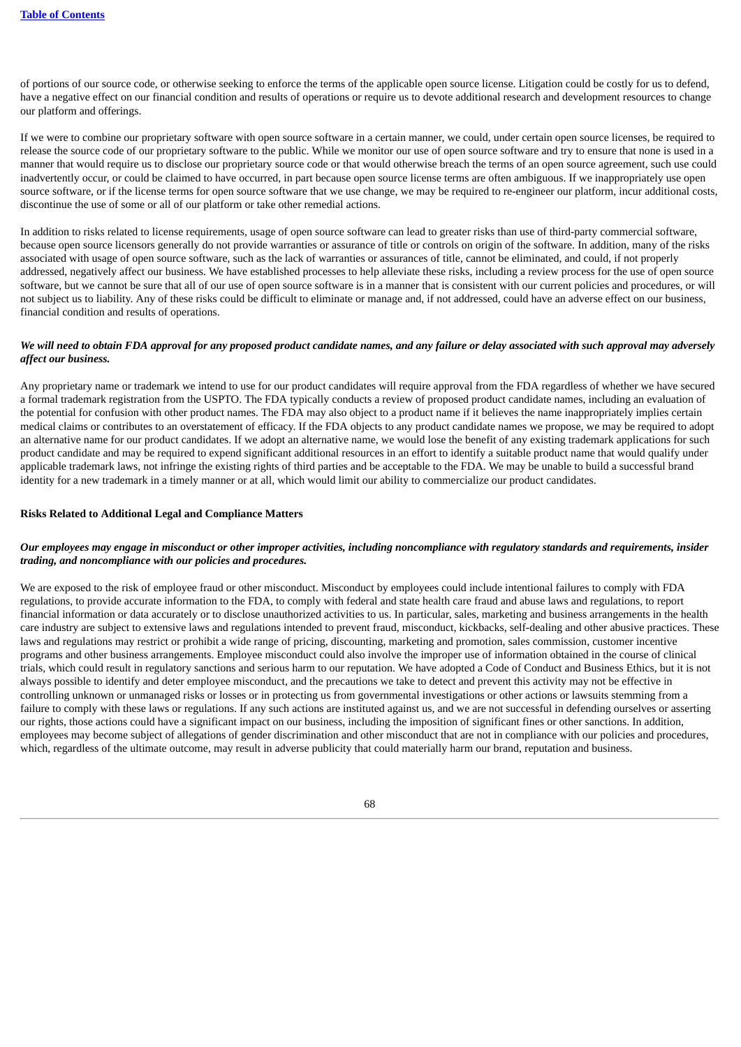of portions of our source code, or otherwise seeking to enforce the terms of the applicable open source license. Litigation could be costly for us to defend, have a negative effect on our financial condition and results of operations or require us to devote additional research and development resources to change our platform and offerings.

If we were to combine our proprietary software with open source software in a certain manner, we could, under certain open source licenses, be required to release the source code of our proprietary software to the public. While we monitor our use of open source software and try to ensure that none is used in a manner that would require us to disclose our proprietary source code or that would otherwise breach the terms of an open source agreement, such use could inadvertently occur, or could be claimed to have occurred, in part because open source license terms are often ambiguous. If we inappropriately use open source software, or if the license terms for open source software that we use change, we may be required to re-engineer our platform, incur additional costs, discontinue the use of some or all of our platform or take other remedial actions.

In addition to risks related to license requirements, usage of open source software can lead to greater risks than use of third-party commercial software, because open source licensors generally do not provide warranties or assurance of title or controls on origin of the software. In addition, many of the risks associated with usage of open source software, such as the lack of warranties or assurances of title, cannot be eliminated, and could, if not properly addressed, negatively affect our business. We have established processes to help alleviate these risks, including a review process for the use of open source software, but we cannot be sure that all of our use of open source software is in a manner that is consistent with our current policies and procedures, or will not subject us to liability. Any of these risks could be difficult to eliminate or manage and, if not addressed, could have an adverse effect on our business, financial condition and results of operations.

### We will need to obtain FDA approval for any proposed product candidate names, and any failure or delay associated with such approval may adversely *affect our business.*

Any proprietary name or trademark we intend to use for our product candidates will require approval from the FDA regardless of whether we have secured a formal trademark registration from the USPTO. The FDA typically conducts a review of proposed product candidate names, including an evaluation of the potential for confusion with other product names. The FDA may also object to a product name if it believes the name inappropriately implies certain medical claims or contributes to an overstatement of efficacy. If the FDA objects to any product candidate names we propose, we may be required to adopt an alternative name for our product candidates. If we adopt an alternative name, we would lose the benefit of any existing trademark applications for such product candidate and may be required to expend significant additional resources in an effort to identify a suitable product name that would qualify under applicable trademark laws, not infringe the existing rights of third parties and be acceptable to the FDA. We may be unable to build a successful brand identity for a new trademark in a timely manner or at all, which would limit our ability to commercialize our product candidates.

#### **Risks Related to Additional Legal and Compliance Matters**

### Our employees may engage in misconduct or other improper activities, including noncompliance with regulatory standards and requirements, insider *trading, and noncompliance with our policies and procedures.*

We are exposed to the risk of employee fraud or other misconduct. Misconduct by employees could include intentional failures to comply with FDA regulations, to provide accurate information to the FDA, to comply with federal and state health care fraud and abuse laws and regulations, to report financial information or data accurately or to disclose unauthorized activities to us. In particular, sales, marketing and business arrangements in the health care industry are subject to extensive laws and regulations intended to prevent fraud, misconduct, kickbacks, self-dealing and other abusive practices. These laws and regulations may restrict or prohibit a wide range of pricing, discounting, marketing and promotion, sales commission, customer incentive programs and other business arrangements. Employee misconduct could also involve the improper use of information obtained in the course of clinical trials, which could result in regulatory sanctions and serious harm to our reputation. We have adopted a Code of Conduct and Business Ethics, but it is not always possible to identify and deter employee misconduct, and the precautions we take to detect and prevent this activity may not be effective in controlling unknown or unmanaged risks or losses or in protecting us from governmental investigations or other actions or lawsuits stemming from a failure to comply with these laws or regulations. If any such actions are instituted against us, and we are not successful in defending ourselves or asserting our rights, those actions could have a significant impact on our business, including the imposition of significant fines or other sanctions. In addition, employees may become subject of allegations of gender discrimination and other misconduct that are not in compliance with our policies and procedures, which, regardless of the ultimate outcome, may result in adverse publicity that could materially harm our brand, reputation and business.

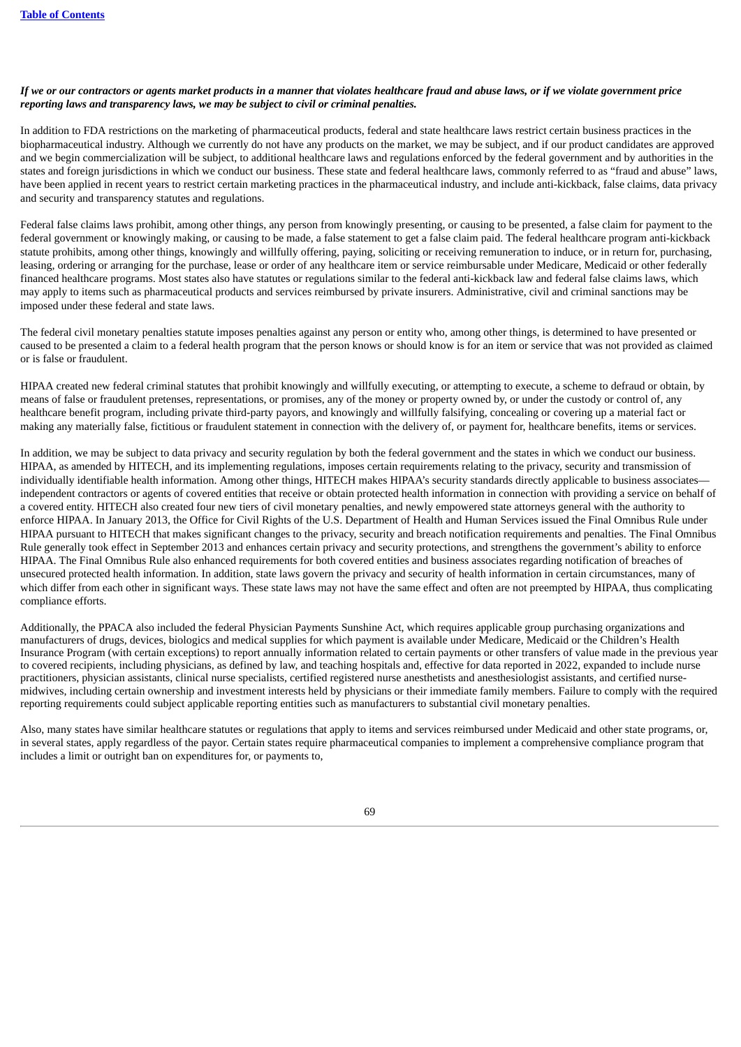### If we or our contractors or agents market products in a manner that violates healthcare fraud and abuse laws, or if we violate government price *reporting laws and transparency laws, we may be subject to civil or criminal penalties.*

In addition to FDA restrictions on the marketing of pharmaceutical products, federal and state healthcare laws restrict certain business practices in the biopharmaceutical industry. Although we currently do not have any products on the market, we may be subject, and if our product candidates are approved and we begin commercialization will be subject, to additional healthcare laws and regulations enforced by the federal government and by authorities in the states and foreign jurisdictions in which we conduct our business. These state and federal healthcare laws, commonly referred to as "fraud and abuse" laws, have been applied in recent years to restrict certain marketing practices in the pharmaceutical industry, and include anti-kickback, false claims, data privacy and security and transparency statutes and regulations.

Federal false claims laws prohibit, among other things, any person from knowingly presenting, or causing to be presented, a false claim for payment to the federal government or knowingly making, or causing to be made, a false statement to get a false claim paid. The federal healthcare program anti-kickback statute prohibits, among other things, knowingly and willfully offering, paying, soliciting or receiving remuneration to induce, or in return for, purchasing, leasing, ordering or arranging for the purchase, lease or order of any healthcare item or service reimbursable under Medicare, Medicaid or other federally financed healthcare programs. Most states also have statutes or regulations similar to the federal anti-kickback law and federal false claims laws, which may apply to items such as pharmaceutical products and services reimbursed by private insurers. Administrative, civil and criminal sanctions may be imposed under these federal and state laws.

The federal civil monetary penalties statute imposes penalties against any person or entity who, among other things, is determined to have presented or caused to be presented a claim to a federal health program that the person knows or should know is for an item or service that was not provided as claimed or is false or fraudulent.

HIPAA created new federal criminal statutes that prohibit knowingly and willfully executing, or attempting to execute, a scheme to defraud or obtain, by means of false or fraudulent pretenses, representations, or promises, any of the money or property owned by, or under the custody or control of, any healthcare benefit program, including private third-party payors, and knowingly and willfully falsifying, concealing or covering up a material fact or making any materially false, fictitious or fraudulent statement in connection with the delivery of, or payment for, healthcare benefits, items or services.

In addition, we may be subject to data privacy and security regulation by both the federal government and the states in which we conduct our business. HIPAA, as amended by HITECH, and its implementing regulations, imposes certain requirements relating to the privacy, security and transmission of individually identifiable health information. Among other things, HITECH makes HIPAA's security standards directly applicable to business associatesindependent contractors or agents of covered entities that receive or obtain protected health information in connection with providing a service on behalf of a covered entity. HITECH also created four new tiers of civil monetary penalties, and newly empowered state attorneys general with the authority to enforce HIPAA. In January 2013, the Office for Civil Rights of the U.S. Department of Health and Human Services issued the Final Omnibus Rule under HIPAA pursuant to HITECH that makes significant changes to the privacy, security and breach notification requirements and penalties. The Final Omnibus Rule generally took effect in September 2013 and enhances certain privacy and security protections, and strengthens the government's ability to enforce HIPAA. The Final Omnibus Rule also enhanced requirements for both covered entities and business associates regarding notification of breaches of unsecured protected health information. In addition, state laws govern the privacy and security of health information in certain circumstances, many of which differ from each other in significant ways. These state laws may not have the same effect and often are not preempted by HIPAA, thus complicating compliance efforts.

Additionally, the PPACA also included the federal Physician Payments Sunshine Act, which requires applicable group purchasing organizations and manufacturers of drugs, devices, biologics and medical supplies for which payment is available under Medicare, Medicaid or the Children's Health Insurance Program (with certain exceptions) to report annually information related to certain payments or other transfers of value made in the previous year to covered recipients, including physicians, as defined by law, and teaching hospitals and, effective for data reported in 2022, expanded to include nurse practitioners, physician assistants, clinical nurse specialists, certified registered nurse anesthetists and anesthesiologist assistants, and certified nursemidwives, including certain ownership and investment interests held by physicians or their immediate family members. Failure to comply with the required reporting requirements could subject applicable reporting entities such as manufacturers to substantial civil monetary penalties.

Also, many states have similar healthcare statutes or regulations that apply to items and services reimbursed under Medicaid and other state programs, or, in several states, apply regardless of the payor. Certain states require pharmaceutical companies to implement a comprehensive compliance program that includes a limit or outright ban on expenditures for, or payments to,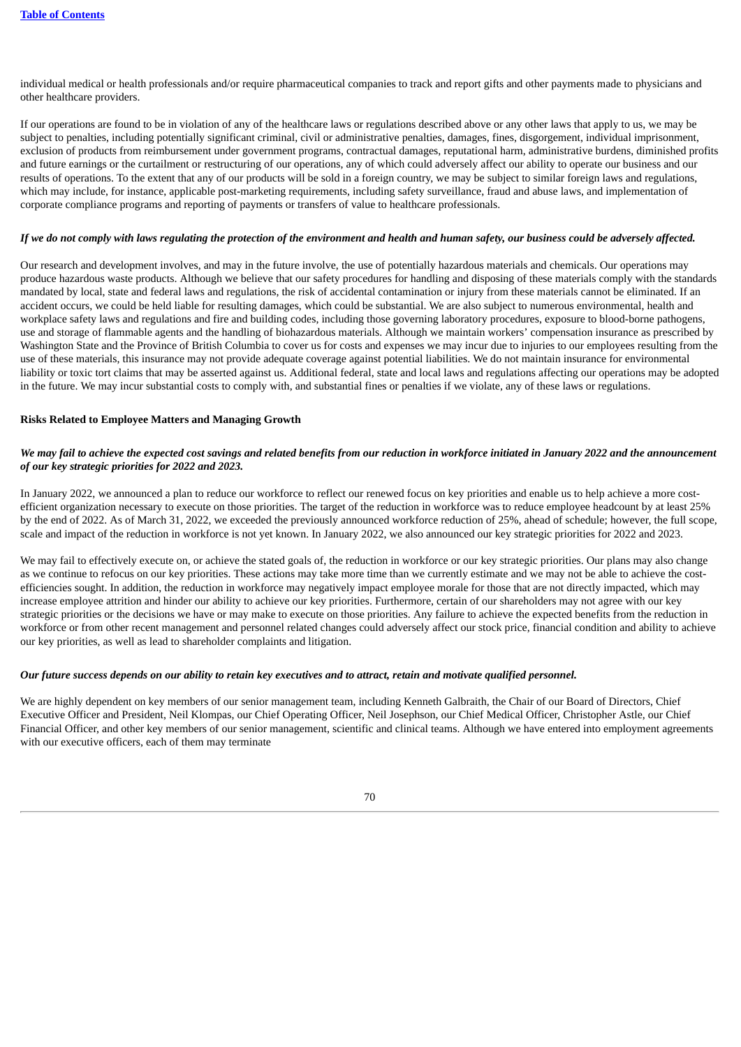individual medical or health professionals and/or require pharmaceutical companies to track and report gifts and other payments made to physicians and other healthcare providers.

If our operations are found to be in violation of any of the healthcare laws or regulations described above or any other laws that apply to us, we may be subject to penalties, including potentially significant criminal, civil or administrative penalties, damages, fines, disgorgement, individual imprisonment, exclusion of products from reimbursement under government programs, contractual damages, reputational harm, administrative burdens, diminished profits and future earnings or the curtailment or restructuring of our operations, any of which could adversely affect our ability to operate our business and our results of operations. To the extent that any of our products will be sold in a foreign country, we may be subject to similar foreign laws and regulations, which may include, for instance, applicable post-marketing requirements, including safety surveillance, fraud and abuse laws, and implementation of corporate compliance programs and reporting of payments or transfers of value to healthcare professionals.

#### If we do not comply with laws regulating the protection of the environment and health and human safety, our business could be adversely affected.

Our research and development involves, and may in the future involve, the use of potentially hazardous materials and chemicals. Our operations may produce hazardous waste products. Although we believe that our safety procedures for handling and disposing of these materials comply with the standards mandated by local, state and federal laws and regulations, the risk of accidental contamination or injury from these materials cannot be eliminated. If an accident occurs, we could be held liable for resulting damages, which could be substantial. We are also subject to numerous environmental, health and workplace safety laws and regulations and fire and building codes, including those governing laboratory procedures, exposure to blood-borne pathogens, use and storage of flammable agents and the handling of biohazardous materials. Although we maintain workers' compensation insurance as prescribed by Washington State and the Province of British Columbia to cover us for costs and expenses we may incur due to injuries to our employees resulting from the use of these materials, this insurance may not provide adequate coverage against potential liabilities. We do not maintain insurance for environmental liability or toxic tort claims that may be asserted against us. Additional federal, state and local laws and regulations affecting our operations may be adopted in the future. We may incur substantial costs to comply with, and substantial fines or penalties if we violate, any of these laws or regulations.

#### **Risks Related to Employee Matters and Managing Growth**

## We may fail to achieve the expected cost savings and related benefits from our reduction in workforce initiated in January 2022 and the announcement *of our key strategic priorities for 2022 and 2023.*

In January 2022, we announced a plan to reduce our workforce to reflect our renewed focus on key priorities and enable us to help achieve a more costefficient organization necessary to execute on those priorities. The target of the reduction in workforce was to reduce employee headcount by at least 25% by the end of 2022. As of March 31, 2022, we exceeded the previously announced workforce reduction of 25%, ahead of schedule; however, the full scope, scale and impact of the reduction in workforce is not yet known. In January 2022, we also announced our key strategic priorities for 2022 and 2023.

We may fail to effectively execute on, or achieve the stated goals of, the reduction in workforce or our key strategic priorities. Our plans may also change as we continue to refocus on our key priorities. These actions may take more time than we currently estimate and we may not be able to achieve the costefficiencies sought. In addition, the reduction in workforce may negatively impact employee morale for those that are not directly impacted, which may increase employee attrition and hinder our ability to achieve our key priorities. Furthermore, certain of our shareholders may not agree with our key strategic priorities or the decisions we have or may make to execute on those priorities. Any failure to achieve the expected benefits from the reduction in workforce or from other recent management and personnel related changes could adversely affect our stock price, financial condition and ability to achieve our key priorities, as well as lead to shareholder complaints and litigation.

#### Our future success depends on our ability to retain key executives and to attract, retain and motivate qualified personnel.

We are highly dependent on key members of our senior management team, including Kenneth Galbraith, the Chair of our Board of Directors, Chief Executive Officer and President, Neil Klompas, our Chief Operating Officer, Neil Josephson, our Chief Medical Officer, Christopher Astle, our Chief Financial Officer, and other key members of our senior management, scientific and clinical teams. Although we have entered into employment agreements with our executive officers, each of them may terminate

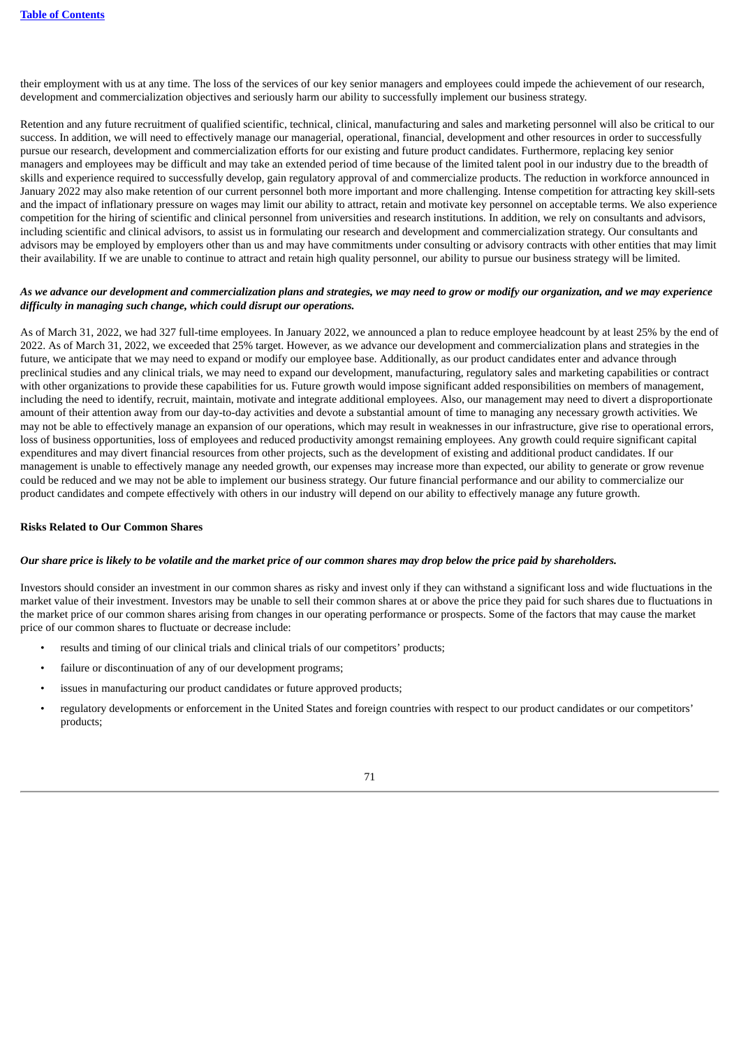their employment with us at any time. The loss of the services of our key senior managers and employees could impede the achievement of our research, development and commercialization objectives and seriously harm our ability to successfully implement our business strategy.

Retention and any future recruitment of qualified scientific, technical, clinical, manufacturing and sales and marketing personnel will also be critical to our success. In addition, we will need to effectively manage our managerial, operational, financial, development and other resources in order to successfully pursue our research, development and commercialization efforts for our existing and future product candidates. Furthermore, replacing key senior managers and employees may be difficult and may take an extended period of time because of the limited talent pool in our industry due to the breadth of skills and experience required to successfully develop, gain regulatory approval of and commercialize products. The reduction in workforce announced in January 2022 may also make retention of our current personnel both more important and more challenging. Intense competition for attracting key skill-sets and the impact of inflationary pressure on wages may limit our ability to attract, retain and motivate key personnel on acceptable terms. We also experience competition for the hiring of scientific and clinical personnel from universities and research institutions. In addition, we rely on consultants and advisors, including scientific and clinical advisors, to assist us in formulating our research and development and commercialization strategy. Our consultants and advisors may be employed by employers other than us and may have commitments under consulting or advisory contracts with other entities that may limit their availability. If we are unable to continue to attract and retain high quality personnel, our ability to pursue our business strategy will be limited.

### As we advance our development and commercialization plans and strategies, we may need to grow or modify our organization, and we may experience *difficulty in managing such change, which could disrupt our operations.*

As of March 31, 2022, we had 327 full-time employees. In January 2022, we announced a plan to reduce employee headcount by at least 25% by the end of 2022. As of March 31, 2022, we exceeded that 25% target. However, as we advance our development and commercialization plans and strategies in the future, we anticipate that we may need to expand or modify our employee base. Additionally, as our product candidates enter and advance through preclinical studies and any clinical trials, we may need to expand our development, manufacturing, regulatory sales and marketing capabilities or contract with other organizations to provide these capabilities for us. Future growth would impose significant added responsibilities on members of management, including the need to identify, recruit, maintain, motivate and integrate additional employees. Also, our management may need to divert a disproportionate amount of their attention away from our day-to-day activities and devote a substantial amount of time to managing any necessary growth activities. We may not be able to effectively manage an expansion of our operations, which may result in weaknesses in our infrastructure, give rise to operational errors, loss of business opportunities, loss of employees and reduced productivity amongst remaining employees. Any growth could require significant capital expenditures and may divert financial resources from other projects, such as the development of existing and additional product candidates. If our management is unable to effectively manage any needed growth, our expenses may increase more than expected, our ability to generate or grow revenue could be reduced and we may not be able to implement our business strategy. Our future financial performance and our ability to commercialize our product candidates and compete effectively with others in our industry will depend on our ability to effectively manage any future growth.

#### **Risks Related to Our Common Shares**

#### Our share price is likely to be volatile and the market price of our common shares may drop below the price paid by shareholders.

Investors should consider an investment in our common shares as risky and invest only if they can withstand a significant loss and wide fluctuations in the market value of their investment. Investors may be unable to sell their common shares at or above the price they paid for such shares due to fluctuations in the market price of our common shares arising from changes in our operating performance or prospects. Some of the factors that may cause the market price of our common shares to fluctuate or decrease include:

- results and timing of our clinical trials and clinical trials of our competitors' products;
- failure or discontinuation of any of our development programs;
- issues in manufacturing our product candidates or future approved products;
- regulatory developments or enforcement in the United States and foreign countries with respect to our product candidates or our competitors' products;

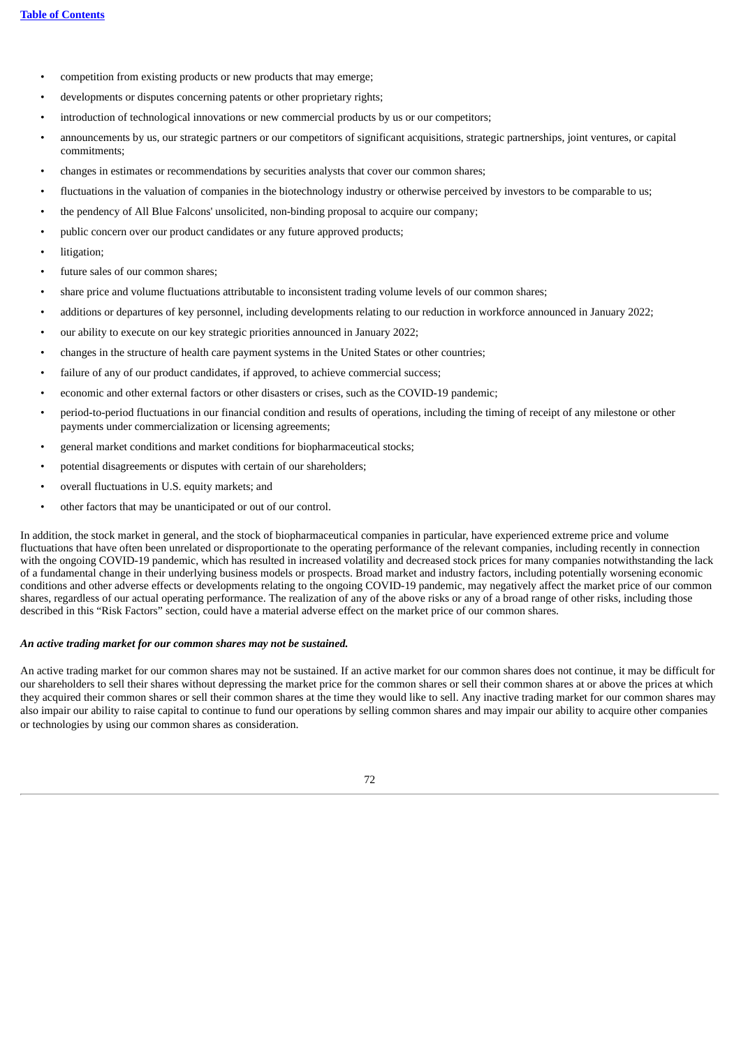- competition from existing products or new products that may emerge;
- developments or disputes concerning patents or other proprietary rights;
- introduction of technological innovations or new commercial products by us or our competitors;
- announcements by us, our strategic partners or our competitors of significant acquisitions, strategic partnerships, joint ventures, or capital commitments;
- changes in estimates or recommendations by securities analysts that cover our common shares;
- fluctuations in the valuation of companies in the biotechnology industry or otherwise perceived by investors to be comparable to us;
- the pendency of All Blue Falcons' unsolicited, non-binding proposal to acquire our company;
- public concern over our product candidates or any future approved products;
- litigation;
- future sales of our common shares;
- share price and volume fluctuations attributable to inconsistent trading volume levels of our common shares;
- additions or departures of key personnel, including developments relating to our reduction in workforce announced in January 2022;
- our ability to execute on our key strategic priorities announced in January 2022;
- changes in the structure of health care payment systems in the United States or other countries;
- failure of any of our product candidates, if approved, to achieve commercial success;
- economic and other external factors or other disasters or crises, such as the COVID-19 pandemic;
- period-to-period fluctuations in our financial condition and results of operations, including the timing of receipt of any milestone or other payments under commercialization or licensing agreements;
- general market conditions and market conditions for biopharmaceutical stocks;
- potential disagreements or disputes with certain of our shareholders;
- overall fluctuations in U.S. equity markets; and
- other factors that may be unanticipated or out of our control.

In addition, the stock market in general, and the stock of biopharmaceutical companies in particular, have experienced extreme price and volume fluctuations that have often been unrelated or disproportionate to the operating performance of the relevant companies, including recently in connection with the ongoing COVID-19 pandemic, which has resulted in increased volatility and decreased stock prices for many companies notwithstanding the lack of a fundamental change in their underlying business models or prospects. Broad market and industry factors, including potentially worsening economic conditions and other adverse effects or developments relating to the ongoing COVID-19 pandemic, may negatively affect the market price of our common shares, regardless of our actual operating performance. The realization of any of the above risks or any of a broad range of other risks, including those described in this "Risk Factors" section, could have a material adverse effect on the market price of our common shares.

#### *An active trading market for our common shares may not be sustained.*

An active trading market for our common shares may not be sustained. If an active market for our common shares does not continue, it may be difficult for our shareholders to sell their shares without depressing the market price for the common shares or sell their common shares at or above the prices at which they acquired their common shares or sell their common shares at the time they would like to sell. Any inactive trading market for our common shares may also impair our ability to raise capital to continue to fund our operations by selling common shares and may impair our ability to acquire other companies or technologies by using our common shares as consideration.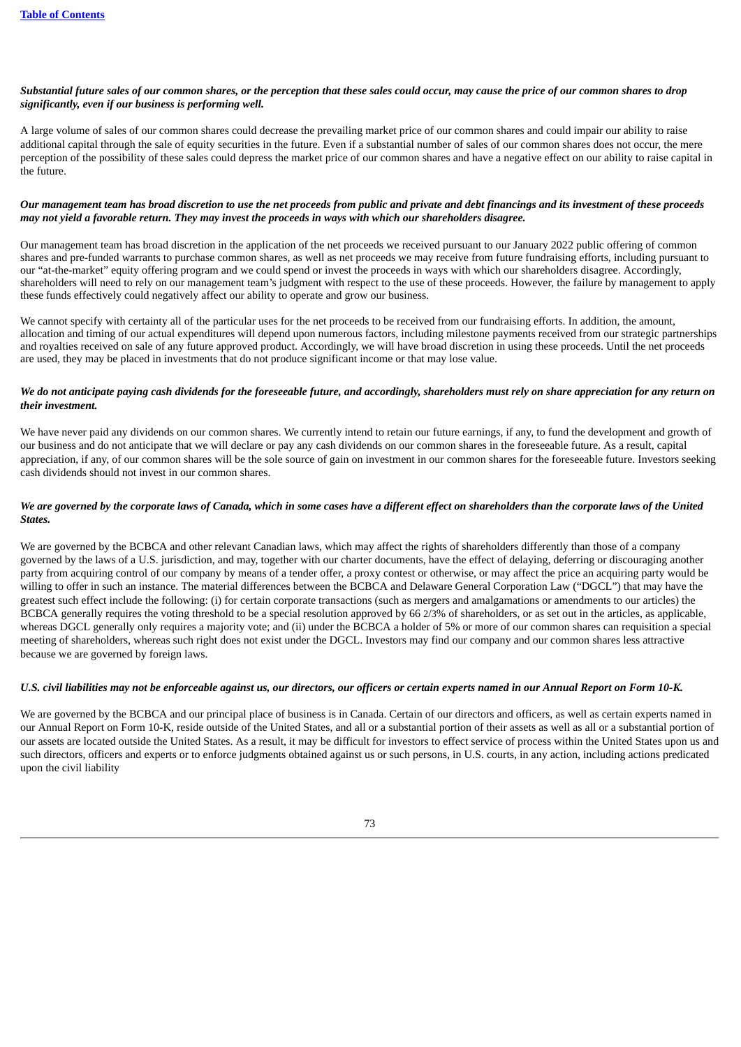#### Substantial future sales of our common shares, or the perception that these sales could occur, may cause the price of our common shares to drop *significantly, even if our business is performing well.*

A large volume of sales of our common shares could decrease the prevailing market price of our common shares and could impair our ability to raise additional capital through the sale of equity securities in the future. Even if a substantial number of sales of our common shares does not occur, the mere perception of the possibility of these sales could depress the market price of our common shares and have a negative effect on our ability to raise capital in the future.

#### Our management team has broad discretion to use the net proceeds from public and private and debt financings and its investment of these proceeds may not yield a favorable return. They may invest the proceeds in ways with which our shareholders disagree.

Our management team has broad discretion in the application of the net proceeds we received pursuant to our January 2022 public offering of common shares and pre-funded warrants to purchase common shares, as well as net proceeds we may receive from future fundraising efforts, including pursuant to our "at-the-market" equity offering program and we could spend or invest the proceeds in ways with which our shareholders disagree. Accordingly, shareholders will need to rely on our management team's judgment with respect to the use of these proceeds. However, the failure by management to apply these funds effectively could negatively affect our ability to operate and grow our business.

We cannot specify with certainty all of the particular uses for the net proceeds to be received from our fundraising efforts. In addition, the amount, allocation and timing of our actual expenditures will depend upon numerous factors, including milestone payments received from our strategic partnerships and royalties received on sale of any future approved product. Accordingly, we will have broad discretion in using these proceeds. Until the net proceeds are used, they may be placed in investments that do not produce significant income or that may lose value.

## We do not anticipate paving cash dividends for the foreseeable future, and accordinaly, shareholders must rely on share appreciation for any return on *their investment.*

We have never paid any dividends on our common shares. We currently intend to retain our future earnings, if any, to fund the development and growth of our business and do not anticipate that we will declare or pay any cash dividends on our common shares in the foreseeable future. As a result, capital appreciation, if any, of our common shares will be the sole source of gain on investment in our common shares for the foreseeable future. Investors seeking cash dividends should not invest in our common shares.

#### We are governed by the corporate laws of Canada, which in some cases have a different effect on shareholders than the corporate laws of the United *States.*

We are governed by the BCBCA and other relevant Canadian laws, which may affect the rights of shareholders differently than those of a company governed by the laws of a U.S. jurisdiction, and may, together with our charter documents, have the effect of delaying, deferring or discouraging another party from acquiring control of our company by means of a tender offer, a proxy contest or otherwise, or may affect the price an acquiring party would be willing to offer in such an instance. The material differences between the BCBCA and Delaware General Corporation Law ("DGCL") that may have the greatest such effect include the following: (i) for certain corporate transactions (such as mergers and amalgamations or amendments to our articles) the BCBCA generally requires the voting threshold to be a special resolution approved by 66 2/3% of shareholders, or as set out in the articles, as applicable, whereas DGCL generally only requires a majority vote; and (ii) under the BCBCA a holder of 5% or more of our common shares can requisition a special meeting of shareholders, whereas such right does not exist under the DGCL. Investors may find our company and our common shares less attractive because we are governed by foreign laws.

### U.S. civil liabilities may not be enforceable against us, our directors, our officers or certain experts named in our Annual Report on Form 10-K.

We are governed by the BCBCA and our principal place of business is in Canada. Certain of our directors and officers, as well as certain experts named in our Annual Report on Form 10-K, reside outside of the United States, and all or a substantial portion of their assets as well as all or a substantial portion of our assets are located outside the United States. As a result, it may be difficult for investors to effect service of process within the United States upon us and such directors, officers and experts or to enforce judgments obtained against us or such persons, in U.S. courts, in any action, including actions predicated upon the civil liability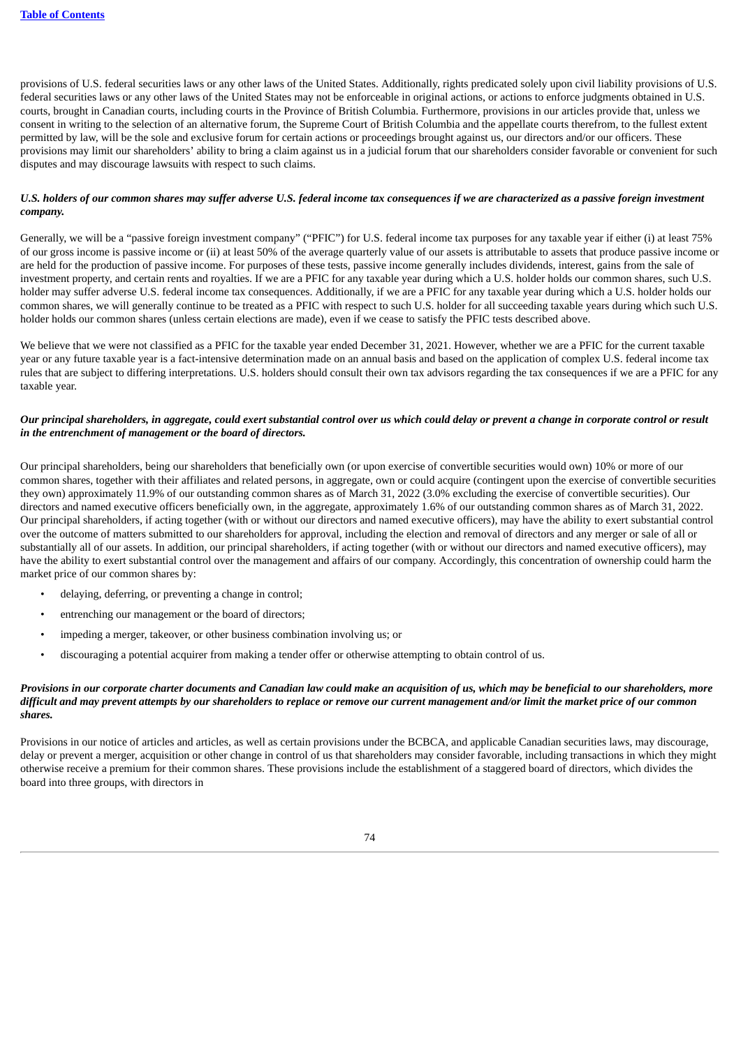provisions of U.S. federal securities laws or any other laws of the United States. Additionally, rights predicated solely upon civil liability provisions of U.S. federal securities laws or any other laws of the United States may not be enforceable in original actions, or actions to enforce judgments obtained in U.S. courts, brought in Canadian courts, including courts in the Province of British Columbia. Furthermore, provisions in our articles provide that, unless we consent in writing to the selection of an alternative forum, the Supreme Court of British Columbia and the appellate courts therefrom, to the fullest extent permitted by law, will be the sole and exclusive forum for certain actions or proceedings brought against us, our directors and/or our officers. These provisions may limit our shareholders' ability to bring a claim against us in a judicial forum that our shareholders consider favorable or convenient for such disputes and may discourage lawsuits with respect to such claims.

## U.S. holders of our common shares may suffer adverse U.S. federal income tax consequences if we are characterized as a passive foreign investment *company.*

Generally, we will be a "passive foreign investment company" ("PFIC") for U.S. federal income tax purposes for any taxable year if either (i) at least 75% of our gross income is passive income or (ii) at least 50% of the average quarterly value of our assets is attributable to assets that produce passive income or are held for the production of passive income. For purposes of these tests, passive income generally includes dividends, interest, gains from the sale of investment property, and certain rents and royalties. If we are a PFIC for any taxable year during which a U.S. holder holds our common shares, such U.S. holder may suffer adverse U.S. federal income tax consequences. Additionally, if we are a PFIC for any taxable year during which a U.S. holder holds our common shares, we will generally continue to be treated as a PFIC with respect to such U.S. holder for all succeeding taxable years during which such U.S. holder holds our common shares (unless certain elections are made), even if we cease to satisfy the PFIC tests described above.

We believe that we were not classified as a PFIC for the taxable year ended December 31, 2021. However, whether we are a PFIC for the current taxable year or any future taxable year is a fact-intensive determination made on an annual basis and based on the application of complex U.S. federal income tax rules that are subject to differing interpretations. U.S. holders should consult their own tax advisors regarding the tax consequences if we are a PFIC for any taxable year.

### Our principal shareholders, in aggregate, could exert substantial control over us which could delay or prevent a change in corporate control or result *in the entrenchment of management or the board of directors.*

Our principal shareholders, being our shareholders that beneficially own (or upon exercise of convertible securities would own) 10% or more of our common shares, together with their affiliates and related persons, in aggregate, own or could acquire (contingent upon the exercise of convertible securities they own) approximately 11.9% of our outstanding common shares as of March 31, 2022 (3.0% excluding the exercise of convertible securities). Our directors and named executive officers beneficially own, in the aggregate, approximately 1.6% of our outstanding common shares as of March 31, 2022. Our principal shareholders, if acting together (with or without our directors and named executive officers), may have the ability to exert substantial control over the outcome of matters submitted to our shareholders for approval, including the election and removal of directors and any merger or sale of all or substantially all of our assets. In addition, our principal shareholders, if acting together (with or without our directors and named executive officers), may have the ability to exert substantial control over the management and affairs of our company. Accordingly, this concentration of ownership could harm the market price of our common shares by:

- delaying, deferring, or preventing a change in control;
- entrenching our management or the board of directors;
- impeding a merger, takeover, or other business combination involving us; or
- discouraging a potential acquirer from making a tender offer or otherwise attempting to obtain control of us.

#### Provisions in our corporate charter documents and Canadian law could make an acquisition of us, which may be beneficial to our shareholders, more difficult and may prevent attempts by our shareholders to replace or remove our current management and/or limit the market price of our common *shares.*

Provisions in our notice of articles and articles, as well as certain provisions under the BCBCA, and applicable Canadian securities laws, may discourage, delay or prevent a merger, acquisition or other change in control of us that shareholders may consider favorable, including transactions in which they might otherwise receive a premium for their common shares. These provisions include the establishment of a staggered board of directors, which divides the board into three groups, with directors in

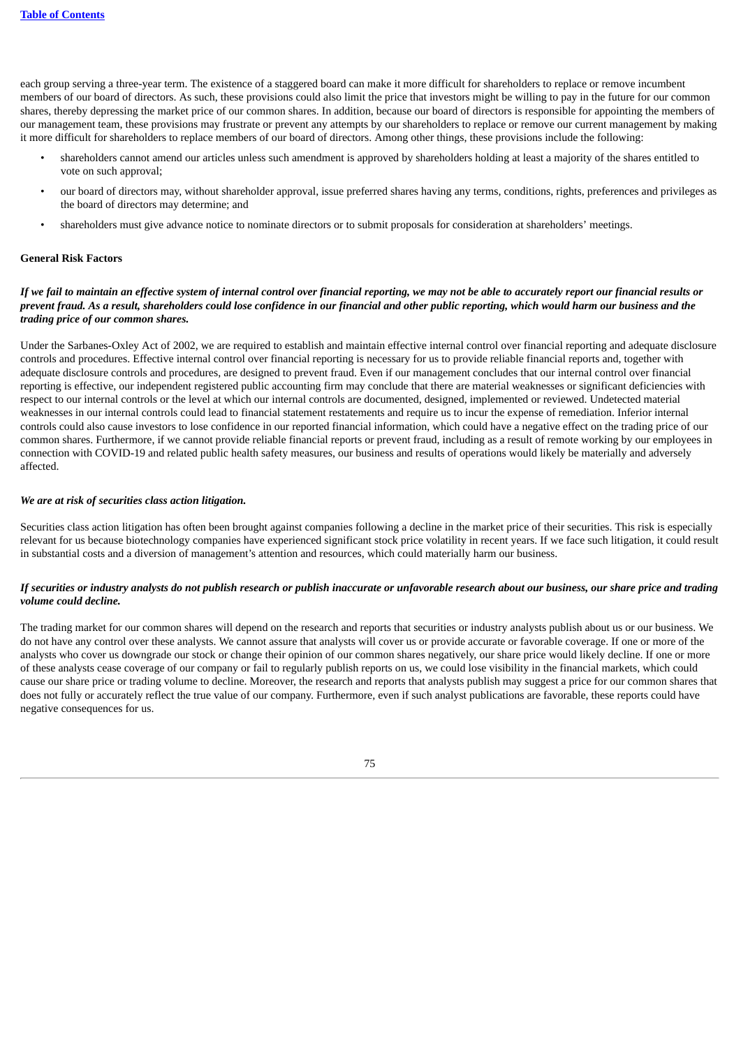each group serving a three-year term. The existence of a staggered board can make it more difficult for shareholders to replace or remove incumbent members of our board of directors. As such, these provisions could also limit the price that investors might be willing to pay in the future for our common shares, thereby depressing the market price of our common shares. In addition, because our board of directors is responsible for appointing the members of our management team, these provisions may frustrate or prevent any attempts by our shareholders to replace or remove our current management by making it more difficult for shareholders to replace members of our board of directors. Among other things, these provisions include the following:

- shareholders cannot amend our articles unless such amendment is approved by shareholders holding at least a majority of the shares entitled to vote on such approval;
- our board of directors may, without shareholder approval, issue preferred shares having any terms, conditions, rights, preferences and privileges as the board of directors may determine; and
- shareholders must give advance notice to nominate directors or to submit proposals for consideration at shareholders' meetings.

#### **General Risk Factors**

## If we fail to maintain an effective system of internal control over financial reporting, we may not be able to accurately report our financial results or prevent fraud. As a result, shareholders could lose confidence in our financial and other public reporting, which would harm our business and the *trading price of our common shares.*

Under the Sarbanes-Oxley Act of 2002, we are required to establish and maintain effective internal control over financial reporting and adequate disclosure controls and procedures. Effective internal control over financial reporting is necessary for us to provide reliable financial reports and, together with adequate disclosure controls and procedures, are designed to prevent fraud. Even if our management concludes that our internal control over financial reporting is effective, our independent registered public accounting firm may conclude that there are material weaknesses or significant deficiencies with respect to our internal controls or the level at which our internal controls are documented, designed, implemented or reviewed. Undetected material weaknesses in our internal controls could lead to financial statement restatements and require us to incur the expense of remediation. Inferior internal controls could also cause investors to lose confidence in our reported financial information, which could have a negative effect on the trading price of our common shares. Furthermore, if we cannot provide reliable financial reports or prevent fraud, including as a result of remote working by our employees in connection with COVID-19 and related public health safety measures, our business and results of operations would likely be materially and adversely affected.

#### *We are at risk of securities class action litigation.*

Securities class action litigation has often been brought against companies following a decline in the market price of their securities. This risk is especially relevant for us because biotechnology companies have experienced significant stock price volatility in recent years. If we face such litigation, it could result in substantial costs and a diversion of management's attention and resources, which could materially harm our business.

### If securities or industry analysts do not publish research or publish inaccurate or unfavorable research about our business, our share price and trading *volume could decline.*

The trading market for our common shares will depend on the research and reports that securities or industry analysts publish about us or our business. We do not have any control over these analysts. We cannot assure that analysts will cover us or provide accurate or favorable coverage. If one or more of the analysts who cover us downgrade our stock or change their opinion of our common shares negatively, our share price would likely decline. If one or more of these analysts cease coverage of our company or fail to regularly publish reports on us, we could lose visibility in the financial markets, which could cause our share price or trading volume to decline. Moreover, the research and reports that analysts publish may suggest a price for our common shares that does not fully or accurately reflect the true value of our company. Furthermore, even if such analyst publications are favorable, these reports could have negative consequences for us.

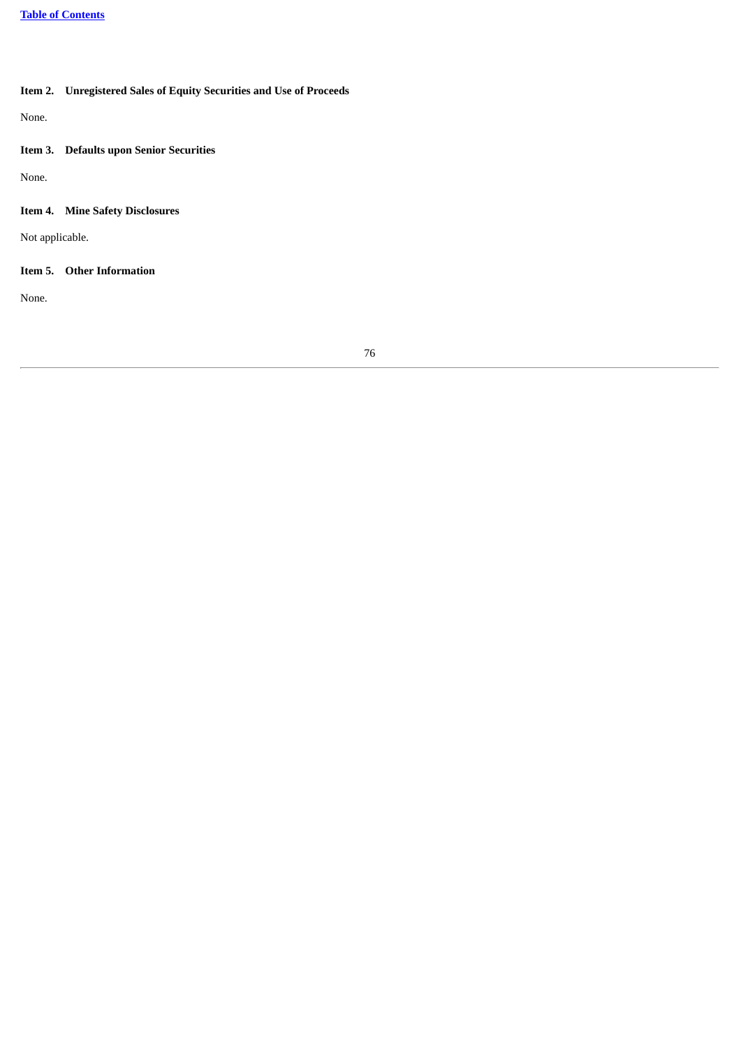# **Item 2. Unregistered Sales of Equity Securities and Use of Proceeds**

None.

# **Item 3. Defaults upon Senior Securities**

None.

# **Item 4. Mine Safety Disclosures**

Not applicable.

# **Item 5. Other Information**

None.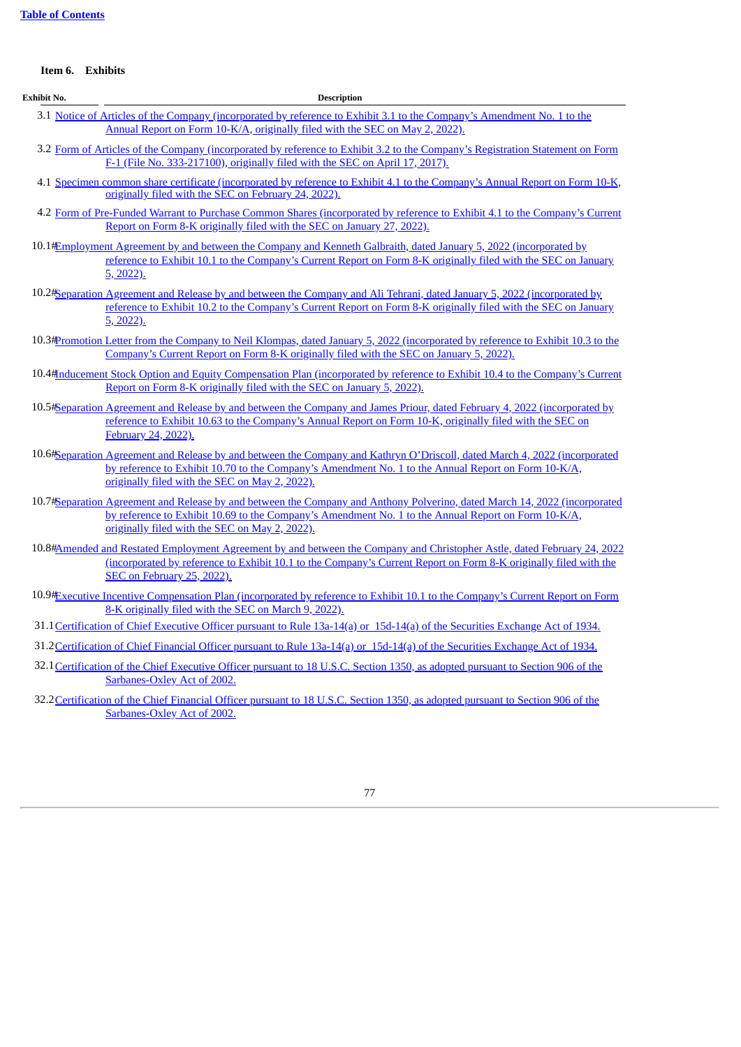# **Item 6. Exhibits**

| Exhibit No. | <b>Description</b>                                                                                                                                                                                                                                                                              |
|-------------|-------------------------------------------------------------------------------------------------------------------------------------------------------------------------------------------------------------------------------------------------------------------------------------------------|
|             | 3.1 Notice of Articles of the Company (incorporated by reference to Exhibit 3.1 to the Company's Amendment No. 1 to the<br>Annual Report on Form 10-K/A, originally filed with the SEC on May 2, 2022).                                                                                         |
|             | 3.2 Form of Articles of the Company (incorporated by reference to Exhibit 3.2 to the Company's Registration Statement on Form<br>F-1 (File No. 333-217100), originally filed with the SEC on April 17, 2017).                                                                                   |
|             | 4.1 Specimen common share certificate (incorporated by reference to Exhibit 4.1 to the Company's Annual Report on Form 10-K,<br>originally filed with the SEC on February 24, 2022).                                                                                                            |
|             | 4.2 Form of Pre-Funded Warrant to Purchase Common Shares (incorporated by reference to Exhibit 4.1 to the Company's Current<br>Report on Form 8-K originally filed with the SEC on January 27, 2022).                                                                                           |
|             | 10.1#Employment Agreement by and between the Company and Kenneth Galbraith, dated January 5, 2022 (incorporated by<br>reference to Exhibit 10.1 to the Company's Current Report on Form 8-K originally filed with the SEC on January<br>$5, 2022$ ).                                            |
|             | 10.2#Separation Agreement and Release by and between the Company and Ali Tehrani, dated January 5, 2022 (incorporated by<br>reference to Exhibit 10.2 to the Company's Current Report on Form 8-K originally filed with the SEC on January<br>$5, 2022$ ).                                      |
|             | 10.3#Promotion Letter from the Company to Neil Klompas, dated January 5, 2022 (incorporated by reference to Exhibit 10.3 to the<br>Company's Current Report on Form 8-K originally filed with the SEC on January 5, 2022).                                                                      |
|             | 10.4#inducement Stock Option and Equity Compensation Plan (incorporated by reference to Exhibit 10.4 to the Company's Current<br>Report on Form 8-K originally filed with the SEC on January 5, 2022).                                                                                          |
|             | 10.5 <del>#Separation Agreement and Release by and between the Company and James Priour, dated February 4, 2022 (incorporated by</del><br>reference to Exhibit 10.63 to the Company's Annual Report on Form 10-K, originally filed with the SEC on<br>February 24, 2022).                       |
|             | 10.6 <del>#Separation Agreement and Release by and between the Company and Kathryn O'Driscoll, dated March 4, 2022 (incorporated</del><br>by reference to Exhibit 10.70 to the Company's Amendment No. 1 to the Annual Report on Form 10-K/A,<br>originally filed with the SEC on May 2, 2022). |
|             | 10.7#Separation Agreement and Release by and between the Company and Anthony Polverino, dated March 14, 2022 (incorporated<br>by reference to Exhibit 10.69 to the Company's Amendment No. 1 to the Annual Report on Form 10-K/A,<br>originally filed with the SEC on May 2, 2022).             |
|             | 10.8#Amended and Restated Employment Agreement by and between the Company and Christopher Astle, dated February 24, 2022<br>(incorporated by reference to Exhibit 10.1 to the Company's Current Report on Form 8-K originally filed with the<br>SEC on February 25, 2022).                      |
|             | 10.9#Executive Incentive Compensation Plan (incorporated by reference to Exhibit 10.1 to the Company's Current Report on Form<br>8-K originally filed with the SEC on March 9, 2022).                                                                                                           |
|             | 31.1 Certification of Chief Executive Officer pursuant to Rule 13a-14(a) or 15d-14(a) of the Securities Exchange Act of 1934.                                                                                                                                                                   |
|             | 31.2 Certification of Chief Financial Officer pursuant to Rule 13a-14(a) or 15d-14(a) of the Securities Exchange Act of 1934.                                                                                                                                                                   |
|             | 32.1 Certification of the Chief Executive Officer pursuant to 18 U.S.C. Section 1350, as adopted pursuant to Section 906 of the<br>Sarbanes-Oxley Act of 2002.                                                                                                                                  |
|             | 32.2 Certification of the Chief Financial Officer pursuant to 18 U.S.C. Section 1350, as adopted pursuant to Section 906 of the<br>Sarbanes-Oxley Act of 2002.                                                                                                                                  |
|             |                                                                                                                                                                                                                                                                                                 |

77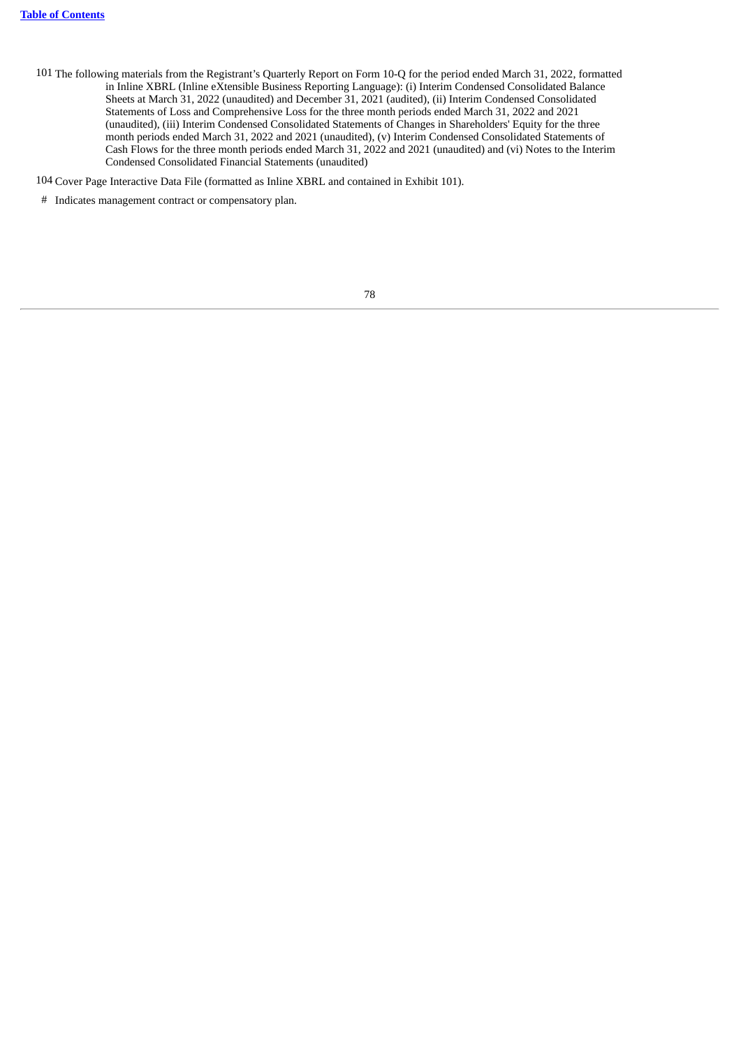101 The following materials from the Registrant's Quarterly Report on Form 10-Q for the period ended March 31, 2022, formatted in Inline XBRL (Inline eXtensible Business Reporting Language): (i) Interim Condensed Consolidated Balance Sheets at March 31, 2022 (unaudited) and December 31, 2021 (audited), (ii) Interim Condensed Consolidated Statements of Loss and Comprehensive Loss for the three month periods ended March 31, 2022 and 2021 (unaudited), (iii) Interim Condensed Consolidated Statements of Changes in Shareholders' Equity for the three month periods ended March 31, 2022 and 2021 (unaudited), (v) Interim Condensed Consolidated Statements of Cash Flows for the three month periods ended March 31, 2022 and 2021 (unaudited) and (vi) Notes to the Interim Condensed Consolidated Financial Statements (unaudited)

104 Cover Page Interactive Data File (formatted as Inline XBRL and contained in Exhibit 101).

# Indicates management contract or compensatory plan.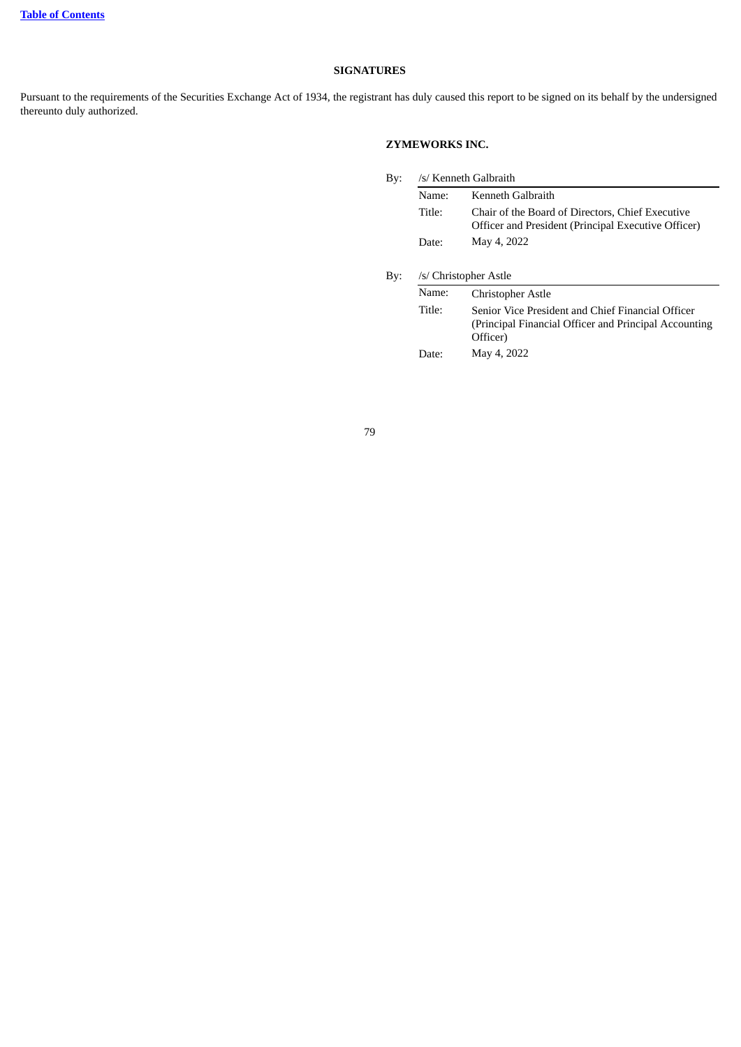## **SIGNATURES**

Pursuant to the requirements of the Securities Exchange Act of 1934, the registrant has duly caused this report to be signed on its behalf by the undersigned thereunto duly authorized.

# **ZYMEWORKS INC.**

| By: |                       | /s/ Kenneth Galbraith                                                                                       |  |  |  |
|-----|-----------------------|-------------------------------------------------------------------------------------------------------------|--|--|--|
|     | Name:                 | Kenneth Galbraith                                                                                           |  |  |  |
|     | Title:                | Chair of the Board of Directors, Chief Executive<br>Officer and President (Principal Executive Officer)     |  |  |  |
|     | Date:                 | May 4, 2022                                                                                                 |  |  |  |
| By: | /s/ Christopher Astle |                                                                                                             |  |  |  |
|     | Name:                 | Christopher Astle                                                                                           |  |  |  |
|     | Title:                | Senior Vice President and Chief Financial Officer<br>(Principal Financial Officer and Principal Accounting) |  |  |  |
|     |                       | Officer)                                                                                                    |  |  |  |

79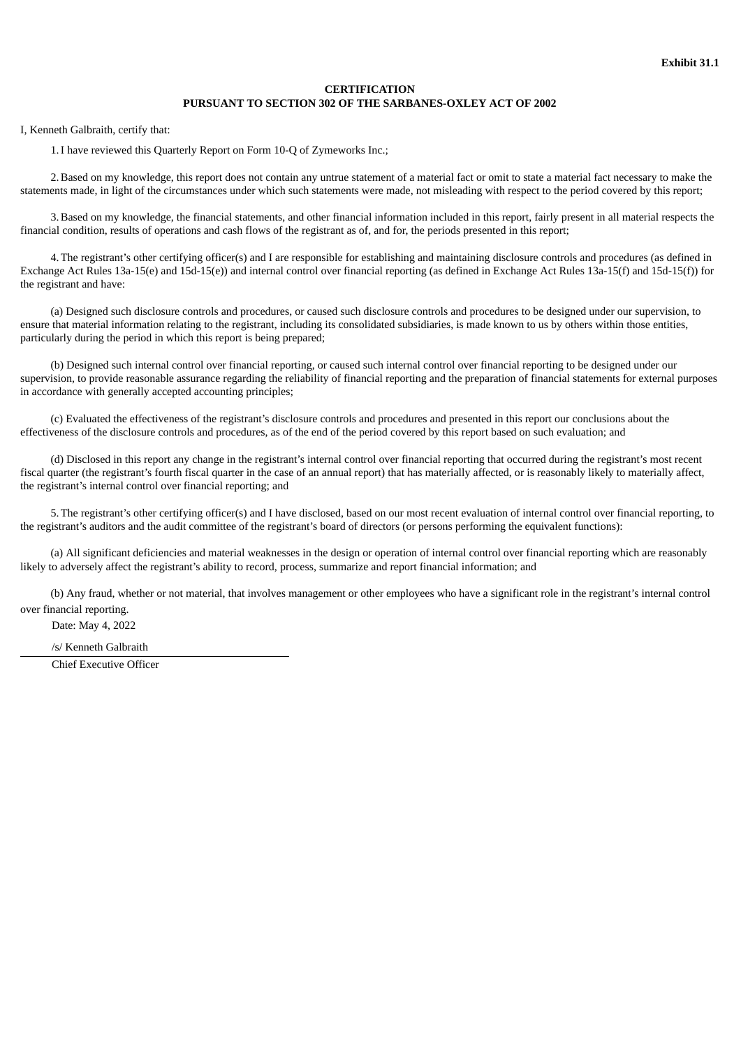## **CERTIFICATION PURSUANT TO SECTION 302 OF THE SARBANES-OXLEY ACT OF 2002**

<span id="page-85-0"></span>I, Kenneth Galbraith, certify that:

1.I have reviewed this Quarterly Report on Form 10-Q of Zymeworks Inc.;

2.Based on my knowledge, this report does not contain any untrue statement of a material fact or omit to state a material fact necessary to make the statements made, in light of the circumstances under which such statements were made, not misleading with respect to the period covered by this report;

3.Based on my knowledge, the financial statements, and other financial information included in this report, fairly present in all material respects the financial condition, results of operations and cash flows of the registrant as of, and for, the periods presented in this report;

4.The registrant's other certifying officer(s) and I are responsible for establishing and maintaining disclosure controls and procedures (as defined in Exchange Act Rules 13a-15(e) and 15d-15(e)) and internal control over financial reporting (as defined in Exchange Act Rules 13a-15(f) and 15d-15(f)) for the registrant and have:

(a) Designed such disclosure controls and procedures, or caused such disclosure controls and procedures to be designed under our supervision, to ensure that material information relating to the registrant, including its consolidated subsidiaries, is made known to us by others within those entities, particularly during the period in which this report is being prepared;

(b) Designed such internal control over financial reporting, or caused such internal control over financial reporting to be designed under our supervision, to provide reasonable assurance regarding the reliability of financial reporting and the preparation of financial statements for external purposes in accordance with generally accepted accounting principles;

(c) Evaluated the effectiveness of the registrant's disclosure controls and procedures and presented in this report our conclusions about the effectiveness of the disclosure controls and procedures, as of the end of the period covered by this report based on such evaluation; and

(d) Disclosed in this report any change in the registrant's internal control over financial reporting that occurred during the registrant's most recent fiscal quarter (the registrant's fourth fiscal quarter in the case of an annual report) that has materially affected, or is reasonably likely to materially affect, the registrant's internal control over financial reporting; and

5.The registrant's other certifying officer(s) and I have disclosed, based on our most recent evaluation of internal control over financial reporting, to the registrant's auditors and the audit committee of the registrant's board of directors (or persons performing the equivalent functions):

(a) All significant deficiencies and material weaknesses in the design or operation of internal control over financial reporting which are reasonably likely to adversely affect the registrant's ability to record, process, summarize and report financial information; and

(b) Any fraud, whether or not material, that involves management or other employees who have a significant role in the registrant's internal control over financial reporting.

Date: May 4, 2022

/s/ Kenneth Galbraith

Chief Executive Officer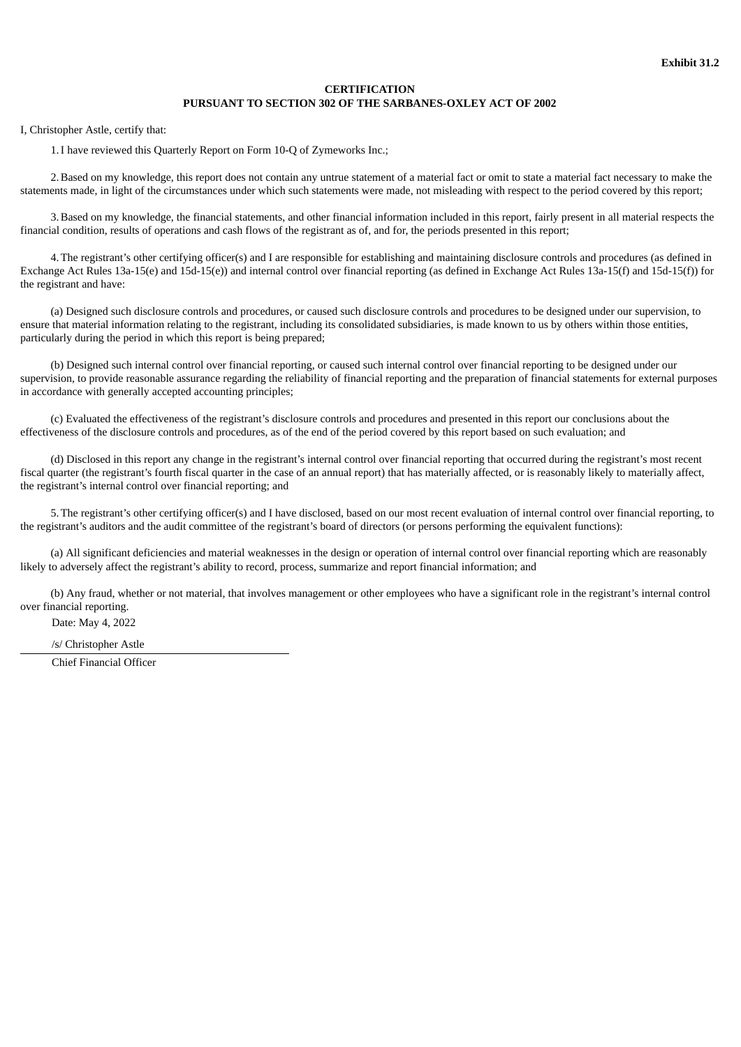## **CERTIFICATION PURSUANT TO SECTION 302 OF THE SARBANES-OXLEY ACT OF 2002**

<span id="page-86-0"></span>I, Christopher Astle, certify that:

1.I have reviewed this Quarterly Report on Form 10-Q of Zymeworks Inc.;

2.Based on my knowledge, this report does not contain any untrue statement of a material fact or omit to state a material fact necessary to make the statements made, in light of the circumstances under which such statements were made, not misleading with respect to the period covered by this report;

3.Based on my knowledge, the financial statements, and other financial information included in this report, fairly present in all material respects the financial condition, results of operations and cash flows of the registrant as of, and for, the periods presented in this report;

4.The registrant's other certifying officer(s) and I are responsible for establishing and maintaining disclosure controls and procedures (as defined in Exchange Act Rules 13a-15(e) and 15d-15(e)) and internal control over financial reporting (as defined in Exchange Act Rules 13a-15(f) and 15d-15(f)) for the registrant and have:

(a) Designed such disclosure controls and procedures, or caused such disclosure controls and procedures to be designed under our supervision, to ensure that material information relating to the registrant, including its consolidated subsidiaries, is made known to us by others within those entities, particularly during the period in which this report is being prepared;

(b) Designed such internal control over financial reporting, or caused such internal control over financial reporting to be designed under our supervision, to provide reasonable assurance regarding the reliability of financial reporting and the preparation of financial statements for external purposes in accordance with generally accepted accounting principles;

(c) Evaluated the effectiveness of the registrant's disclosure controls and procedures and presented in this report our conclusions about the effectiveness of the disclosure controls and procedures, as of the end of the period covered by this report based on such evaluation; and

(d) Disclosed in this report any change in the registrant's internal control over financial reporting that occurred during the registrant's most recent fiscal quarter (the registrant's fourth fiscal quarter in the case of an annual report) that has materially affected, or is reasonably likely to materially affect, the registrant's internal control over financial reporting; and

5.The registrant's other certifying officer(s) and I have disclosed, based on our most recent evaluation of internal control over financial reporting, to the registrant's auditors and the audit committee of the registrant's board of directors (or persons performing the equivalent functions):

(a) All significant deficiencies and material weaknesses in the design or operation of internal control over financial reporting which are reasonably likely to adversely affect the registrant's ability to record, process, summarize and report financial information; and

(b) Any fraud, whether or not material, that involves management or other employees who have a significant role in the registrant's internal control over financial reporting.

Date: May 4, 2022

/s/ Christopher Astle

Chief Financial Officer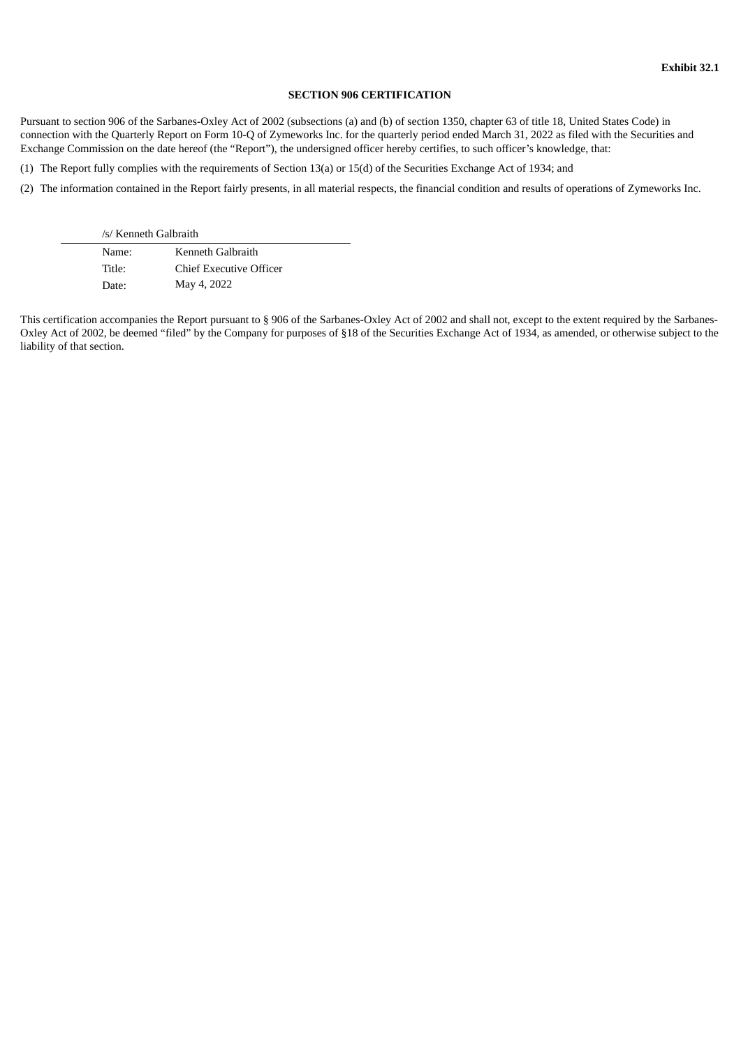### **SECTION 906 CERTIFICATION**

<span id="page-87-0"></span>Pursuant to section 906 of the Sarbanes-Oxley Act of 2002 (subsections (a) and (b) of section 1350, chapter 63 of title 18, United States Code) in connection with the Quarterly Report on Form 10-Q of Zymeworks Inc. for the quarterly period ended March 31, 2022 as filed with the Securities and Exchange Commission on the date hereof (the "Report"), the undersigned officer hereby certifies, to such officer's knowledge, that:

(1) The Report fully complies with the requirements of Section 13(a) or 15(d) of the Securities Exchange Act of 1934; and

(2) The information contained in the Report fairly presents, in all material respects, the financial condition and results of operations of Zymeworks Inc.

| /s/ Kenneth Galbraith |                         |  |  |  |
|-----------------------|-------------------------|--|--|--|
| Name:                 | Kenneth Galbraith       |  |  |  |
| Title:                | Chief Executive Officer |  |  |  |
| Date:                 | May 4, 2022             |  |  |  |

This certification accompanies the Report pursuant to § 906 of the Sarbanes-Oxley Act of 2002 and shall not, except to the extent required by the Sarbanes-Oxley Act of 2002, be deemed "filed" by the Company for purposes of §18 of the Securities Exchange Act of 1934, as amended, or otherwise subject to the liability of that section.